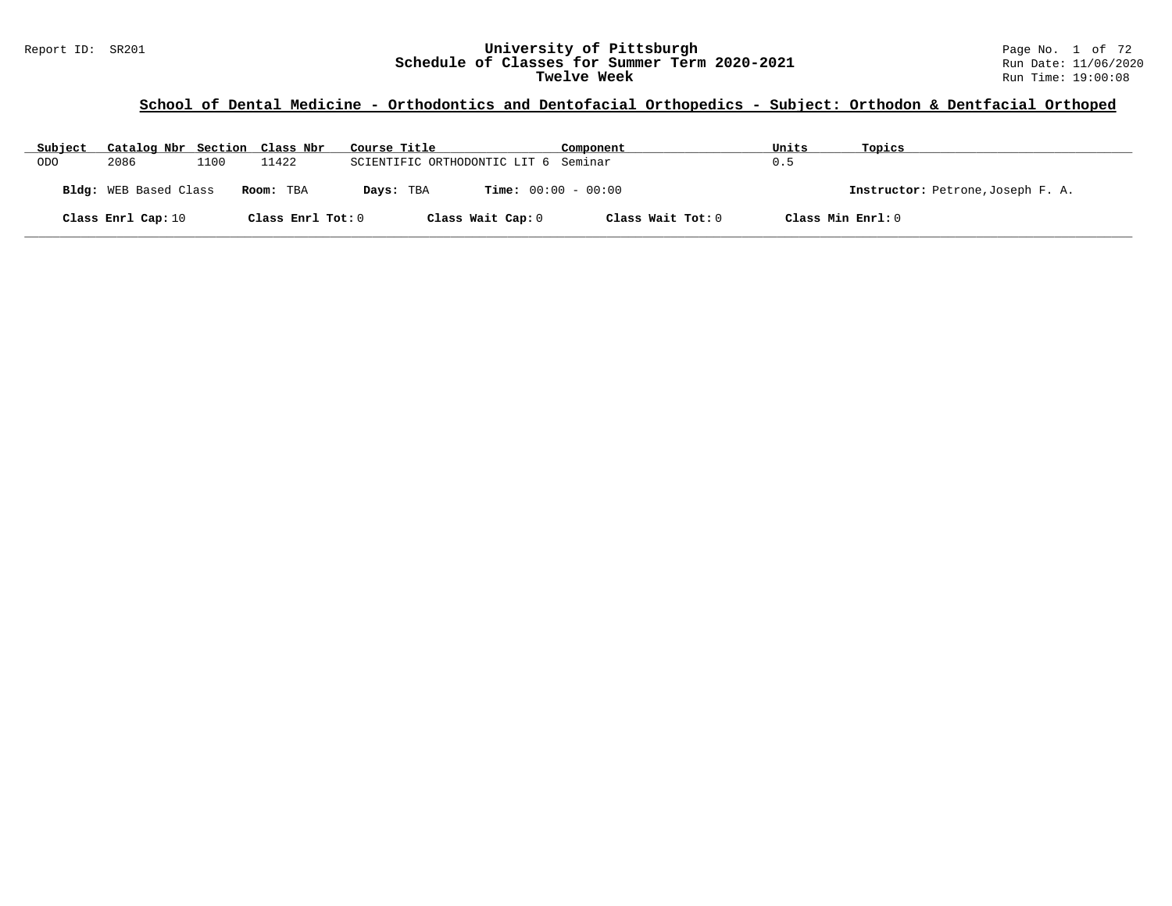#### Report ID: SR201 **University of Pittsburgh** Page No. 1 of 72 **Schedule of Classes for Summer Term 2020-2021** Run Date: 11/06/2020 **Twelve Week** Run Time: 19:00:08

# **School of Dental Medicine - Orthodontics and Dentofacial Orthopedics - Subject: Orthodon & Dentfacial Orthoped**

| Subject    | Catalog Nbr Section Class Nbr |      |                   | Course Title                              | Component         | Units             | Topics                            |
|------------|-------------------------------|------|-------------------|-------------------------------------------|-------------------|-------------------|-----------------------------------|
| <b>ODO</b> | 2086                          | 1100 | 11422             | SCIENTIFIC ORTHODONTIC LIT 6 Seminar      |                   | 0.5               |                                   |
|            | Bldg: WEB Based Class         |      | Room: TBA         | <b>Time:</b> $00:00 - 00:00$<br>Days: TBA |                   |                   | Instructor: Petrone, Joseph F. A. |
|            | Class Enrl Cap: 10            |      | Class Enrl Tot: 0 | Class Wait Cap: 0                         | Class Wait Tot: 0 | Class Min Enrl: 0 |                                   |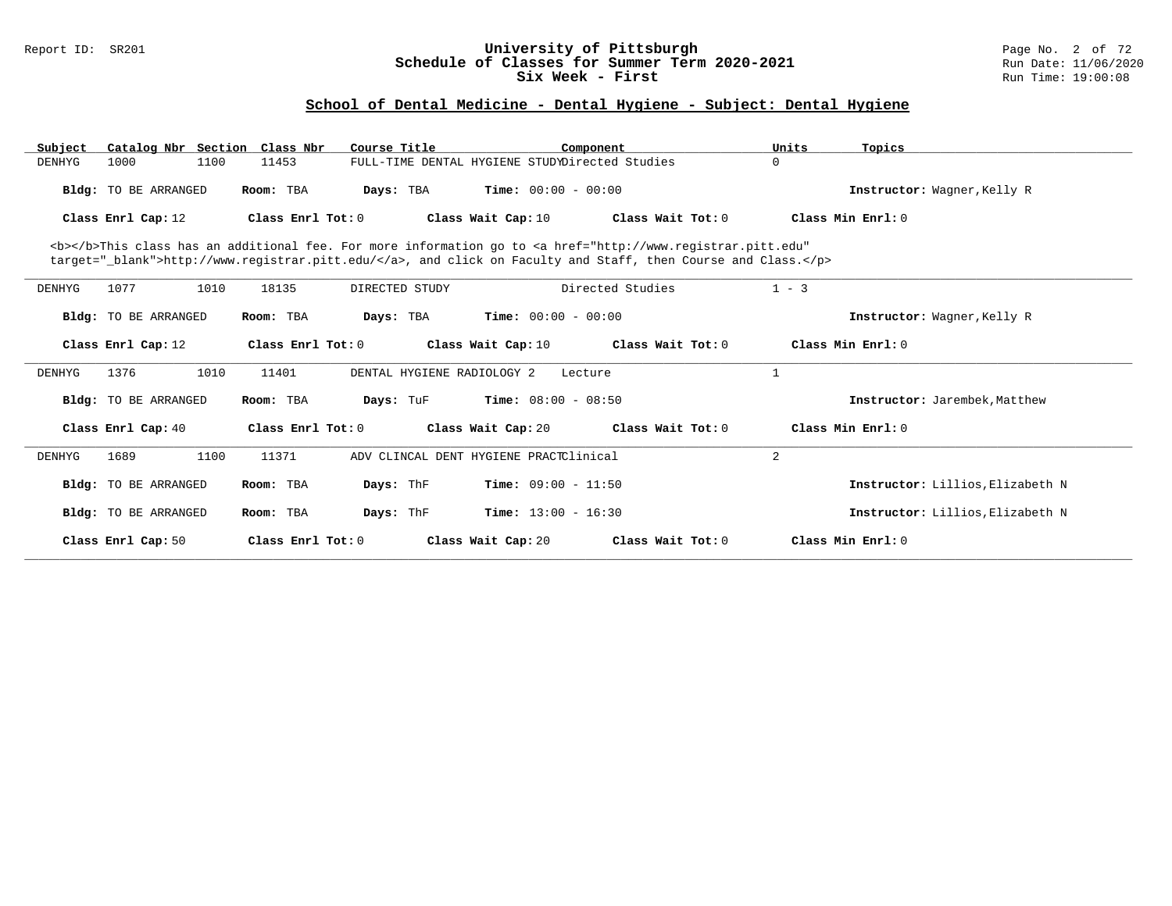#### Report ID: SR201 **University of Pittsburgh** Page No. 2 of 72 **Schedule of Classes for Summer Term 2020-2021** Run Date: 11/06/2020 **Six Week - First Run Time: 19:00:08**

# **School of Dental Medicine - Dental Hygiene - Subject: Dental Hygiene**

| Subject                     | Catalog Nbr Section Class Nbr | Course Title                                                                                                                                                                                                                       | Component                                      |                   | Units             | Topics                           |
|-----------------------------|-------------------------------|------------------------------------------------------------------------------------------------------------------------------------------------------------------------------------------------------------------------------------|------------------------------------------------|-------------------|-------------------|----------------------------------|
| 1000<br>DENHYG              | 11453<br>1100                 |                                                                                                                                                                                                                                    | FULL-TIME DENTAL HYGIENE STUDYDirected Studies |                   | $\Omega$          |                                  |
| Bldg: TO BE ARRANGED        | Room: TBA                     | Days: TBA                                                                                                                                                                                                                          | <b>Time:</b> $00:00 - 00:00$                   |                   |                   | Instructor: Wagner, Kelly R      |
| Class Enrl Cap: 12          | Class Enrl Tot: 0             |                                                                                                                                                                                                                                    | Class Wait Cap: 10                             | Class Wait Tot: 0 |                   | Class Min Enrl: 0                |
|                             |                               | <b></b> This class has an additional fee. For more information go to <a <br="" href="http://www.registrar.pitt.edu">target="_blank"&gt;http://www.registrar.pitt.edu/</a> , and click on Faculty and Staff, then Course and Class. |                                                |                   |                   |                                  |
| 1077<br><b>DENHYG</b>       | 1010<br>18135                 | DIRECTED STUDY                                                                                                                                                                                                                     |                                                | Directed Studies  | $1 - 3$           |                                  |
| <b>Bldg:</b> TO BE ARRANGED | Room: TBA                     | Days: TBA                                                                                                                                                                                                                          | <b>Time:</b> $00:00 - 00:00$                   |                   |                   | Instructor: Wagner, Kelly R      |
| Class Enrl Cap: 12          | Class Enrl Tot: 0             |                                                                                                                                                                                                                                    | Class Wait Cap: 10                             | Class Wait Tot: 0 | Class Min Enrl: 0 |                                  |
| 1376<br>DENHYG              | 1010<br>11401                 | DENTAL HYGIENE RADIOLOGY 2                                                                                                                                                                                                         | Lecture                                        |                   | $\mathbf{1}$      |                                  |
| <b>Bldg:</b> TO BE ARRANGED | Room: TBA                     | Days: TuF                                                                                                                                                                                                                          | <b>Time:</b> $08:00 - 08:50$                   |                   |                   | Instructor: Jarembek, Matthew    |
| Class Enrl Cap: 40          | Class Enrl Tot: 0             |                                                                                                                                                                                                                                    | Class Wait Cap: 20                             | Class Wait Tot: 0 |                   | Class Min Enrl: 0                |
| DENHYG<br>1689              | 1100<br>11371                 |                                                                                                                                                                                                                                    | ADV CLINCAL DENT HYGIENE PRACTClinical         |                   | 2                 |                                  |
| <b>Bldg:</b> TO BE ARRANGED | Room: TBA                     | Days: ThF                                                                                                                                                                                                                          | <b>Time:</b> $09:00 - 11:50$                   |                   |                   | Instructor: Lillios, Elizabeth N |
| <b>Bldg:</b> TO BE ARRANGED | Room: TBA                     | Days: ThF                                                                                                                                                                                                                          | <b>Time:</b> $13:00 - 16:30$                   |                   |                   | Instructor: Lillios, Elizabeth N |
| Class Enrl Cap: 50          | Class Enrl Tot: 0             |                                                                                                                                                                                                                                    | Class Wait Cap: 20                             | Class Wait Tot: 0 | Class Min Enrl: 0 |                                  |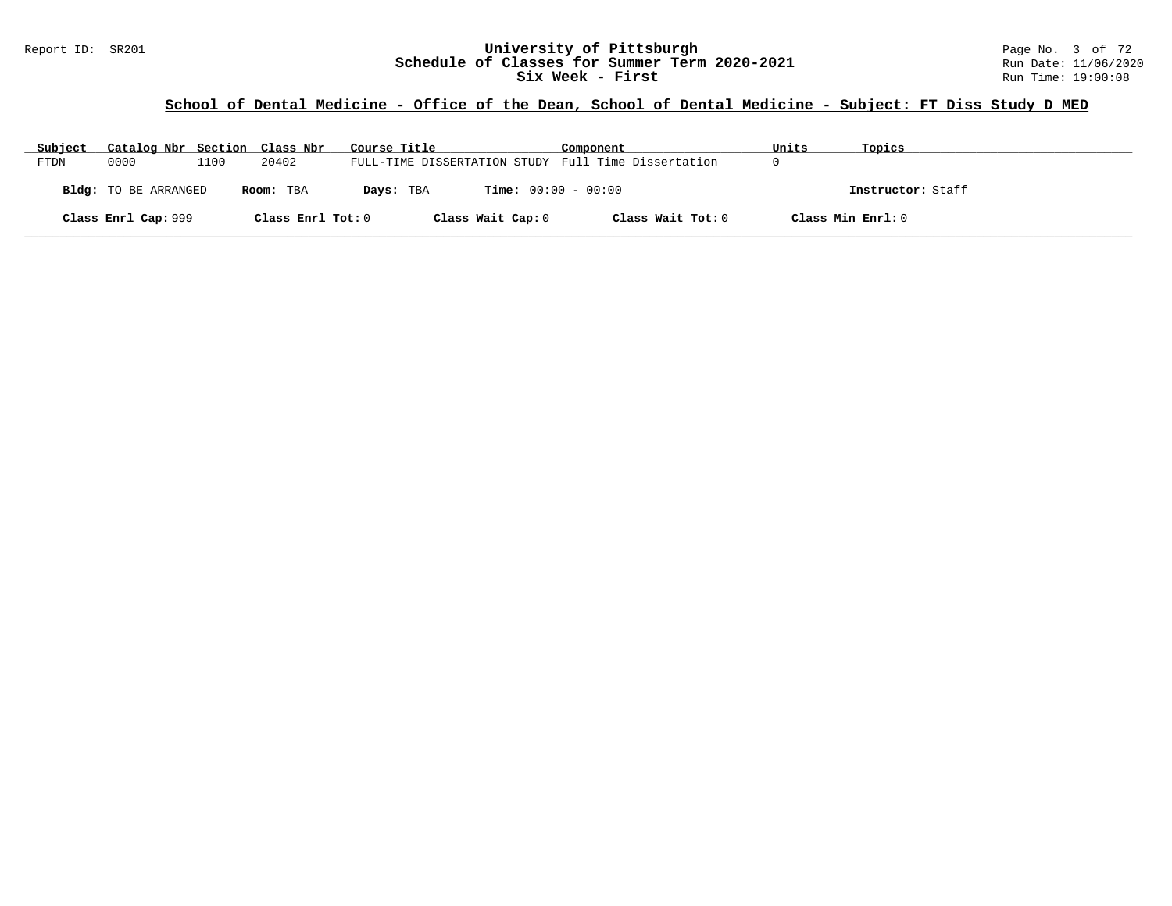#### Report ID: SR201 **1988 Chedule of Classes for Summer Term 2020-2021** Page No. 3 of 72<br>**Schedule of Classes for Summer Term 2020-2021** Run Date: 11/06/2020 **Schedule of Classes for Summer Term 2020-2021** Run Date: 11/06/2020<br>Six Week - First Run Time: 19:00:08 **Six Week - First**

### **School of Dental Medicine - Office of the Dean, School of Dental Medicine - Subject: FT Diss Study D MED**

| Subject     | Catalog Nbr Section Class Nbr |      |                   | Course Title                                        | Component         | Units             | Topics            |
|-------------|-------------------------------|------|-------------------|-----------------------------------------------------|-------------------|-------------------|-------------------|
| <b>FTDN</b> | 0000                          | 1100 | 20402             | FULL-TIME DISSERTATION STUDY Full Time Dissertation |                   |                   |                   |
|             | <b>Bldg:</b> TO BE ARRANGED   |      | Room: TBA         | <b>Time:</b> $00:00 - 00:00$<br>Days: TBA           |                   |                   | Instructor: Staff |
|             | Class Enrl Cap: 999           |      | Class Enrl Tot: 0 | Class Wait Cap: 0                                   | Class Wait Tot: 0 | Class Min Enrl: 0 |                   |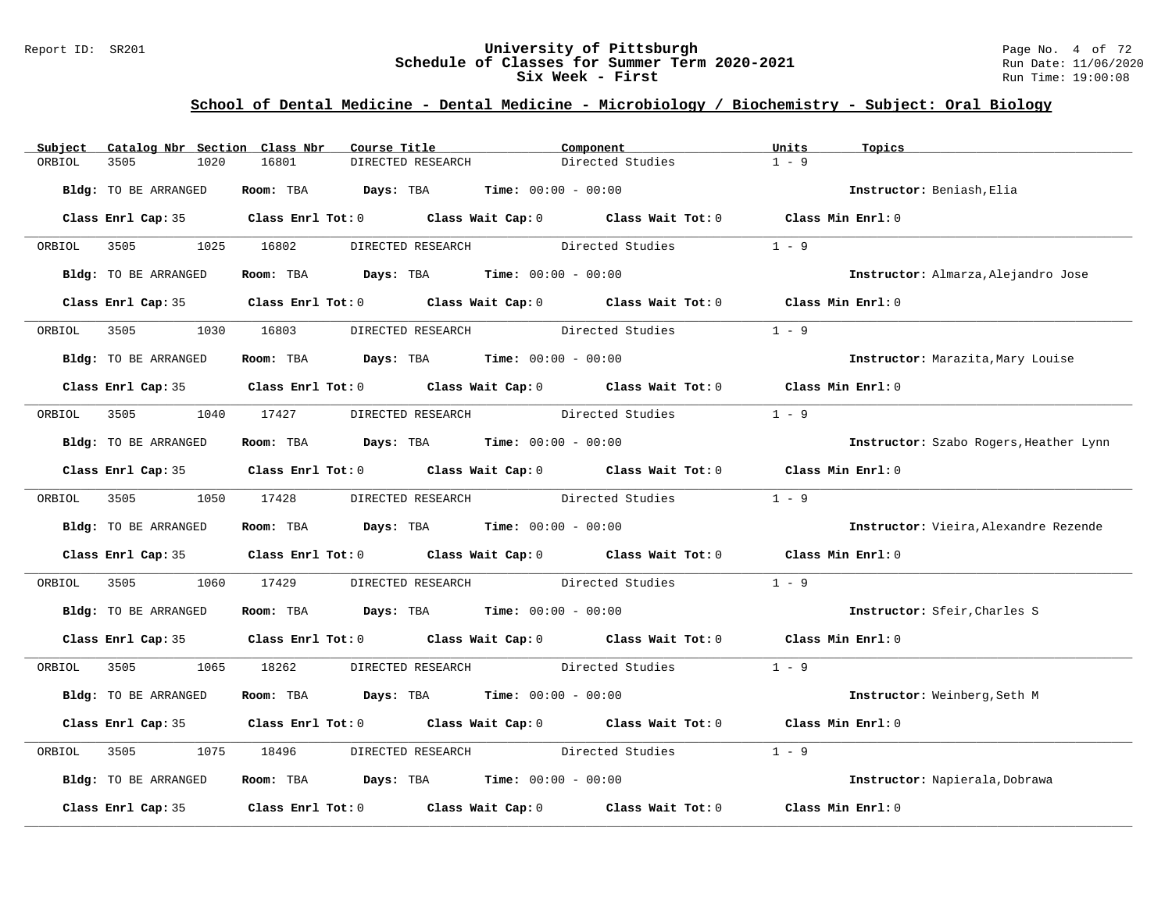#### Report ID: SR201 **University of Pittsburgh University of Pittsburgh** Page No. 4 of 72<br>**Schedule of Classes for Summer Term 2020-2021** Run Date: 11/06/2020 **Schedule of Classes for Summer Term 2020-2021** Run Date: 11/06/2020<br>Six Week - First Run Time: 19:00:08 **Six Week - First**

### **School of Dental Medicine - Dental Medicine - Microbiology / Biochemistry - Subject: Oral Biology**

| Subject     | Catalog Nbr Section Class Nbr |            | Course Title                                                   | Component                                                                                  | Units<br>Topics              |                                        |
|-------------|-------------------------------|------------|----------------------------------------------------------------|--------------------------------------------------------------------------------------------|------------------------------|----------------------------------------|
| ORBIOL      | 3505<br>1020                  | 16801      | DIRECTED RESEARCH                                              | Directed Studies                                                                           | $1 - 9$                      |                                        |
|             | Bldg: TO BE ARRANGED          |            | Room: TBA $Days:$ TBA $Time: 00:00 - 00:00$                    |                                                                                            | Instructor: Beniash, Elia    |                                        |
|             |                               |            |                                                                | Class Enrl Cap: 35 Class Enrl Tot: 0 Class Wait Cap: 0 Class Wait Tot: 0 Class Min Enrl: 0 |                              |                                        |
| ORBIOL      | 3505                          | 1025 16802 |                                                                | DIRECTED RESEARCH Directed Studies                                                         | $1 - 9$                      |                                        |
|             | Bldg: TO BE ARRANGED          |            | Room: TBA $Days:$ TBA $Time: 00:00 - 00:00$                    |                                                                                            |                              | Instructor: Almarza, Alejandro Jose    |
|             |                               |            |                                                                | Class Enrl Cap: 35 Class Enrl Tot: 0 Class Wait Cap: 0 Class Wait Tot: 0 Class Min Enrl: 0 |                              |                                        |
| ORBIOL      | 3505<br>1030                  | 16803      | DIRECTED RESEARCH                                              | Directed Studies                                                                           | $1 - 9$                      |                                        |
|             | Bldg: TO BE ARRANGED          |            | Room: TBA $Days:$ TBA $Time: 00:00 - 00:00$                    |                                                                                            |                              | Instructor: Marazita, Mary Louise      |
|             |                               |            |                                                                | Class Enrl Cap: 35 Class Enrl Tot: 0 Class Wait Cap: 0 Class Wait Tot: 0 Class Min Enrl: 0 |                              |                                        |
| ORBIOL      | 3505                          | 1040 17427 | DIRECTED RESEARCH Directed Studies                             |                                                                                            | $1 - 9$                      |                                        |
|             | Bldg: TO BE ARRANGED          |            | Room: TBA $Days: TBA$ Time: $00:00 - 00:00$                    |                                                                                            |                              | Instructor: Szabo Rogers, Heather Lynn |
|             |                               |            |                                                                | Class Enrl Cap: 35 Class Enrl Tot: 0 Class Wait Cap: 0 Class Wait Tot: 0 Class Min Enrl: 0 |                              |                                        |
| ORBIOL 3505 |                               | 1050 17428 | DIRECTED RESEARCH Directed Studies                             |                                                                                            | $1 - 9$                      |                                        |
|             | Bldg: TO BE ARRANGED          |            | Room: TBA $\rule{1em}{0.15mm}$ Days: TBA Time: $00:00 - 00:00$ |                                                                                            |                              | Instructor: Vieira, Alexandre Rezende  |
|             |                               |            |                                                                | Class Enrl Cap: 35 Class Enrl Tot: 0 Class Wait Cap: 0 Class Wait Tot: 0 Class Min Enrl: 0 |                              |                                        |
| ORBIOL      | 3505<br>1060                  | 17429      |                                                                | DIRECTED RESEARCH Directed Studies                                                         | $1 - 9$                      |                                        |
|             | Bldg: TO BE ARRANGED          |            | Room: TBA $Days:$ TBA $Time: 00:00 - 00:00$                    |                                                                                            | Instructor: Sfeir, Charles S |                                        |
|             |                               |            |                                                                | Class Enrl Cap: 35 Class Enrl Tot: 0 Class Wait Cap: 0 Class Wait Tot: 0 Class Min Enrl: 0 |                              |                                        |
| ORBIOL      | 3505                          | 1065 18262 |                                                                | DIRECTED RESEARCH Directed Studies 1 - 9                                                   |                              |                                        |
|             | Bldg: TO BE ARRANGED          |            | Room: TBA $Days:$ TBA $Time: 00:00 - 00:00$                    |                                                                                            | Instructor: Weinberg, Seth M |                                        |
|             |                               |            |                                                                | Class Enrl Cap: 35 Class Enrl Tot: 0 Class Wait Cap: 0 Class Wait Tot: 0 Class Min Enrl: 0 |                              |                                        |
| ORBIOL      | 3505<br>1075                  | 18496      | DIRECTED RESEARCH Directed Studies                             |                                                                                            | $1 - 9$                      |                                        |
|             | Bldg: TO BE ARRANGED          |            | Room: TBA $Days:$ TBA $Time: 00:00 - 00:00$                    |                                                                                            |                              | Instructor: Napierala, Dobrawa         |
|             | Class Enrl Cap: 35            |            |                                                                | Class Enrl Tot: $0$ Class Wait Cap: $0$ Class Wait Tot: $0$                                | Class Min Enrl: 0            |                                        |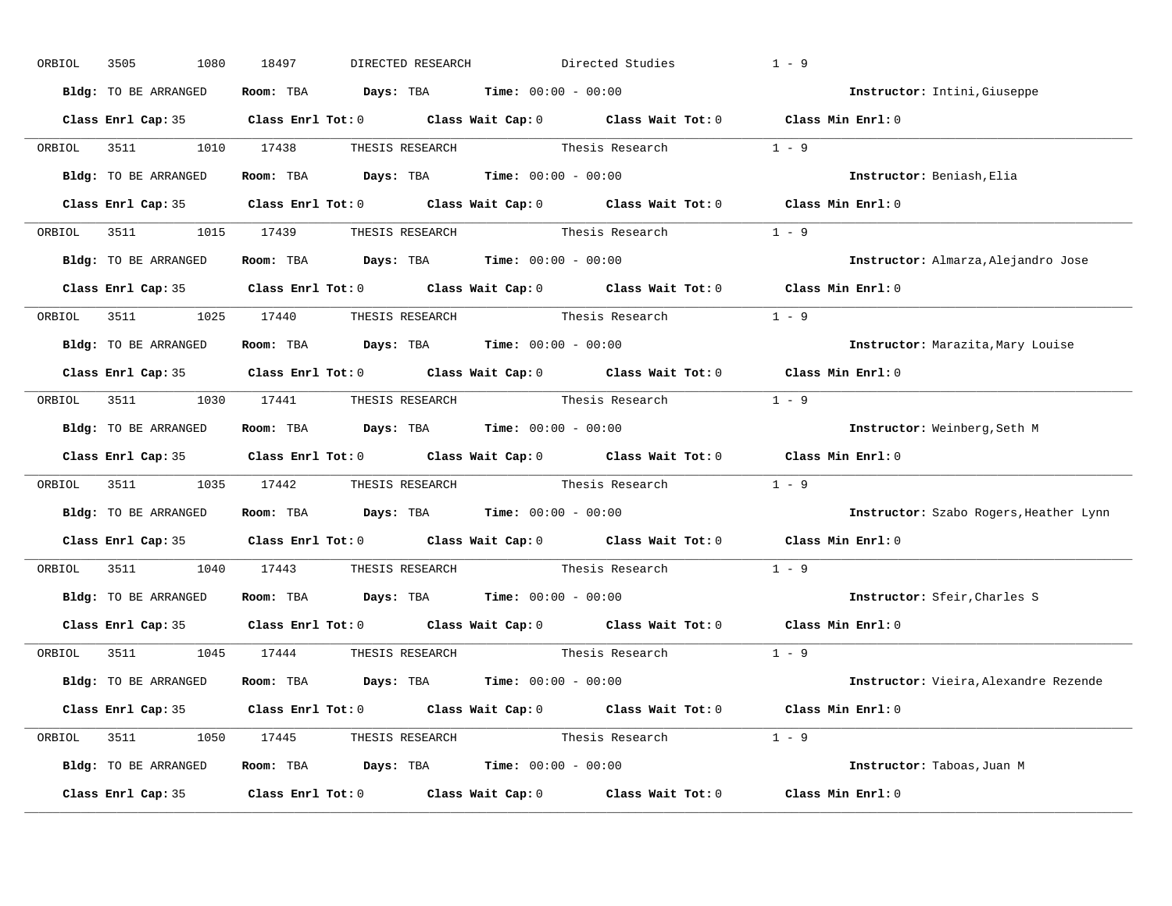| ORBIOL | 3505<br>1080           | 18497<br>DIRECTED RESEARCH                                                            | Directed Studies                                                                                    | $1 - 9$                                |
|--------|------------------------|---------------------------------------------------------------------------------------|-----------------------------------------------------------------------------------------------------|----------------------------------------|
|        | Bldg: TO BE ARRANGED   | Room: TBA $Days:$ TBA $Time: 00:00 - 00:00$                                           |                                                                                                     | Instructor: Intini, Giuseppe           |
|        |                        |                                                                                       | Class Enrl Cap: 35 Class Enrl Tot: 0 Class Wait Cap: 0 Class Wait Tot: 0 Class Min Enrl: 0          |                                        |
|        | ORBIOL 3511 1010 17438 |                                                                                       | THESIS RESEARCH Thesis Research 1 - 9                                                               |                                        |
|        | Bldg: TO BE ARRANGED   | Room: TBA $\rule{1em}{0.15mm}$ Days: TBA Time: $00:00 - 00:00$                        |                                                                                                     | Instructor: Beniash, Elia              |
|        |                        |                                                                                       | Class Enrl Cap: 35 Class Enrl Tot: 0 Class Wait Cap: 0 Class Wait Tot: 0 Class Min Enrl: 0          |                                        |
|        |                        |                                                                                       | ORBIOL 3511 1015 17439 THESIS RESEARCH Thesis Research 1 - 9                                        |                                        |
|        | Bldg: TO BE ARRANGED   | Room: TBA $\rule{1em}{0.15mm}$ Days: TBA $\rule{1.5mm}{0.15mm}$ Time: $00:00 - 00:00$ |                                                                                                     | Instructor: Almarza, Alejandro Jose    |
|        |                        |                                                                                       | Class Enrl Cap: 35 Class Enrl Tot: 0 Class Wait Cap: 0 Class Wait Tot: 0 Class Min Enrl: 0          |                                        |
|        |                        |                                                                                       | ORBIOL 3511 1025 17440 THESIS RESEARCH Thesis Research 1 - 9                                        |                                        |
|        | Bldg: TO BE ARRANGED   | Room: TBA $\rule{1em}{0.15mm}$ Days: TBA Time: $00:00 - 00:00$                        |                                                                                                     | Instructor: Marazita, Mary Louise      |
|        |                        |                                                                                       | Class Enrl Cap: 35 Class Enrl Tot: 0 Class Wait Cap: 0 Class Wait Tot: 0 Class Min Enrl: 0          |                                        |
|        |                        |                                                                                       | ORBIOL 3511 1030 17441 THESIS RESEARCH Thesis Research 1 - 9                                        |                                        |
|        | Bldg: TO BE ARRANGED   | Room: TBA $\rule{1em}{0.15mm}$ Days: TBA Time: $00:00 - 00:00$                        |                                                                                                     | Instructor: Weinberg, Seth M           |
|        |                        |                                                                                       | Class Enrl Cap: 35 Class Enrl Tot: 0 Class Wait Cap: 0 Class Wait Tot: 0 Class Min Enrl: 0          |                                        |
| ORBIOL |                        |                                                                                       | 3511 1035 17442 THESIS RESEARCH Thesis Research                                                     | $1 - 9$                                |
|        | Bldg: TO BE ARRANGED   | Room: TBA Days: TBA Time: $00:00 - 00:00$                                             |                                                                                                     | Instructor: Szabo Rogers, Heather Lynn |
|        |                        |                                                                                       |                                                                                                     |                                        |
|        |                        |                                                                                       | Class Enrl Cap: 35 Class Enrl Tot: 0 Class Wait Cap: 0 Class Wait Tot: 0                            | Class Min Enrl: 0                      |
| ORBIOL |                        | 3511 1040 17443 THESIS RESEARCH                                                       | Thesis Research                                                                                     | $1 - 9$                                |
|        | Bldg: TO BE ARRANGED   | Room: TBA $\rule{1em}{0.15mm}$ Days: TBA Time: $00:00 - 00:00$                        |                                                                                                     | Instructor: Sfeir, Charles S           |
|        |                        |                                                                                       | Class Enrl Cap: 35 $\qquad$ Class Enrl Tot: 0 $\qquad$ Class Wait Cap: 0 $\qquad$ Class Wait Tot: 0 | Class Min Enrl: 0                      |
|        |                        | ORBIOL 3511 1045 17444 THESIS RESEARCH                                                | Thesis Research                                                                                     | $1 - 9$                                |
|        | Bldg: TO BE ARRANGED   | Room: TBA $Days:$ TBA $Time: 00:00 - 00:00$                                           |                                                                                                     | Instructor: Vieira, Alexandre Rezende  |
|        |                        |                                                                                       | Class Enrl Cap: 35 Class Enrl Tot: 0 Class Wait Cap: 0 Class Wait Tot: 0 Class Min Enrl: 0          |                                        |
|        |                        |                                                                                       | ORBIOL 3511 1050 17445 THESIS RESEARCH Thesis Research 1 - 9                                        |                                        |
|        | Bldg: TO BE ARRANGED   | Room: TBA $Days:$ TBA $Time: 00:00 - 00:00$                                           |                                                                                                     | Instructor: Taboas, Juan M             |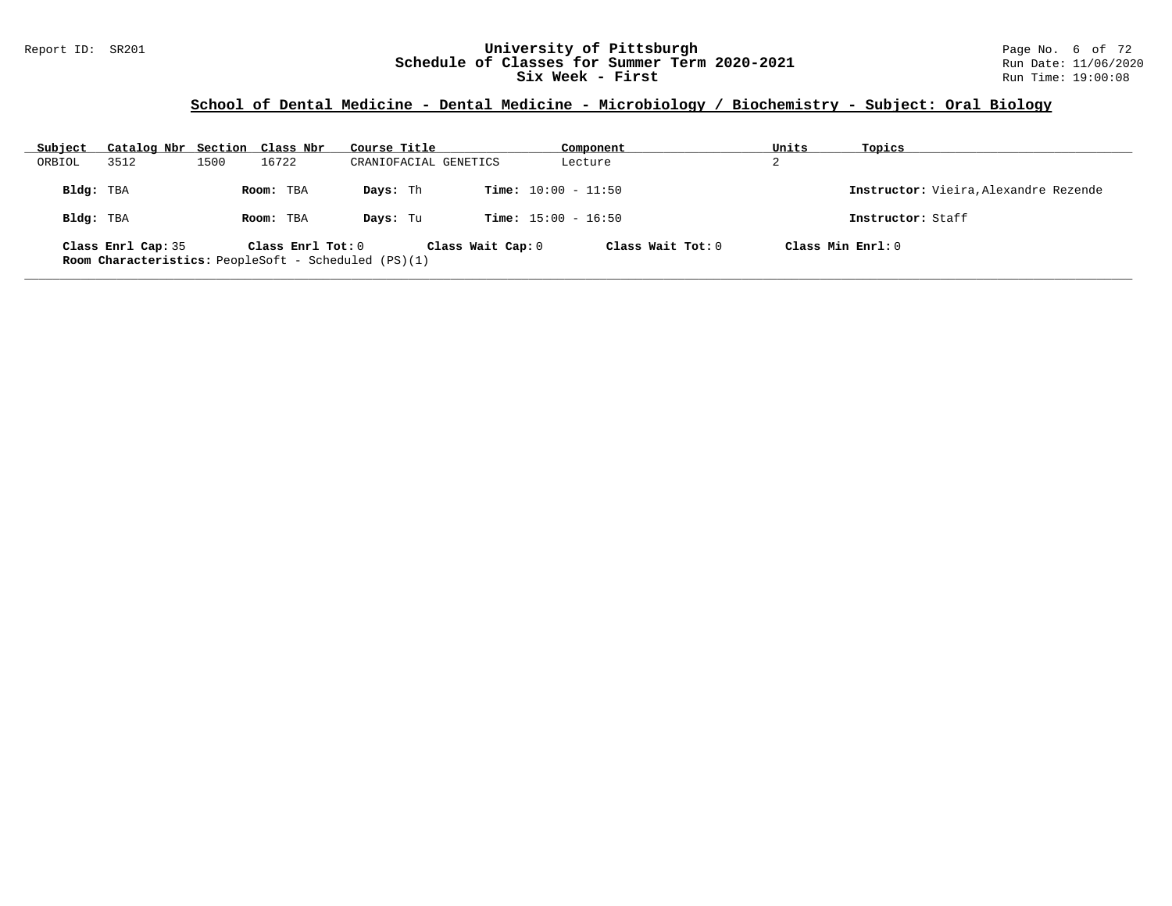#### Report ID: SR201 **University of Pittsburgh University of Pittsburgh** Page No. 6 of 72<br>**Schedule of Classes for Summer Term 2020-2021** Run Date: 11/06/2020 **Schedule of Classes for Summer Term 2020-2021** Run Date: 11/06/2020<br>**Six Week - First** Run Time: 19:00:08 **Six Week - First**

### **School of Dental Medicine - Dental Medicine - Microbiology / Biochemistry - Subject: Oral Biology**

| Subject   | Catalog Nbr Section Class Nbr                                                       |      |                   | Course Title          |                              | Component           | Units | Topics                                |
|-----------|-------------------------------------------------------------------------------------|------|-------------------|-----------------------|------------------------------|---------------------|-------|---------------------------------------|
| ORBIOL    | 3512                                                                                | 1500 | 16722             | CRANIOFACIAL GENETICS |                              | Lecture             | 2     |                                       |
| Bldg: TBA |                                                                                     |      | Room: TBA         | Days: Th              | <b>Time:</b> $10:00 - 11:50$ |                     |       | Instructor: Vieira, Alexandre Rezende |
| Bldg: TBA |                                                                                     |      | Room: TBA         | Days: Tu              | <b>Time:</b> $15:00 - 16:50$ |                     |       | Instructor: Staff                     |
|           | Class Enrl Cap: 35<br><b>Room Characteristics:</b> PeopleSoft - Scheduled $(PS)(1)$ |      | Class Enrl Tot: 0 |                       | Class Wait Cap: 0            | Class Wait $Tot: 0$ |       | Class Min Enrl: 0                     |

**\_\_\_\_\_\_\_\_\_\_\_\_\_\_\_\_\_\_\_\_\_\_\_\_\_\_\_\_\_\_\_\_\_\_\_\_\_\_\_\_\_\_\_\_\_\_\_\_\_\_\_\_\_\_\_\_\_\_\_\_\_\_\_\_\_\_\_\_\_\_\_\_\_\_\_\_\_\_\_\_\_\_\_\_\_\_\_\_\_\_\_\_\_\_\_\_\_\_\_\_\_\_\_\_\_\_\_\_\_\_\_\_\_\_\_\_\_\_\_\_\_\_\_\_\_\_\_\_\_\_\_\_\_\_\_\_\_\_\_\_\_\_\_\_\_\_\_\_\_\_\_\_\_\_\_\_**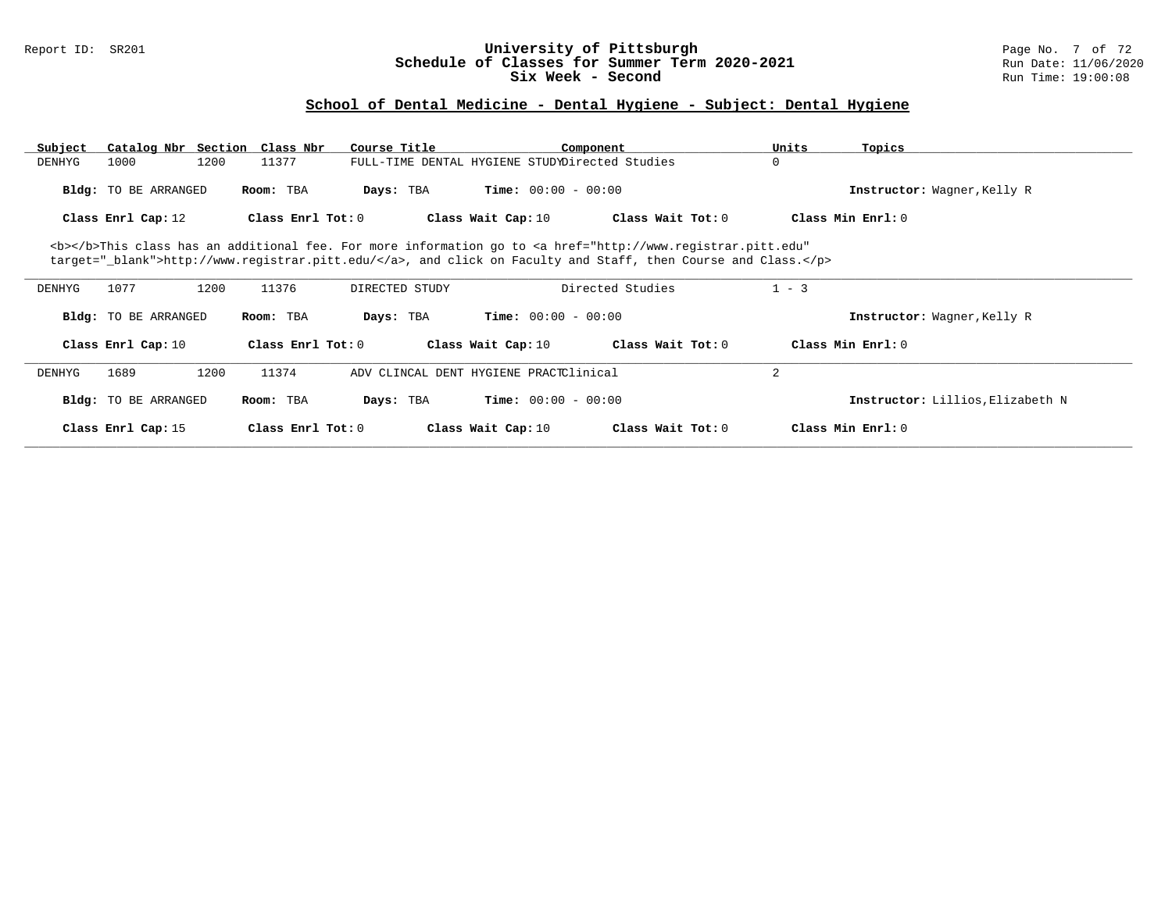#### Report ID: SR201 **University of Pittsburgh** Page No. 7 of 72 **Schedule of Classes for Summer Term 2020-2021** Run Date: 11/06/2020 **Six Week - Second Run Time: 19:00:08**

# **School of Dental Medicine - Dental Hygiene - Subject: Dental Hygiene**

| Subject                                                                                                                                                                                                                            |                             | Catalog Nbr Section Class Nbr | Course Title                                   |                              | Component         | Units          | Topics                           |  |
|------------------------------------------------------------------------------------------------------------------------------------------------------------------------------------------------------------------------------------|-----------------------------|-------------------------------|------------------------------------------------|------------------------------|-------------------|----------------|----------------------------------|--|
| DENHYG                                                                                                                                                                                                                             | 1000                        | 1200<br>11377                 | FULL-TIME DENTAL HYGIENE STUDYDirected Studies |                              |                   | 0              |                                  |  |
|                                                                                                                                                                                                                                    | <b>Bldg:</b> TO BE ARRANGED | Room: TBA                     | Days: TBA                                      | <b>Time:</b> $00:00 - 00:00$ |                   |                | Instructor: Wagner, Kelly R      |  |
|                                                                                                                                                                                                                                    | Class Enrl Cap: 12          | Class Enrl Tot: 0             |                                                | Class Wait Cap: 10           | Class Wait Tot: 0 |                | Class Min Enrl: 0                |  |
| <b></b> This class has an additional fee. For more information go to <a <br="" href="http://www.registrar.pitt.edu">target="_blank"&gt;http://www.registrar.pitt.edu/</a> , and click on Faculty and Staff, then Course and Class. |                             |                               |                                                |                              |                   |                |                                  |  |
| DENHYG                                                                                                                                                                                                                             | 1077                        | 1200<br>11376                 | DIRECTED STUDY                                 |                              | Directed Studies  | $1 - 3$        |                                  |  |
|                                                                                                                                                                                                                                    | <b>Bldg:</b> TO BE ARRANGED | Room: TBA                     | Days: TBA                                      | <b>Time:</b> $00:00 - 00:00$ |                   |                | Instructor: Wagner, Kelly R      |  |
|                                                                                                                                                                                                                                    | Class Enrl Cap: 10          | Class Enrl Tot: 0             |                                                | Class Wait Cap: 10           | Class Wait Tot: 0 |                | Class Min Enrl: 0                |  |
| DENHYG                                                                                                                                                                                                                             | 1689                        | 1200<br>11374                 | ADV CLINCAL DENT HYGIENE PRACTClinical         |                              |                   | $\overline{a}$ |                                  |  |
|                                                                                                                                                                                                                                    | <b>Bldg:</b> TO BE ARRANGED | Room: TBA                     | Days: TBA                                      | <b>Time:</b> $00:00 - 00:00$ |                   |                | Instructor: Lillios, Elizabeth N |  |
|                                                                                                                                                                                                                                    | Class Enrl Cap: 15          | Class Enrl Tot: 0             |                                                | Class Wait Cap: 10           | Class Wait Tot: 0 |                | Class Min Enrl: 0                |  |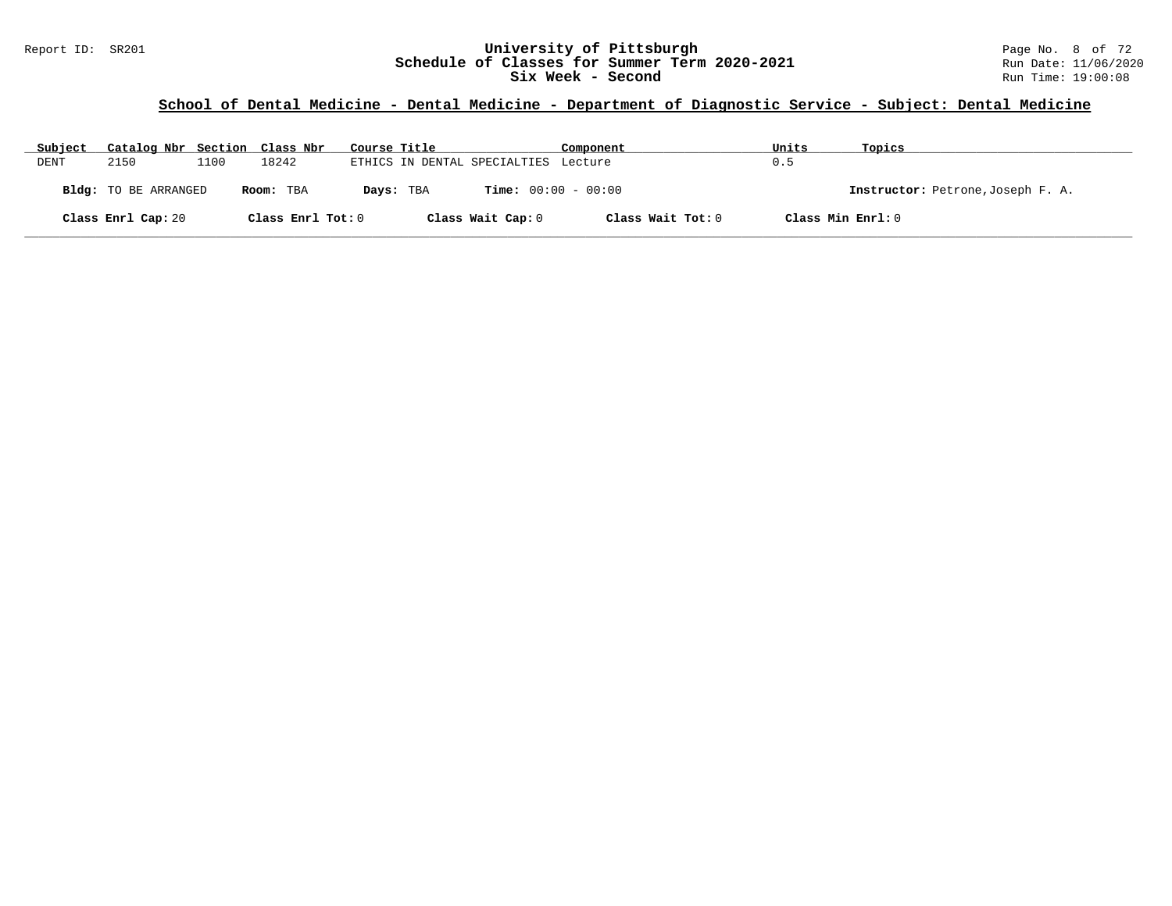#### Report ID: SR201 **1988 Chedule of Classes for Summer Term 2020-2021** Page No. 8 of 72<br>**Schedule of Classes for Summer Term 2020-2021** Run Date: 11/06/2020 **Schedule of Classes for Summer Term 2020-2021** Run Date: 11/06/2020<br>Six Week - Second Run Time: 19:00:08 **Six Week - Second**

| Subject | Catalog Nbr Section Class Nbr |      |                   | Course Title |                                      | Component         | Units             | Topics                            |
|---------|-------------------------------|------|-------------------|--------------|--------------------------------------|-------------------|-------------------|-----------------------------------|
| DENT    | 2150                          | 1100 | 18242             |              | ETHICS IN DENTAL SPECIALTIES Lecture |                   | 0.5               |                                   |
|         | <b>Bldg:</b> TO BE ARRANGED   |      | Room: TBA         | Days: TBA    | <b>Time:</b> $00:00 - 00:00$         |                   |                   | Instructor: Petrone, Joseph F. A. |
|         | Class Enrl Cap: 20            |      | Class Enrl Tot: 0 |              | Class Wait Cap: 0                    | Class Wait Tot: 0 | Class Min Enrl: 0 |                                   |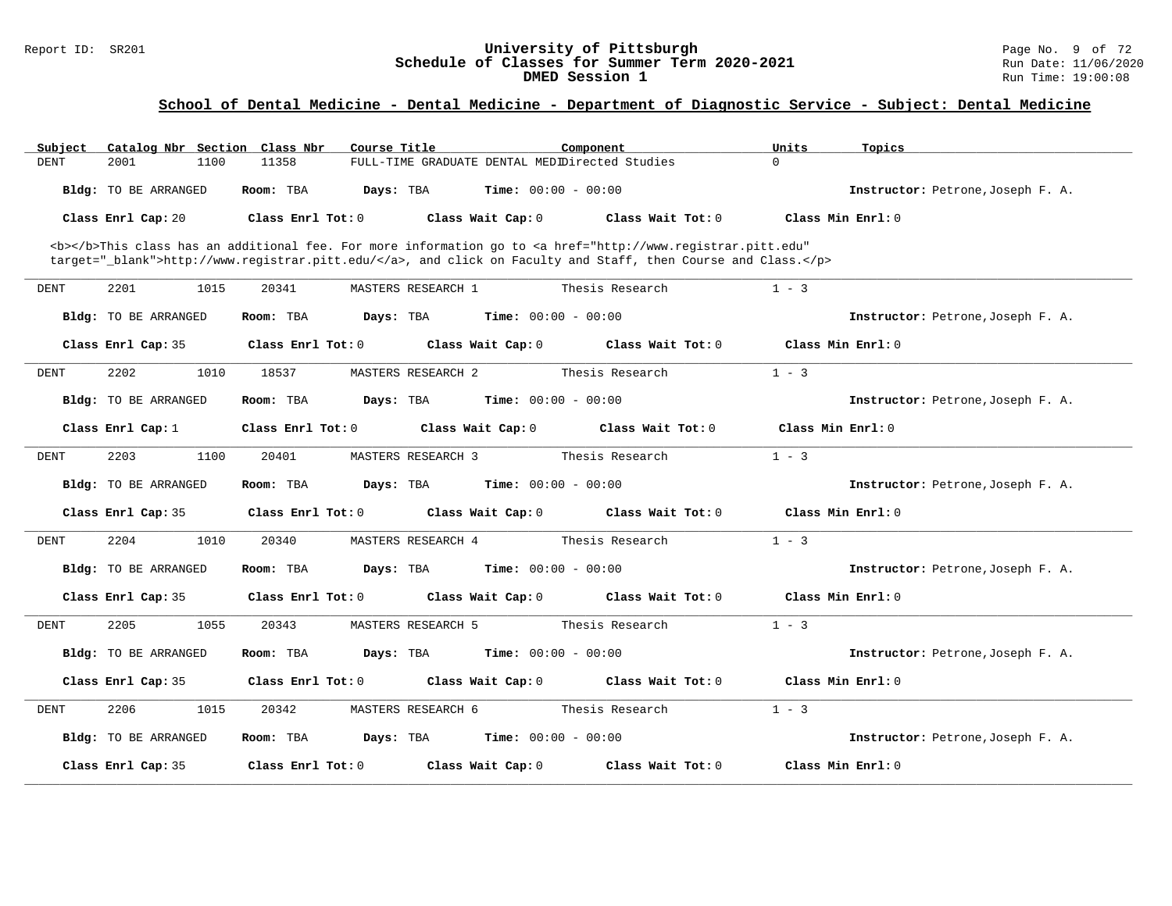#### Report ID: SR201 **University of Pittsburgh** Page No. 9 of 72 **Schedule of Classes for Summer Term 2020-2021** Run Date: 11/06/2020 **DMED Session 1 Run Time: 19:00:08 Run Time: 19:00:08**

| Subject     | Catalog Nbr Section Class Nbr |                   | Course Title                                   | Component                                                                                                                                                                                                                          | Units<br>Topics                   |
|-------------|-------------------------------|-------------------|------------------------------------------------|------------------------------------------------------------------------------------------------------------------------------------------------------------------------------------------------------------------------------------|-----------------------------------|
| <b>DENT</b> | 2001<br>1100                  | 11358             | FULL-TIME GRADUATE DENTAL MEDIDirected Studies |                                                                                                                                                                                                                                    | $\Omega$                          |
|             | <b>Bldg:</b> TO BE ARRANGED   | Room: TBA         | <b>Time:</b> $00:00 - 00:00$<br>Days: TBA      |                                                                                                                                                                                                                                    | Instructor: Petrone, Joseph F. A. |
|             | Class Enrl Cap: 20            | Class Enrl Tot: 0 | Class Wait Cap: 0                              | Class Wait $Tot: 0$                                                                                                                                                                                                                | Class Min $Enrl: 0$               |
|             |                               |                   |                                                | <b></b> This class has an additional fee. For more information go to <a <br="" href="http://www.registrar.pitt.edu">target="_blank"&gt;http://www.registrar.pitt.edu/</a> , and click on Faculty and Staff, then Course and Class. |                                   |
| <b>DENT</b> | 2201<br>1015                  | 20341             | MASTERS RESEARCH 1                             | Thesis Research                                                                                                                                                                                                                    | $1 - 3$                           |
|             | Bldg: TO BE ARRANGED          | Room: TBA         | Days: TBA<br><b>Time:</b> $00:00 - 00:00$      |                                                                                                                                                                                                                                    | Instructor: Petrone, Joseph F. A. |
|             | Class Enrl Cap: 35            | Class Enrl Tot: 0 | Class Wait Cap: 0                              | Class Wait Tot: 0                                                                                                                                                                                                                  | Class Min Enrl: 0                 |
| DENT        | 2202<br>1010                  | 18537             | MASTERS RESEARCH 2                             | Thesis Research                                                                                                                                                                                                                    | $1 - 3$                           |
|             | Bldg: TO BE ARRANGED          | Room: TBA         | <b>Time:</b> $00:00 - 00:00$<br>Days: TBA      |                                                                                                                                                                                                                                    | Instructor: Petrone, Joseph F. A. |
|             | Class Enrl Cap: $1$           | Class Enrl Tot: 0 | Class Wait Cap: 0                              | Class Wait Tot: 0                                                                                                                                                                                                                  | Class Min Enrl: 0                 |
| DENT        | 2203<br>1100                  | 20401             | MASTERS RESEARCH 3                             | Thesis Research                                                                                                                                                                                                                    | $1 - 3$                           |
|             | Bldg: TO BE ARRANGED          | Room: TBA         | Days: TBA<br><b>Time:</b> $00:00 - 00:00$      |                                                                                                                                                                                                                                    | Instructor: Petrone, Joseph F. A. |
|             | Class Enrl Cap: 35            | Class Enrl Tot: 0 | Class Wait Cap: 0                              | Class Wait Tot: 0                                                                                                                                                                                                                  | Class Min $Enrl: 0$               |
| <b>DENT</b> | 2204<br>1010                  | 20340             | MASTERS RESEARCH 4                             | Thesis Research                                                                                                                                                                                                                    | $1 - 3$                           |
|             | Bldg: TO BE ARRANGED          | Room: TBA         | Days: TBA<br><b>Time:</b> $00:00 - 00:00$      |                                                                                                                                                                                                                                    | Instructor: Petrone, Joseph F. A. |
|             | Class Enrl Cap: 35            | Class Enrl Tot: 0 | Class Wait Cap: 0                              | Class Wait Tot: 0                                                                                                                                                                                                                  | Class Min Enrl: 0                 |
| DENT        | 2205<br>1055                  | 20343             | MASTERS RESEARCH 5                             | Thesis Research                                                                                                                                                                                                                    | $1 - 3$                           |
|             | <b>Bldg:</b> TO BE ARRANGED   | Room: TBA         | <b>Time:</b> $00:00 - 00:00$<br>Days: TBA      |                                                                                                                                                                                                                                    | Instructor: Petrone, Joseph F. A. |
|             | Class Enrl Cap: 35            | Class Enrl Tot: 0 | Class Wait Cap: 0                              | Class Wait Tot: 0                                                                                                                                                                                                                  | Class Min Enrl: 0                 |
| DENT        | 2206<br>1015                  | 20342             | MASTERS RESEARCH 6                             | Thesis Research                                                                                                                                                                                                                    | $1 - 3$                           |
|             | Bldg: TO BE ARRANGED          | Room: TBA         | <b>Time:</b> $00:00 - 00:00$<br>Days: TBA      |                                                                                                                                                                                                                                    | Instructor: Petrone, Joseph F. A. |
|             | Class Enrl Cap: 35            | Class Enrl Tot: 0 | Class Wait Cap: 0                              | Class Wait Tot: 0                                                                                                                                                                                                                  | Class Min Enrl: 0                 |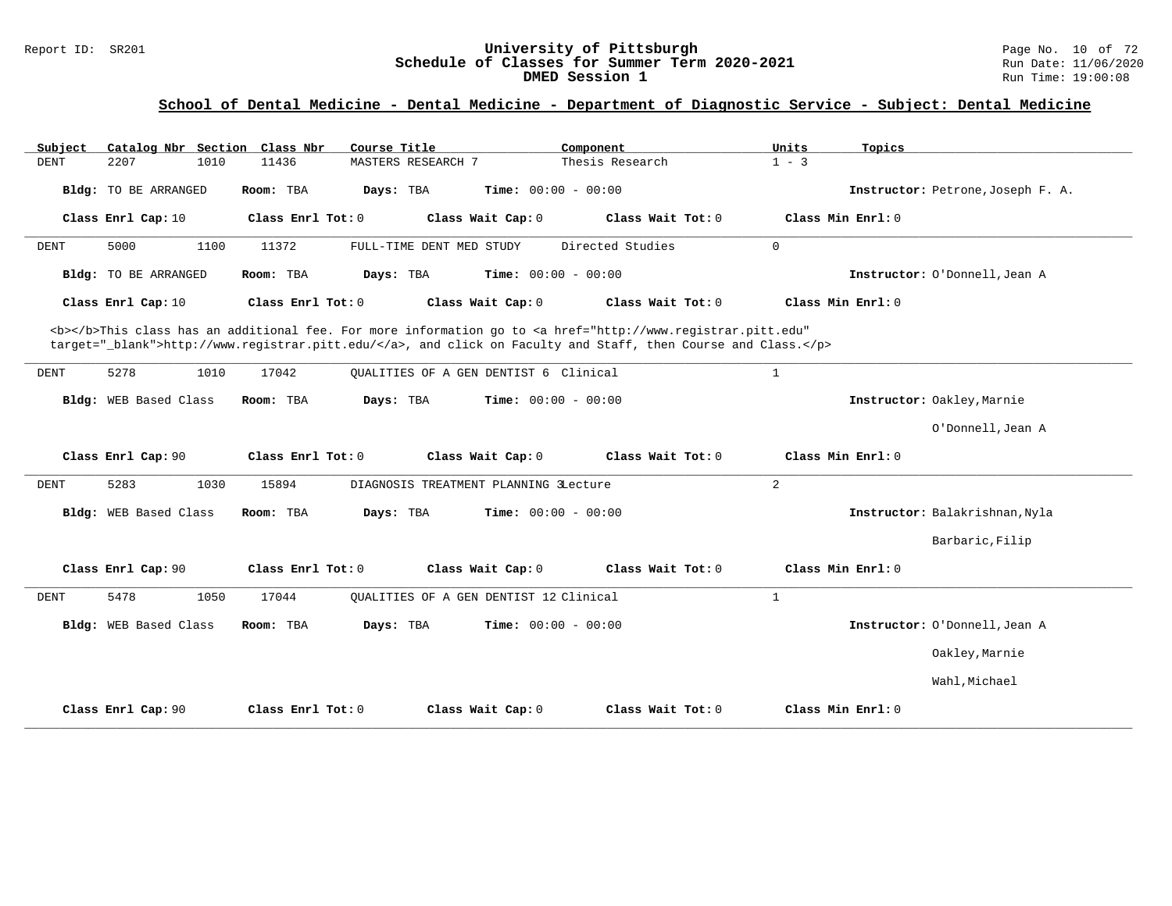### Report ID: SR201 **University of Pittsburgh** Page No. 10 of 72 **Schedule of Classes for Summer Term 2020-2021** Run Date: 11/06/2020 **DMED Session 1 Run Time: 19:00:08 Run Time: 19:00:08**

| Catalog Nbr Section Class Nbr<br>Subject | Course Title                                                                                                                                                                                                                       | Component                    | Units<br>Topics                   |
|------------------------------------------|------------------------------------------------------------------------------------------------------------------------------------------------------------------------------------------------------------------------------------|------------------------------|-----------------------------------|
| <b>DENT</b><br>2207<br>1010              | 11436<br><b>MASTERS RESEARCH 7</b>                                                                                                                                                                                                 | Thesis Research              | $1 - 3$                           |
| Bldg: TO BE ARRANGED                     | Days: TBA<br>Room: TBA                                                                                                                                                                                                             | <b>Time:</b> $00:00 - 00:00$ | Instructor: Petrone, Joseph F. A. |
| Class Enrl Cap: 10                       | Class Enrl Tot: 0<br>Class Wait Cap: 0                                                                                                                                                                                             | Class Wait Tot: 0            | Class Min Enrl: 0                 |
| 5000<br>1100<br>DENT                     | 11372<br>FULL-TIME DENT MED STUDY                                                                                                                                                                                                  | Directed Studies             | $\mathbf 0$                       |
| Bldg: TO BE ARRANGED                     | Room: TBA<br>Days: TBA                                                                                                                                                                                                             | <b>Time:</b> $00:00 - 00:00$ | Instructor: O'Donnell, Jean A     |
| Class Enrl Cap: 10                       | Class Wait Cap: 0<br>Class Enrl Tot: 0                                                                                                                                                                                             | Class Wait Tot: 0            | Class Min Enrl: 0                 |
|                                          | <b></b> This class has an additional fee. For more information go to <a <br="" href="http://www.registrar.pitt.edu">target="_blank"&gt;http://www.registrar.pitt.edu/</a> , and click on Faculty and Staff, then Course and Class. |                              |                                   |
| 5278<br>1010<br>DENT                     | 17042<br>OUALITIES OF A GEN DENTIST 6 Clinical                                                                                                                                                                                     |                              | $\mathbf{1}$                      |
| Bldg: WEB Based Class                    | Room: TBA<br>Days: TBA                                                                                                                                                                                                             | <b>Time:</b> $00:00 - 00:00$ | Instructor: Oakley, Marnie        |
|                                          |                                                                                                                                                                                                                                    |                              | O'Donnell, Jean A                 |
| Class Enrl Cap: 90                       | Class Enrl Tot: 0<br>Class Wait Cap: 0                                                                                                                                                                                             | Class Wait Tot: 0            | Class Min Enrl: 0                 |
| 5283<br>1030<br><b>DENT</b>              | 15894<br>DIAGNOSIS TREATMENT PLANNING 3Lecture                                                                                                                                                                                     |                              | 2                                 |
| Bldg: WEB Based Class                    | Days: TBA<br>Room: TBA                                                                                                                                                                                                             | Time: $00:00 - 00:00$        | Instructor: Balakrishnan, Nyla    |
|                                          |                                                                                                                                                                                                                                    |                              | Barbaric, Filip                   |
| Class Enrl Cap: 90                       | Class Wait Cap: 0<br>Class Enrl Tot: 0                                                                                                                                                                                             | Class Wait Tot: 0            | Class Min Enrl: 0                 |
| 5478<br>1050<br><b>DENT</b>              | 17044<br>OUALITIES OF A GEN DENTIST 12 Clinical                                                                                                                                                                                    |                              | $\mathbf{1}$                      |
| Bldg: WEB Based Class                    | Room: TBA<br>Days: TBA                                                                                                                                                                                                             | Time: $00:00 - 00:00$        | Instructor: O'Donnell, Jean A     |
|                                          |                                                                                                                                                                                                                                    |                              | Oakley, Marnie                    |
|                                          |                                                                                                                                                                                                                                    |                              | Wahl, Michael                     |
| Class Enrl Cap: 90                       | Class Enrl Tot: 0<br>Class Wait Cap: 0                                                                                                                                                                                             | Class Wait Tot: 0            | Class Min Enrl: 0                 |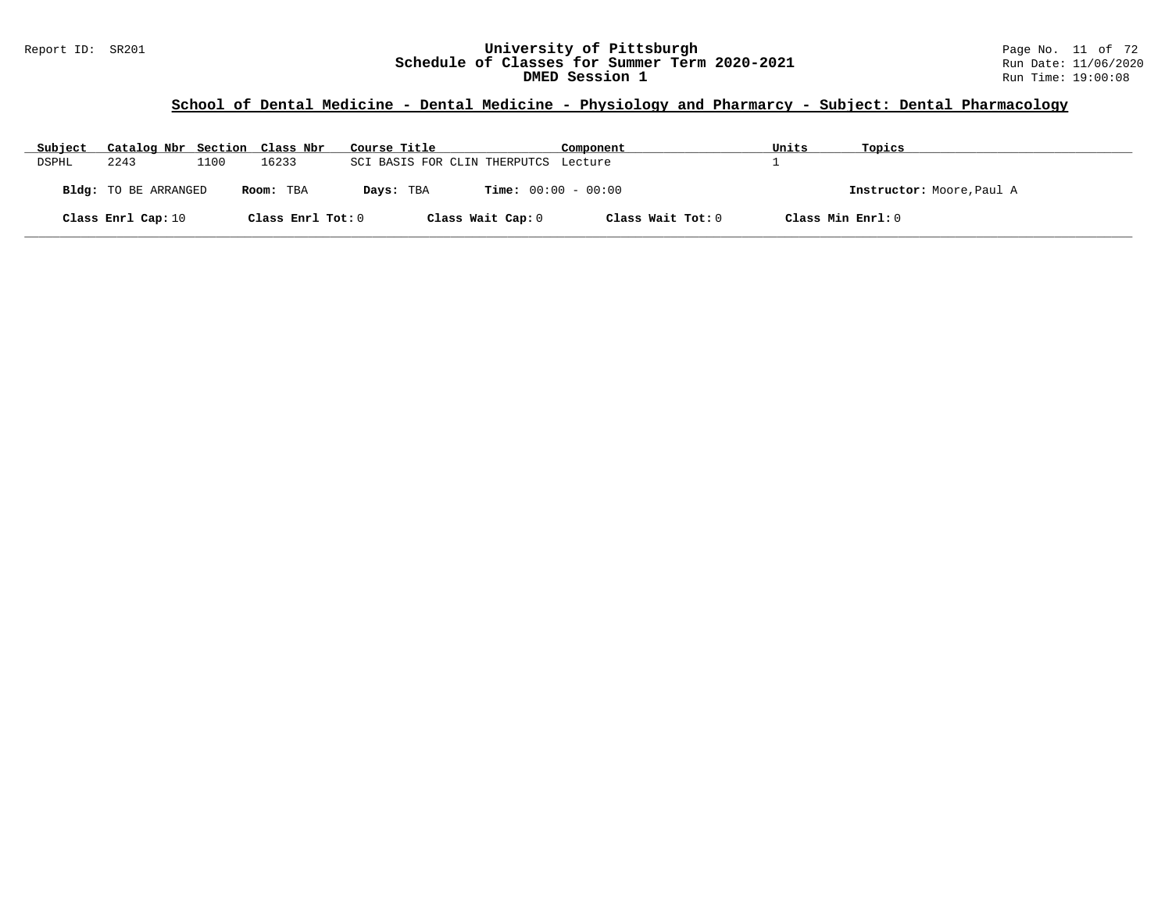# **School of Dental Medicine - Dental Medicine - Physiology and Pharmarcy - Subject: Dental Pharmacology**

| Subject | Catalog Nbr Section Class Nbr |      |                   | Course Title                         | Component                    | Units             | Topics                    |
|---------|-------------------------------|------|-------------------|--------------------------------------|------------------------------|-------------------|---------------------------|
| DSPHL   | 2243                          | 1100 | 16233             | SCI BASIS FOR CLIN THERPUTCS Lecture |                              |                   |                           |
|         | Bldg: TO BE ARRANGED          |      | Room: TBA         | Days: TBA                            | <b>Time:</b> $00:00 - 00:00$ |                   | Instructor: Moore, Paul A |
|         | Class Enrl Cap: 10            |      | Class Enrl Tot: 0 | Class Wait Cap: 0                    | Class Wait Tot: 0            | Class Min Enrl: 0 |                           |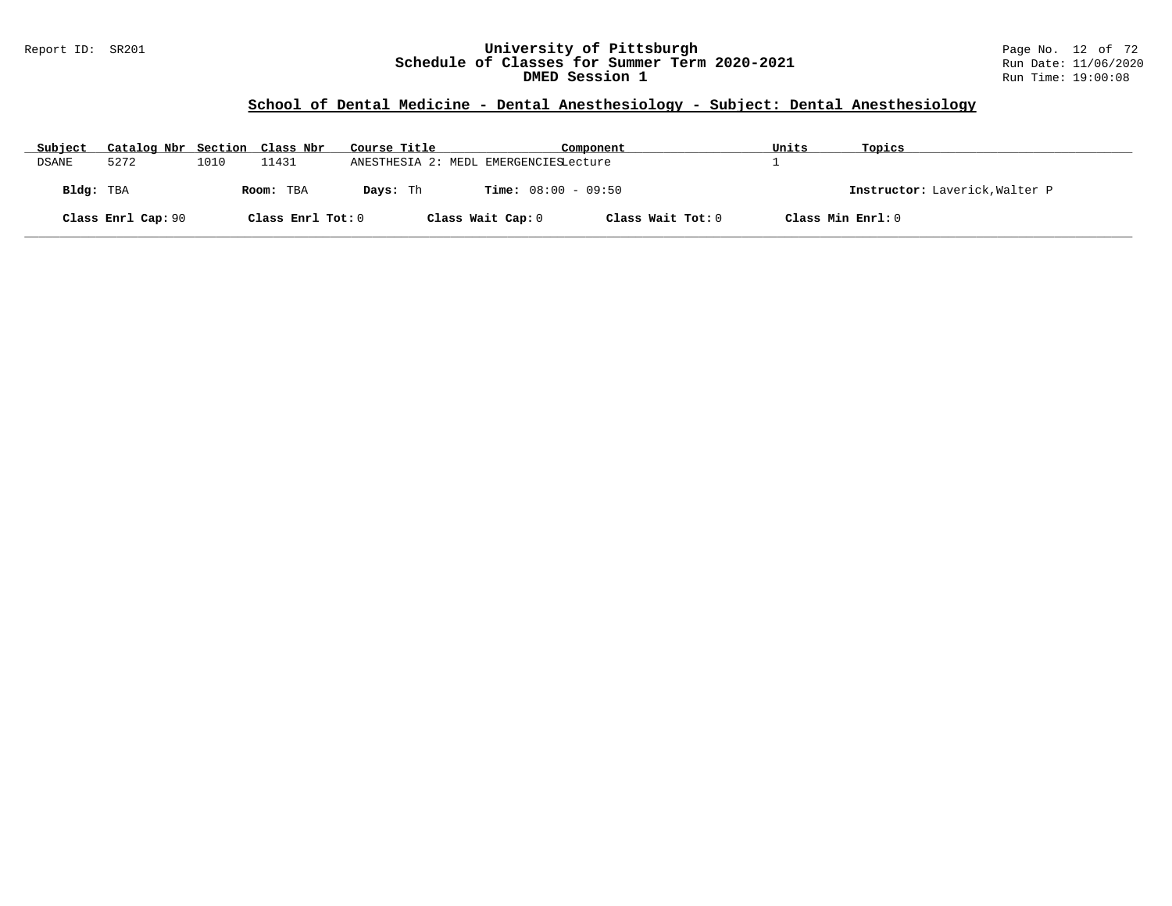#### Report ID: SR201 **University of Pittsburgh** Page No. 12 of 72 **Schedule of Classes for Summer Term 2020-2021** Run Date: 11/06/2020 **DMED Session 1 Run Time: 19:00:08 Run Time: 19:00:08**

# **School of Dental Medicine - Dental Anesthesiology - Subject: Dental Anesthesiology**

| Subject   | Catalog Nbr Section Class Nbr |      |                   | Course Title                          |                              | Component         | Units | Topics                         |
|-----------|-------------------------------|------|-------------------|---------------------------------------|------------------------------|-------------------|-------|--------------------------------|
| DSANE     | 5272                          | 1010 | 11431             | ANESTHESIA 2: MEDL EMERGENCIESLecture |                              |                   |       |                                |
| Bldg: TBA |                               |      | Room: TBA         | Davs: Th                              | <b>Time:</b> $08:00 - 09:50$ |                   |       | Instructor: Laverick, Walter P |
|           | Class Enrl Cap: 90            |      | Class Enrl Tot: 0 |                                       | Class Wait Cap: 0            | Class Wait Tot: 0 |       | Class Min Enrl: 0              |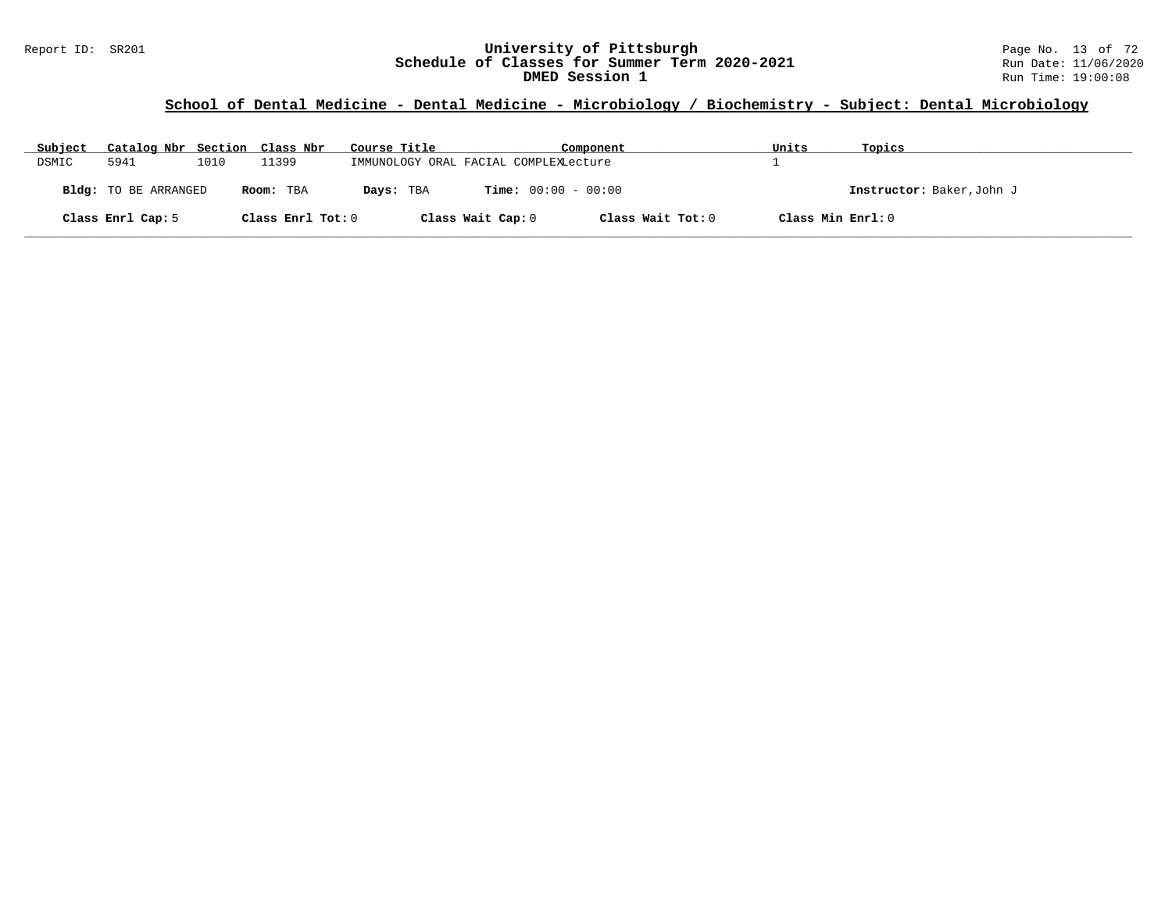### Report ID: SR201 **University of Pittsburgh** Page No. 13 of 72 **Schedule of Classes for Summer Term 2020-2021** Run Date: 11/06/2020 **DMED Session 1 Run Time: 19:00:08 Run Time: 19:00:08**

# **School of Dental Medicine - Dental Medicine - Microbiology / Biochemistry - Subject: Dental Microbiology**

| Subject | Catalog Nbr Section Class Nbr |      |                   | Course Title                          |                              | Component         | Units             | Topics                    |
|---------|-------------------------------|------|-------------------|---------------------------------------|------------------------------|-------------------|-------------------|---------------------------|
| DSMIC   | 5941                          | 1010 | 11399             | IMMUNOLOGY ORAL FACIAL COMPLEXLecture |                              |                   |                   |                           |
|         | <b>Bldg:</b> TO BE ARRANGED   |      | Room: TBA         | Days: TBA                             | <b>Time:</b> $00:00 - 00:00$ |                   |                   | Instructor: Baker, John J |
|         | Class Enrl Cap: 5             |      | Class Enrl Tot: 0 |                                       | Class Wait Cap: 0            | Class Wait Tot: 0 | Class Min Enrl: 0 |                           |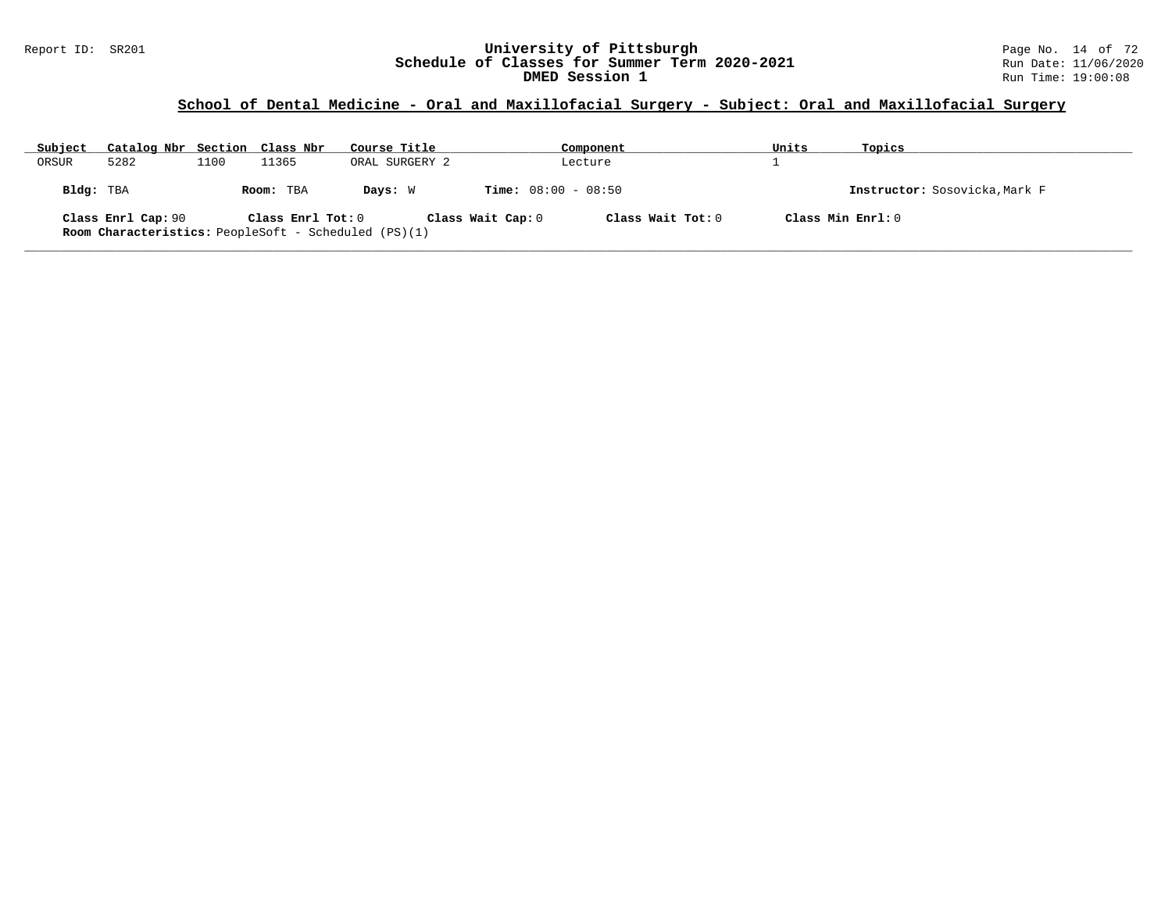### Report ID: SR201 **University of Pittsburgh** Page No. 14 of 72 **Schedule of Classes for Summer Term 2020-2021** Run Date: 11/06/2020 **DMED Session 1 Run Time: 19:00:08 Run Time: 19:00:08**

# **School of Dental Medicine - Oral and Maxillofacial Surgery - Subject: Oral and Maxillofacial Surgery**

| Subject   | Catalog Nbr Section Class Nbr |      |                   | Course Title                                                |                              | Component         | Units | Topics                        |
|-----------|-------------------------------|------|-------------------|-------------------------------------------------------------|------------------------------|-------------------|-------|-------------------------------|
| ORSUR     | 5282                          | 1100 | 11365             | ORAL SURGERY 2                                              |                              | Lecture           |       |                               |
| Bldg: TBA |                               |      | Room: TBA         | Days: W                                                     | <b>Time:</b> $08:00 - 08:50$ |                   |       | Instructor: Sosovicka, Mark F |
|           | Class Enrl Cap: 90            |      | Class Enrl Tot: 0 | <b>Room Characteristics:</b> PeopleSoft - Scheduled (PS)(1) | Class Wait Cap: 0            | Class Wait Tot: 0 |       | Class Min $Enrl: 0$           |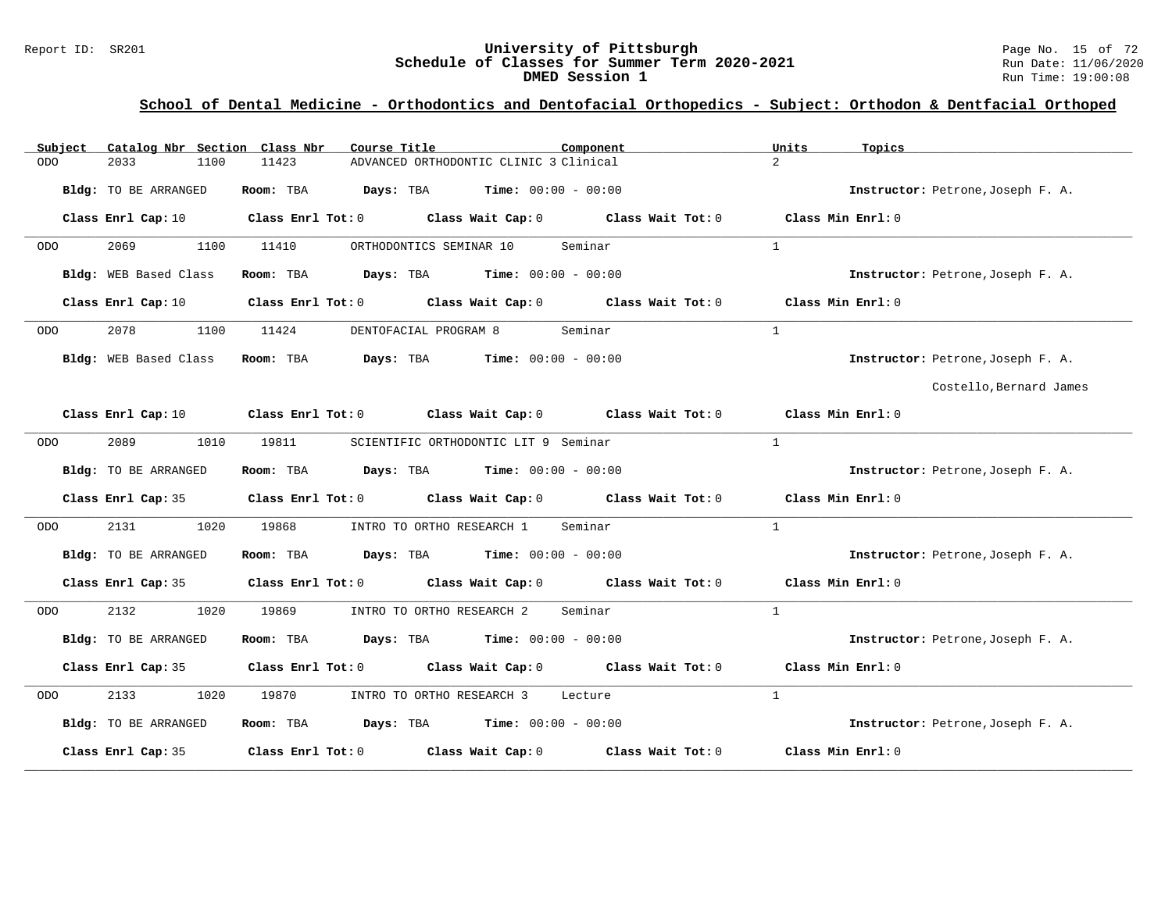# Report ID: SR201 **1988 Mage 10: SR201 University of Pittsburgh** Page No. 15 of 72<br>**Schedule of Classes for Summer Term 2020-2021** Run Date: 11/06/2020 Schedule of Classes for Summer Term 2020-2021<br>DMED Session 1

**DMED Session 1** Run Time: 19:00:08

# **School of Dental Medicine - Orthodontics and Dentofacial Orthopedics - Subject: Orthodon & Dentfacial Orthoped**

| Catalog Nbr Section Class Nbr<br>Subject | Course Title<br>Component                                                                                                      | Units<br>Topics                   |
|------------------------------------------|--------------------------------------------------------------------------------------------------------------------------------|-----------------------------------|
| 2033<br>1100<br><b>ODO</b>               | 11423<br>ADVANCED ORTHODONTIC CLINIC 3 Clinical                                                                                | $\overline{2}$                    |
| Bldg: TO BE ARRANGED                     | Room: TBA<br><b>Days:</b> TBA <b>Time:</b> $00:00 - 00:00$                                                                     | Instructor: Petrone, Joseph F. A. |
| Class Enrl Cap: 10                       | Class Enrl Tot: 0 Class Wait Cap: 0 Class Wait Tot: 0                                                                          | Class Min Enrl: 0                 |
| 2069<br>1100<br>ODO                      | Seminar<br>11410<br>ORTHODONTICS SEMINAR 10                                                                                    | $\mathbf{1}$                      |
| Bldg: WEB Based Class                    | <b>Days:</b> TBA <b>Time:</b> $00:00 - 00:00$<br>Room: TBA                                                                     | Instructor: Petrone, Joseph F. A. |
| Class Enrl Cap: 10                       | Class Enrl Tot: 0 Class Wait Cap: 0 Class Wait Tot: 0                                                                          | Class Min Enrl: 0                 |
| 2078<br>1100<br>ODO                      | 11424<br>DENTOFACIAL PROGRAM 8<br>Seminar                                                                                      | $\mathbf{1}$                      |
| Bldg: WEB Based Class                    | Room: TBA Days: TBA Time: $00:00 - 00:00$                                                                                      | Instructor: Petrone, Joseph F. A. |
|                                          |                                                                                                                                | Costello, Bernard James           |
|                                          | Class Enrl Cap: 10 $\qquad$ Class Enrl Tot: 0 $\qquad$ Class Wait Cap: 0 $\qquad$ Class Wait Tot: 0 $\qquad$ Class Min Enrl: 0 |                                   |
| 2089<br>1010<br>ODO                      | 19811<br>SCIENTIFIC ORTHODONTIC LIT 9 Seminar                                                                                  | $\mathbf{1}$                      |
| Bldg: TO BE ARRANGED                     | Room: TBA $Days:$ TBA $Time: 00:00 - 00:00$                                                                                    | Instructor: Petrone, Joseph F. A. |
|                                          | Class Enrl Cap: 35 Class Enrl Tot: 0 Class Wait Cap: 0 Class Wait Tot: 0 Class Min Enrl: 0                                     |                                   |
| 2131<br>1020<br>ODO                      | 19868<br>INTRO TO ORTHO RESEARCH 1<br>Seminar                                                                                  | <sup>1</sup>                      |
| Bldg: TO BE ARRANGED                     | Room: TBA $Days:$ TBA $Time: 00:00 - 00:00$                                                                                    | Instructor: Petrone, Joseph F. A. |
|                                          | Class Enrl Cap: 35 Class Enrl Tot: 0 Class Wait Cap: 0 Class Wait Tot: 0 Class Min Enrl: 0                                     |                                   |
| 2132<br>1020<br>ODO                      | 19869<br>Seminar<br>INTRO TO ORTHO RESEARCH 2                                                                                  | $\mathbf{1}$                      |
| Bldg: TO BE ARRANGED                     | Room: TBA $Days:$ TBA $Time: 00:00 - 00:00$                                                                                    | Instructor: Petrone, Joseph F. A. |
| Class Enrl Cap: 35                       | Class Enrl Tot: $0$ Class Wait Cap: $0$ Class Wait Tot: $0$ Class Min Enrl: $0$                                                |                                   |
| 2133<br>1020<br><b>ODO</b>               | 19870<br>INTRO TO ORTHO RESEARCH 3 Lecture                                                                                     | $\mathbf{1}$                      |
| Bldg: TO BE ARRANGED                     | Room: TBA $Days:$ TBA $Time: 00:00 - 00:00$                                                                                    | Instructor: Petrone, Joseph F. A. |
| Class Enrl Cap: 35                       | Class Enrl Tot: $0$ Class Wait Cap: $0$ Class Wait Tot: $0$                                                                    | Class Min Enrl: 0                 |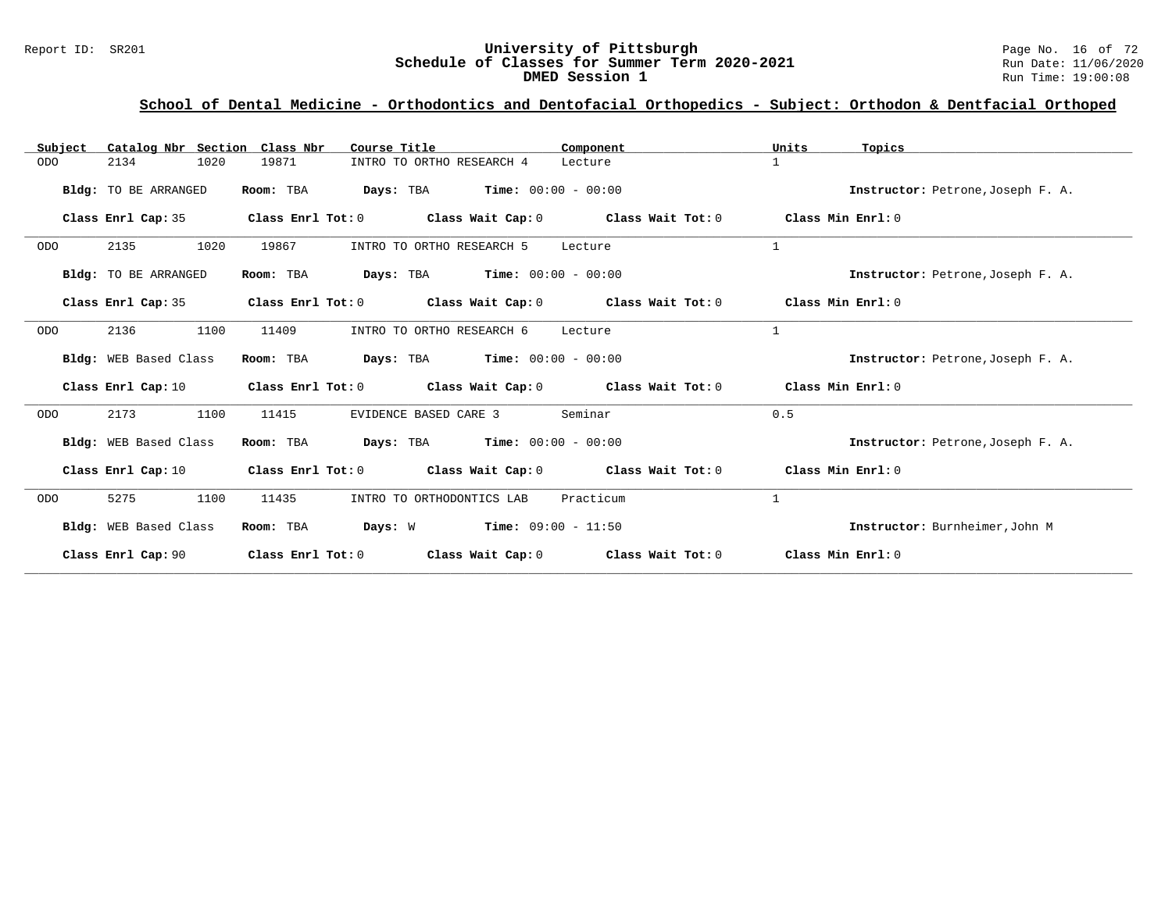### Report ID: SR201 **University of Pittsburgh** Page No. 16 of 72 **Schedule of Classes for Summer Term 2020-2021** Run Date: 11/06/2020 **DMED Session 1 Run Time: 19:00:08 Run Time: 19:00:08**

# **School of Dental Medicine - Orthodontics and Dentofacial Orthopedics - Subject: Orthodon & Dentfacial Orthoped**

| Catalog Nbr Section Class Nbr<br>Subject | Course Title                       | Component                                                   | Units<br>Topics                   |
|------------------------------------------|------------------------------------|-------------------------------------------------------------|-----------------------------------|
| 2134<br>1020<br>ODO                      | 19871<br>INTRO TO ORTHO RESEARCH 4 | Lecture                                                     | $\mathbf{1}$                      |
| Bldg: TO BE ARRANGED                     | Room: TBA                          | <b>Days:</b> TBA <b>Time:</b> $00:00 - 00:00$               | Instructor: Petrone, Joseph F. A. |
| Class Enrl Cap: 35                       |                                    | Class Enrl Tot: $0$ Class Wait Cap: $0$ Class Wait Tot: $0$ | Class Min Enrl: 0                 |
| 2135<br>1020<br><b>ODO</b>               | 19867<br>INTRO TO ORTHO RESEARCH 5 | Lecture                                                     | $\mathbf{1}$                      |
| Bldg: TO BE ARRANGED                     | Room: TBA                          | <b>Days:</b> TBA <b>Time:</b> $00:00 - 00:00$               | Instructor: Petrone, Joseph F. A. |
| Class Enrl Cap: 35                       |                                    | Class Enrl Tot: $0$ Class Wait Cap: $0$ Class Wait Tot: $0$ | Class Min Enrl: 0                 |
| 1100<br>2136<br><b>ODO</b>               | 11409<br>INTRO TO ORTHO RESEARCH 6 | Lecture                                                     | $\mathbf{1}$                      |
| Bldg: WEB Based Class                    | Room: TBA                          | <b>Days:</b> TBA <b>Time:</b> $00:00 - 00:00$               | Instructor: Petrone, Joseph F. A. |
| Class Enrl Cap: 10                       |                                    | Class Enrl Tot: $0$ Class Wait Cap: $0$ Class Wait Tot: $0$ | Class Min Enrl: 0                 |
| 1100<br>2173<br><b>ODO</b>               | EVIDENCE BASED CARE 3<br>11415     | Seminar                                                     | 0.5                               |
| Bldg: WEB Based Class                    | Room: TBA                          | <b>Days:</b> TBA <b>Time:</b> $00:00 - 00:00$               | Instructor: Petrone, Joseph F. A. |
| Class Enrl Cap: 10                       | Class Enrl Tot: 0                  | Class Wait Cap: $0$ Class Wait Tot: $0$                     | Class Min Enrl: 0                 |
| 1100<br><b>ODO</b><br>5275               | 11435<br>INTRO TO ORTHODONTICS LAB | Practicum                                                   | $\mathbf{1}$                      |
| Bldg: WEB Based Class                    | Room: TBA                          | <b>Days:</b> $W$ <b>Time:</b> $09:00 - 11:50$               | Instructor: Burnheimer, John M    |
| Class Enrl Cap: 90                       | Class Enrl Tot: 0                  | Class Wait Cap: $0$ Class Wait Tot: $0$                     | Class Min Enrl: 0                 |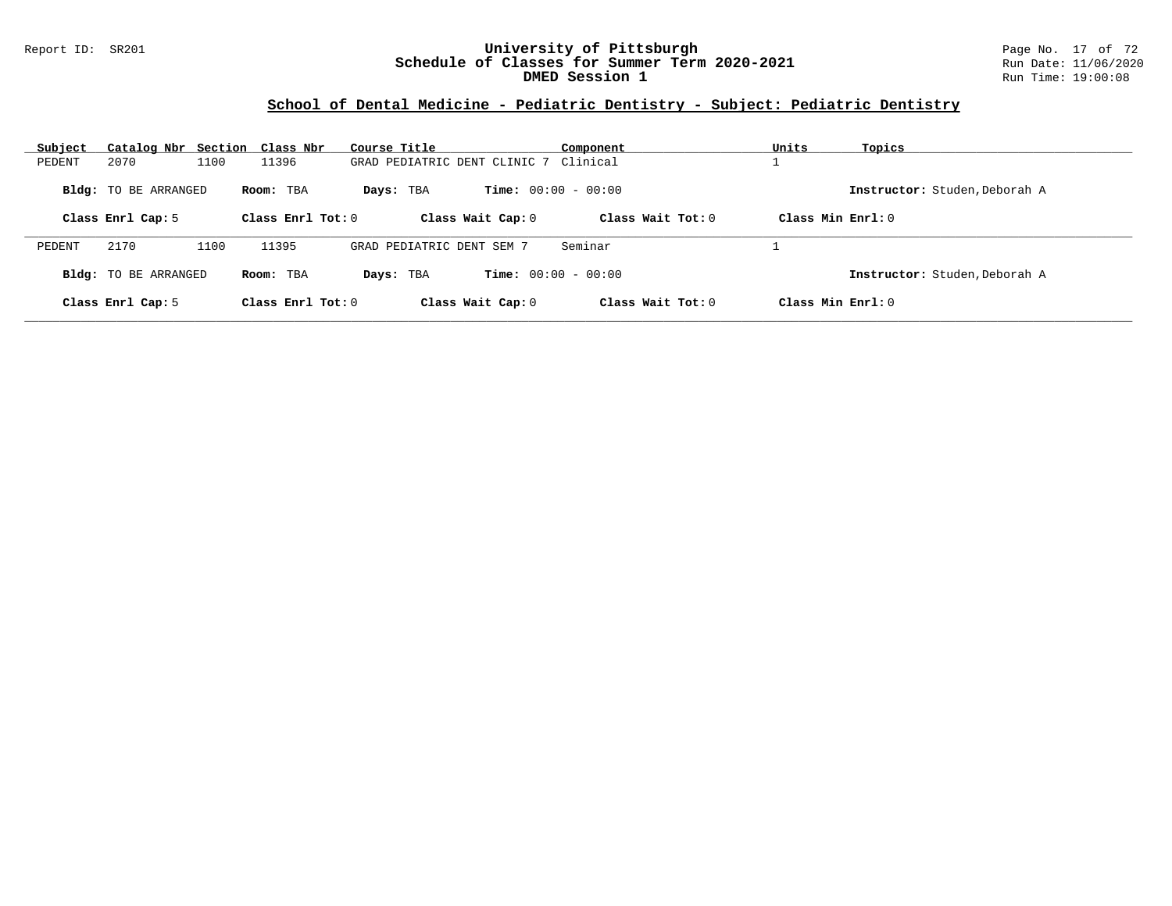#### Report ID: SR201 **University of Pittsburgh** Page No. 17 of 72 **Schedule of Classes for Summer Term 2020-2021** Run Date: 11/06/2020 **DMED Session 1 Run Time: 19:00:08 Run Time: 19:00:08**

### **School of Dental Medicine - Pediatric Dentistry - Subject: Pediatric Dentistry**

| Subject                     | Catalog Nbr Section Class Nbr | Course Title                          | Component                    | Units<br>Topics               |
|-----------------------------|-------------------------------|---------------------------------------|------------------------------|-------------------------------|
| 2070<br>PEDENT              | 1100<br>11396                 | GRAD PEDIATRIC DENT CLINIC 7 Clinical |                              |                               |
| <b>Bldg:</b> TO BE ARRANGED | Room: TBA                     | Days: TBA                             | <b>Time:</b> $00:00 - 00:00$ | Instructor: Studen, Deborah A |
| Class Enrl Cap: 5           | Class Enrl Tot: 0             | Class Wait Cap: 0                     | Class Wait Tot: $0$          | Class Min $Enrl: 0$           |
| 2170<br>PEDENT              | 1100<br>11395                 | GRAD PEDIATRIC DENT SEM 7             | Seminar                      |                               |
| <b>Bldg:</b> TO BE ARRANGED | Room: TBA                     | Davs: TBA                             | <b>Time:</b> $00:00 - 00:00$ | Instructor: Studen, Deborah A |
| Class Enrl Cap: 5           | Class Enrl Tot: $0$           | Class Wait Cap: 0                     | Class Wait Tot: $0$          | Class Min $Enrl: 0$           |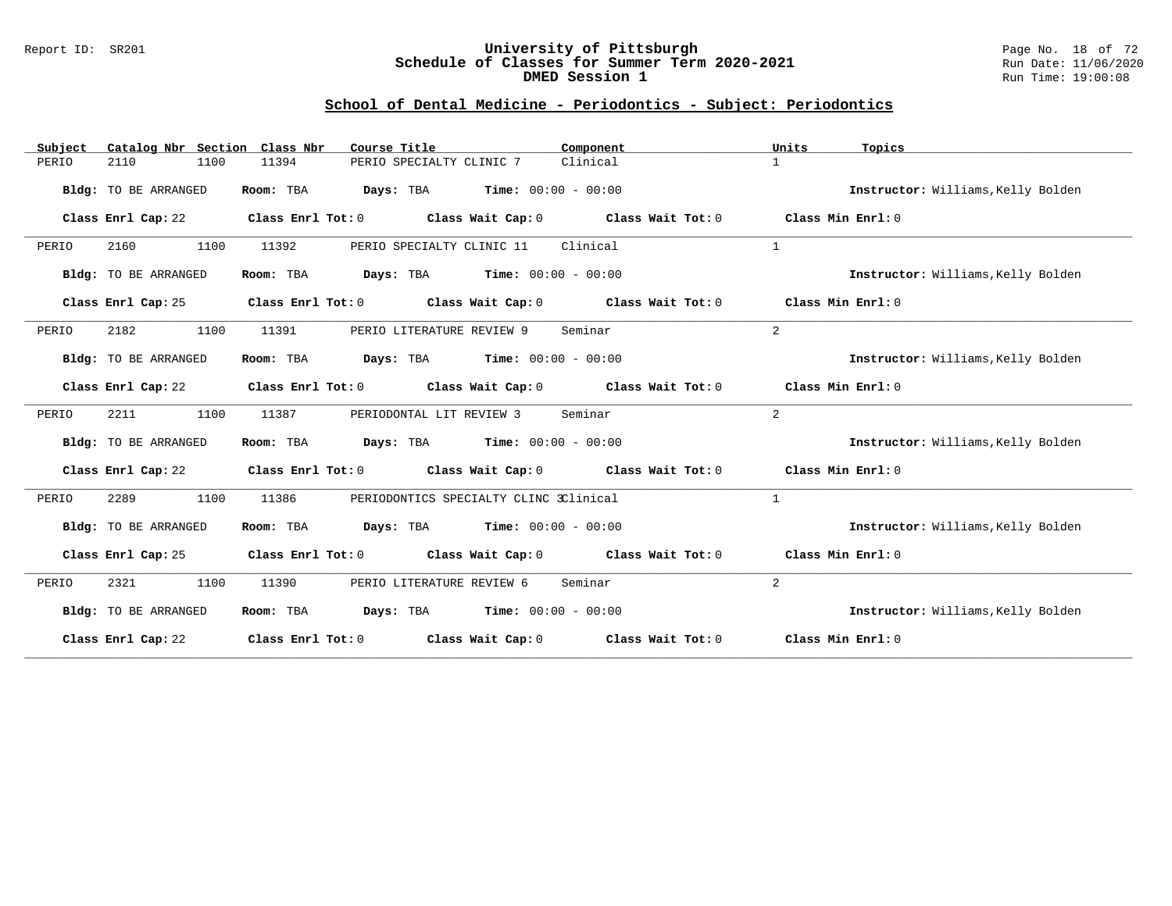#### Report ID: SR201 **University of Pittsburgh** Page No. 18 of 72 **Schedule of Classes for Summer Term 2020-2021** Run Date: 11/06/2020 **DMED Session 1 Run Time: 19:00:08 Run Time: 19:00:08**

# **School of Dental Medicine - Periodontics - Subject: Periodontics**

| Subject | Catalog Nbr Section Class Nbr | Course Title                                                     | Component                                                                       | Units<br>Topics                    |
|---------|-------------------------------|------------------------------------------------------------------|---------------------------------------------------------------------------------|------------------------------------|
| PERIO   | 1100<br>2110                  | 11394<br>PERIO SPECIALTY CLINIC 7                                | Clinical                                                                        | $\mathbf{1}$                       |
|         | Bldg: TO BE ARRANGED          | <b>Days:</b> TBA <b>Time:</b> $00:00 - 00:00$<br>Room: TBA       |                                                                                 | Instructor: Williams, Kelly Bolden |
|         | Class Enrl Cap: 22            | Class Enrl Tot: 0<br>Class Wait Cap: 0                           | Class Wait Tot: 0                                                               | Class Min Enrl: 0                  |
| PERIO   | 1100<br>2160                  | PERIO SPECIALTY CLINIC 11<br>11392                               | Clinical                                                                        | $\mathbf{1}$                       |
|         | Bldg: TO BE ARRANGED          | Room: TBA<br><b>Days:</b> TBA <b>Time:</b> $00:00 - 00:00$       |                                                                                 | Instructor: Williams, Kelly Bolden |
|         | Class Enrl Cap: 25            | Class Enrl Tot: 0<br>Class Wait Cap: 0                           | Class Wait Tot: 0 Class Min Enrl: 0                                             |                                    |
| PERIO   | 2182<br>1100                  | 11391<br>PERIO LITERATURE REVIEW 9                               | Seminar                                                                         | 2                                  |
|         | <b>Bldg:</b> TO BE ARRANGED   | <b>Days:</b> TBA <b>Time:</b> $00:00 - 00:00$<br>Room: TBA       |                                                                                 | Instructor: Williams, Kelly Bolden |
|         | Class Enrl Cap: 22            |                                                                  | Class Enrl Tot: 0 Class Wait Cap: 0 Class Wait Tot: 0 Class Min Enrl: 0         |                                    |
| PERIO   | 2211<br>1100                  | 11387<br>PERIODONTAL LIT REVIEW 3                                | Seminar                                                                         | 2                                  |
|         | <b>Bldg:</b> TO BE ARRANGED   | <b>Days:</b> TBA <b>Time:</b> $00:00 - 00:00$<br>Room: TBA       |                                                                                 | Instructor: Williams, Kelly Bolden |
|         | Class Enrl Cap: 22            |                                                                  | Class Enrl Tot: $0$ Class Wait Cap: $0$ Class Wait Tot: $0$ Class Min Enrl: $0$ |                                    |
| PERIO   | 2289<br>1100                  | 11386<br>PERIODONTICS SPECIALTY CLINC 3Clinical                  |                                                                                 | $\mathbf{1}$                       |
|         | Bldg: TO BE ARRANGED          | <b>Days:</b> TBA <b>Time:</b> $00:00 - 00:00$<br>Room: TBA       |                                                                                 | Instructor: Williams, Kelly Bolden |
|         | Class Enrl Cap: 25            |                                                                  | Class Enrl Tot: 0 Class Wait Cap: 0 Class Wait Tot: 0 Class Min Enrl: 0         |                                    |
| PERIO   | 1100<br>2321                  | 11390<br>PERIO LITERATURE REVIEW 6                               | Seminar                                                                         | 2                                  |
|         | Bldg: TO BE ARRANGED          | $\texttt{DayS:}$ TBA $\texttt{Time:}$ 00:00 - 00:00<br>Room: TBA |                                                                                 | Instructor: Williams, Kelly Bolden |
|         | Class Enrl Cap: 22            | Class Enrl Tot: $0$ Class Wait Cap: $0$ Class Wait Tot: $0$      |                                                                                 | Class Min $Err1:0$                 |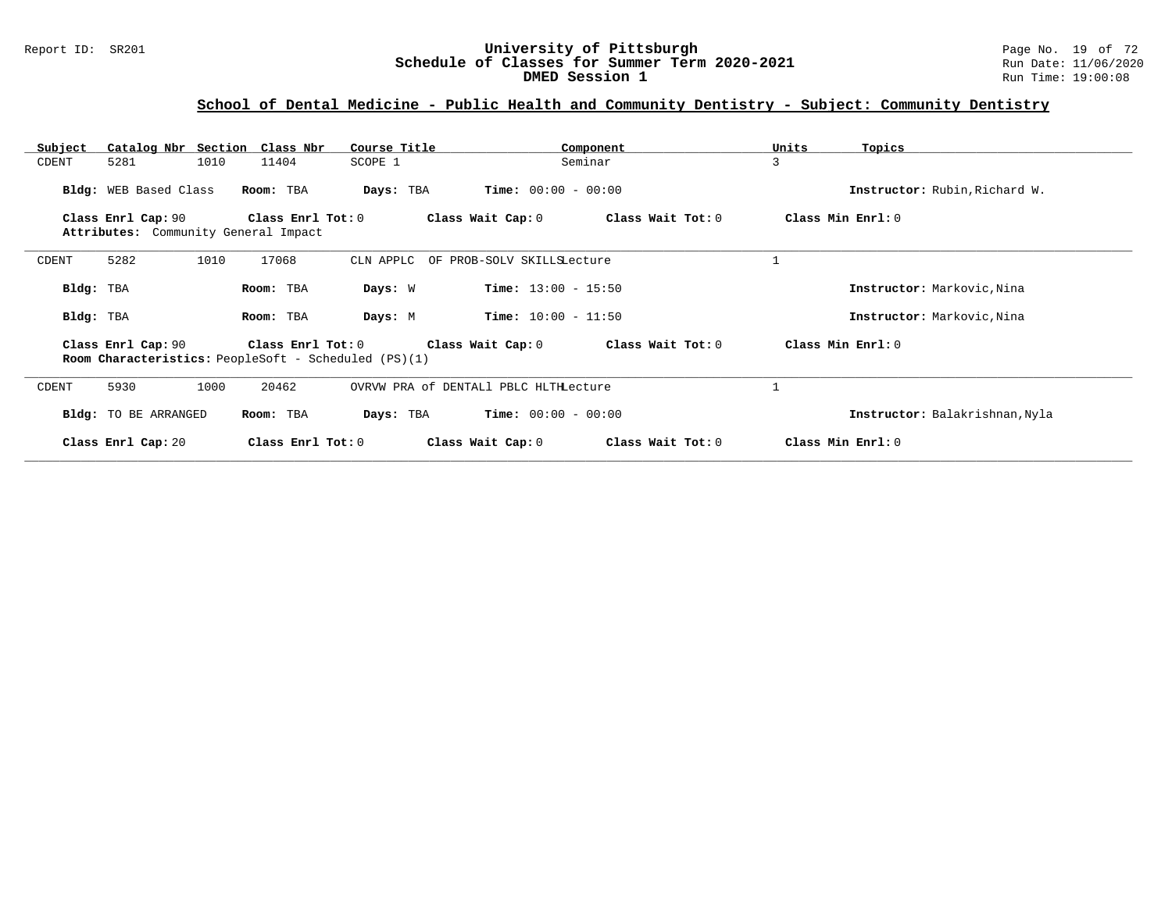### Report ID: SR201 **University of Pittsburgh** Page No. 19 of 72 **Schedule of Classes for Summer Term 2020-2021** Run Date: 11/06/2020 **DMED Session 1 Run Time: 19:00:08 Run Time: 19:00:08**

# **School of Dental Medicine - Public Health and Community Dentistry - Subject: Community Dentistry**

| Subject   |                       | Catalog Nbr Section Class Nbr                             | Course Title                                                | Component                              | Units             | Topics                         |
|-----------|-----------------------|-----------------------------------------------------------|-------------------------------------------------------------|----------------------------------------|-------------------|--------------------------------|
| CDENT     | 5281                  | 1010<br>11404                                             | SCOPE 1                                                     | Seminar                                | 3                 |                                |
|           | Bldg: WEB Based Class | Room: TBA                                                 | Days: TBA                                                   | <b>Time:</b> $00:00 - 00:00$           |                   | Instructor: Rubin, Richard W.  |
|           | Class Enrl Cap: 90    | Class Enrl Tot: 0<br>Attributes: Community General Impact |                                                             | Class Wait Cap: 0<br>Class Wait Tot: 0 | Class Min Enrl: 0 |                                |
| CDENT     | 5282                  | 1010<br>17068                                             |                                                             | CLN APPLC OF PROB-SOLV SKILLSLecture   |                   |                                |
| Bldg: TBA |                       | Room: TBA                                                 | Days: W                                                     | <b>Time:</b> $13:00 - 15:50$           |                   | Instructor: Markovic, Nina     |
| Bldg: TBA |                       | Room: TBA                                                 | Days: M                                                     | <b>Time:</b> $10:00 - 11:50$           |                   | Instructor: Markovic, Nina     |
|           | Class Enrl Cap: 90    | Class Enrl Tot: $0$                                       | <b>Room Characteristics:</b> PeopleSoft - Scheduled (PS)(1) | Class Wait Cap: 0<br>Class Wait Tot: 0 | Class Min Enrl: 0 |                                |
| CDENT     | 5930                  | 20462<br>1000                                             |                                                             | OVRVW PRA of DENTAL1 PBLC HLTHLecture  |                   |                                |
|           | Bldg: TO BE ARRANGED  | Room: TBA                                                 | Days: TBA                                                   | <b>Time:</b> $00:00 - 00:00$           |                   | Instructor: Balakrishnan, Nyla |
|           | Class Enrl Cap: 20    |                                                           | Class Enrl Tot: 0                                           | Class Wait Tot: 0<br>Class Wait Cap: 0 | Class Min Enrl: 0 |                                |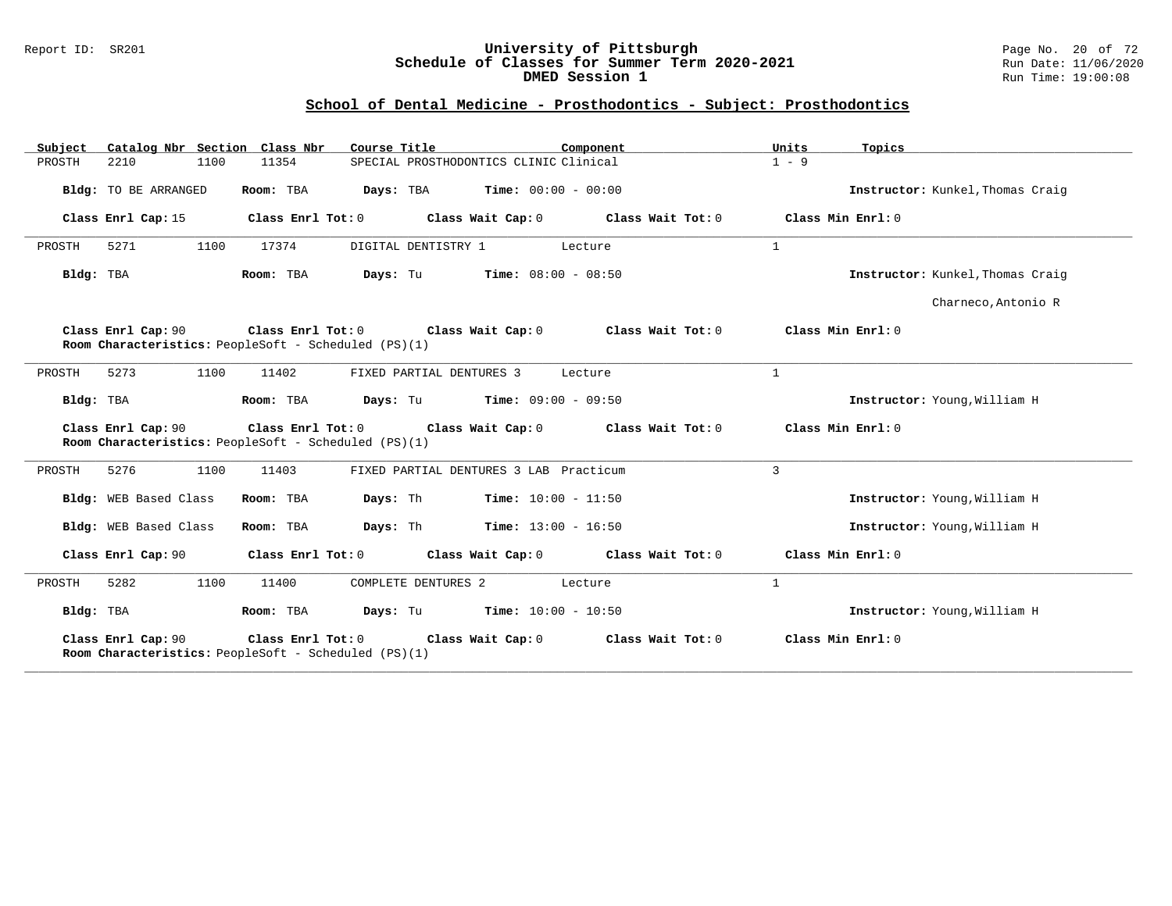#### Report ID: SR201 **University of Pittsburgh** Page No. 20 of 72 **Schedule of Classes for Summer Term 2020-2021** Run Date: 11/06/2020 **DMED Session 1 Run Time: 19:00:08 Run Time: 19:00:08**

# **School of Dental Medicine - Prosthodontics - Subject: Prosthodontics**

| Catalog Nbr Section Class Nbr<br>Subject | Course Title                                                                                | Component                                     | Units<br>Topics                  |
|------------------------------------------|---------------------------------------------------------------------------------------------|-----------------------------------------------|----------------------------------|
| 1100<br>PROSTH<br>2210                   | 11354                                                                                       | SPECIAL PROSTHODONTICS CLINIC Clinical        | $1 - 9$                          |
| Bldg: TO BE ARRANGED                     | Room: TBA                                                                                   | <b>Days:</b> TBA <b>Time:</b> $00:00 - 00:00$ | Instructor: Kunkel, Thomas Craig |
| Class Enrl Cap: 15                       | Class Enrl Tot: 0                                                                           | Class Wait Cap: 0<br>Class Wait Tot: 0        | Class Min Enrl: 0                |
| 1100<br>PROSTH<br>5271                   | DIGITAL DENTISTRY 1<br>17374                                                                | Lecture                                       | $\mathbf{1}$                     |
| Bldg: TBA                                | Room: TBA<br>Days: Tu                                                                       | $Time: 08:00 - 08:50$                         | Instructor: Kunkel, Thomas Craig |
|                                          |                                                                                             |                                               | Charneco, Antonio R              |
| Class Enrl Cap: 90                       | Class Enrl Tot: 0 Class Wait Cap: 0<br>Room Characteristics: PeopleSoft - Scheduled (PS)(1) | Class Wait Tot: 0                             | Class Min Enrl: 0                |
| 5273<br>1100<br>PROSTH                   | 11402<br>FIXED PARTIAL DENTURES 3                                                           | Lecture                                       | $\mathbf{1}$                     |
| Bldg: TBA                                | Room: TBA                                                                                   | <b>Days:</b> Tu <b>Time:</b> $09:00 - 09:50$  | Instructor: Young, William H     |
| Class Enrl Cap: 90                       | Class Enrl Tot: 0<br>Room Characteristics: PeopleSoft - Scheduled (PS)(1)                   | Class Wait Cap: 0<br>Class Wait Tot: 0        | Class Min Enrl: 0                |
| 5276<br>1100<br>PROSTH                   | 11403                                                                                       | FIXED PARTIAL DENTURES 3 LAB Practicum        | 3                                |
| Bldg: WEB Based Class                    | Room: TBA<br>Days: Th                                                                       | <b>Time:</b> $10:00 - 11:50$                  | Instructor: Young, William H     |
| Bldg: WEB Based Class                    | Days: Th<br>Room: TBA                                                                       | $Time: 13:00 - 16:50$                         | Instructor: Young, William H     |
| Class Enrl Cap: 90                       | Class Enrl Tot: 0                                                                           | Class Wait Cap: 0 Class Wait Tot: 0           | Class Min Enrl: 0                |
| 5282<br>1100<br>PROSTH                   | 11400<br>COMPLETE DENTURES 2                                                                | Lecture                                       | $\mathbf{1}$                     |
| Bldg: TBA                                | Room: TBA                                                                                   | <b>Days:</b> Tu <b>Time:</b> $10:00 - 10:50$  | Instructor: Young, William H     |
| Class Enrl Cap: 90                       | Class Enrl Tot: $0$<br>Room Characteristics: PeopleSoft - Scheduled (PS)(1)                 | Class Wait Tot: 0<br>Class Wait Cap: 0        | Class Min Enrl: 0                |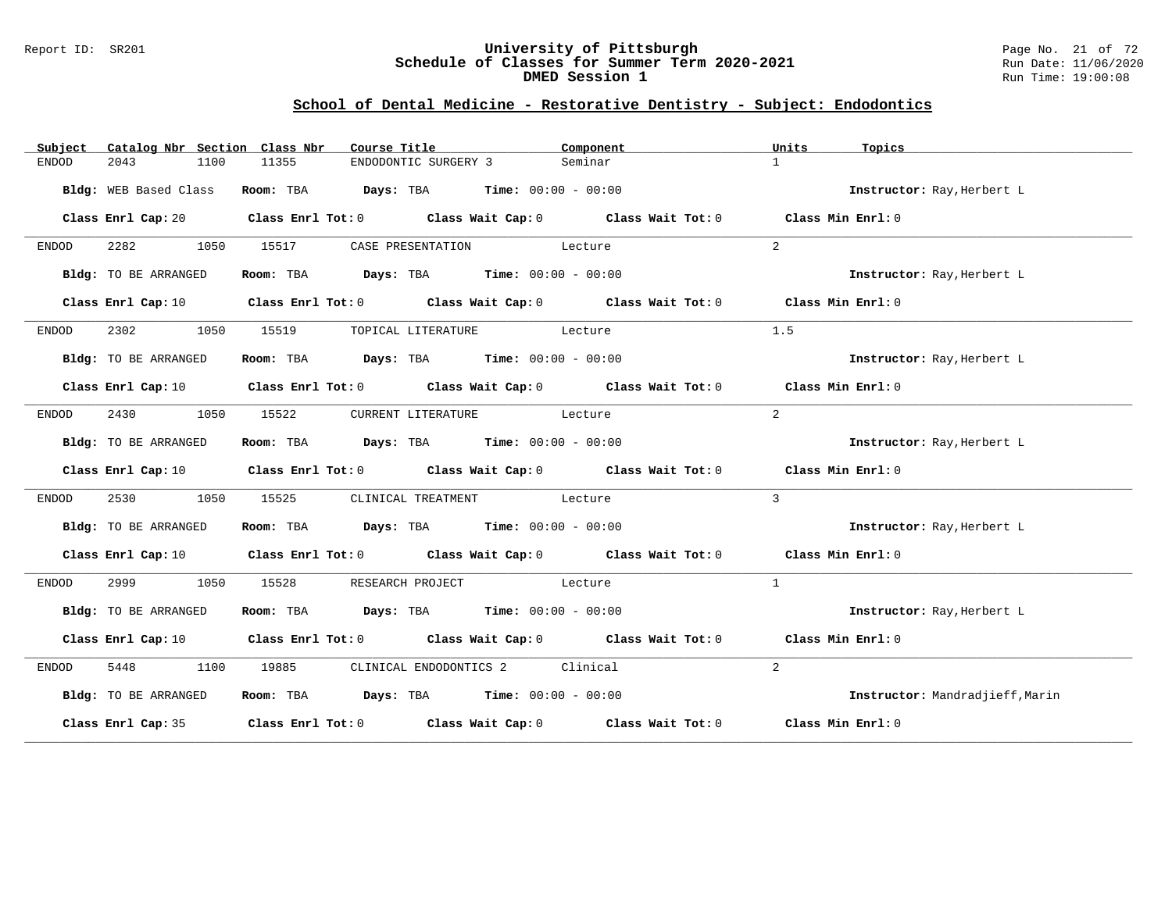#### Report ID: SR201 **University of Pittsburgh** Page No. 21 of 72 **Schedule of Classes for Summer Term 2020-2021** Run Date: 11/06/2020 **DMED Session 1 Run Time: 19:00:08 Run Time: 19:00:08**

# **School of Dental Medicine - Restorative Dentistry - Subject: Endodontics**

| Subject | Catalog Nbr Section Class Nbr |       | Course Title <b>Course Course Title</b>                                               | Component                                                                                                                      | Units<br>Topics                 |
|---------|-------------------------------|-------|---------------------------------------------------------------------------------------|--------------------------------------------------------------------------------------------------------------------------------|---------------------------------|
| ENDOD   | 1100<br>2043                  | 11355 | ENDODONTIC SURGERY 3                                                                  | Seminar                                                                                                                        | $\mathbf{1}$                    |
|         | Bldg: WEB Based Class         |       | Room: TBA $Days:$ TBA $Time: 00:00 - 00:00$                                           |                                                                                                                                | Instructor: Ray, Herbert L      |
|         |                               |       |                                                                                       | Class Enrl Cap: 20 Class Enrl Tot: 0 Class Wait Cap: 0 Class Wait Tot: 0 Class Min Enrl: 0                                     |                                 |
| ENDOD   |                               |       | 2282 1050 15517 CASE PRESENTATION Lecture                                             |                                                                                                                                | 2                               |
|         | Bldg: TO BE ARRANGED          |       | Room: TBA $Days: TBA$ Time: $00:00 - 00:00$                                           |                                                                                                                                | Instructor: Ray, Herbert L      |
|         |                               |       |                                                                                       | Class Enrl Cap: 10 $\qquad$ Class Enrl Tot: 0 $\qquad$ Class Wait Cap: 0 $\qquad$ Class Wait Tot: 0 $\qquad$ Class Min Enrl: 0 |                                 |
| ENDOD   |                               |       | 2302 1050 15519 TOPICAL LITERATURE Lecture                                            |                                                                                                                                | 1.5                             |
|         | Bldg: TO BE ARRANGED          |       | Room: TBA $\rule{1em}{0.15mm}$ Days: TBA $\rule{1.5mm}{0.15mm}$ Time: $00:00 - 00:00$ |                                                                                                                                | Instructor: Ray, Herbert L      |
|         |                               |       |                                                                                       | Class Enrl Cap: 10 $\qquad$ Class Enrl Tot: 0 $\qquad$ Class Wait Cap: 0 $\qquad$ Class Wait Tot: 0 $\qquad$ Class Min Enrl: 0 |                                 |
| ENDOD   | 2430                          |       | 1050 15522 CURRENT LITERATURE Lecture                                                 |                                                                                                                                | 2                               |
|         | Bldg: TO BE ARRANGED          |       | Room: TBA $Days: TBA$ Time: $00:00 - 00:00$                                           |                                                                                                                                | Instructor: Ray, Herbert L      |
|         |                               |       |                                                                                       | Class Enrl Cap: 10 $\qquad$ Class Enrl Tot: 0 $\qquad$ Class Wait Cap: 0 $\qquad$ Class Wait Tot: 0 $\qquad$ Class Min Enrl: 0 |                                 |
| ENDOD   | 2530<br>1050                  | 15525 | CLINICAL TREATMENT Lecture                                                            |                                                                                                                                | $\overline{3}$                  |
|         | Bldg: TO BE ARRANGED          |       | Room: TBA $Days:$ TBA $Time: 00:00 - 00:00$                                           |                                                                                                                                | Instructor: Ray, Herbert L      |
|         |                               |       |                                                                                       | Class Enrl Cap: 10 $\qquad$ Class Enrl Tot: 0 $\qquad$ Class Wait Cap: 0 $\qquad$ Class Wait Tot: 0 $\qquad$ Class Min Enrl: 0 |                                 |
| ENDOD   | 2999 1050                     | 15528 | RESEARCH PROJECT<br>Lecture                                                           |                                                                                                                                | $\overline{1}$                  |
|         | Bldg: TO BE ARRANGED          |       | Room: TBA $Days:$ TBA $Time: 00:00 - 00:00$                                           |                                                                                                                                | Instructor: Ray, Herbert L      |
|         |                               |       |                                                                                       | Class Enrl Cap: 10 $\qquad$ Class Enrl Tot: 0 $\qquad$ Class Wait Cap: 0 $\qquad$ Class Wait Tot: 0 $\qquad$ Class Min Enrl: 0 |                                 |
| ENDOD   |                               |       | 5448 1100 19885 CLINICAL ENDODONTICS 2 Clinical                                       |                                                                                                                                | $2^{\circ}$                     |
|         | Bldg: TO BE ARRANGED          |       | Room: TBA $Days:$ TBA Time: $00:00 - 00:00$                                           |                                                                                                                                | Instructor: Mandradjieff, Marin |
|         |                               |       |                                                                                       | Class Enrl Cap: 35 $\,$ Class Enrl Tot: 0 $\,$ Class Wait Cap: 0 $\,$ Class Wait Tot: 0 $\,$                                   | Class Min Enrl: 0               |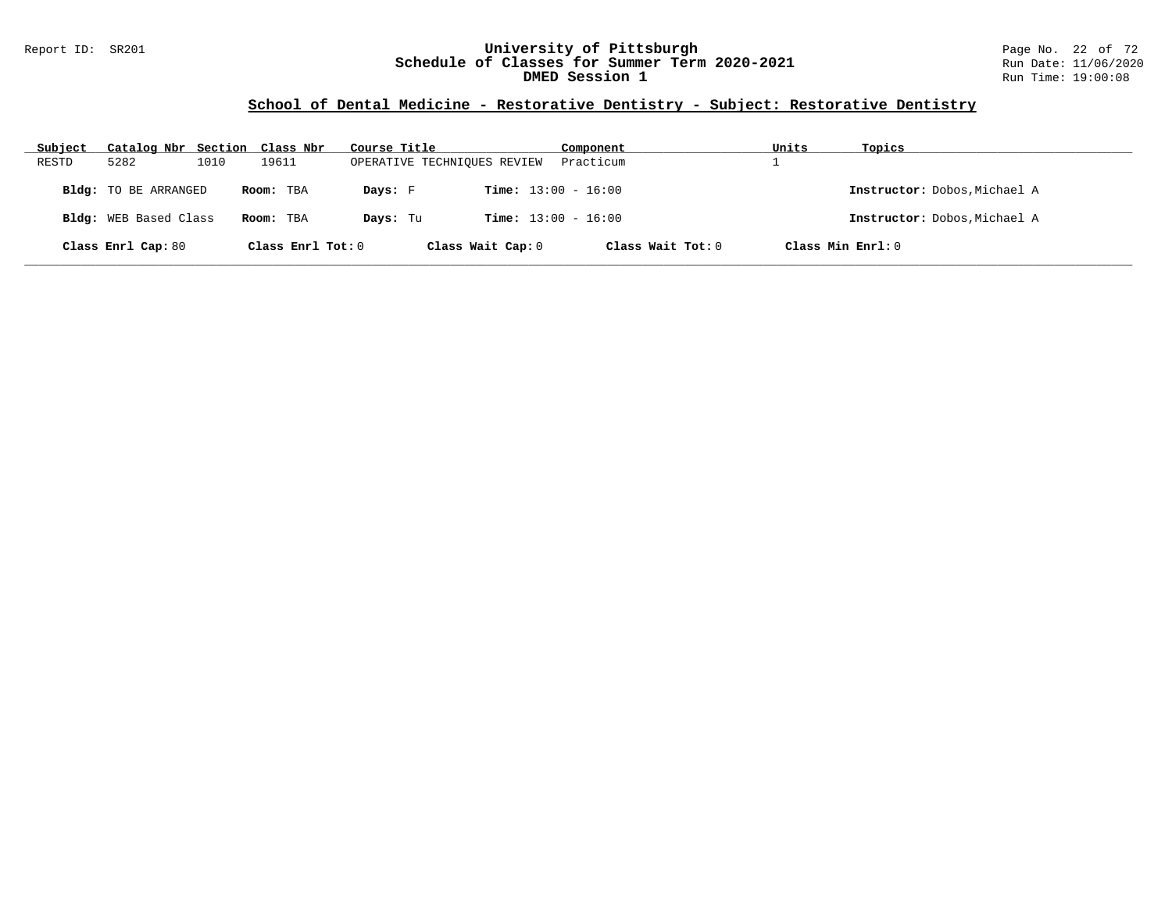### Report ID: SR201 **University of Pittsburgh** Page No. 22 of 72 **Schedule of Classes for Summer Term 2020-2021** Run Date: 11/06/2020 **DMED Session 1 Run Time: 19:00:08 Run Time: 19:00:08**

# **School of Dental Medicine - Restorative Dentistry - Subject: Restorative Dentistry**

| Subject | Catalog Nbr Section Class Nbr |      |                   | Course Title                |                              | Component         | Units | Topics                       |
|---------|-------------------------------|------|-------------------|-----------------------------|------------------------------|-------------------|-------|------------------------------|
| RESTD   | 5282                          | 1010 | 19611             | OPERATIVE TECHNIOUES REVIEW |                              | Practicum         |       |                              |
|         | Bldg: TO BE ARRANGED          |      | Room: TBA         | Days: F                     | <b>Time:</b> $13:00 - 16:00$ |                   |       | Instructor: Dobos, Michael A |
|         | <b>Bldg:</b> WEB Based Class  |      | Room: TBA         | Days: Tu                    | <b>Time:</b> $13:00 - 16:00$ |                   |       | Instructor: Dobos, Michael A |
|         | Class Enrl Cap: 80            |      | Class Enrl Tot: 0 |                             | Class Wait Cap: 0            | Class Wait Tot: 0 |       | Class Min Enrl: 0            |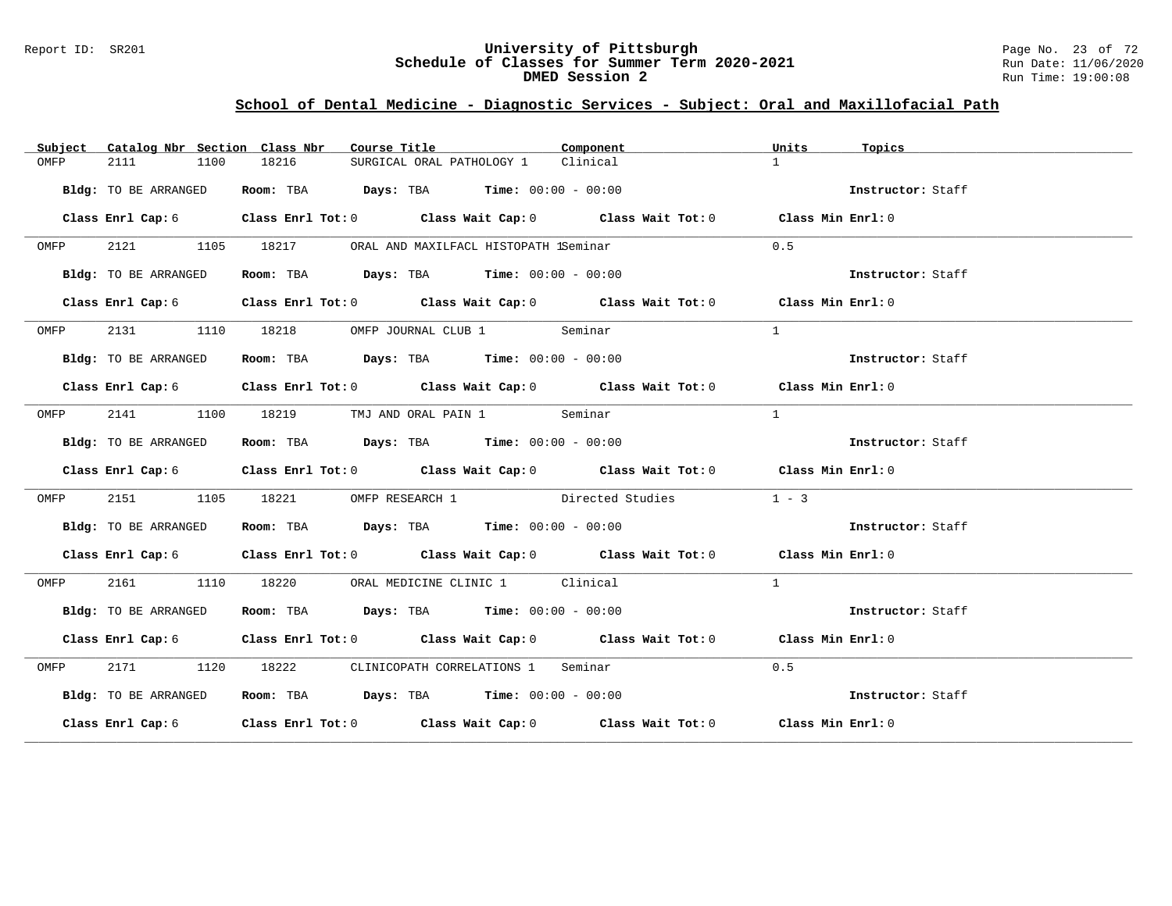#### Report ID: SR201 **University of Pittsburgh** Page No. 23 of 72 **Schedule of Classes for Summer Term 2020-2021** Run Date: 11/06/2020 **DMED Session 2** Run Time: 19:00:08

# **School of Dental Medicine - Diagnostic Services - Subject: Oral and Maxillofacial Path**

| Subject | Catalog Nbr Section Class Nbr | Course Title <b>Source Search</b>                                                                  | Component                        | Units<br>Topics   |
|---------|-------------------------------|----------------------------------------------------------------------------------------------------|----------------------------------|-------------------|
| OMFP    | 2111<br>1100                  | 18216<br>SURGICAL ORAL PATHOLOGY 1 Clinical                                                        |                                  | 1                 |
|         | Bldg: TO BE ARRANGED          | Room: TBA $Days:$ TBA $Time: 00:00 - 00:00$                                                        |                                  | Instructor: Staff |
|         |                               | Class Enrl Cap: 6 Class Enrl Tot: 0 Class Wait Cap: 0 Class Wait Tot: 0 Class Min Enrl: 0          |                                  |                   |
| OMFP    | 2121 1105 18217               | ORAL AND MAXILFACL HISTOPATH 1Seminar                                                              |                                  | 0.5               |
|         | Bldg: TO BE ARRANGED          | Room: TBA $Days: TBA$ Time: $00:00 - 00:00$                                                        |                                  | Instructor: Staff |
|         |                               | Class Enrl Cap: 6 Class Enrl Tot: 0 Class Wait Cap: 0 Class Wait Tot: 0 Class Min Enrl: 0          |                                  |                   |
| OMFP    | 2131 1110 18218               | OMFP JOURNAL CLUB 1 Seminar                                                                        |                                  | $\mathbf{1}$      |
|         | Bldg: TO BE ARRANGED          | Room: TBA $\rule{1em}{0.15mm}$ Days: TBA Time: $00:00 - 00:00$                                     |                                  | Instructor: Staff |
|         | Class Enrl Cap: 6             | Class Enrl Tot: 0 $\qquad$ Class Wait Cap: 0 $\qquad$ Class Wait Tot: 0 $\qquad$ Class Min Enrl: 0 |                                  |                   |
| OMFP    |                               | 2141 1100 18219 TMJ AND ORAL PAIN 1 Seminar                                                        |                                  | $\mathbf{1}$      |
|         | Bldg: TO BE ARRANGED          | Room: TBA $Days:$ TBA $Time: 00:00 - 00:00$                                                        |                                  | Instructor: Staff |
|         | Class Enrl Cap: 6             | Class Enrl Tot: $0$ Class Wait Cap: $0$ Class Wait Tot: $0$ Class Min Enrl: $0$                    |                                  |                   |
| OMFP    | 2151<br>1105                  | 18221                                                                                              | OMFP RESEARCH 1 Directed Studies | $1 - 3$           |
|         | Bldg: TO BE ARRANGED          | Room: TBA $Days:$ TBA $Time: 00:00 - 00:00$                                                        |                                  | Instructor: Staff |
|         |                               | Class Enrl Cap: 6 Class Enrl Tot: 0 Class Wait Cap: 0 Class Wait Tot: 0 Class Min Enrl: 0          |                                  |                   |
| OMFP    | 2161 1110 18220               | ORAL MEDICINE CLINIC 1 Clinical                                                                    |                                  | $\overline{1}$    |
|         | Bldg: TO BE ARRANGED          | Room: TBA $Days: TBA$ Time: $00:00 - 00:00$                                                        |                                  | Instructor: Staff |
|         |                               | Class Enrl Cap: 6 Class Enrl Tot: 0 Class Wait Cap: 0 Class Wait Tot: 0 Class Min Enrl: 0          |                                  |                   |
| OMFP    |                               | 2171 1120 18222 CLINICOPATH CORRELATIONS 1 Seminar                                                 |                                  | 0.5               |
|         | Bldg: TO BE ARRANGED          | Room: TBA $Days:$ TBA $Time: 00:00 - 00:00$                                                        |                                  | Instructor: Staff |
|         |                               | Class Enrl Cap: 6 Class Enrl Tot: 0 Class Wait Cap: 0 Class Wait Tot: 0 Class Min Enrl: 0          |                                  |                   |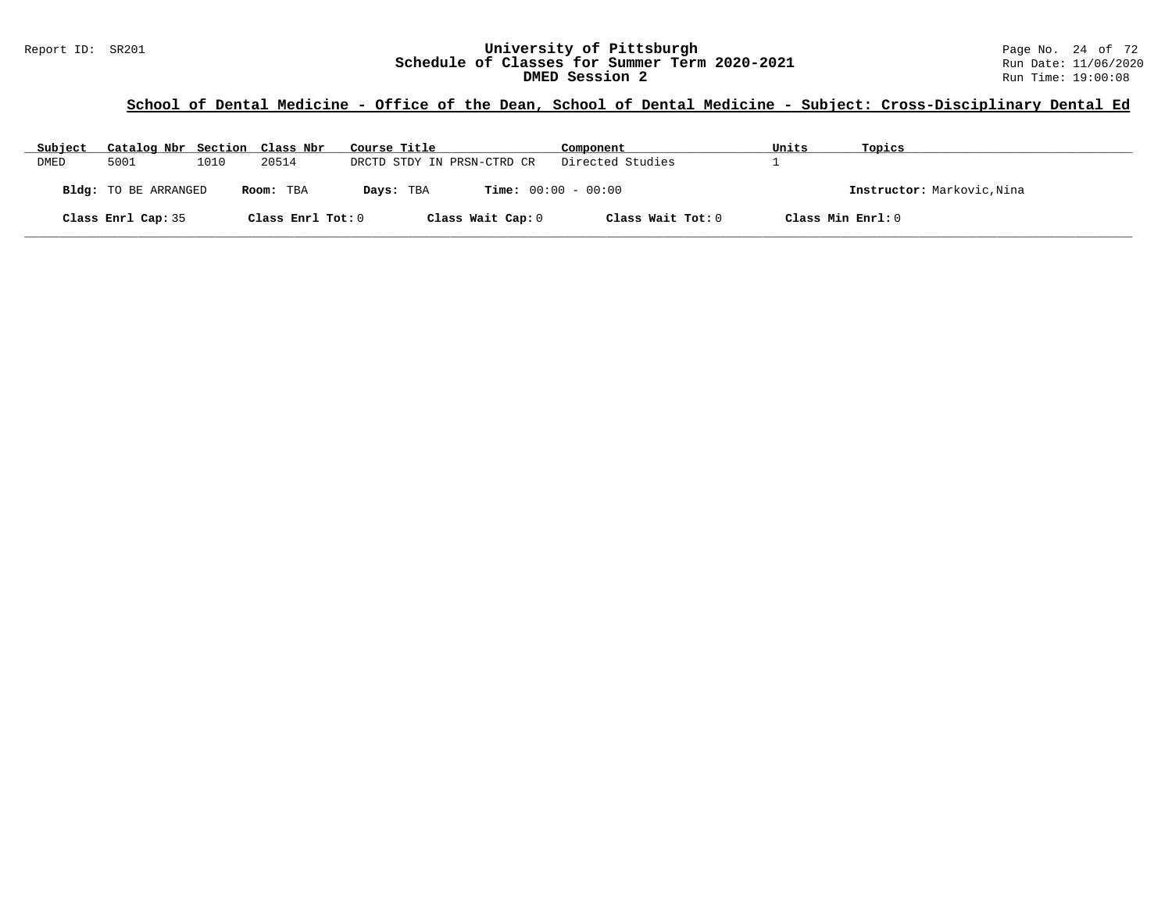# **School of Dental Medicine - Office of the Dean, School of Dental Medicine - Subject: Cross-Disciplinary Dental Ed**

| Subject | Catalog Nbr Section Class Nbr |      |                   | Course Title                              | Component         | Units             | Topics                     |
|---------|-------------------------------|------|-------------------|-------------------------------------------|-------------------|-------------------|----------------------------|
| DMED    | 5001                          | 1010 | 20514             | DRCTD STDY IN PRSN-CTRD CR                | Directed Studies  |                   |                            |
|         | Bldg: TO BE ARRANGED          |      | Room: TBA         | <b>Time:</b> $00:00 - 00:00$<br>Days: TBA |                   |                   | Instructor: Markovic, Nina |
|         | Class Enrl Cap: 35            |      | Class Enrl Tot: 0 | Class Wait Cap: 0                         | Class Wait Tot: 0 | Class Min Enrl: 0 |                            |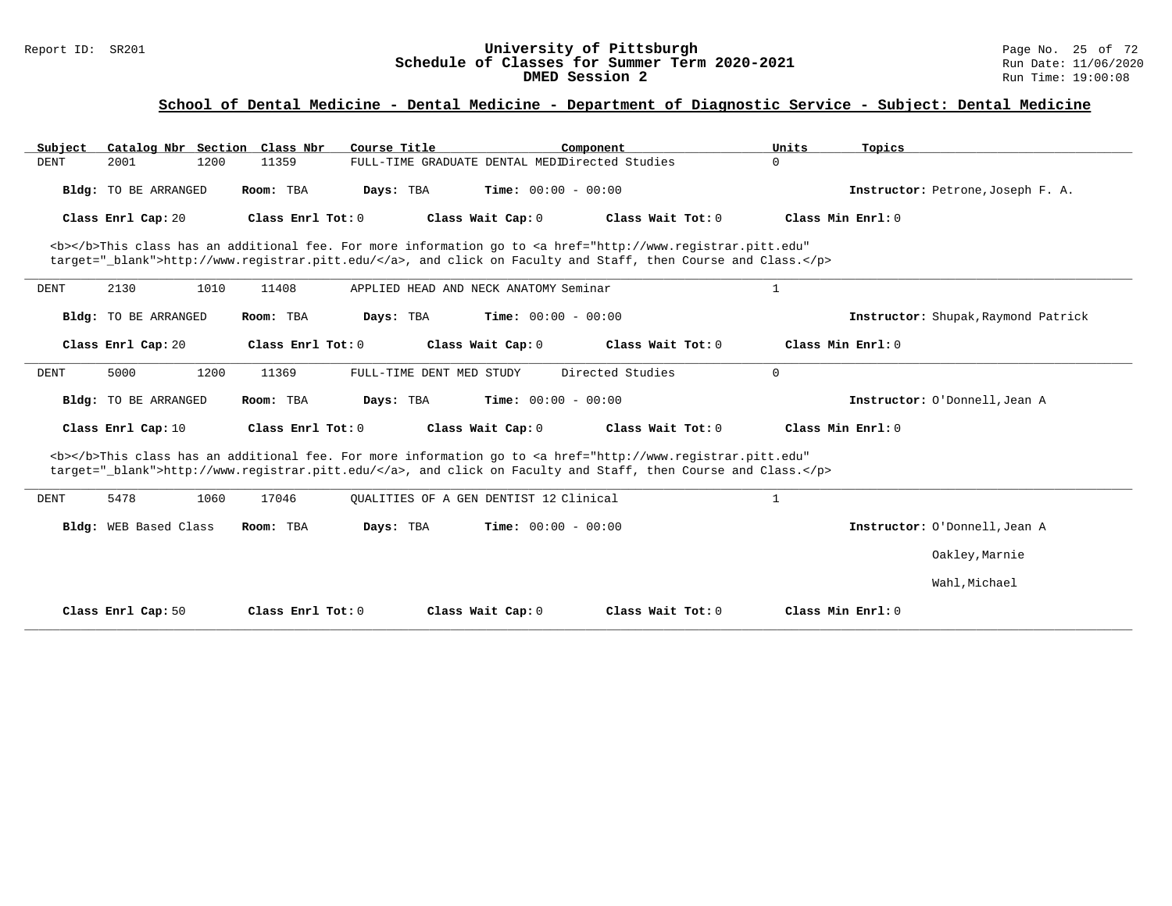### Report ID: SR201 **University of Pittsburgh** Page No. 25 of 72 **Schedule of Classes for Summer Term 2020-2021** Run Date: 11/06/2020 **DMED Session 2** Run Time: 19:00:08

| Catalog Nbr Section Class Nbr<br>Subject                                                                                                                                                                                           | Course Title                      | Component                                                                                                                                                                                                                          | Units<br>Topics   |                                     |  |  |  |  |  |  |  |
|------------------------------------------------------------------------------------------------------------------------------------------------------------------------------------------------------------------------------------|-----------------------------------|------------------------------------------------------------------------------------------------------------------------------------------------------------------------------------------------------------------------------------|-------------------|-------------------------------------|--|--|--|--|--|--|--|
| 1200<br><b>DENT</b><br>2001                                                                                                                                                                                                        | 11359                             | FULL-TIME GRADUATE DENTAL MEDIDirected Studies                                                                                                                                                                                     | $\Omega$          |                                     |  |  |  |  |  |  |  |
| <b>Bldg:</b> TO BE ARRANGED                                                                                                                                                                                                        | Room: TBA<br>Days: TBA            | Time: $00:00 - 00:00$                                                                                                                                                                                                              |                   | Instructor: Petrone, Joseph F. A.   |  |  |  |  |  |  |  |
| Class Enrl Cap: 20                                                                                                                                                                                                                 | Class Enrl Tot: 0                 | Class Wait Cap: 0<br>Class Wait Tot: 0                                                                                                                                                                                             | Class Min Enrl: 0 |                                     |  |  |  |  |  |  |  |
| <b></b> This class has an additional fee. For more information go to <a <br="" href="http://www.registrar.pitt.edu">target="_blank"&gt;http://www.registrar.pitt.edu/</a> , and click on Faculty and Staff, then Course and Class. |                                   |                                                                                                                                                                                                                                    |                   |                                     |  |  |  |  |  |  |  |
| 2130<br>1010<br>DENT                                                                                                                                                                                                               | 11408                             | APPLIED HEAD AND NECK ANATOMY Seminar                                                                                                                                                                                              | 1                 |                                     |  |  |  |  |  |  |  |
| <b>Bldg:</b> TO BE ARRANGED                                                                                                                                                                                                        | Room: TBA<br>Days: TBA            | <b>Time:</b> $00:00 - 00:00$                                                                                                                                                                                                       |                   | Instructor: Shupak, Raymond Patrick |  |  |  |  |  |  |  |
| Class Enrl Cap: 20                                                                                                                                                                                                                 | Class Enrl Tot: 0                 | Class Wait Tot: 0<br>Class Wait Cap: 0                                                                                                                                                                                             | Class Min Enrl: 0 |                                     |  |  |  |  |  |  |  |
| 5000<br>1200<br>DENT                                                                                                                                                                                                               | 11369<br>FULL-TIME DENT MED STUDY | Directed Studies                                                                                                                                                                                                                   | $\mathbf 0$       |                                     |  |  |  |  |  |  |  |
| Bldg: TO BE ARRANGED                                                                                                                                                                                                               | Room: TBA<br>Days: TBA            | <b>Time:</b> $00:00 - 00:00$                                                                                                                                                                                                       |                   | Instructor: O'Donnell, Jean A       |  |  |  |  |  |  |  |
| Class Enrl Cap: 10                                                                                                                                                                                                                 | Class Enrl Tot: 0                 | Class Wait Cap: 0<br>Class Wait Tot: 0                                                                                                                                                                                             | Class Min Enrl: 0 |                                     |  |  |  |  |  |  |  |
|                                                                                                                                                                                                                                    |                                   | <b></b> This class has an additional fee. For more information go to <a <br="" href="http://www.registrar.pitt.edu">target="_blank"&gt;http://www.registrar.pitt.edu/</a> , and click on Faculty and Staff, then Course and Class. |                   |                                     |  |  |  |  |  |  |  |
| 5478<br>1060<br><b>DENT</b>                                                                                                                                                                                                        | 17046                             | OUALITIES OF A GEN DENTIST 12 Clinical                                                                                                                                                                                             | $\mathbf{1}$      |                                     |  |  |  |  |  |  |  |
| Bldg: WEB Based Class                                                                                                                                                                                                              | Room: TBA<br>Days: TBA            | <b>Time:</b> $00:00 - 00:00$                                                                                                                                                                                                       |                   | Instructor: O'Donnell, Jean A       |  |  |  |  |  |  |  |
|                                                                                                                                                                                                                                    |                                   |                                                                                                                                                                                                                                    |                   | Oakley, Marnie                      |  |  |  |  |  |  |  |
|                                                                                                                                                                                                                                    |                                   |                                                                                                                                                                                                                                    |                   | Wahl, Michael                       |  |  |  |  |  |  |  |
| Class Enrl Cap: 50                                                                                                                                                                                                                 | Class Enrl Tot: 0                 | Class Wait Cap: 0<br>Class Wait Tot: 0                                                                                                                                                                                             | Class Min Enrl: 0 |                                     |  |  |  |  |  |  |  |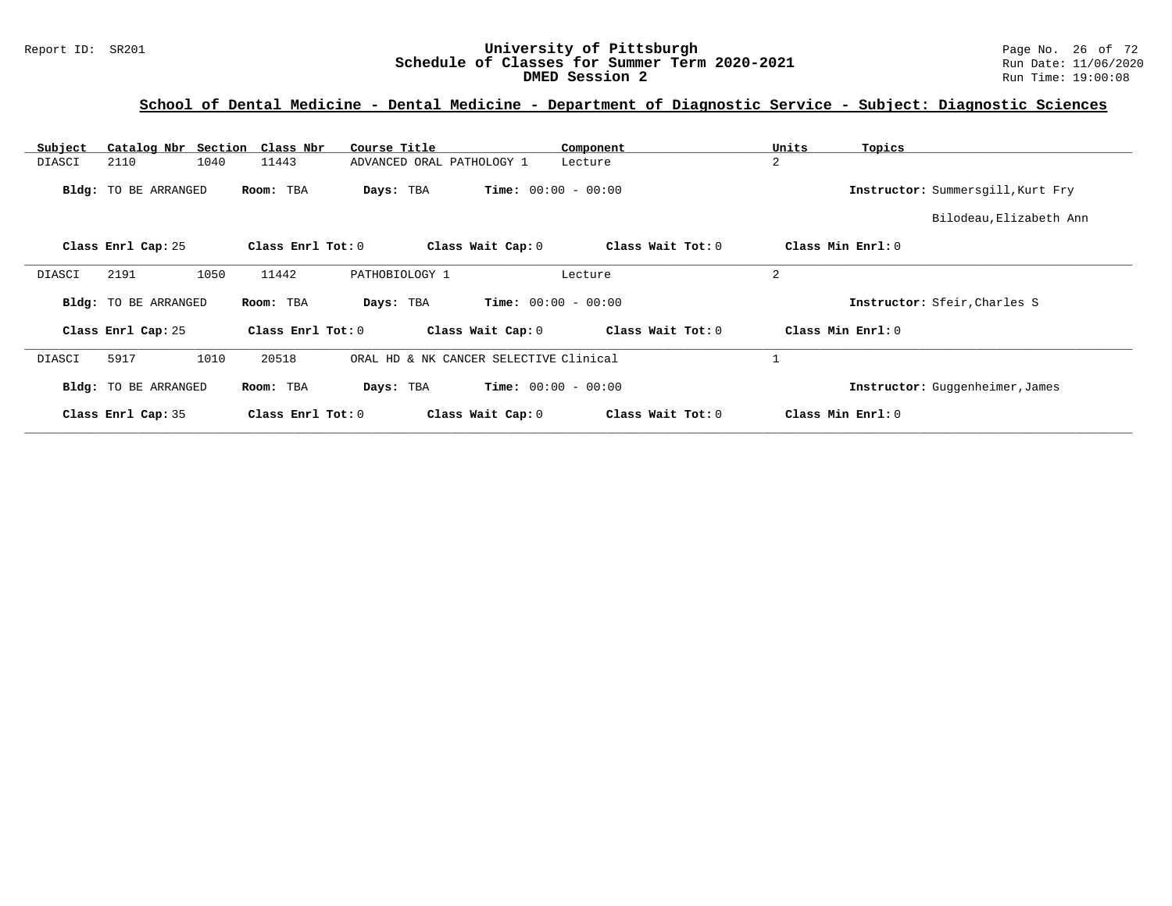### Report ID: SR201 **University of Pittsburgh** Page No. 26 of 72 **Schedule of Classes for Summer Term 2020-2021** Run Date: 11/06/2020 **DMED Session 2** Run Time: 19:00:08

| Subject       | Catalog Nbr Section Class Nbr |                   | Course Title                              | Component                    | Units<br>Topics                   |
|---------------|-------------------------------|-------------------|-------------------------------------------|------------------------------|-----------------------------------|
| DIASCI        | 1040<br>2110                  | 11443             | ADVANCED ORAL PATHOLOGY 1                 | Lecture                      | $\overline{2}$                    |
|               | <b>Bldg:</b> TO BE ARRANGED   | Room: TBA         | Days: TBA                                 | <b>Time:</b> $00:00 - 00:00$ | Instructor: Summersgill, Kurt Fry |
|               |                               |                   |                                           |                              | Bilodeau, Elizabeth Ann           |
|               | Class Enrl Cap: 25            | Class Enrl Tot: 0 | Class Wait Cap: 0                         | Class Wait Tot: 0            | Class Min Enrl: 0                 |
| <b>DIASCI</b> | 1050<br>2191                  | 11442             | PATHOBIOLOGY 1                            | Lecture                      | $\overline{2}$                    |
|               | <b>Bldg:</b> TO BE ARRANGED   | Room: TBA         | Days: TBA                                 | <b>Time:</b> $00:00 - 00:00$ | Instructor: Sfeir, Charles S      |
|               | Class Enrl Cap: 25            | Class Enrl Tot: 0 | Class Wait Cap: 0                         | Class Wait Tot: 0            | Class Min Enrl: 0                 |
| DIASCI        | 5917<br>1010                  | 20518             | ORAL HD & NK CANCER SELECTIVE Clinical    |                              |                                   |
|               | <b>Bldg:</b> TO BE ARRANGED   | Room: TBA         | <b>Time:</b> $00:00 - 00:00$<br>Days: TBA |                              | Instructor: Guggenheimer, James   |
|               | Class Enrl Cap: 35            | Class Enrl Tot: 0 | Class Wait Cap: 0                         | Class Wait Tot: 0            | Class Min Enrl: 0                 |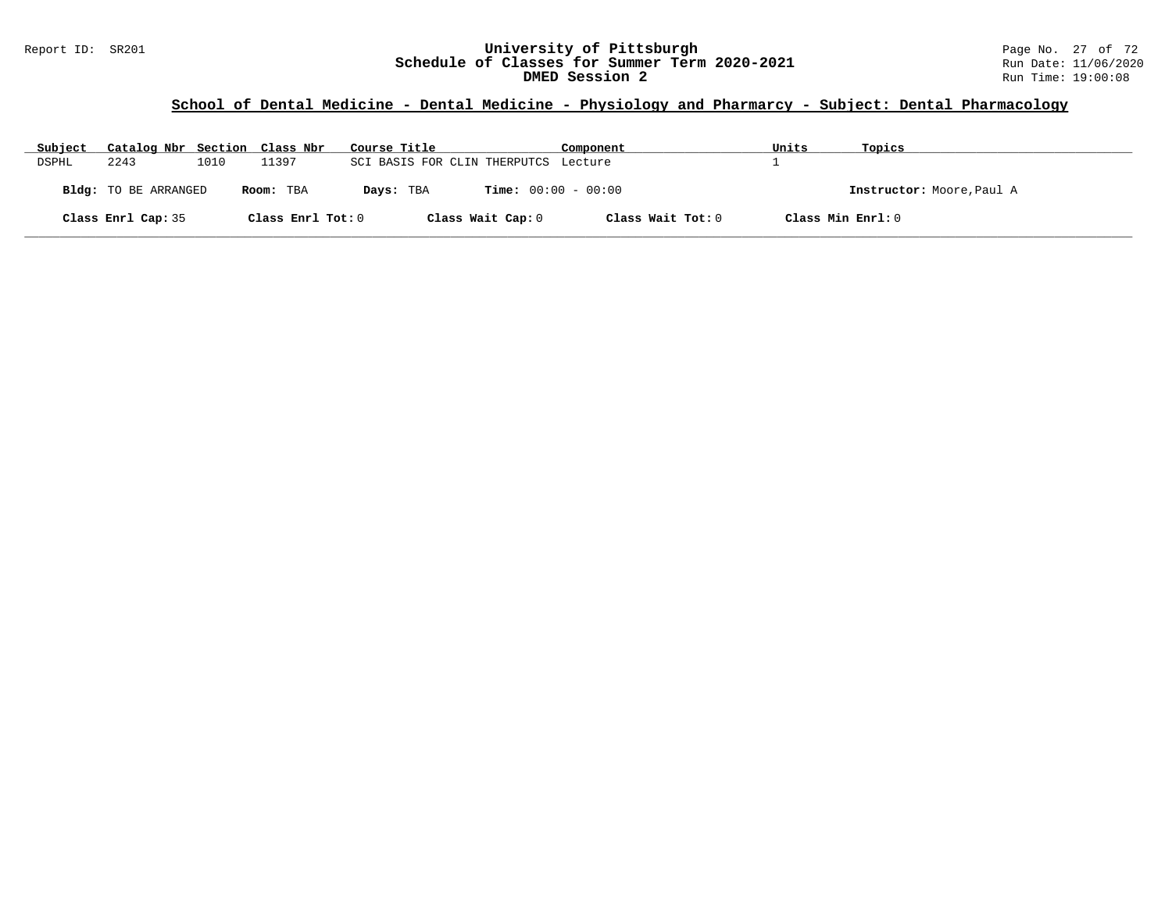# **School of Dental Medicine - Dental Medicine - Physiology and Pharmarcy - Subject: Dental Pharmacology**

| Subject | Catalog Nbr Section Class Nbr |      |                   | Course Title                         | Component                    | Units             | Topics                    |
|---------|-------------------------------|------|-------------------|--------------------------------------|------------------------------|-------------------|---------------------------|
| DSPHL   | 2243                          | 1010 | 11397             | SCI BASIS FOR CLIN THERPUTCS Lecture |                              |                   |                           |
|         | <b>Bldg:</b> TO BE ARRANGED   |      | Room: TBA         | Days: TBA                            | <b>Time:</b> $00:00 - 00:00$ |                   | Instructor: Moore, Paul A |
|         | Class Enrl Cap: 35            |      | Class Enrl Tot: 0 | Class Wait Cap: 0                    | Class Wait Tot: 0            | Class Min Enrl: 0 |                           |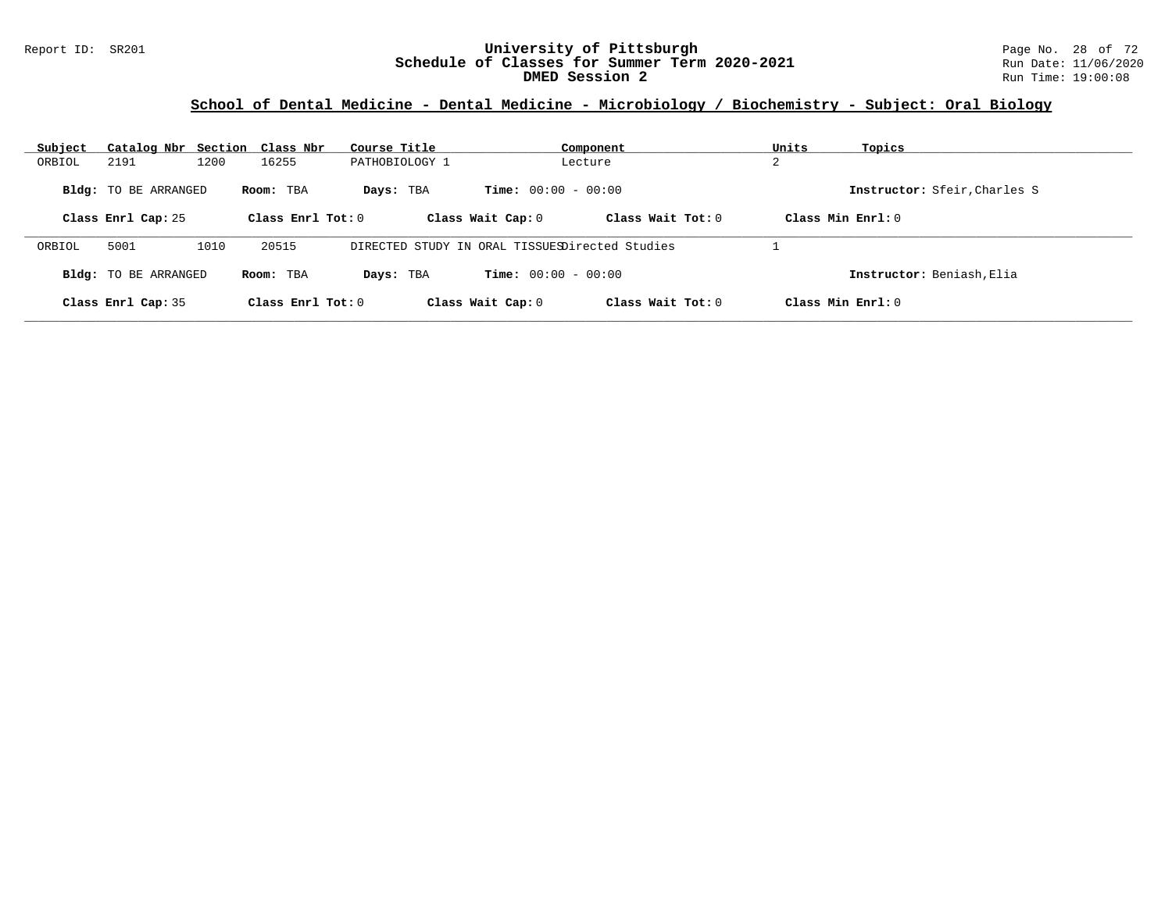### Report ID: SR201 **University of Pittsburgh** Page No. 28 of 72 **Schedule of Classes for Summer Term 2020-2021** Run Date: 11/06/2020 **DMED Session 2** Run Time: 19:00:08

# **School of Dental Medicine - Dental Medicine - Microbiology / Biochemistry - Subject: Oral Biology**

| Subject | Catalog Nbr Section Class Nbr |      |                     | Course Title                                   |                              | Component           | Units         | Topics                       |
|---------|-------------------------------|------|---------------------|------------------------------------------------|------------------------------|---------------------|---------------|------------------------------|
| ORBIOL  | 2191                          | 1200 | 16255               | PATHOBIOLOGY 1                                 |                              | Lecture             | $\Omega$<br>▵ |                              |
|         | <b>Bldg:</b> TO BE ARRANGED   |      | Room: TBA           | Days: TBA                                      | <b>Time:</b> $00:00 - 00:00$ |                     |               | Instructor: Sfeir, Charles S |
|         | Class Enrl Cap: 25            |      | Class Enrl Tot: $0$ |                                                | Class Wait Cap: 0            | Class Wait $Tot: 0$ |               | Class Min Enrl: $0$          |
| ORBIOL  | 5001                          | 1010 | 20515               | DIRECTED STUDY IN ORAL TISSUESDirected Studies |                              |                     |               |                              |
|         | <b>Bldg:</b> TO BE ARRANGED   |      | Room: TBA           | Days: TBA                                      | <b>Time:</b> $00:00 - 00:00$ |                     |               | Instructor: Beniash, Elia    |
|         | Class Enrl Cap: 35            |      | Class Enrl Tot: $0$ |                                                | Class Wait Cap: 0            | Class Wait Tot: 0   |               | Class Min $Enrl: 0$          |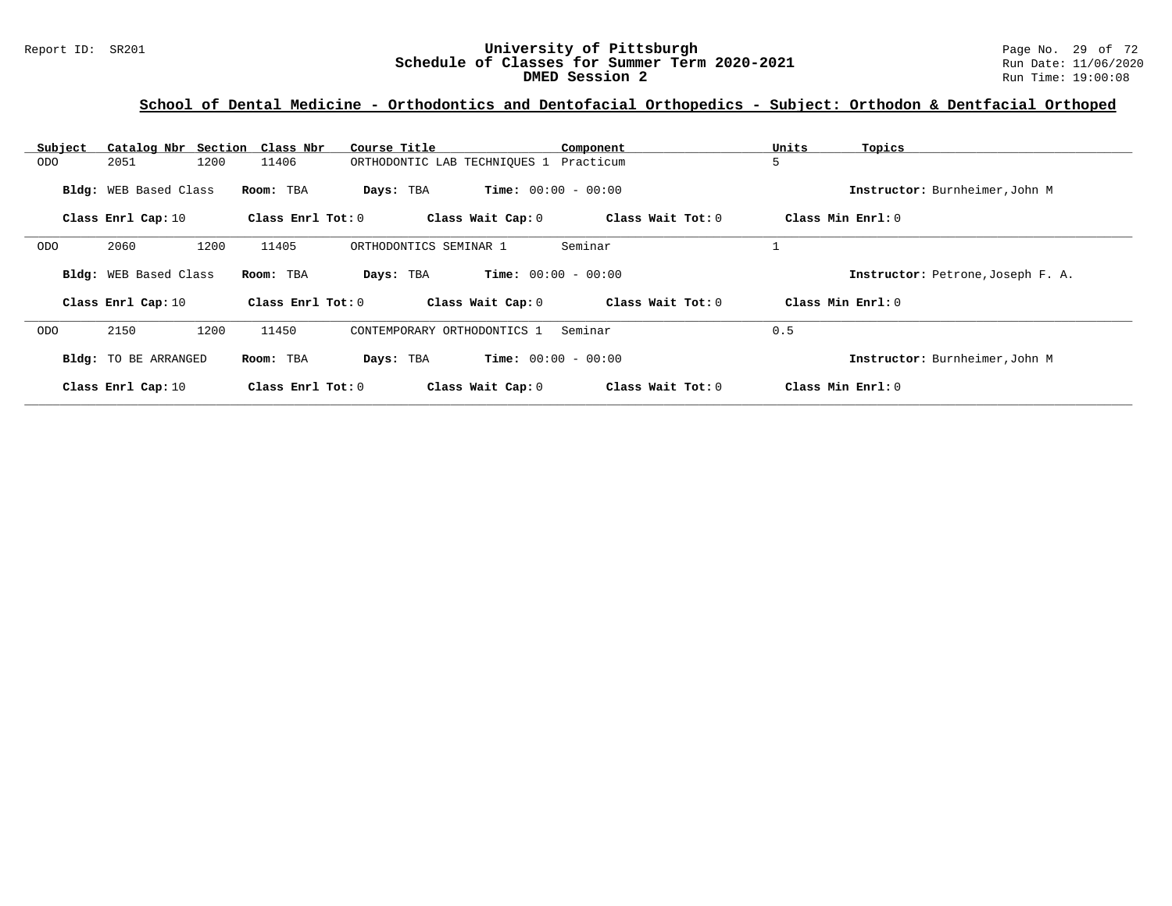### Report ID: SR201 **University of Pittsburgh** Page No. 29 of 72 **Schedule of Classes for Summer Term 2020-2021** Run Date: 11/06/2020 **DMED Session 2** Run Time: 19:00:08

# **School of Dental Medicine - Orthodontics and Dentofacial Orthopedics - Subject: Orthodon & Dentfacial Orthoped**

| Subject | Catalog Nbr Section   | Class Nbr             | Course Title                 | Component                    | Units<br>Topics                   |
|---------|-----------------------|-----------------------|------------------------------|------------------------------|-----------------------------------|
| ODO     | 2051<br>1200          | 11406                 | ORTHODONTIC LAB TECHNIOUES 1 | Practicum                    | 5                                 |
|         | Bldg: WEB Based Class | Room: TBA             | Days: TBA                    | <b>Time:</b> $00:00 - 00:00$ | Instructor: Burnheimer, John M    |
|         | Class Enrl Cap: 10    | Class $Enr1$ Tot: $0$ | Class Wait Cap: 0            | Class Wait Tot: 0            | Class Min Enrl: 0                 |
| ODO     | 2060<br>1200          | 11405                 | ORTHODONTICS SEMINAR 1       | Seminar                      |                                   |
|         | Bldg: WEB Based Class | Room: TBA             | Days: TBA                    | <b>Time:</b> $00:00 - 00:00$ | Instructor: Petrone, Joseph F. A. |
|         | Class Enrl Cap: 10    | Class Enrl Tot: 0     | Class Wait Cap: 0            | Class Wait Tot: 0            | Class Min Enrl: 0                 |
| ODO     | 2150<br>1200          | 11450                 | CONTEMPORARY ORTHODONTICS 1  | Seminar                      | 0.5                               |
|         | Bldg: TO BE ARRANGED  | Room: TBA             | Days: TBA                    | <b>Time:</b> $00:00 - 00:00$ | Instructor: Burnheimer, John M    |
|         | Class Enrl Cap: 10    | Class Enrl Tot: 0     | Class Wait Cap: 0            | Class Wait Tot: 0            | Class Min Enrl: 0                 |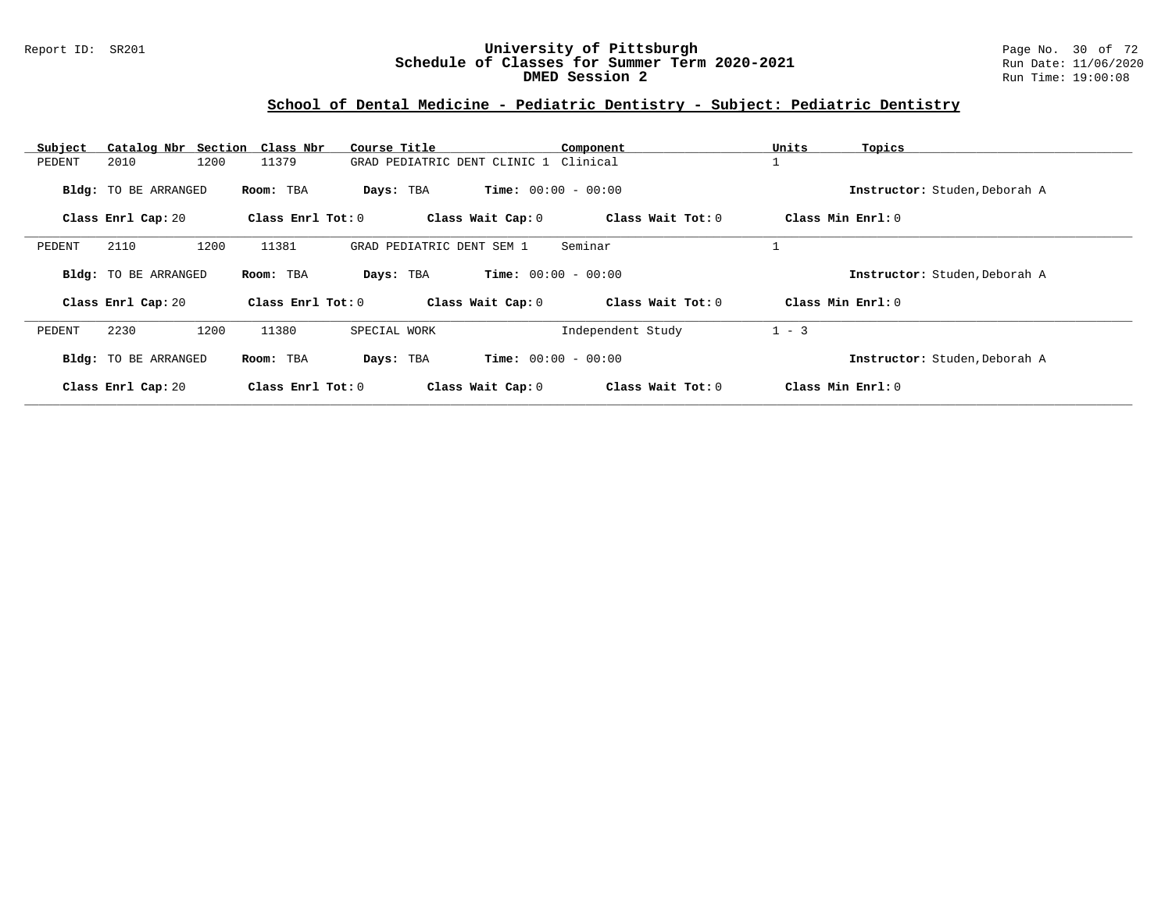### Report ID: SR201 **University of Pittsburgh** Page No. 30 of 72 **Schedule of Classes for Summer Term 2020-2021** Run Date: 11/06/2020 **DMED Session 2** Run Time: 19:00:08

### **School of Dental Medicine - Pediatric Dentistry - Subject: Pediatric Dentistry**

| Subject | Catalog Nbr Section Class Nbr |      |                   | Course Title              |                                       | Component         | Units   | Topics                        |
|---------|-------------------------------|------|-------------------|---------------------------|---------------------------------------|-------------------|---------|-------------------------------|
| PEDENT  | 2010                          | 1200 | 11379             |                           | GRAD PEDIATRIC DENT CLINIC 1 Clinical |                   |         |                               |
|         | <b>Bldg:</b> TO BE ARRANGED   |      | Room: TBA         | Days: TBA                 | <b>Time:</b> $00:00 - 00:00$          |                   |         | Instructor: Studen, Deborah A |
|         | Class Enrl Cap: 20            |      | Class Enrl Tot: 0 |                           | Class Wait Cap: 0                     | Class Wait Tot: 0 |         | Class Min $Enrl: 0$           |
| PEDENT  | 2110                          | 1200 | 11381             | GRAD PEDIATRIC DENT SEM 1 |                                       | Seminar           |         |                               |
|         | <b>Bldg:</b> TO BE ARRANGED   |      | Room: TBA         | Days: TBA                 | <b>Time:</b> $00:00 - 00:00$          |                   |         | Instructor: Studen, Deborah A |
|         | Class Enrl Cap: 20            |      | Class Enrl Tot: 0 |                           | Class Wait Cap: 0                     | Class Wait Tot: 0 |         | Class Min Enrl: 0             |
| PEDENT  | 2230                          | 1200 | 11380             | SPECIAL WORK              |                                       | Independent Study | $1 - 3$ |                               |
|         | <b>Bldg:</b> TO BE ARRANGED   |      | Room: TBA         | Days: TBA                 | <b>Time:</b> $00:00 - 00:00$          |                   |         | Instructor: Studen, Deborah A |
|         | Class Enrl Cap: 20            |      | Class Enrl Tot: 0 |                           | Class Wait Cap: 0                     | Class Wait Tot: 0 |         | Class Min Enrl: 0             |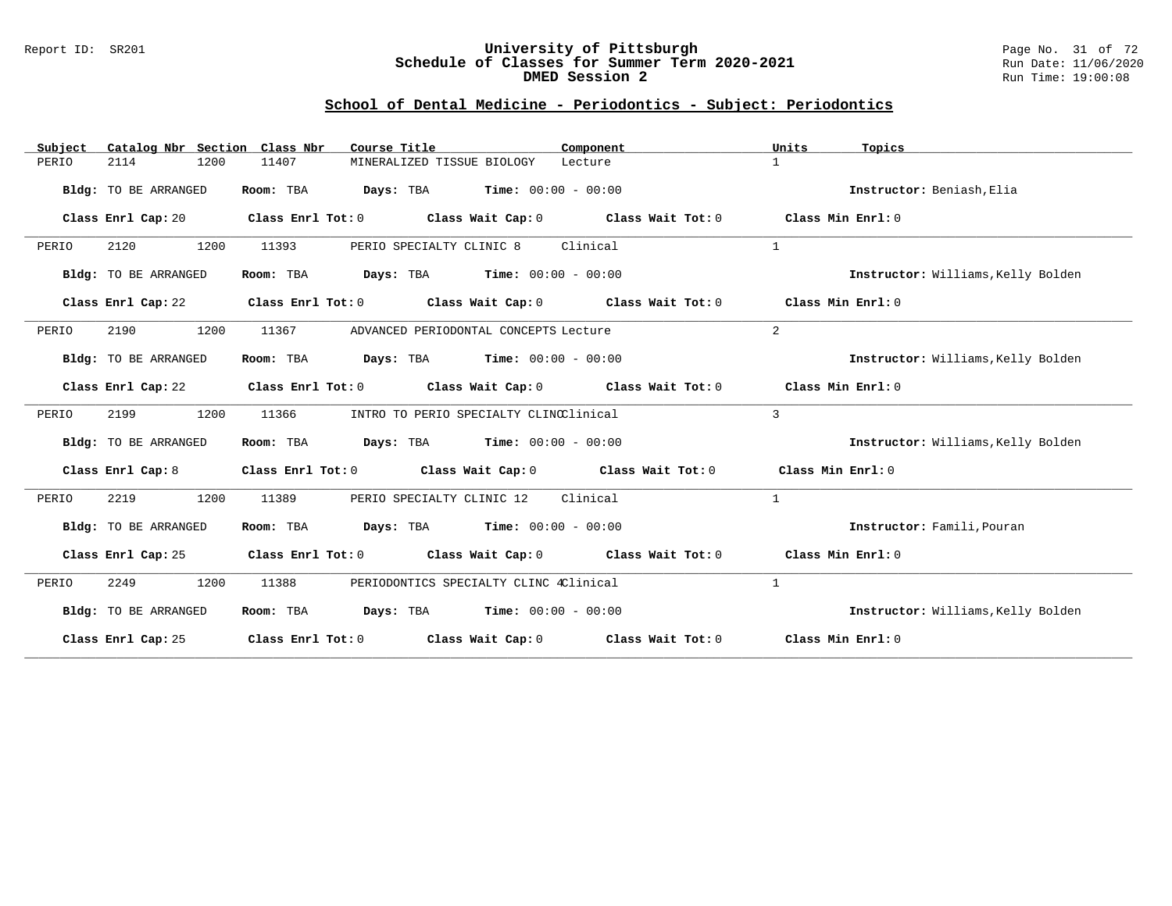#### Report ID: SR201 **University of Pittsburgh** Page No. 31 of 72 **Schedule of Classes for Summer Term 2020-2021** Run Date: 11/06/2020 **DMED Session 2** Run Time: 19:00:08

# **School of Dental Medicine - Periodontics - Subject: Periodontics**

| Subject | Catalog Nbr Section Class Nbr |                         | Course Title                                         | Component                                                                       | Units              | Topics                             |
|---------|-------------------------------|-------------------------|------------------------------------------------------|---------------------------------------------------------------------------------|--------------------|------------------------------------|
| PERIO   | 1200<br>2114                  | 11407                   | MINERALIZED TISSUE BIOLOGY                           | Lecture                                                                         | $\mathbf{1}$       |                                    |
|         | Bldg: TO BE ARRANGED          | Room: TBA               | <b>Days:</b> TBA <b>Time:</b> $00:00 - 00:00$        |                                                                                 |                    | Instructor: Beniash, Elia          |
|         | Class Enrl Cap: 20            | Class Enrl Tot: 0       |                                                      | Class Wait Cap: 0 Class Wait Tot: 0                                             | Class Min Enrl: 0  |                                    |
| PERIO   | 2120<br>1200                  | 11393                   | PERIO SPECIALTY CLINIC 8                             | Clinical                                                                        | $\mathbf{1}$       |                                    |
|         | Bldg: TO BE ARRANGED          | Room: TBA               | <b>Days:</b> TBA <b>Time:</b> $00:00 - 00:00$        |                                                                                 |                    | Instructor: Williams, Kelly Bolden |
|         | Class Enrl Cap: 22            | $Class$ $Enr1$ $Tot: 0$ |                                                      | Class Wait Cap: $0$ Class Wait Tot: $0$ Class Min Enrl: $0$                     |                    |                                    |
| PERIO   | 1200<br>2190                  | 11367                   | ADVANCED PERIODONTAL CONCEPTS Lecture                |                                                                                 | 2                  |                                    |
|         | Bldg: TO BE ARRANGED          | Room: TBA               | $Days: TBA$ Time: $00:00 - 00:00$                    |                                                                                 |                    | Instructor: Williams, Kelly Bolden |
|         | Class Enrl Cap: 22            |                         |                                                      | Class Enrl Tot: 0 Class Wait Cap: 0 Class Wait Tot: 0                           | Class Min Enrl: 0  |                                    |
| PERIO   | 2199<br>1200                  | 11366                   | INTRO TO PERIO SPECIALTY CLINCClinical               |                                                                                 | 3                  |                                    |
|         | Bldg: TO BE ARRANGED          | Room: TBA               | $\texttt{Davis:}$ TBA $\texttt{Time:}$ 00:00 - 00:00 |                                                                                 |                    | Instructor: Williams, Kelly Bolden |
|         | Class Enrl Cap: 8             |                         |                                                      | Class Enrl Tot: $0$ Class Wait Cap: $0$ Class Wait Tot: $0$                     | Class Min Enrl: 0  |                                    |
| PERIO   | 2219<br>1200                  | 11389                   | PERIO SPECIALTY CLINIC 12                            | Clinical                                                                        | $\mathbf{1}$       |                                    |
|         | Bldg: TO BE ARRANGED          | Room: TBA               | <b>Days:</b> TBA <b>Time:</b> $00:00 - 00:00$        |                                                                                 |                    | Instructor: Famili, Pouran         |
|         | Class Enrl Cap: 25            |                         |                                                      | Class Enrl Tot: $0$ Class Wait Cap: $0$ Class Wait Tot: $0$ Class Min Enrl: $0$ |                    |                                    |
| PERIO   | 1200<br>2249                  | 11388                   | PERIODONTICS SPECIALTY CLINC 4Clinical               |                                                                                 | $\mathbf{1}$       |                                    |
|         | Bldg: TO BE ARRANGED          | Room: TBA               | $\texttt{DayS:}$ TBA $\texttt{Time:}$ 00:00 - 00:00  |                                                                                 |                    | Instructor: Williams, Kelly Bolden |
|         | Class Enrl Cap: 25            |                         |                                                      | Class Enrl Tot: $0$ Class Wait Cap: $0$ Class Wait Tot: $0$                     | Class Min $Err1:0$ |                                    |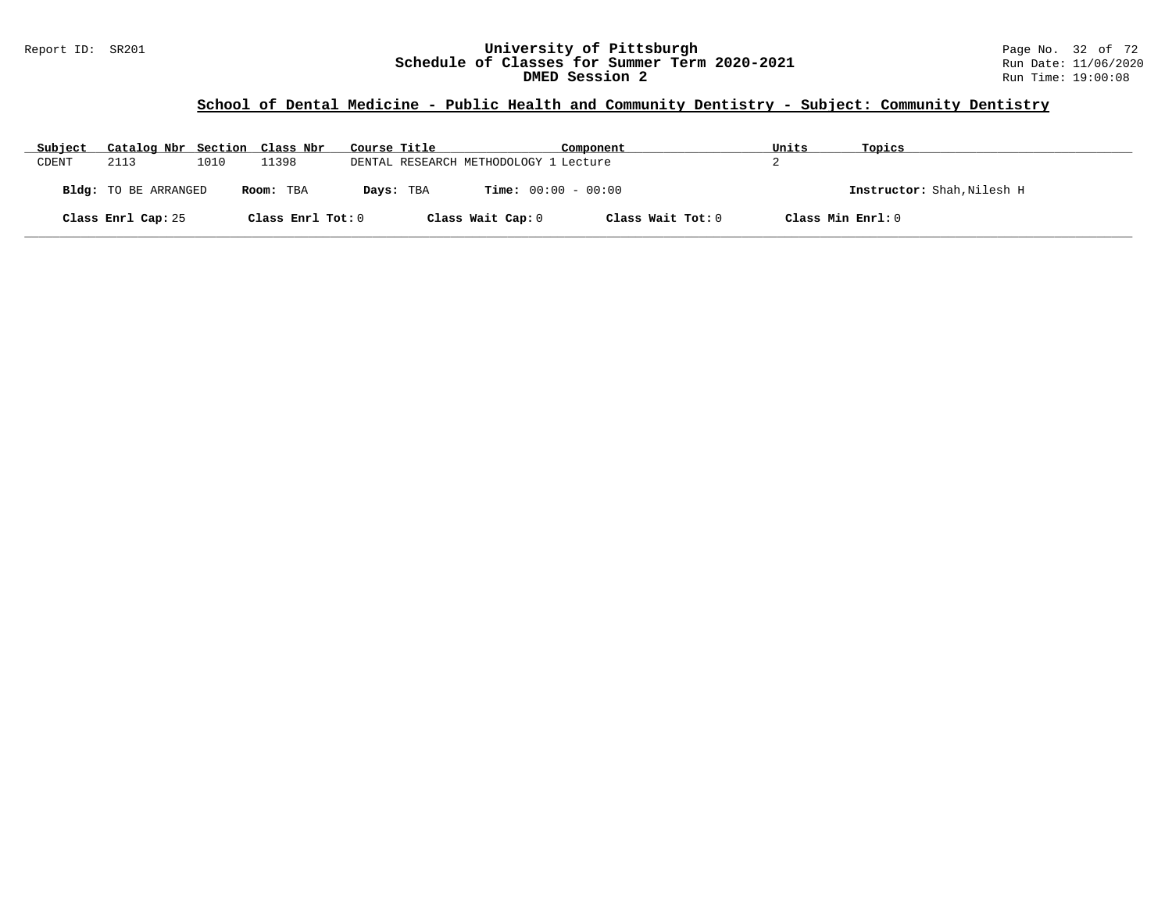# **School of Dental Medicine - Public Health and Community Dentistry - Subject: Community Dentistry**

| Subject | Catalog Nbr Section Class Nbr |      |                   | Course Title |                                           | Component         | Units             | Topics                     |
|---------|-------------------------------|------|-------------------|--------------|-------------------------------------------|-------------------|-------------------|----------------------------|
| CDENT   | 2113                          | 1010 | 11398             |              | DENTAL RESEARCH METHODOLOGY 1 Lecture     |                   |                   |                            |
|         | Bldg: TO BE ARRANGED          |      | Room: TBA         |              | <b>Time:</b> $00:00 - 00:00$<br>Days: TBA |                   |                   | Instructor: Shah, Nilesh H |
|         | Class Enrl Cap: 25            |      | Class Enrl Tot: 0 |              | Class Wait Cap: 0                         | Class Wait Tot: 0 | Class Min Enrl: 0 |                            |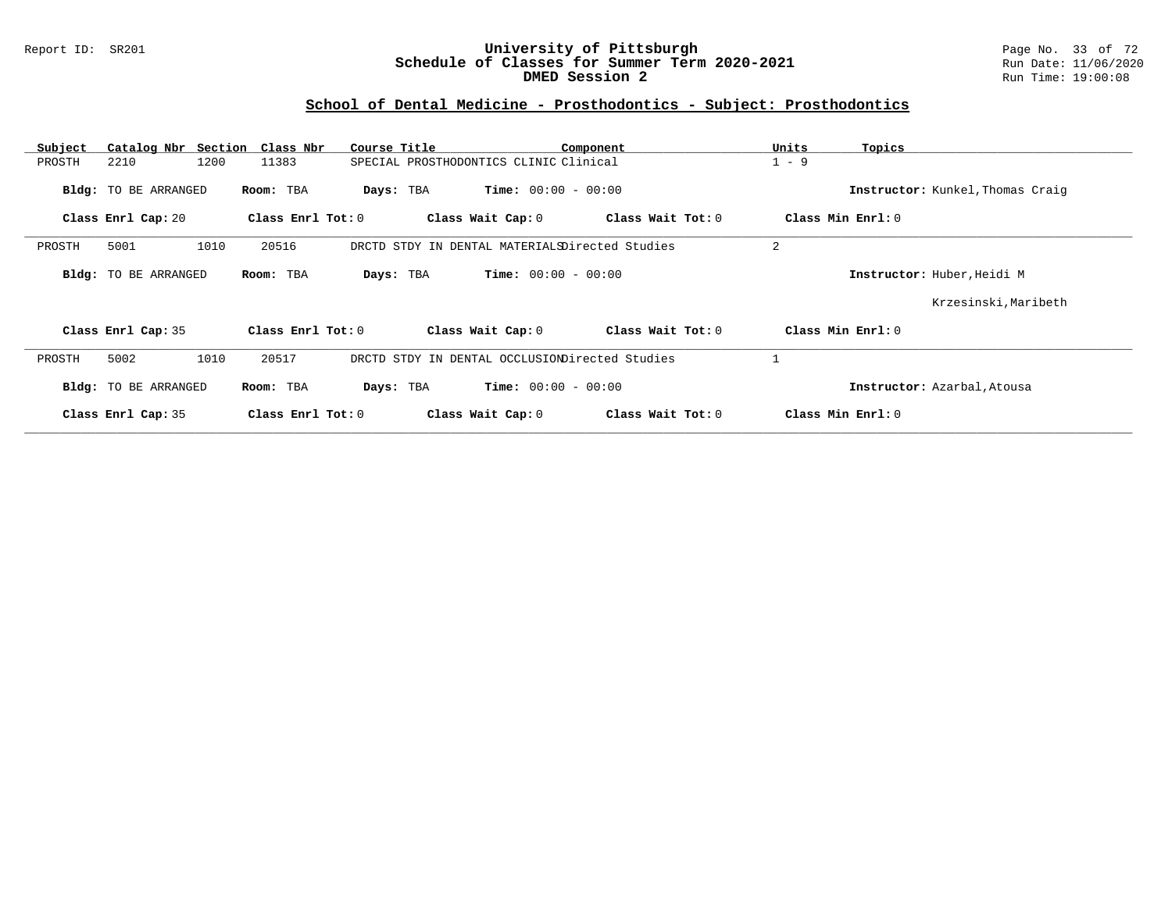#### Report ID: SR201 **University of Pittsburgh** Page No. 33 of 72 **Schedule of Classes for Summer Term 2020-2021** Run Date: 11/06/2020 **DMED Session 2** Run Time: 19:00:08

# **School of Dental Medicine - Prosthodontics - Subject: Prosthodontics**

| Subject | Catalog Nbr Section  | Class Nbr           | Course Title                                   |                              | Component         | Units             | Topics                           |
|---------|----------------------|---------------------|------------------------------------------------|------------------------------|-------------------|-------------------|----------------------------------|
| PROSTH  | 2210                 | 11383<br>1200       | SPECIAL PROSTHODONTICS CLINIC Clinical         |                              |                   | $1 - 9$           |                                  |
|         | Bldg: TO BE ARRANGED | Room: TBA           | Days: TBA                                      | <b>Time:</b> $00:00 - 00:00$ |                   |                   | Instructor: Kunkel, Thomas Craig |
|         | Class Enrl Cap: 20   | Class Enrl Tot: 0   |                                                | Class Wait Cap: 0            | Class Wait Tot: 0 | Class Min Enrl: 0 |                                  |
| PROSTH  | 5001                 | 1010<br>20516       | DRCTD STDY IN DENTAL MATERIALSDirected Studies |                              |                   | 2                 |                                  |
|         | Bldg: TO BE ARRANGED | Room: TBA           | Days: TBA                                      | <b>Time:</b> $00:00 - 00:00$ |                   |                   | Instructor: Huber, Heidi M       |
|         |                      |                     |                                                |                              |                   |                   | Krzesinski, Maribeth             |
|         | Class Enrl Cap: 35   | Class Enrl Tot: 0   |                                                | Class Wait Cap: 0            | Class Wait Tot: 0 | Class Min Enrl: 0 |                                  |
| PROSTH  | 5002                 | 1010<br>20517       | DRCTD STDY IN DENTAL OCCLUSIONDirected Studies |                              |                   |                   |                                  |
|         | Bldg: TO BE ARRANGED | Room: TBA           | Days: TBA                                      | <b>Time:</b> $00:00 - 00:00$ |                   |                   | Instructor: Azarbal, Atousa      |
|         | Class Enrl Cap: 35   | Class Enrl Tot: $0$ |                                                | Class Wait Cap: 0            | Class Wait Tot: 0 | Class Min Enrl: 0 |                                  |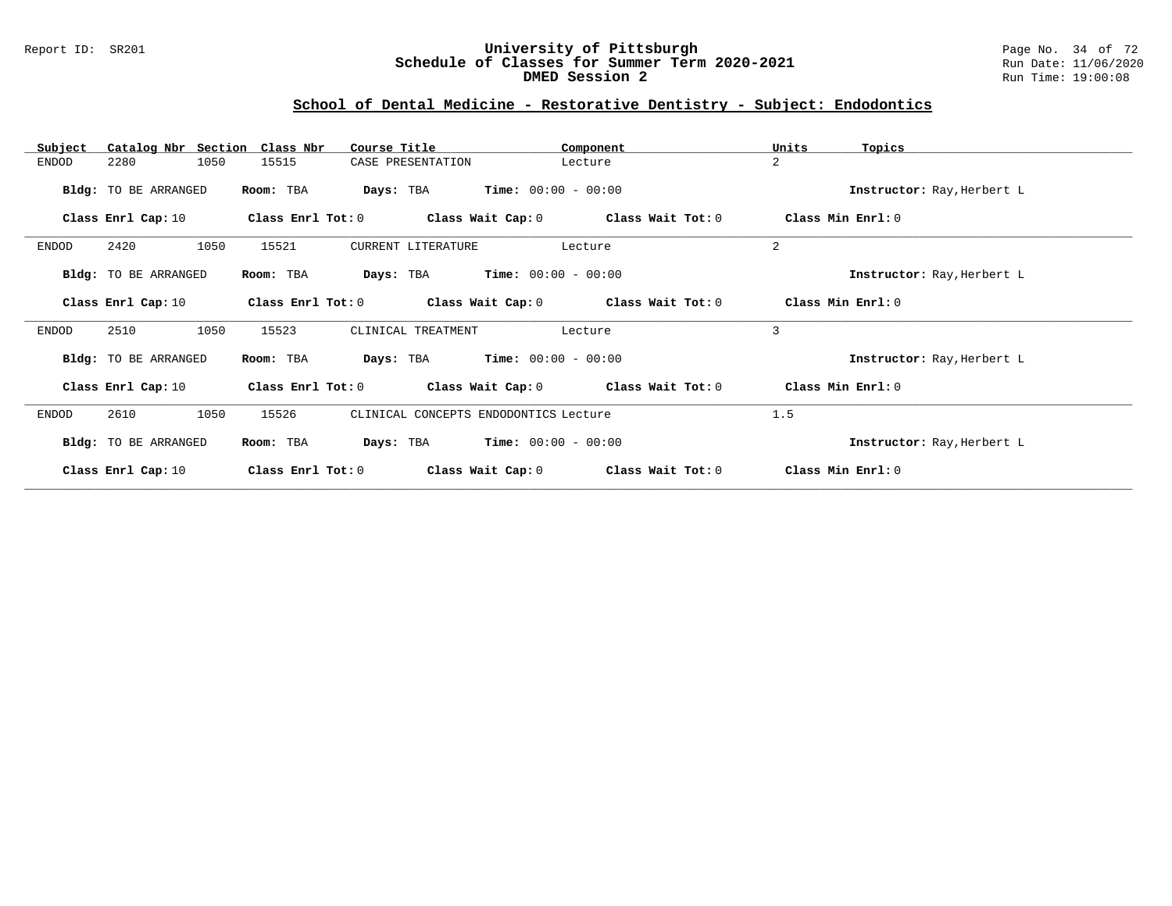#### Report ID: SR201 **University of Pittsburgh** Page No. 34 of 72 **Schedule of Classes for Summer Term 2020-2021** Run Date: 11/06/2020 **DMED Session 2** Run Time: 19:00:08

# **School of Dental Medicine - Restorative Dentistry - Subject: Endodontics**

| Catalog Nbr Section Class Nbr<br>Subject | Course Title           |                                         | Component         | Units<br>Topics            |
|------------------------------------------|------------------------|-----------------------------------------|-------------------|----------------------------|
| 2280<br>1050<br>ENDOD                    | 15515                  | CASE PRESENTATION                       | Lecture           | $\overline{a}$             |
| Bldg: TO BE ARRANGED                     | Room: TBA<br>Days: TBA | $Time: 00:00 - 00:00$                   |                   | Instructor: Ray, Herbert L |
| Class Enrl Cap: 10                       | Class Enrl Tot: 0      | Class Wait Cap: 0                       | Class Wait Tot: 0 | Class Min Enrl: 0          |
| 2420<br>1050<br>ENDOD                    | 15521                  | CURRENT LITERATURE                      | Lecture           | 2                          |
| Bldg: TO BE ARRANGED                     | Room: TBA<br>Days: TBA | $Time: 00:00 - 00:00$                   |                   | Instructor: Ray, Herbert L |
| Class Enrl Cap: 10                       | Class Enrl Tot: 0      | Class Wait Cap: $0$ Class Wait Tot: $0$ |                   | Class Min Enrl: 0          |
| 2510<br>1050<br><b>ENDOD</b>             | 15523                  | CLINICAL TREATMENT                      | Lecture           | 3                          |
| Bldg: TO BE ARRANGED                     | Room: TBA<br>Days: TBA | $Time: 00:00 - 00:00$                   |                   | Instructor: Ray, Herbert L |
| Class Enrl Cap: 10                       | Class Enrl Tot: 0      | Class Wait Cap: $0$ Class Wait Tot: $0$ |                   | Class Min Enrl: 0          |
| 2610<br>1050<br>ENDOD                    | 15526                  | CLINICAL CONCEPTS ENDODONTICS Lecture   |                   | 1.5                        |
| Bldg: TO BE ARRANGED                     | Room: TBA<br>Days: TBA | $Time: 00:00 - 00:00$                   |                   | Instructor: Ray, Herbert L |
| Class Enrl Cap: 10                       | Class Enrl Tot: 0      | Class Wait Cap: 0                       | Class Wait Tot: 0 | Class Min Enrl: 0          |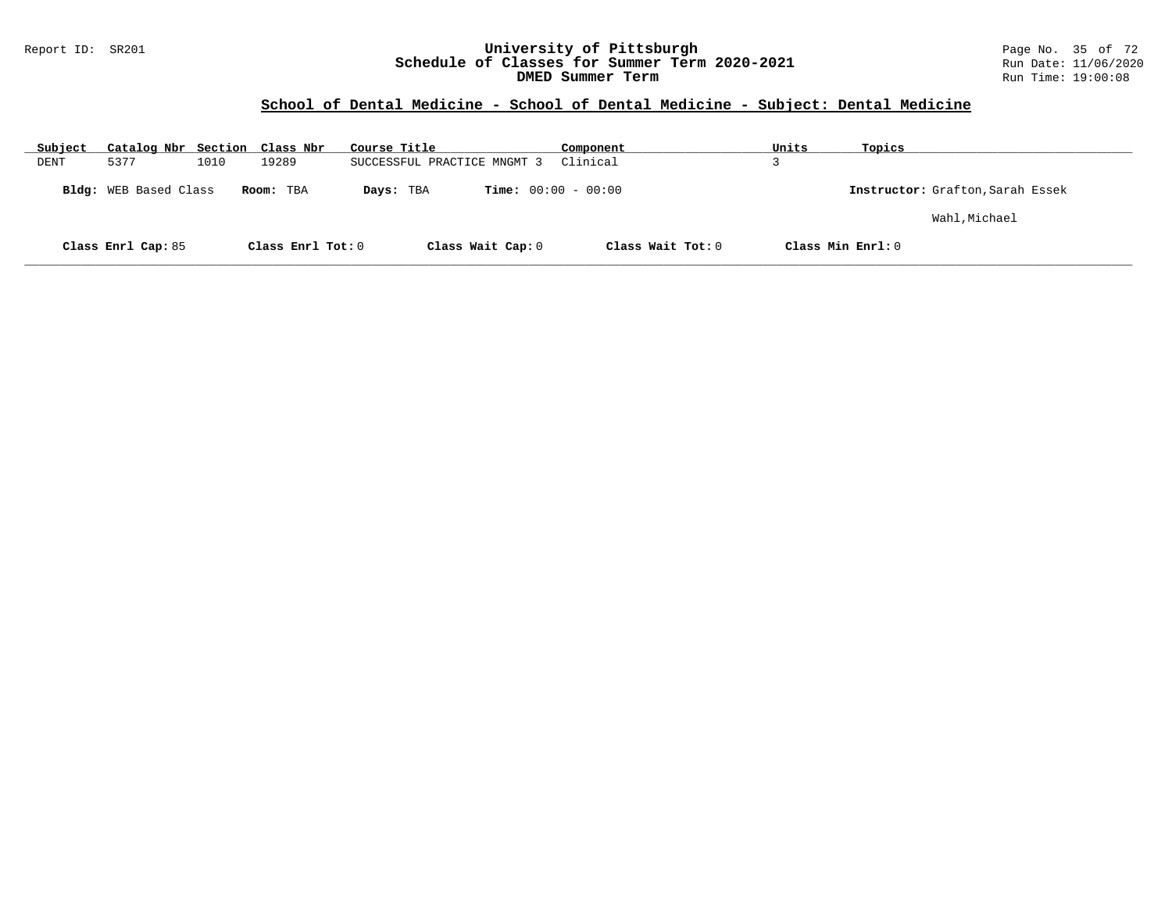### Report ID: SR201 **University of Pittsburgh** Page No. 35 of 72 **Schedule of Classes for Summer Term 2020-2021** Run Date: 11/06/2020 **DMED Summer Term Run Time: 19:00:08** Run Time: 19:00:08

# **School of Dental Medicine - School of Dental Medicine - Subject: Dental Medicine**

| Subject | Catalog Nbr Section Class Nbr |      |                     | Course Title                | Component                    | Units             | Topics                           |
|---------|-------------------------------|------|---------------------|-----------------------------|------------------------------|-------------------|----------------------------------|
| DENT    | 5377                          | 1010 | 19289               | SUCCESSFUL PRACTICE MNGMT 3 | Clinical                     |                   |                                  |
|         | <b>Bldg:</b> WEB Based Class  |      | Room: TBA           | Days: TBA                   | <b>Time:</b> $00:00 - 00:00$ |                   | Instructor: Grafton, Sarah Essek |
|         |                               |      |                     |                             |                              |                   | Wahl, Michael                    |
|         | Class Enrl Cap: 85            |      | Class Enrl Tot: $0$ | Class Wait Cap: 0           | Class Wait Tot: 0            | Class Min Enrl: 0 |                                  |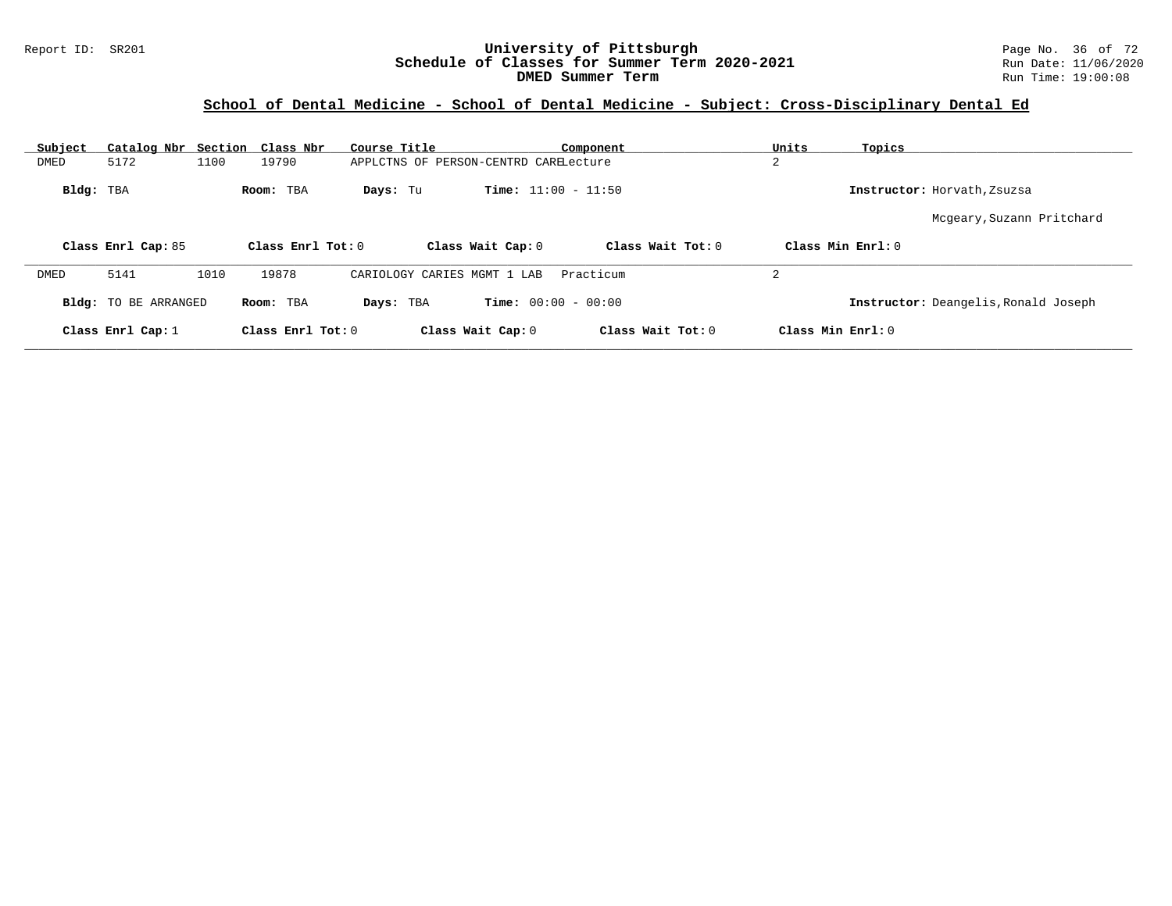#### Report ID: SR201 **University of Pittsburgh** Page No. 36 of 72 **Schedule of Classes for Summer Term 2020-2021** Run Date: 11/06/2020 **DMED Summer Term Run Time: 19:00:08**

# **School of Dental Medicine - School of Dental Medicine - Subject: Cross-Disciplinary Dental Ed**

| Subject   | Catalog Nbr                 |      | Section Class Nbr   | Course Title                          |                              | Component         | Units             | Topics                               |
|-----------|-----------------------------|------|---------------------|---------------------------------------|------------------------------|-------------------|-------------------|--------------------------------------|
| DMED      | 5172                        | 1100 | 19790               | APPLCTNS OF PERSON-CENTRD CARELecture |                              |                   | 2                 |                                      |
| Bldg: TBA |                             |      | Room: TBA           | Days: Tu                              | <b>Time:</b> $11:00 - 11:50$ |                   |                   | Instructor: Horvath, Zsuzsa          |
|           |                             |      |                     |                                       |                              |                   |                   | Mcgeary, Suzann Pritchard            |
|           | Class Enrl Cap: 85          |      | Class Enrl Tot: 0   |                                       | Class Wait Cap: 0            | Class Wait Tot: 0 |                   | Class Min Ernst: 0                   |
| DMED      | 5141                        | 1010 | 19878               | CARIOLOGY CARIES MGMT 1 LAB           |                              | Practicum         | 2                 |                                      |
|           | <b>Bldg:</b> TO BE ARRANGED |      | Room: TBA           | Days: TBA                             | <b>Time:</b> $00:00 - 00:00$ |                   |                   | Instructor: Deangelis, Ronald Joseph |
|           | Class Enrl Cap: $1$         |      | Class Enrl Tot: $0$ |                                       | Class Wait Cap: 0            | Class Wait Tot: 0 | Class Min Enrl: 0 |                                      |
|           |                             |      |                     |                                       |                              |                   |                   |                                      |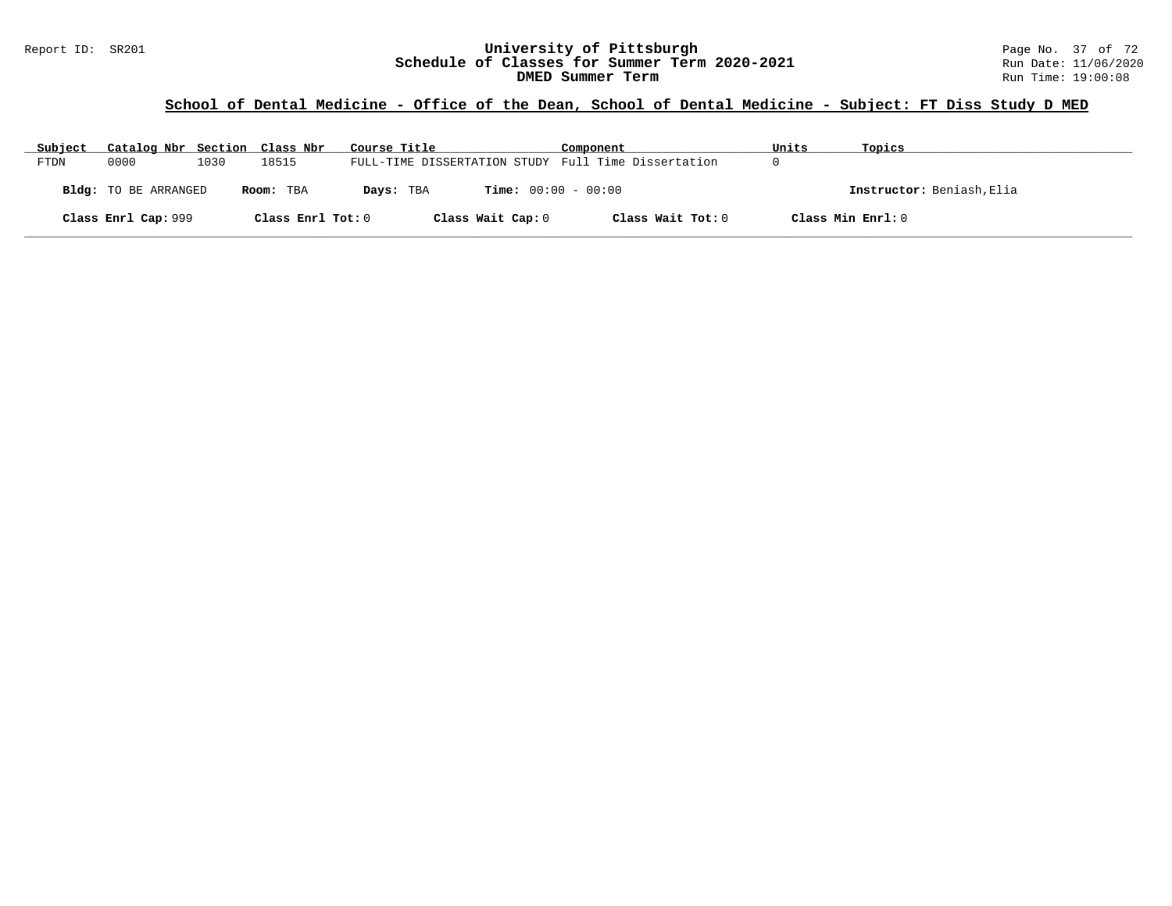#### Report ID: SR201 **1988 Mage 10: SR201 University of Pittsburgh** Page No. 37 of 72<br>**Schedule of Classes for Summer Term 2020-2021** Run Date: 11/06/2020 **Schedule of Classes for Summer Term 2020-2021** Run Date: 11/06/2020<br>DMED Summer Term **DIED** Run Time: 19:00:08 **DMED Summer Term**

# **School of Dental Medicine - Office of the Dean, School of Dental Medicine - Subject: FT Diss Study D MED**

| Subject | Catalog Nbr Section Class Nbr |      |                   | Course Title                                        | Component                    | Units             | Topics                    |
|---------|-------------------------------|------|-------------------|-----------------------------------------------------|------------------------------|-------------------|---------------------------|
| FTDN    | 0000                          | 1030 | 18515             | FULL-TIME DISSERTATION STUDY Full Time Dissertation |                              |                   |                           |
|         | <b>Bldg:</b> TO BE ARRANGED   |      | Room: TBA         | Days: TBA                                           | <b>Time:</b> $00:00 - 00:00$ |                   | Instructor: Beniash, Elia |
|         | Class Enrl Cap: 999           |      | Class Enrl Tot: 0 | Class Wait Cap: 0                                   | Class Wait Tot: 0            | Class Min Enrl: 0 |                           |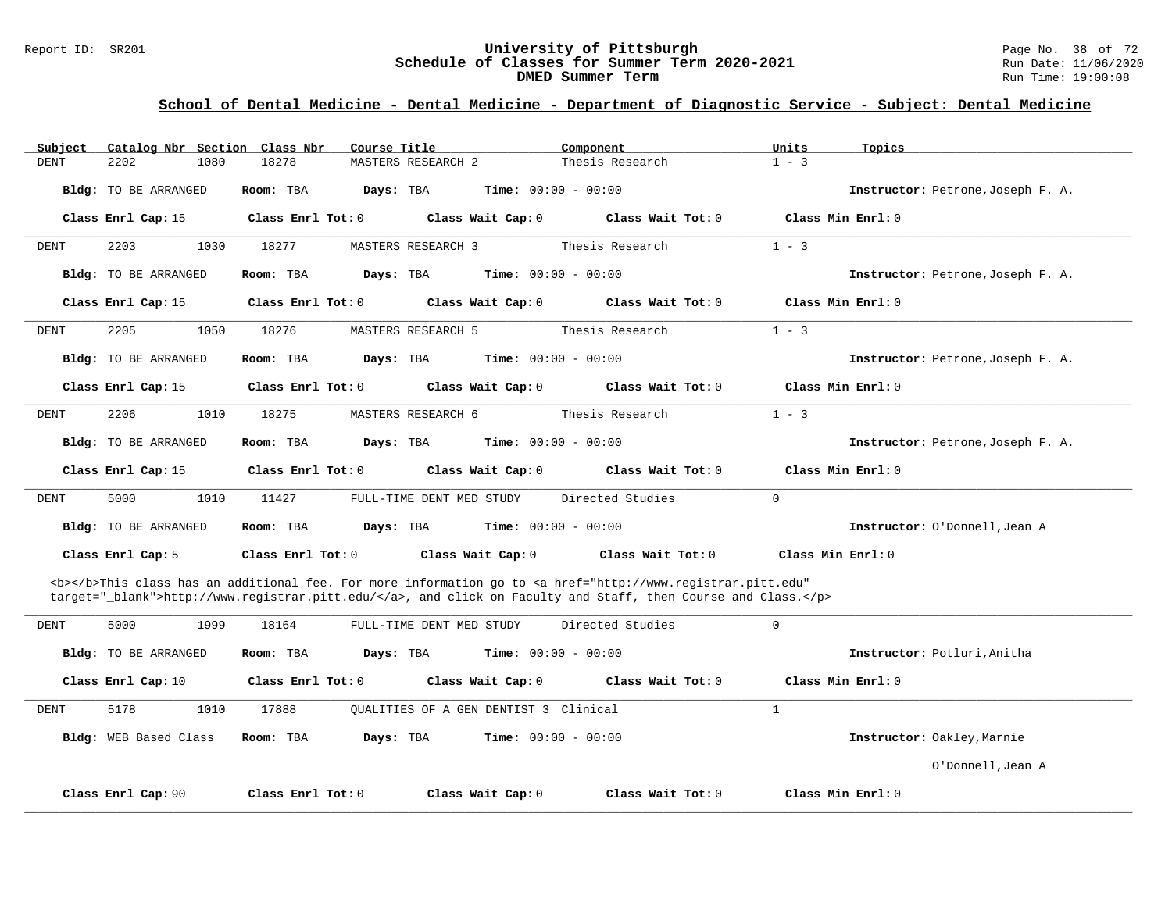#### Report ID: SR201 **1988 Mage 10: SR201 University of Pittsburgh** Page No. 38 of 72<br>**Schedule of Classes for Summer Term 2020-2021** Run Date: 11/06/2020 **Schedule of Classes for Summer Term 2020-2021** Run Date: 11/06/2020<br>DMED Summer Term **DIED** Run Time: 19:00:08 **DMED Summer Term**

| Subject     | Catalog Nbr Section Class Nbr | Course Title                       | Component                                                                                                                                                                                                                          | Units<br>Topics                   |
|-------------|-------------------------------|------------------------------------|------------------------------------------------------------------------------------------------------------------------------------------------------------------------------------------------------------------------------------|-----------------------------------|
| <b>DENT</b> | 2202<br>1080                  | 18278<br><b>MASTERS RESEARCH 2</b> | Thesis Research                                                                                                                                                                                                                    | $1 - 3$                           |
|             | <b>Bldg:</b> TO BE ARRANGED   | Room: TBA<br>Days: TBA             | $Time: 00:00 - 00:00$                                                                                                                                                                                                              | Instructor: Petrone, Joseph F. A. |
|             | Class Enrl Cap: 15            | Class Enrl Tot: 0                  | Class Wait Cap: 0<br>Class Wait Tot: 0                                                                                                                                                                                             | Class Min Enrl: 0                 |
| DENT        | 2203<br>1030                  | 18277<br>MASTERS RESEARCH 3        | Thesis Research                                                                                                                                                                                                                    | $1 - 3$                           |
|             | <b>Bldg:</b> TO BE ARRANGED   | Days: TBA<br>Room: TBA             | <b>Time:</b> $00:00 - 00:00$                                                                                                                                                                                                       | Instructor: Petrone, Joseph F. A. |
|             | Class Enrl Cap: 15            | Class Enrl Tot: 0                  | Class Wait Cap: 0<br>Class Wait Tot: 0                                                                                                                                                                                             | Class Min Enrl: 0                 |
| <b>DENT</b> | 2205<br>1050                  | 18276<br><b>MASTERS RESEARCH 5</b> | Thesis Research                                                                                                                                                                                                                    | $1 - 3$                           |
|             | <b>Bldg:</b> TO BE ARRANGED   | Room: TBA<br>Days: TBA             | <b>Time:</b> $00:00 - 00:00$                                                                                                                                                                                                       | Instructor: Petrone, Joseph F. A. |
|             | Class Enrl Cap: 15            | Class Enrl Tot: 0                  | Class Wait Tot: 0<br>Class Wait Cap: 0                                                                                                                                                                                             | Class Min Enrl: 0                 |
| <b>DENT</b> | 2206<br>1010                  | 18275<br>MASTERS RESEARCH 6        | Thesis Research                                                                                                                                                                                                                    | $1 - 3$                           |
|             | <b>Bldg:</b> TO BE ARRANGED   | Room: TBA<br>Days: TBA             | <b>Time:</b> $00:00 - 00:00$                                                                                                                                                                                                       | Instructor: Petrone, Joseph F. A. |
|             | Class Enrl Cap: 15            | Class Enrl Tot: 0                  | Class Wait Cap: 0<br>Class Wait Tot: 0                                                                                                                                                                                             | Class Min Enrl: 0                 |
| DENT        | 5000<br>1010                  | 11427<br>FULL-TIME DENT MED STUDY  | Directed Studies                                                                                                                                                                                                                   | $\mathbf 0$                       |
|             | <b>Bldg:</b> TO BE ARRANGED   | Room: TBA<br>Days: TBA             | <b>Time:</b> $00:00 - 00:00$                                                                                                                                                                                                       | Instructor: O'Donnell, Jean A     |
|             | Class Enrl Cap: 5             | Class Enrl Tot: 0                  | Class Wait Cap: 0<br>Class Wait Tot: 0                                                                                                                                                                                             | Class Min $Enr1: 0$               |
|             |                               |                                    | <b></b> This class has an additional fee. For more information go to <a <br="" href="http://www.registrar.pitt.edu">target="_blank"&gt;http://www.registrar.pitt.edu/</a> , and click on Faculty and Staff, then Course and Class. |                                   |
| DENT        | 5000<br>1999                  | 18164<br>FULL-TIME DENT MED STUDY  | Directed Studies                                                                                                                                                                                                                   | $\mathbf 0$                       |
|             | <b>Bldg:</b> TO BE ARRANGED   | Room: TBA<br>Days: TBA             | <b>Time:</b> $00:00 - 00:00$                                                                                                                                                                                                       | Instructor: Potluri, Anitha       |
|             | Class Enrl Cap: 10            | Class Enrl Tot: 0                  | Class Wait Cap: 0<br>Class Wait Tot: 0                                                                                                                                                                                             | Class Min Enrl: 0                 |
| DENT        | 5178<br>1010                  | 17888                              | OUALITIES OF A GEN DENTIST 3 Clinical                                                                                                                                                                                              | $\mathbf{1}$                      |
|             | Bldg: WEB Based Class         | Room: TBA<br>Days: TBA             | <b>Time:</b> $00:00 - 00:00$                                                                                                                                                                                                       | Instructor: Oakley, Marnie        |
|             |                               |                                    |                                                                                                                                                                                                                                    | O'Donnell, Jean A                 |
|             | Class Enrl Cap: 90            | Class Enrl Tot: 0                  | Class Wait Cap: 0<br>Class Wait Tot: 0                                                                                                                                                                                             | Class Min Enrl: 0                 |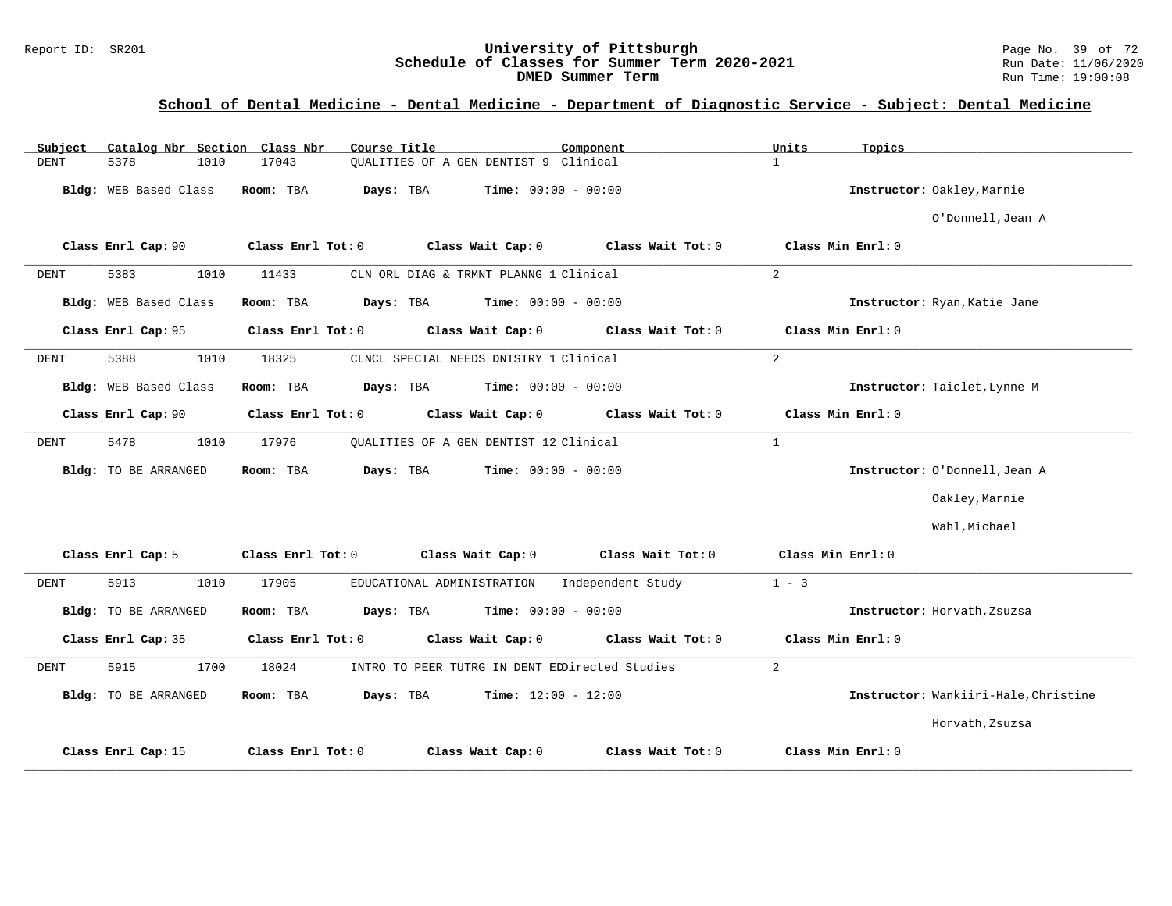#### Report ID: SR201 **1988 Chedule of Classes for Summer Term 2020-2021** Page No. 39 of 72<br>**Schedule of Classes for Summer Term 2020-2021** Run Date: 11/06/2020 **Schedule of Classes for Summer Term 2020-2021** Run Date: 11/06/2020<br>DMED Summer Term **DIED** Run Time: 19:00:08 **DMED Summer Term**

| Catalog Nbr Section Class Nbr<br>Subject | Course Title                                            | Component<br>Units           | Topics                               |
|------------------------------------------|---------------------------------------------------------|------------------------------|--------------------------------------|
| <b>DENT</b><br>5378<br>1010              | OUALITIES OF A GEN DENTIST 9 Clinical<br>17043          | $\mathbf{1}$                 |                                      |
| Bldg: WEB Based Class                    | Room: TBA<br>Days: TBA                                  | <b>Time:</b> $00:00 - 00:00$ | Instructor: Oakley, Marnie           |
|                                          |                                                         |                              | O'Donnell, Jean A                    |
| Class Enrl Cap: 90                       | Class Enrl Tot: 0<br>Class Wait Cap: 0                  | Class Wait Tot: 0            | Class Min Enrl: 0                    |
| 5383<br>1010<br>DENT                     | 11433<br>CLN ORL DIAG & TRMNT PLANNG 1 Clinical         | 2                            |                                      |
| Bldg: WEB Based Class                    | Room: TBA<br>Days: TBA                                  | <b>Time:</b> $00:00 - 00:00$ | Instructor: Ryan, Katie Jane         |
| Class Enrl Cap: 95                       | Class Enrl Tot: 0<br>Class Wait Cap: 0                  | Class Wait Tot: 0            | Class Min Enrl: 0                    |
| 5388<br>1010<br>DENT                     | 18325<br>CLNCL SPECIAL NEEDS DNTSTRY 1 Clinical         | 2                            |                                      |
| Bldg: WEB Based Class                    | Room: TBA<br>Days: TBA                                  | <b>Time:</b> $00:00 - 00:00$ | Instructor: Taiclet, Lynne M         |
| Class Enrl Cap: 90                       | Class Enrl Tot: 0<br>Class Wait Cap: 0                  | Class Wait Tot: 0            | Class Min Enrl: 0                    |
| 5478<br>1010<br>DENT                     | 17976<br>OUALITIES OF A GEN DENTIST 12 Clinical         | $\mathbf{1}$                 |                                      |
| Bldg: TO BE ARRANGED                     | Days: TBA<br>Room: TBA                                  | <b>Time:</b> $00:00 - 00:00$ | Instructor: O'Donnell, Jean A        |
|                                          |                                                         |                              | Oakley, Marnie                       |
|                                          |                                                         |                              | Wahl, Michael                        |
| Class Enrl Cap: 5                        | Class Enrl Tot: 0<br>Class Wait Cap: 0                  | Class Wait Tot: 0            | Class Min Enrl: 0                    |
| <b>DENT</b><br>5913<br>1010              | 17905<br>EDUCATIONAL ADMINISTRATION                     | $1 - 3$<br>Independent Study |                                      |
| Bldg: TO BE ARRANGED                     | Room: TBA<br>Days: TBA                                  | <b>Time:</b> $00:00 - 00:00$ | Instructor: Horvath, Zsuzsa          |
| Class Enrl Cap: 35                       | Class Enrl Tot: 0<br>Class Wait Cap: 0                  | Class Wait Tot: 0            | Class Min Enrl: 0                    |
| 5915<br>1700<br>DENT                     | 18024<br>INTRO TO PEER TUTRG IN DENT EDDirected Studies | 2                            |                                      |
| Bldg: TO BE ARRANGED                     | Days: TBA<br>Room: TBA                                  | <b>Time:</b> $12:00 - 12:00$ | Instructor: Wankiiri-Hale, Christine |
|                                          |                                                         |                              | Horvath, Zsuzsa                      |
| Class Enrl Cap: 15                       | Class Wait Cap: 0<br>Class Enrl Tot: 0                  | Class Wait Tot: 0            | Class Min Enrl: 0                    |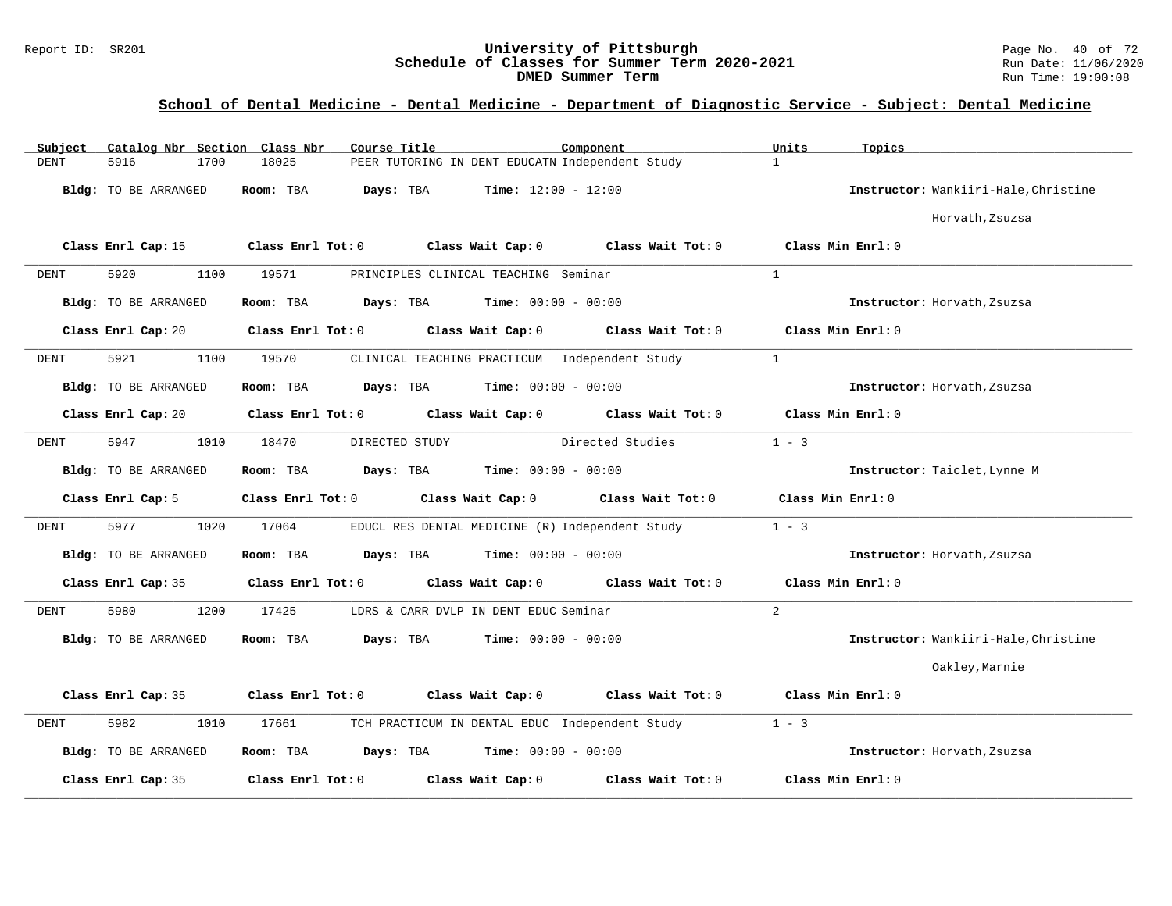#### Report ID: SR201 **University of Pittsburgh** Page No. 40 of 72 **Schedule of Classes for Summer Term 2020-2021** Run Date: 11/06/2020 **DMED Summer Term Run Time: 19:00:08**

| Subject     |                      | Catalog Nbr Section Class Nbr | Course Title                                    |                              | Component                           | Units             | Topics                               |
|-------------|----------------------|-------------------------------|-------------------------------------------------|------------------------------|-------------------------------------|-------------------|--------------------------------------|
| <b>DENT</b> | 5916                 | 1700<br>18025                 | PEER TUTORING IN DENT EDUCATN Independent Study |                              |                                     | $\mathbf{1}$      |                                      |
|             | Bldg: TO BE ARRANGED | Room: TBA                     | Days: TBA                                       | <b>Time:</b> $12:00 - 12:00$ |                                     |                   | Instructor: Wankiiri-Hale, Christine |
|             |                      |                               |                                                 |                              |                                     |                   | Horvath, Zsuzsa                      |
|             | Class Enrl Cap: 15   | Class Enrl Tot: 0             |                                                 | Class Wait Cap: 0            | Class Wait Tot: 0                   |                   | Class Min Enrl: 0                    |
| DENT        | 5920                 | 1100<br>19571                 | PRINCIPLES CLINICAL TEACHING Seminar            |                              |                                     | $\overline{1}$    |                                      |
|             | Bldg: TO BE ARRANGED | Room: TBA                     | Days: TBA                                       | <b>Time:</b> $00:00 - 00:00$ |                                     |                   | Instructor: Horvath, Zsuzsa          |
|             | Class Enrl Cap: 20   | Class Enrl Tot: 0             |                                                 | Class Wait Cap: 0            | Class Wait Tot:0                    |                   | Class Min Enrl: 0                    |
| DENT        | 5921                 | 1100<br>19570                 | CLINICAL TEACHING PRACTICUM Independent Study   |                              |                                     | $\mathbf{1}$      |                                      |
|             | Bldg: TO BE ARRANGED | Room: TBA                     | Days: TBA                                       | <b>Time:</b> $00:00 - 00:00$ |                                     |                   | Instructor: Horvath, Zsuzsa          |
|             | Class Enrl Cap: 20   | Class Enrl Tot: 0             |                                                 |                              | Class Wait Cap: 0 Class Wait Tot: 0 |                   | Class Min Enrl: 0                    |
| <b>DENT</b> | 5947                 | 1010<br>18470                 | DIRECTED STUDY                                  |                              | Directed Studies                    | $1 - 3$           |                                      |
|             | Bldg: TO BE ARRANGED | Room: TBA                     | Days: TBA                                       | <b>Time:</b> $00:00 - 00:00$ |                                     |                   | Instructor: Taiclet, Lynne M         |
|             | Class Enrl Cap: 5    | $Class$ $Enr1$ $Tot: 0$       | Class Wait Cap: 0                               |                              | Class Wait Tot: 0                   | Class Min Enrl: 0 |                                      |
| DENT        | 5977                 | 17064<br>1020                 | EDUCL RES DENTAL MEDICINE (R) Independent Study |                              |                                     | $1 - 3$           |                                      |
|             | Bldg: TO BE ARRANGED | Room: TBA                     | Days: TBA                                       | <b>Time:</b> $00:00 - 00:00$ |                                     |                   | Instructor: Horvath, Zsuzsa          |
|             | Class Enrl Cap: 35   | Class Enrl Tot: 0             |                                                 | Class Wait Cap: 0            | $Class$ Wait Tot: $0$               |                   | Class Min Enrl: 0                    |
| DENT        | 5980                 | 1200<br>17425                 | LDRS & CARR DVLP IN DENT EDUC Seminar           |                              |                                     | $\overline{2}$    |                                      |
|             | Bldg: TO BE ARRANGED | Room: TBA                     | Days: TBA                                       | <b>Time:</b> $00:00 - 00:00$ |                                     |                   | Instructor: Wankiiri-Hale, Christine |
|             |                      |                               |                                                 |                              |                                     |                   | Oakley, Marnie                       |
|             | Class Enrl Cap: 35   | Class Enrl Tot: 0             | Class Wait Cap: 0                               |                              | Class Wait Tot: 0                   |                   | Class Min Enrl: 0                    |
| <b>DENT</b> | 5982                 | 1010<br>17661                 | TCH PRACTICUM IN DENTAL EDUC Independent Study  |                              |                                     | $1 - 3$           |                                      |
|             | Bldg: TO BE ARRANGED | Room: TBA                     | Days: TBA                                       | <b>Time:</b> $00:00 - 00:00$ |                                     |                   | Instructor: Horvath, Zsuzsa          |
|             | Class Enrl Cap: 35   | Class Enrl Tot: 0             |                                                 | Class Wait Cap: 0            | Class Wait Tot: 0                   |                   | Class Min Enrl: 0                    |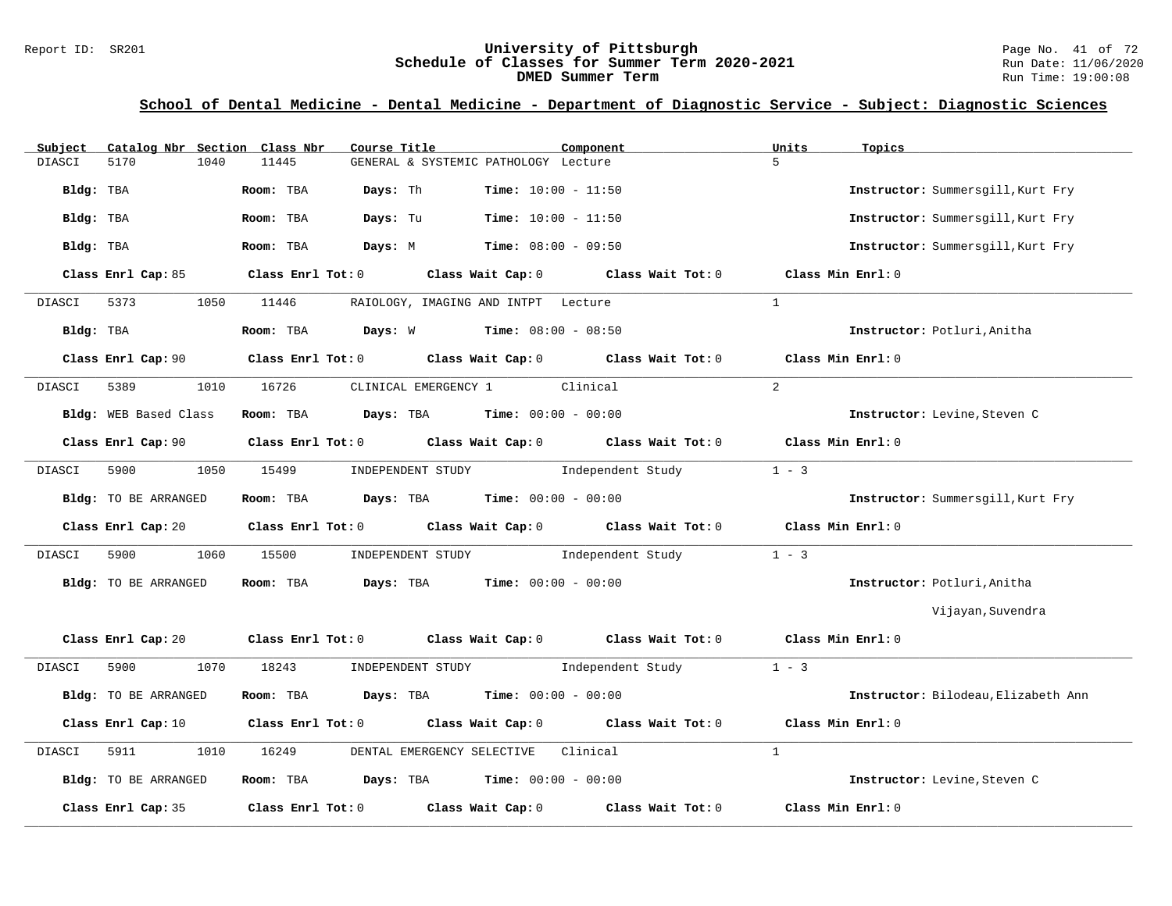#### Report ID: SR201 **University of Pittsburgh University of Pittsburgh** Page No. 41 of 72<br>**Schedule of Classes for Summer Term 2020-2021** Run Date: 11/06/2020 **Schedule of Classes for Summer Term 2020-2021** Run Date: 11/06/2020<br>DMED Summer Term **DIED** Run Time: 19:00:08 **DMED Summer Term**

| Subject     | Catalog Nbr Section Class Nbr | Course Title                                              | Component                                                                                           | Units<br>Topics                     |
|-------------|-------------------------------|-----------------------------------------------------------|-----------------------------------------------------------------------------------------------------|-------------------------------------|
| DIASCI      | 5170<br>1040                  | 11445                                                     | GENERAL & SYSTEMIC PATHOLOGY Lecture                                                                | 5                                   |
| Bldg: TBA   |                               | Room: TBA<br>Days: Th                                     | Time: $10:00 - 11:50$                                                                               | Instructor: Summersgill, Kurt Fry   |
| Bldg: TBA   |                               | Days: Tu<br>Room: TBA                                     | $Time: 10:00 - 11:50$                                                                               | Instructor: Summersgill, Kurt Fry   |
| Bldg: TBA   |                               | Room: TBA                                                 | <b>Days:</b> M <b>Time:</b> $08:00 - 09:50$                                                         | Instructor: Summersgill, Kurt Fry   |
|             | Class Enrl Cap: 85            |                                                           | Class Enrl Tot: $0$ Class Wait Cap: $0$ Class Wait Tot: $0$ Class Min Enrl: $0$                     |                                     |
| DIASCI 5373 |                               | 1050 11446                                                | RAIOLOGY, IMAGING AND INTPT Lecture                                                                 | $\overline{1}$                      |
| Bldg: TBA   |                               | Room: TBA $Days: W$ Time: $08:00 - 08:50$                 |                                                                                                     | Instructor: Potluri, Anitha         |
|             | Class Enrl Cap: 90            |                                                           | Class Enrl Tot: $0$ Class Wait Cap: $0$ Class Wait Tot: $0$                                         | Class Min Enrl: 0                   |
| DIASCI      | 5389<br>1010                  | 16726                                                     | CLINICAL EMERGENCY 1 Clinical                                                                       | $\overline{2}$                      |
|             | Bldg: WEB Based Class         | <b>Room:</b> TBA $Days: TBA$ <b>Time:</b> $00:00 - 00:00$ |                                                                                                     | Instructor: Levine, Steven C        |
|             | Class Enrl Cap: 90            |                                                           | Class Enrl Tot: $0$ Class Wait Cap: $0$ Class Wait Tot: $0$                                         | Class Min Enrl: 0                   |
| DIASCI      | 5900<br>1050                  | 15499                                                     | INDEPENDENT STUDY 1ndependent Study                                                                 | $1 - 3$                             |
|             | Bldg: TO BE ARRANGED          | Room: TBA $Days:$ TBA $Time: 00:00 - 00:00$               |                                                                                                     | Instructor: Summersgill, Kurt Fry   |
|             |                               |                                                           | Class Enrl Cap: 20 $\qquad$ Class Enrl Tot: 0 $\qquad$ Class Wait Cap: 0 $\qquad$ Class Wait Tot: 0 | Class Min Enrl: 0                   |
| DIASCI      | 1060<br>5900 000              | 15500                                                     | INDEPENDENT STUDY 1ndependent Study                                                                 | $1 - 3$                             |
|             | Bldg: TO BE ARRANGED          | Room: TBA                                                 | <b>Days:</b> TBA <b>Time:</b> $00:00 - 00:00$                                                       | Instructor: Potluri, Anitha         |
|             |                               |                                                           |                                                                                                     | Vijayan, Suvendra                   |
|             |                               |                                                           | Class Enrl Cap: 20 Class Enrl Tot: 0 Class Wait Cap: 0 Class Wait Tot: 0 Class Min Enrl: 0          |                                     |
| DIASCI      | 1070<br>5900                  | 18243                                                     | $1 - 3$<br>INDEPENDENT STUDY 1ndependent Study                                                      |                                     |
|             | Bldg: TO BE ARRANGED          | Room: TBA $Days:$ TBA $Time: 00:00 - 00:00$               |                                                                                                     | Instructor: Bilodeau, Elizabeth Ann |
|             | Class Enrl Cap: 10            |                                                           | Class Enrl Tot: $0$ Class Wait Cap: $0$ Class Wait Tot: $0$                                         | Class Min $Enrl: 0$                 |
| DIASCI      | 5911<br>1010                  | DENTAL EMERGENCY SELECTIVE<br>16249                       | Clinical                                                                                            | $\mathbf{1}$                        |
|             | Bldg: TO BE ARRANGED          | Room: TBA $Days:$ TBA $Time: 00:00 - 00:00$               |                                                                                                     | Instructor: Levine, Steven C        |
|             | Class Enrl Cap: 35            | Class Enrl Tot: 0 Class Wait Cap: 0                       | Class Wait Tot: 0                                                                                   | Class Min Enrl: 0                   |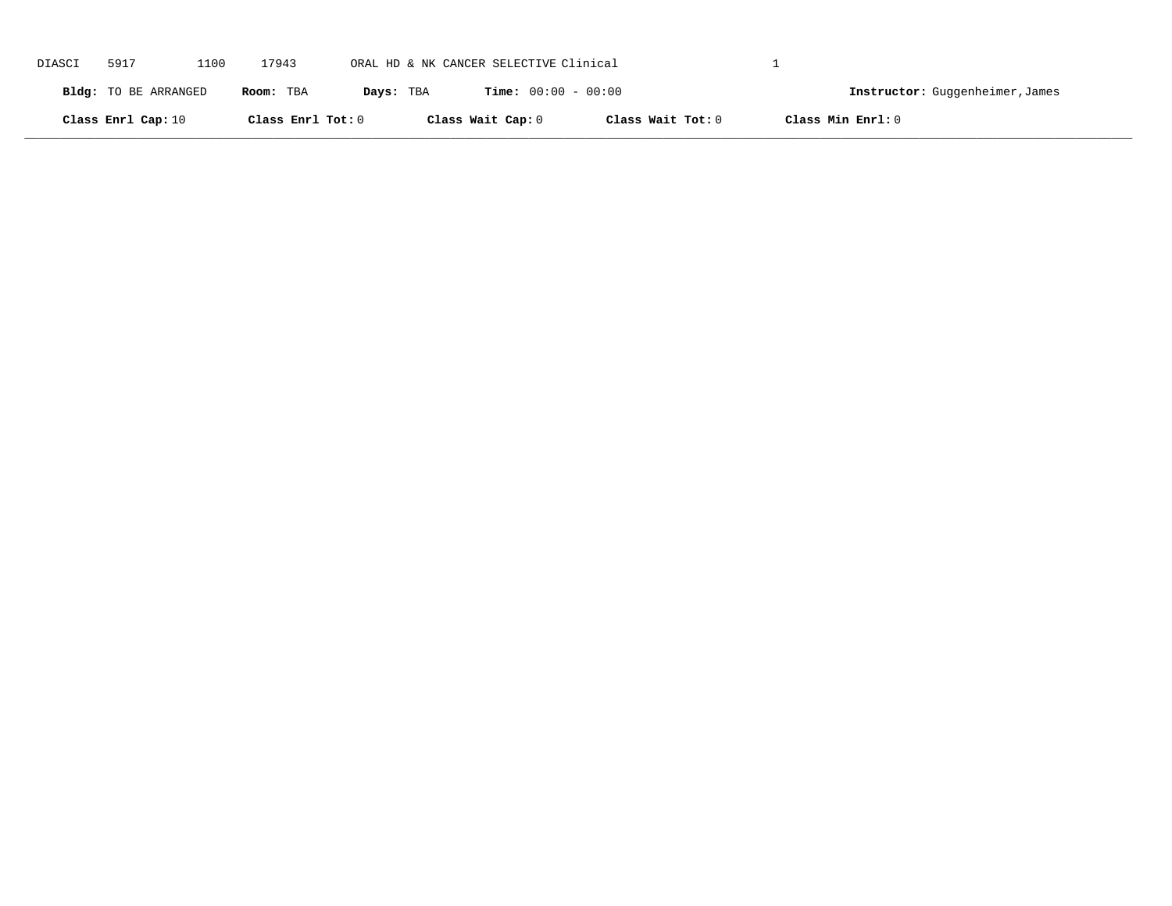| DIASCI | 5917                 | 1100 | 17943             | ORAL HD & NK CANCER SELECTIVE Clinical |                              |                   |                   |                                 |
|--------|----------------------|------|-------------------|----------------------------------------|------------------------------|-------------------|-------------------|---------------------------------|
|        | Bldg: TO BE ARRANGED |      | Room: TBA         | Days: TBA                              | <b>Time:</b> $00:00 - 00:00$ |                   |                   | Instructor: Guggenheimer, James |
|        | Class Enrl Cap: 10   |      | Class Enrl Tot: 0 |                                        | Class Wait Cap: 0            | Class Wait Tot: 0 | Class Min Enrl: 0 |                                 |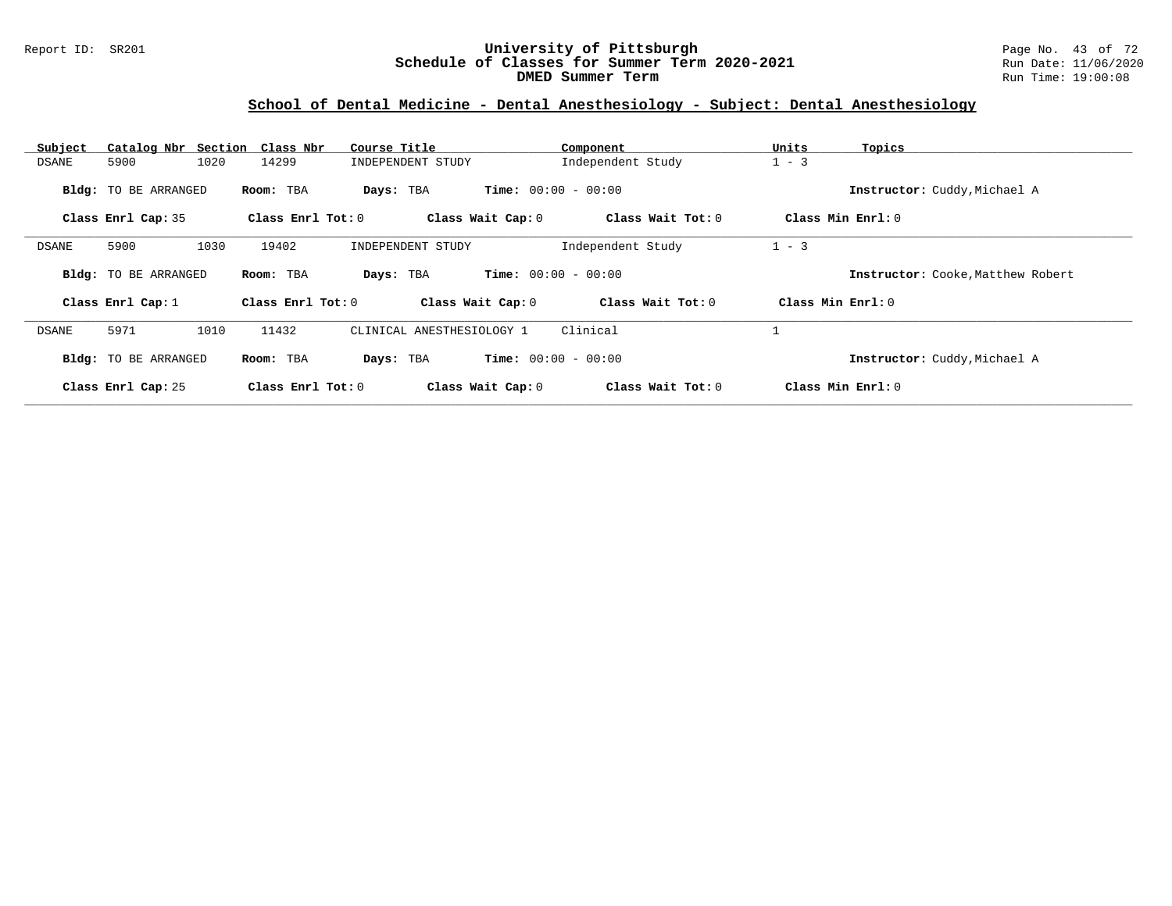### Report ID: SR201 **University of Pittsburgh** Page No. 43 of 72 **Schedule of Classes for Summer Term 2020-2021** Run Date: 11/06/2020 **DMED Summer Term Run Time: 19:00:08** Run Time: 19:00:08

### **School of Dental Medicine - Dental Anesthesiology - Subject: Dental Anesthesiology**

| Subject |                             | Catalog Nbr Section Class Nbr | Course Title              | Component                    | Units<br>Topics                   |  |
|---------|-----------------------------|-------------------------------|---------------------------|------------------------------|-----------------------------------|--|
| DSANE   | 5900                        | 1020<br>14299                 | INDEPENDENT STUDY         | Independent Study            | $1 - 3$                           |  |
|         | <b>Bldg:</b> TO BE ARRANGED | Room: TBA                     | Days: TBA                 | <b>Time:</b> $00:00 - 00:00$ | Instructor: Cuddy, Michael A      |  |
|         | Class Enrl Cap: 35          | Class Enrl Tot: $0$           | Class Wait Cap: 0         | Class Wait Tot: 0            | Class Min $Enrl: 0$               |  |
| DSANE   | 5900                        | 1030<br>19402                 | INDEPENDENT STUDY         | Independent Study            | $1 - 3$                           |  |
|         | <b>Bldg:</b> TO BE ARRANGED | Room: TBA                     | Days: TBA                 | <b>Time:</b> $00:00 - 00:00$ | Instructor: Cooke, Matthew Robert |  |
|         | Class Enrl Cap: 1           | Class Enrl Tot: 0             | Class Wait Cap: 0         | Class Wait Tot: 0            | Class Min Enrl: 0                 |  |
| DSANE   | 5971                        | 1010<br>11432                 | CLINICAL ANESTHESIOLOGY 1 | Clinical                     |                                   |  |
|         | <b>Bldg:</b> TO BE ARRANGED | Room: TBA                     | Days: TBA                 | <b>Time:</b> $00:00 - 00:00$ | Instructor: Cuddy, Michael A      |  |
|         | Class Enrl Cap: 25          | Class Enrl Tot: 0             | Class Wait Cap: 0         | Class Wait Tot: 0            | Class Min Enrl: 0                 |  |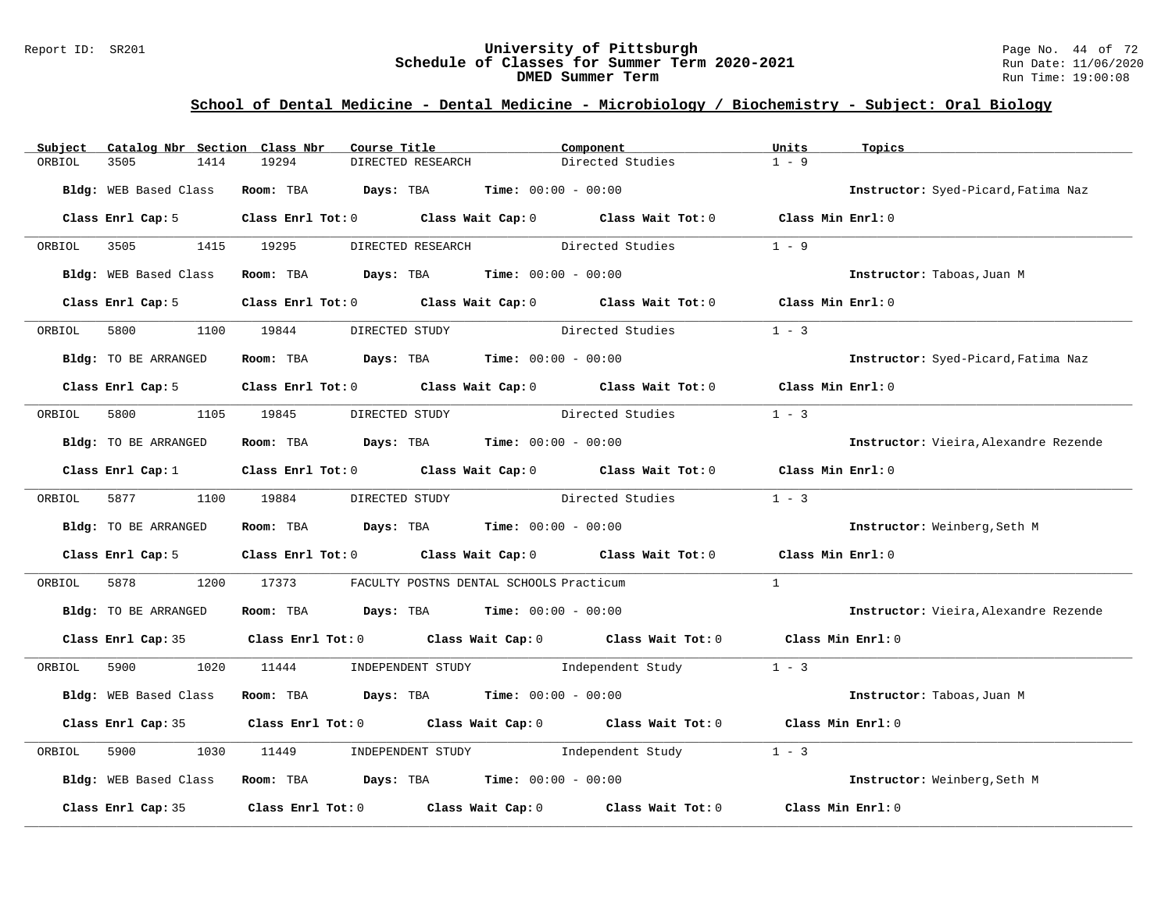#### Report ID: SR201 **University of Pittsburgh** Page No. 44 of 72 **Schedule of Classes for Summer Term 2020-2021** Run Date: 11/06/2020 **DMED Summer Term Run Time: 19:00:08**

### **School of Dental Medicine - Dental Medicine - Microbiology / Biochemistry - Subject: Oral Biology**

| Subject     | Catalog Nbr Section Class Nbr | Course Title                                                                            |                                         | Component                                                                                          | Units<br>Topics                       |  |
|-------------|-------------------------------|-----------------------------------------------------------------------------------------|-----------------------------------------|----------------------------------------------------------------------------------------------------|---------------------------------------|--|
| ORBIOL      | 3505<br>1414                  | 19294                                                                                   | DIRECTED RESEARCH                       | Directed Studies                                                                                   | $1 - 9$                               |  |
|             | Bldg: WEB Based Class         | <b>Room:</b> TBA $Days: TBA$ <b>Time:</b> $00:00 - 00:00$                               |                                         |                                                                                                    | Instructor: Syed-Picard, Fatima Naz   |  |
|             | Class Enrl Cap: 5             |                                                                                         |                                         | Class Enrl Tot: 0 Class Wait Cap: 0 Class Wait Tot: 0 Class Min Enrl: 0                            |                                       |  |
| ORBIOL      | 3505                          | 1415 19295                                                                              | DIRECTED RESEARCH Directed Studies      |                                                                                                    | $1 - 9$                               |  |
|             | Bldg: WEB Based Class         | Room: TBA $Days: TBA$ Time: $00:00 - 00:00$                                             |                                         |                                                                                                    | Instructor: Taboas, Juan M            |  |
|             | Class Enrl Cap: 5             | Class Enrl Tot: 0 Class Wait Cap: 0 Class Wait Tot: 0                                   |                                         |                                                                                                    | Class Min Enrl: 0                     |  |
| ORBIOL 5800 |                               | 1100 19844                                                                              | DIRECTED STUDY                          | Directed Studies                                                                                   | $1 - 3$                               |  |
|             | Bldg: TO BE ARRANGED          | Room: TBA $Days: TBA$ Time: $00:00 - 00:00$                                             |                                         |                                                                                                    | Instructor: Syed-Picard, Fatima Naz   |  |
|             |                               |                                                                                         |                                         | Class Enrl Cap: 5 Class Enrl Tot: 0 Class Wait Cap: 0 Class Wait Tot: 0 Class Min Enrl: 0          |                                       |  |
| ORBIOL      | 5800 000                      | 1105 19845                                                                              | DIRECTED STUDY Directed Studies         |                                                                                                    | $1 - 3$                               |  |
|             | Bldg: TO BE ARRANGED          | Room: TBA $Days:$ TBA $Time: 00:00 - 00:00$                                             |                                         |                                                                                                    | Instructor: Vieira, Alexandre Rezende |  |
|             | Class Enrl Cap: 1             |                                                                                         |                                         | Class Enrl Tot: 0 Class Wait Cap: 0 Class Wait Tot: 0 Class Min Enrl: 0                            |                                       |  |
| ORBIOL      | 5877 1100 19884               |                                                                                         |                                         | DIRECTED STUDY Directed Studies                                                                    | $1 - 3$                               |  |
|             | Bldg: TO BE ARRANGED          | Room: TBA $Days:$ TBA $Time: 00:00 - 00:00$                                             |                                         |                                                                                                    | Instructor: Weinberg, Seth M          |  |
|             | Class Enrl Cap: 5             |                                                                                         |                                         | Class Enrl Tot: 0 Class Wait Cap: 0 Class Wait Tot: 0                                              | Class Min Enrl: 0                     |  |
| ORBIOL      | 5878<br>1200                  | 17373                                                                                   | FACULTY POSTNS DENTAL SCHOOLS Practicum |                                                                                                    | $\mathbf{1}$                          |  |
|             | Bldg: TO BE ARRANGED          | Room: TBA $Days:$ TBA $Time: 00:00 - 00:00$                                             |                                         |                                                                                                    | Instructor: Vieira, Alexandre Rezende |  |
|             |                               |                                                                                         |                                         | Class Enrl Cap: 35 Class Enrl Tot: 0 Class Wait Cap: 0 Class Wait Tot: 0 Class Min Enrl: 0         |                                       |  |
| ORBIOL      | 5900 000                      |                                                                                         |                                         | 1020 11444 INDEPENDENT STUDY Independent Study 1 - 3                                               |                                       |  |
|             | Bldg: WEB Based Class         | Room: TBA $Days:$ TBA $Time: 00:00 - 00:00$                                             |                                         |                                                                                                    | Instructor: Taboas, Juan M            |  |
|             | Class Enrl Cap: 35            |                                                                                         |                                         | Class Enrl Tot: 0 $\qquad$ Class Wait Cap: 0 $\qquad$ Class Wait Tot: 0 $\qquad$ Class Min Enrl: 0 |                                       |  |
| ORBIOL      | 5900<br>1030                  | 11449                                                                                   | INDEPENDENT STUDY 1ndependent Study     |                                                                                                    | $1 - 3$                               |  |
|             | Bldg: WEB Based Class         | Room: TBA $\rule{1em}{0.15mm}$ Days: TBA $\rule{1.15mm}]{0.15mm}$ Time: $00:00 - 00:00$ |                                         |                                                                                                    | Instructor: Weinberg, Seth M          |  |
|             | Class Enrl Cap: 35            |                                                                                         |                                         | Class Enrl Tot: $0$ Class Wait Cap: $0$ Class Wait Tot: $0$                                        | Class Min Enrl: 0                     |  |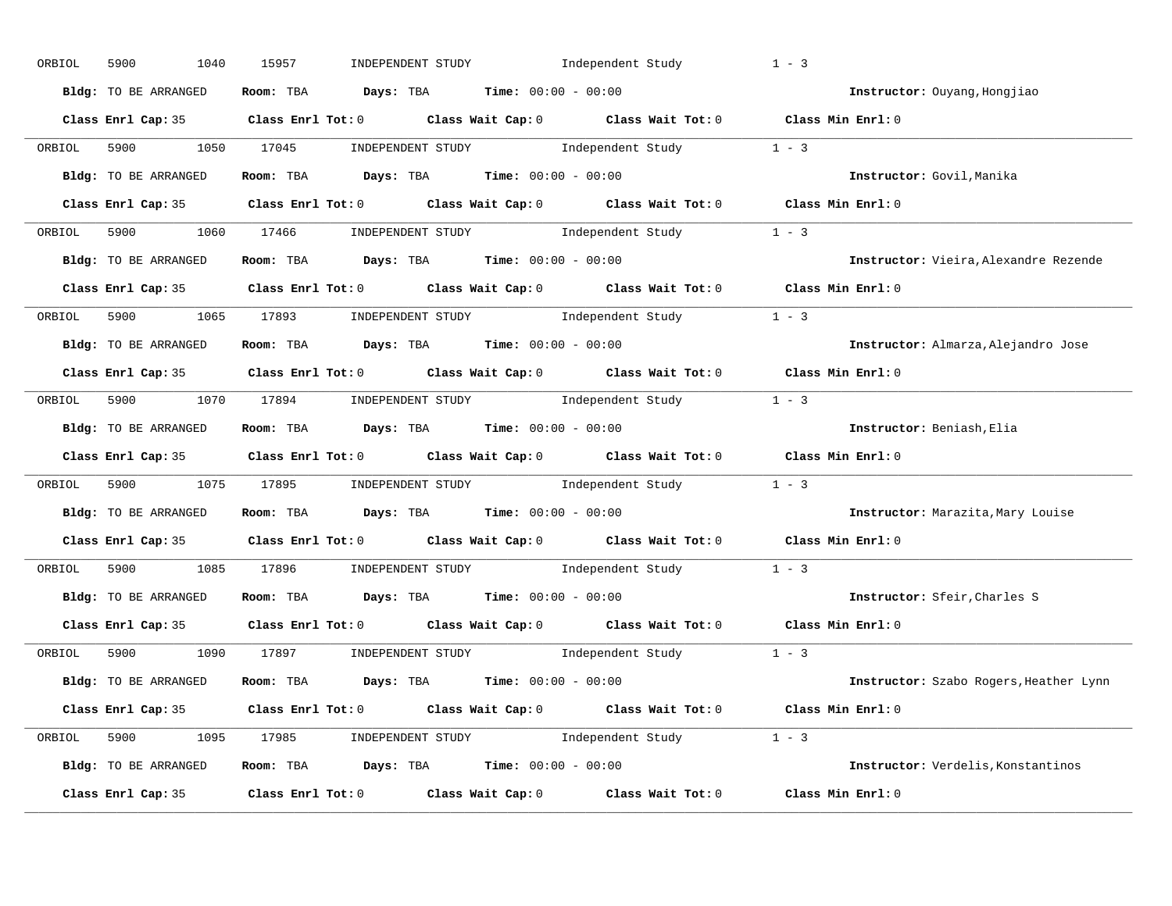| ORBIOL | 5900<br>1040         | 15957<br>INDEPENDENT STUDY                                                                                                                                                                                                                                                                                                                                                                                                                                                                                                                                      | Independent Study | $1 - 3$                                |
|--------|----------------------|-----------------------------------------------------------------------------------------------------------------------------------------------------------------------------------------------------------------------------------------------------------------------------------------------------------------------------------------------------------------------------------------------------------------------------------------------------------------------------------------------------------------------------------------------------------------|-------------------|----------------------------------------|
|        | Bldg: TO BE ARRANGED | Room: TBA $Days:$ TBA $Time: 00:00 - 00:00$                                                                                                                                                                                                                                                                                                                                                                                                                                                                                                                     |                   | Instructor: Ouyang, Hongjiao           |
|        |                      | Class Enrl Cap: 35 Class Enrl Tot: 0 Class Wait Cap: 0 Class Wait Tot: 0 Class Min Enrl: 0                                                                                                                                                                                                                                                                                                                                                                                                                                                                      |                   |                                        |
| ORBIOL | 5900 1050 17045      | $\begin{minipage}[c]{0.9\linewidth} \textbf{INDEX} & \textbf{STUDY} \\ \textbf{Index} & \textbf{Index} \\ \textbf{Index} & \textbf{Index} \\ \textbf{Index} & \textbf{Index} \\ \textbf{Index} & \textbf{Index} \\ \textbf{Index} & \textbf{Index} \\ \textbf{Index} & \textbf{Index} \\ \textbf{Index} & \textbf{Index} \\ \textbf{Index} & \textbf{Index} \\ \textbf{Index} & \textbf{Index} \\ \textbf{Index} & \textbf{Index} \\ \textbf{Index} & \textbf{Index} \\ \textbf{Index} & \textbf{Index} \\ \textbf{Index} & \textbf{Index} \\ \textbf{Index} &$ |                   |                                        |
|        | Bldg: TO BE ARRANGED | Room: TBA Days: TBA Time: $00:00 - 00:00$                                                                                                                                                                                                                                                                                                                                                                                                                                                                                                                       |                   | Instructor: Govil, Manika              |
|        |                      | Class Enrl Cap: 35 Class Enrl Tot: 0 Class Wait Cap: 0 Class Wait Tot: 0 Class Min Enrl: 0                                                                                                                                                                                                                                                                                                                                                                                                                                                                      |                   |                                        |
|        |                      | ORBIOL 5900 1060 17466 INDEPENDENT STUDY Independent Study 1 - 3                                                                                                                                                                                                                                                                                                                                                                                                                                                                                                |                   |                                        |
|        | Bldg: TO BE ARRANGED | Room: TBA $Days:$ TBA $Time:$ 00:00 - 00:00                                                                                                                                                                                                                                                                                                                                                                                                                                                                                                                     |                   | Instructor: Vieira, Alexandre Rezende  |
|        |                      | Class Enrl Cap: 35 Class Enrl Tot: 0 Class Wait Cap: 0 Class Wait Tot: 0 Class Min Enrl: 0                                                                                                                                                                                                                                                                                                                                                                                                                                                                      |                   |                                        |
|        |                      | ORBIOL 5900 1065 17893 INDEPENDENT STUDY Independent Study 1 - 3                                                                                                                                                                                                                                                                                                                                                                                                                                                                                                |                   |                                        |
|        | Bldg: TO BE ARRANGED | Room: TBA $Days: TBA$ Time: $00:00 - 00:00$                                                                                                                                                                                                                                                                                                                                                                                                                                                                                                                     |                   | Instructor: Almarza, Alejandro Jose    |
|        |                      | Class Enrl Cap: 35 Class Enrl Tot: 0 Class Wait Cap: 0 Class Wait Tot: 0 Class Min Enrl: 0                                                                                                                                                                                                                                                                                                                                                                                                                                                                      |                   |                                        |
|        |                      | ORBIOL 5900 1070 17894 INDEPENDENT STUDY Independent Study 1 - 3                                                                                                                                                                                                                                                                                                                                                                                                                                                                                                |                   |                                        |
|        | Bldg: TO BE ARRANGED | Room: TBA $\rule{1em}{0.15mm}$ Days: TBA $\rule{1.5mm}{0.15mm}$ Time: $00:00 - 00:00$                                                                                                                                                                                                                                                                                                                                                                                                                                                                           |                   | Instructor: Beniash, Elia              |
|        |                      | Class Enrl Cap: 35 Class Enrl Tot: 0 Class Wait Cap: 0 Class Wait Tot: 0 Class Min Enrl: 0                                                                                                                                                                                                                                                                                                                                                                                                                                                                      |                   |                                        |
| ORBIOL |                      | 5900 1075 17895 INDEPENDENT STUDY Independent Study 1 - 3                                                                                                                                                                                                                                                                                                                                                                                                                                                                                                       |                   |                                        |
|        | Bldg: TO BE ARRANGED | Room: TBA $Days:$ TBA Time: $00:00 - 00:00$                                                                                                                                                                                                                                                                                                                                                                                                                                                                                                                     |                   | Instructor: Marazita, Mary Louise      |
|        |                      | Class Enrl Cap: 35 $\qquad$ Class Enrl Tot: 0 $\qquad$ Class Wait Cap: 0 $\qquad$ Class Wait Tot: 0                                                                                                                                                                                                                                                                                                                                                                                                                                                             |                   | Class Min Enrl: 0                      |
| ORBIOL |                      | 5900 1085 17896 INDEPENDENT STUDY Independent Study 1 - 3                                                                                                                                                                                                                                                                                                                                                                                                                                                                                                       |                   |                                        |
|        | Bldg: TO BE ARRANGED | Room: TBA $Days:$ TBA $Time: 00:00 - 00:00$                                                                                                                                                                                                                                                                                                                                                                                                                                                                                                                     |                   | Instructor: Sfeir, Charles S           |
|        | Class Enrl Cap: 35   | Class Enrl Tot: $0$ Class Wait Cap: $0$ Class Wait Tot: $0$                                                                                                                                                                                                                                                                                                                                                                                                                                                                                                     |                   | Class Min Enrl: 0                      |
|        |                      | ORBIOL 5900 1090 17897 INDEPENDENT STUDY Independent Study 1 - 3                                                                                                                                                                                                                                                                                                                                                                                                                                                                                                |                   |                                        |
|        | Bldg: TO BE ARRANGED | Room: TBA $Days:$ TBA $Time: 00:00 - 00:00$                                                                                                                                                                                                                                                                                                                                                                                                                                                                                                                     |                   | Instructor: Szabo Rogers, Heather Lynn |
|        |                      | Class Enrl Cap: 35 Class Enrl Tot: 0 Class Wait Cap: 0 Class Wait Tot: 0 Class Min Enrl: 0                                                                                                                                                                                                                                                                                                                                                                                                                                                                      |                   |                                        |
|        |                      | ORBIOL 5900 1095 17985 INDEPENDENT STUDY Independent Study 1 - 3                                                                                                                                                                                                                                                                                                                                                                                                                                                                                                |                   |                                        |
|        | Bldg: TO BE ARRANGED | Room: TBA $Days:$ TBA $Time:$ 00:00 - 00:00                                                                                                                                                                                                                                                                                                                                                                                                                                                                                                                     |                   | Instructor: Verdelis, Konstantinos     |
|        |                      | Class Enrl Cap: 35 $\qquad$ Class Enrl Tot: 0 $\qquad$ Class Wait Cap: 0 $\qquad$ Class Wait Tot: 0                                                                                                                                                                                                                                                                                                                                                                                                                                                             |                   | Class Min Enrl: 0                      |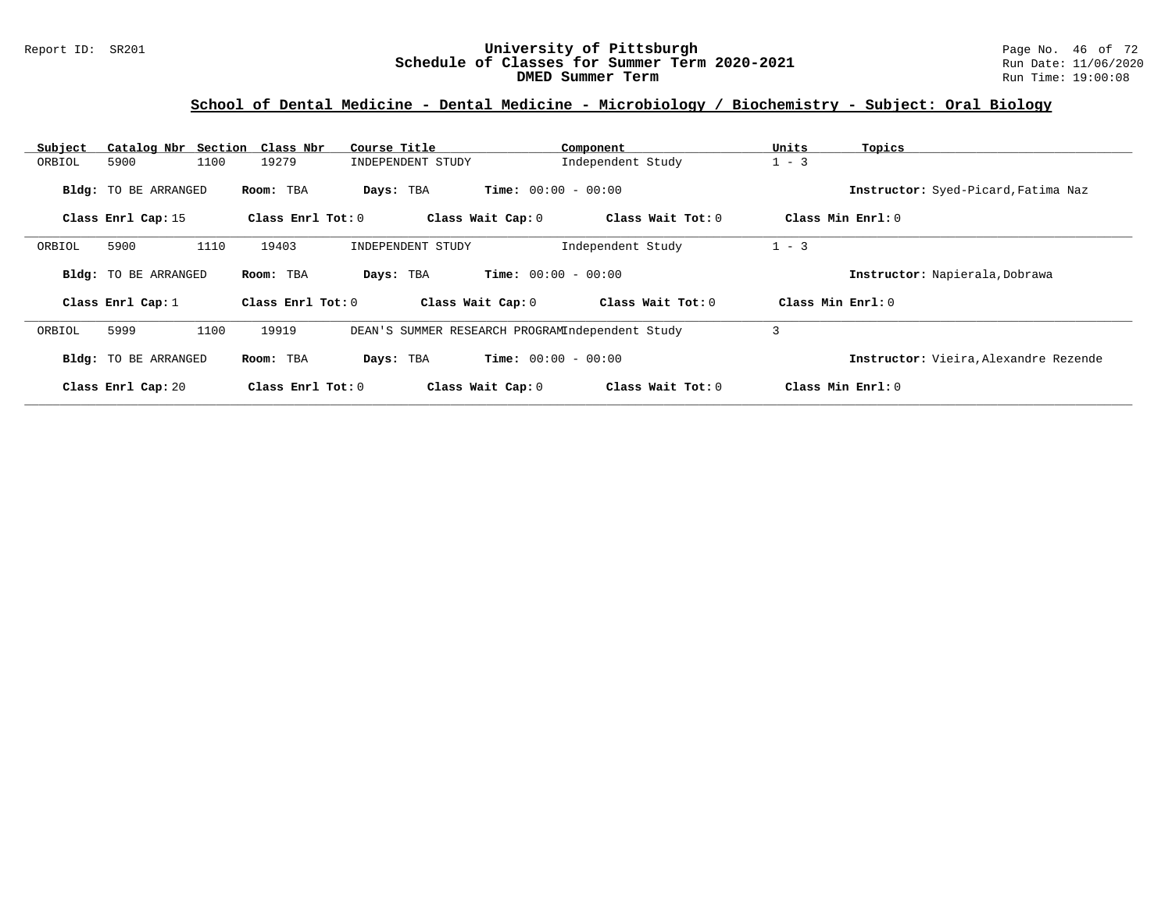#### Report ID: SR201 **1988 Chedule of Classes for Summer Term 2020-2021** Page No. 46 of 72<br>**Schedule of Classes for Summer Term 2020-2021** Run Date: 11/06/2020 **Schedule of Classes for Summer Term 2020-2021** Run Date: 11/06/2020<br>DMED Summer Term **DIED** Run Time: 19:00:08 **DMED Summer Term**

# **School of Dental Medicine - Dental Medicine - Microbiology / Biochemistry - Subject: Oral Biology**

| Subject | Catalog Nbr Section Class Nbr |      |                     | Course Title                                    |                              | Component           | Units               | Topics                                       |
|---------|-------------------------------|------|---------------------|-------------------------------------------------|------------------------------|---------------------|---------------------|----------------------------------------------|
| ORBIOL  | 5900                          | 1100 | 19279               | INDEPENDENT STUDY                               |                              | Independent Study   | $1 - 3$             |                                              |
|         | <b>Bldg:</b> TO BE ARRANGED   |      | Room: TBA           | Days: TBA                                       | <b>Time:</b> $00:00 - 00:00$ |                     |                     | Instructor: Syed-Picard, Fatima Naz          |
|         | Class Enrl Cap: 15            |      | Class Enrl Tot: $0$ |                                                 | Class Wait Cap: 0            | Class Wait $Tot: 0$ |                     | Class Min Enrl: 0                            |
| ORBIOL  | 5900                          | 1110 | 19403               | INDEPENDENT STUDY                               |                              | Independent Study   | $1 - 3$             |                                              |
|         | <b>Bldg:</b> TO BE ARRANGED   |      | Room: TBA           | Days: TBA                                       | <b>Time:</b> $00:00 - 00:00$ |                     |                     | Instructor: Napierala, Dobrawa               |
|         | Class Enrl Cap: 1             |      | Class Enrl Tot: 0   | Class Wait Cap: 0                               |                              | Class Wait Tot: 0   | Class Min $Enrl: 0$ |                                              |
| ORBIOL  | 5999                          | 1100 | 19919               | DEAN'S SUMMER RESEARCH PROGRAMIndependent Study |                              |                     | 3                   |                                              |
|         | <b>Bldg:</b> TO BE ARRANGED   |      | Room: TBA           | Days: TBA                                       | <b>Time:</b> $00:00 - 00:00$ |                     |                     | <b>Instructor:</b> Vieira. Alexandre Rezende |
|         | Class Enrl Cap: 20            |      | Class Enrl Tot: 0   |                                                 | Class Wait Cap: 0            | Class Wait Tot: 0   |                     | Class Min Enrl: 0                            |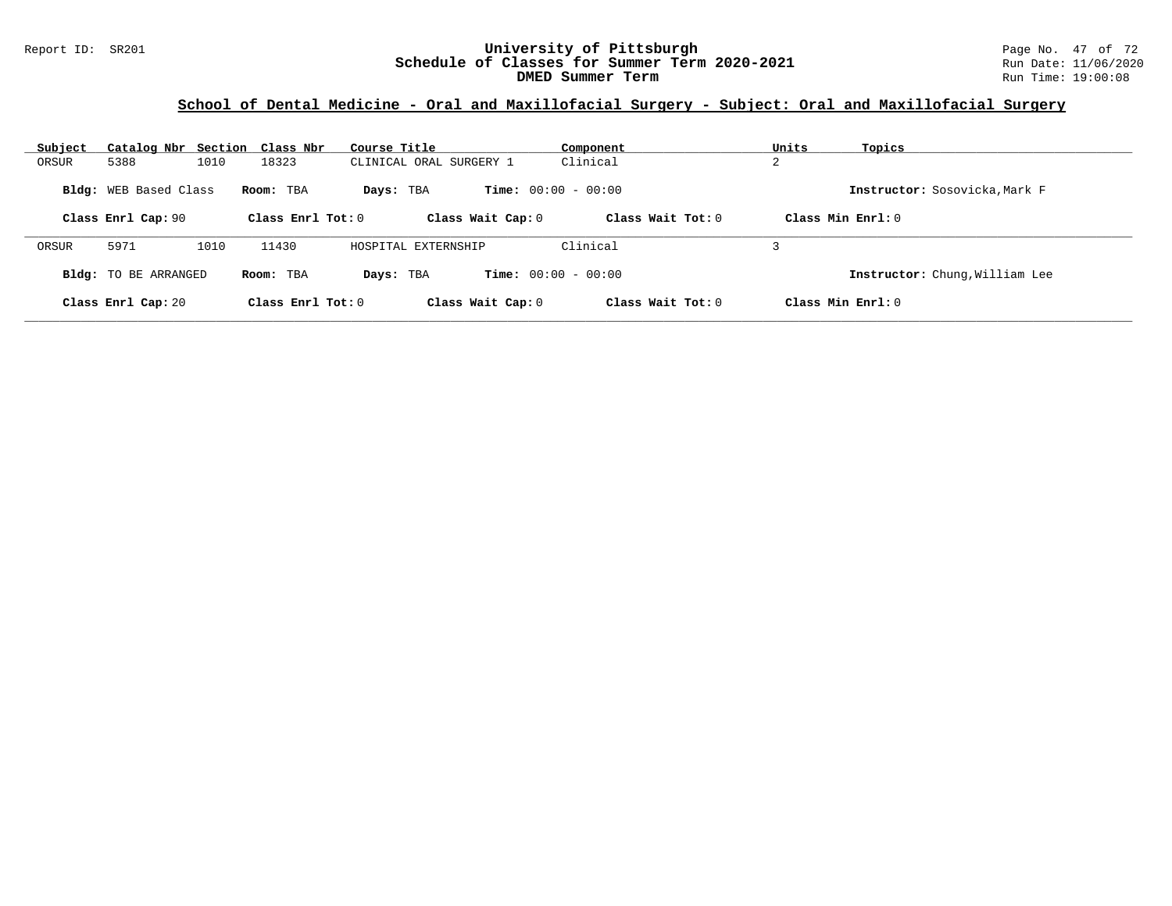### Report ID: SR201 **University of Pittsburgh** Page No. 47 of 72 **Schedule of Classes for Summer Term 2020-2021** Run Date: 11/06/2020 **DMED Summer Term Run Time: 19:00:08** Run Time: 19:00:08

# **School of Dental Medicine - Oral and Maxillofacial Surgery - Subject: Oral and Maxillofacial Surgery**

| Subject | Catalog Nbr Section Class Nbr |      |                     | Course Title            |                              | Component           | Units                | Topics                         |
|---------|-------------------------------|------|---------------------|-------------------------|------------------------------|---------------------|----------------------|--------------------------------|
| ORSUR   | 5388                          | 1010 | 18323               | CLINICAL ORAL SURGERY 1 |                              | Clinical            | ▵                    |                                |
|         | <b>Bldg:</b> WEB Based Class  |      | Room: TBA           | Days: TBA               | <b>Time:</b> $00:00 - 00:00$ |                     |                      | Instructor: Sosovicka, Mark F  |
|         | Class Enrl Cap: 90            |      | Class Enrl Tot: $0$ |                         | Class Wait Cap: 0            | Class Wait Tot: 0   | $Class Min Ernst: 0$ |                                |
| ORSUR   | 5971                          | 1010 | 11430               | HOSPITAL EXTERNSHIP     |                              | Clinical            |                      |                                |
|         | <b>Bldg:</b> TO BE ARRANGED   |      | Room: TBA           | Days: TBA               | <b>Time:</b> $00:00 - 00:00$ |                     |                      | Instructor: Chung, William Lee |
|         | Class Enrl Cap: 20            |      | Class Enrl Tot: $0$ |                         | Class Wait Cap: 0            | Class Wait $Tot: 0$ | $Class Min Ernst: 0$ |                                |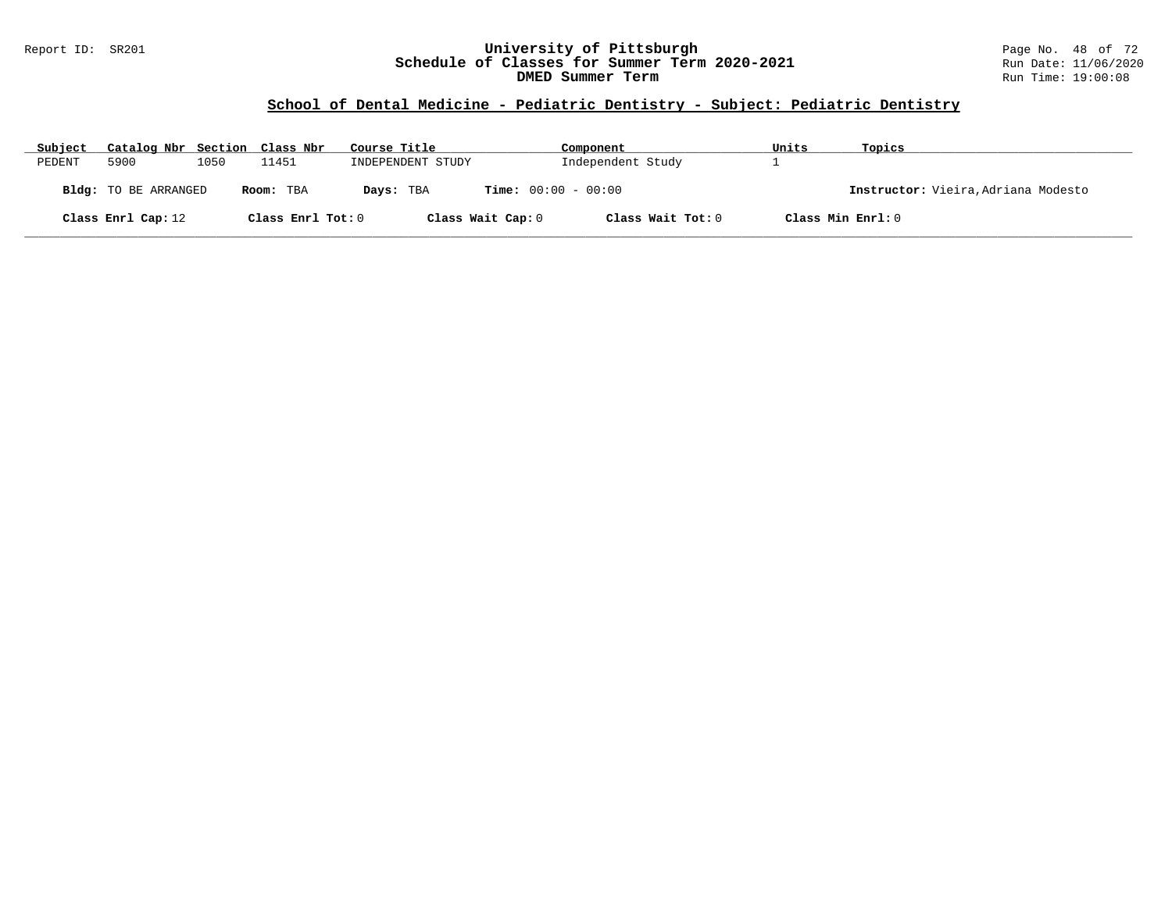### Report ID: SR201 **University of Pittsburgh** Page No. 48 of 72 **Schedule of Classes for Summer Term 2020-2021** Run Date: 11/06/2020 **DMED Summer Term Run Time: 19:00:08** Run Time: 19:00:08

### **School of Dental Medicine - Pediatric Dentistry - Subject: Pediatric Dentistry**

| Subject | Catalog Nbr Section Class Nbr |      |                   | Course Title      | Component                    | Units             | Topics                              |
|---------|-------------------------------|------|-------------------|-------------------|------------------------------|-------------------|-------------------------------------|
| PEDENT  | 5900                          | 1050 | 11451             | INDEPENDENT STUDY | Independent Study            |                   |                                     |
|         | <b>Bldg:</b> TO BE ARRANGED   |      | Room: TBA         | Days: TBA         | <b>Time:</b> $00:00 - 00:00$ |                   | Instructor: Vieira, Adriana Modesto |
|         | Class Enrl Cap: 12            |      | Class Enrl Tot: 0 | Class Wait Cap: 0 | Class Wait Tot: 0            | Class Min Enrl: 0 |                                     |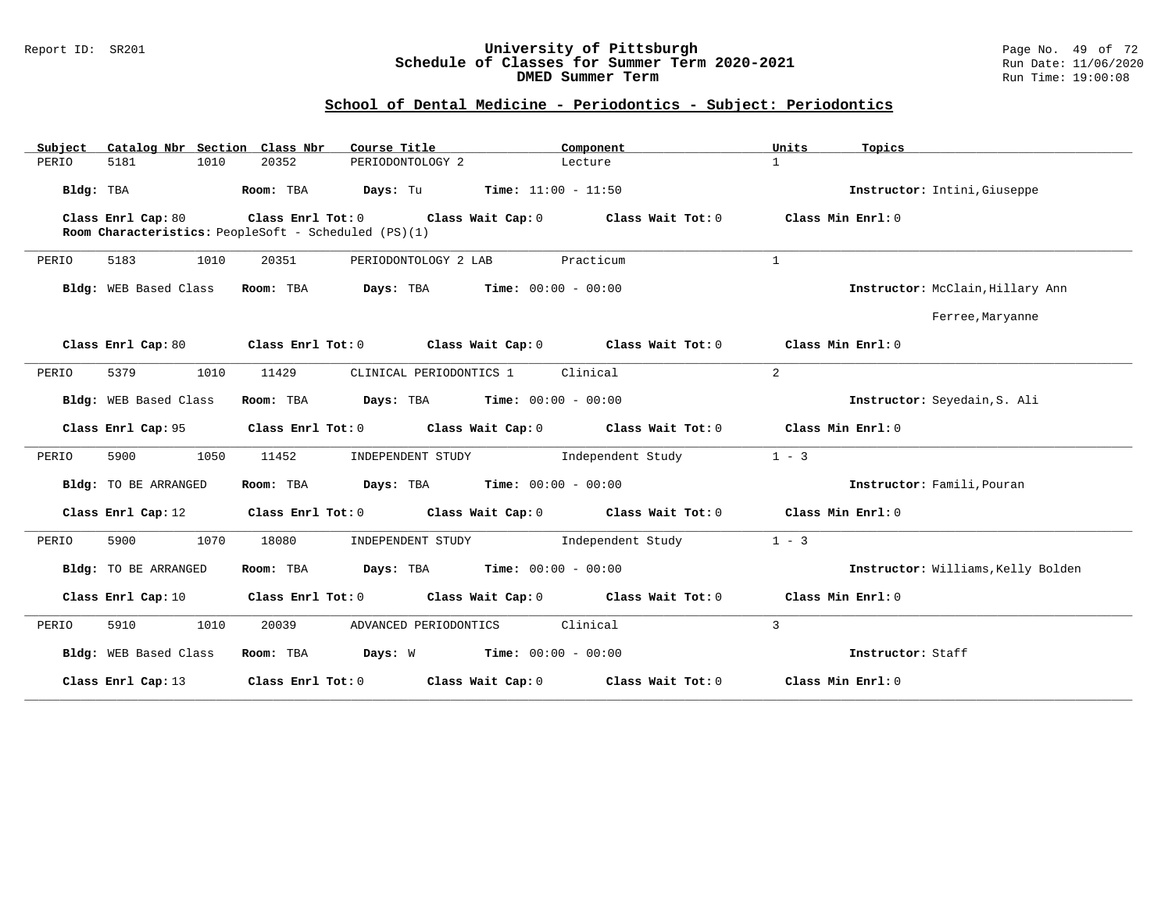#### Report ID: SR201 **University of Pittsburgh** Page No. 49 of 72 **Schedule of Classes for Summer Term 2020-2021** Run Date: 11/06/2020 **DMED Summer Term Run Time: 19:00:08** Run Time: 19:00:08

# **School of Dental Medicine - Periodontics - Subject: Periodontics**

| Catalog Nbr Section Class Nbr<br>Subject | Course Title                                               | Component                                                   | Units<br>Topics                    |
|------------------------------------------|------------------------------------------------------------|-------------------------------------------------------------|------------------------------------|
| 1010<br>PERIO<br>5181                    | 20352<br>PERIODONTOLOGY 2                                  | Lecture                                                     | $\mathbf{1}$                       |
| Bldg: TBA                                | Room: TBA                                                  | <b>Days:</b> Tu <b>Time:</b> $11:00 - 11:50$                | Instructor: Intini, Giuseppe       |
| Class Enrl Cap: 80                       | Class Enrl Tot: 0 Class Wait Cap: 0                        | Class Wait Tot: 0                                           | Class Min Enrl: 0                  |
|                                          | Room Characteristics: PeopleSoft - Scheduled (PS)(1)       |                                                             |                                    |
| 1010<br>5183<br>PERIO                    | 20351<br>PERIODONTOLOGY 2 LAB                              | Practicum                                                   | $\mathbf{1}$                       |
| Bldg: WEB Based Class                    | Room: TBA                                                  | <b>Days:</b> TBA <b>Time:</b> $00:00 - 00:00$               | Instructor: McClain, Hillary Ann   |
|                                          |                                                            |                                                             | Ferree, Maryanne                   |
| Class Enrl Cap: 80                       | Class Enrl Tot: 0 Class Wait Cap: 0                        | Class Wait Tot: 0                                           | Class Min Enrl: 0                  |
| 5379<br>1010<br>PERIO                    | 11429<br>CLINICAL PERIODONTICS 1                           | Clinical                                                    | $\overline{a}$                     |
| Bldg: WEB Based Class                    | <b>Days:</b> TBA <b>Time:</b> $00:00 - 00:00$<br>Room: TBA |                                                             | Instructor: Seyedain, S. Ali       |
| Class Enrl Cap: 95                       |                                                            | Class Enrl Tot: 0 Class Wait Cap: 0 Class Wait Tot: 0       | Class Min Enrl: 0                  |
| 5900<br>1050<br>PERIO                    | 11452                                                      | INDEPENDENT STUDY 1ndependent Study                         | $1 - 3$                            |
| Bldg: TO BE ARRANGED                     | Room: TBA                                                  | <b>Days:</b> TBA <b>Time:</b> $00:00 - 00:00$               | Instructor: Famili, Pouran         |
| Class Enrl Cap: 12                       |                                                            | Class Enrl Tot: $0$ Class Wait Cap: $0$ Class Wait Tot: $0$ | Class Min Enrl: 0                  |
| 5900<br>1070<br>PERIO                    | 18080<br>INDEPENDENT STUDY                                 | Independent Study                                           | $1 - 3$                            |
| Bldg: TO BE ARRANGED                     | <b>Days:</b> TBA <b>Time:</b> $00:00 - 00:00$<br>Room: TBA |                                                             | Instructor: Williams, Kelly Bolden |
| Class Enrl Cap: 10                       |                                                            | Class Enrl Tot: 0 Class Wait Cap: 0 Class Wait Tot: 0       | Class Min Enrl: 0                  |
| PERIO<br>5910<br>1010                    | 20039<br>ADVANCED PERIODONTICS                             | Clinical                                                    | 3                                  |
| Bldg: WEB Based Class                    | Room: TBA                                                  |                                                             | Instructor: Staff                  |
| Class Enrl Cap: 13                       |                                                            | Class Enrl Tot: $0$ Class Wait Cap: $0$ Class Wait Tot: $0$ | Class Min Enrl: 0                  |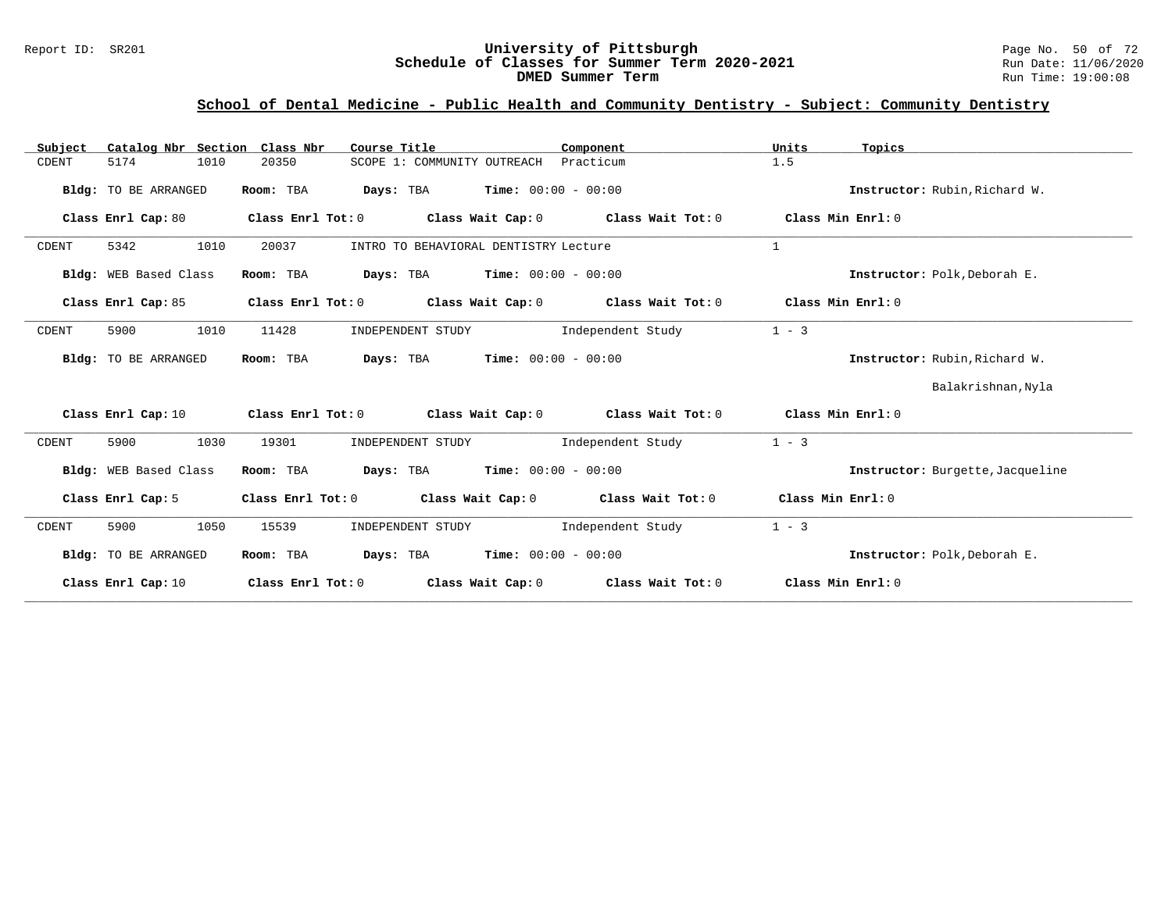#### Report ID: SR201 **University of Pittsburgh** Page No. 50 of 72 **Schedule of Classes for Summer Term 2020-2021** Run Date: 11/06/2020 **DMED Summer Term Run Time: 19:00:08**

# **School of Dental Medicine - Public Health and Community Dentistry - Subject: Community Dentistry**

| Catalog Nbr Section Class Nbr<br>Subject | Course Title<br>Component                                                       | Units<br>Topics                  |
|------------------------------------------|---------------------------------------------------------------------------------|----------------------------------|
| 5174<br>1010<br>CDENT                    | 20350<br>SCOPE 1: COMMUNITY OUTREACH<br>Practicum                               | 1.5                              |
| Bldg: TO BE ARRANGED                     | <b>Days:</b> TBA <b>Time:</b> $00:00 - 00:00$<br>Room: TBA                      | Instructor: Rubin, Richard W.    |
| Class Enrl Cap: 80                       | Class Wait Cap: $0$ Class Wait Tot: $0$<br>Class Enrl Tot: 0                    | Class Min Enrl: 0                |
| 5342<br>1010<br>CDENT                    | 20037<br>INTRO TO BEHAVIORAL DENTISTRY Lecture                                  | 1                                |
| Bldg: WEB Based Class                    | <b>Days:</b> TBA <b>Time:</b> $00:00 - 00:00$<br>Room: TBA                      | Instructor: Polk, Deborah E.     |
| Class Enrl Cap: 85                       | Class Enrl Tot: $0$ Class Wait Cap: $0$ Class Wait Tot: $0$                     | Class Min Enrl: 0                |
| 1010<br>5900<br>CDENT                    | 11428<br>Independent Study<br>INDEPENDENT STUDY                                 | $1 - 3$                          |
| Bldg: TO BE ARRANGED                     | <b>Days:</b> TBA <b>Time:</b> $00:00 - 00:00$<br>Room: TBA                      | Instructor: Rubin, Richard W.    |
|                                          |                                                                                 | Balakrishnan, Nyla               |
| Class Enrl Cap: 10                       | Class Enrl Tot: $0$ class Wait Cap: $0$ class Wait Tot: $0$ class Min Enrl: $0$ |                                  |
| 5900<br>1030<br>CDENT                    | 19301<br>Independent Study<br>INDEPENDENT STUDY                                 | $1 - 3$                          |
| Bldg: WEB Based Class                    | <b>Days:</b> TBA <b>Time:</b> $00:00 - 00:00$<br>Room: TBA                      | Instructor: Burgette, Jacqueline |
| Class Enrl Cap: 5                        | Class Enrl Tot: 0<br>Class Wait Cap: $0$ Class Wait Tot: $0$                    | Class Min Enrl: 0                |
| 5900<br>1050<br>CDENT                    | 15539<br>Independent Study<br>INDEPENDENT STUDY                                 | $1 - 3$                          |
| Bldg: TO BE ARRANGED                     | <b>Days:</b> TBA <b>Time:</b> $00:00 - 00:00$<br>Room: TBA                      | Instructor: Polk, Deborah E.     |
| Class Enrl Cap: 10                       | Class Enrl Tot: 0<br>Class Wait Cap: $0$ Class Wait Tot: $0$                    | Class Min Enrl: 0                |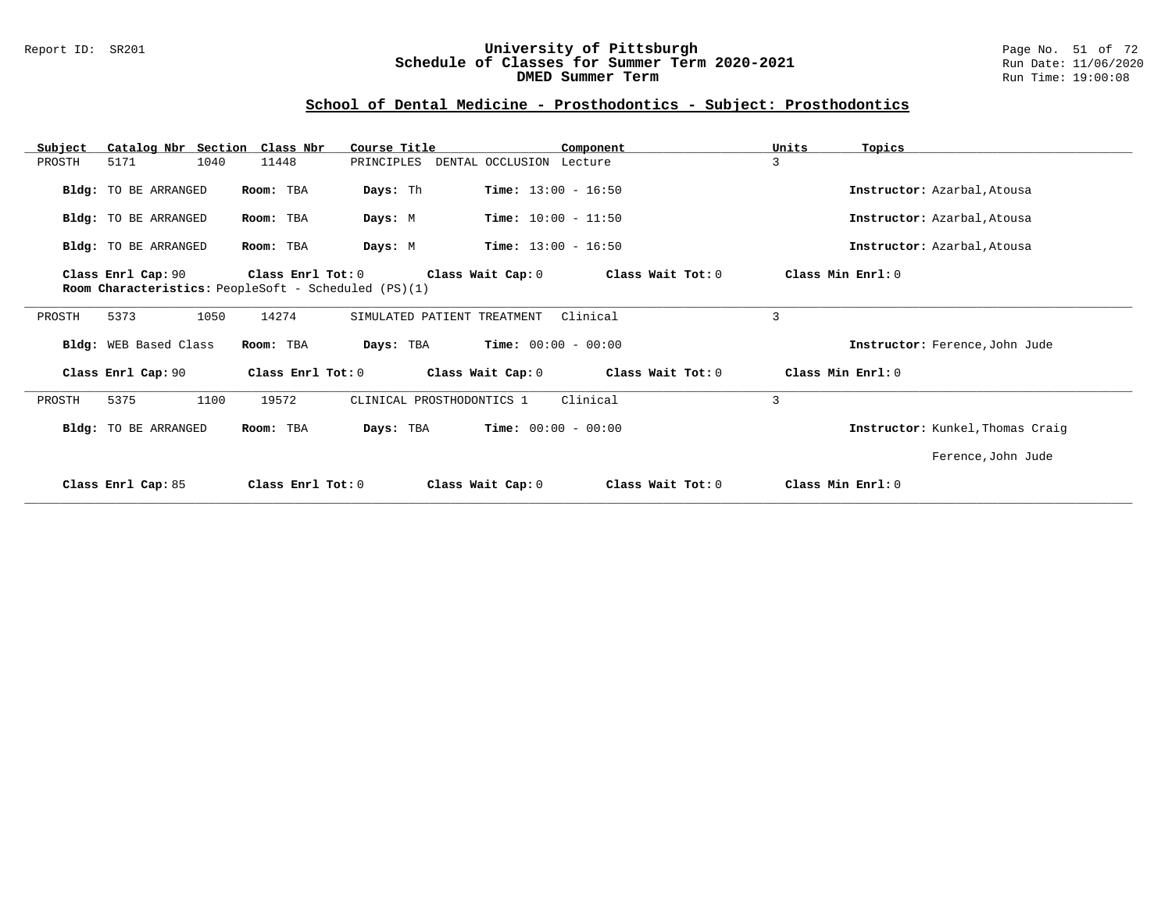### Report ID: SR201 **University of Pittsburgh** Page No. 51 of 72 **Schedule of Classes for Summer Term 2020-2021** Run Date: 11/06/2020 **DMED Summer Term Run Time: 19:00:08** Run Time: 19:00:08

# **School of Dental Medicine - Prosthodontics - Subject: Prosthodontics**

| Catalog Nbr Section Class Nbr<br>Subject |                                                             | Course Title                              | Component         | Units<br>Topics   |                                  |
|------------------------------------------|-------------------------------------------------------------|-------------------------------------------|-------------------|-------------------|----------------------------------|
| 1040<br>PROSTH<br>5171                   | 11448                                                       | DENTAL OCCLUSION Lecture<br>PRINCIPLES    |                   | 3                 |                                  |
| <b>Bldg:</b> TO BE ARRANGED              | Room: TBA                                                   | <b>Time:</b> $13:00 - 16:50$<br>Days: Th  |                   |                   | Instructor: Azarbal, Atousa      |
| Bldg: TO BE ARRANGED                     | Room: TBA                                                   | <b>Time:</b> $10:00 - 11:50$<br>Days: M   |                   |                   | Instructor: Azarbal, Atousa      |
| Bldg: TO BE ARRANGED                     | Room: TBA                                                   | <b>Time:</b> $13:00 - 16:50$<br>Days: M   |                   |                   | Instructor: Azarbal, Atousa      |
| Class Enrl Cap: 90                       | Class Enrl Tot: 0                                           | Class Wait Cap: 0                         | Class Wait Tot: 0 | Class Min Enrl: 0 |                                  |
|                                          | <b>Room Characteristics:</b> PeopleSoft - Scheduled (PS)(1) |                                           |                   |                   |                                  |
| PROSTH<br>5373<br>1050                   | 14274                                                       | SIMULATED PATIENT TREATMENT               | Clinical          | 3                 |                                  |
|                                          |                                                             |                                           |                   |                   |                                  |
| Bldg: WEB Based Class                    | Room: TBA                                                   | <b>Time:</b> $00:00 - 00:00$<br>Days: TBA |                   |                   | Instructor: Ference, John Jude   |
| Class Enrl Cap: 90                       | Class Enrl Tot: 0                                           | Class Wait Cap: 0                         | Class Wait Tot: 0 | Class Min Enrl: 0 |                                  |
| 1100<br>PROSTH<br>5375                   | 19572                                                       | CLINICAL PROSTHODONTICS 1                 | Clinical          | $\overline{3}$    |                                  |
| Bldg: TO BE ARRANGED                     | Room: TBA                                                   | <b>Time:</b> $00:00 - 00:00$<br>Days: TBA |                   |                   | Instructor: Kunkel, Thomas Craig |
|                                          |                                                             |                                           |                   |                   | Ference, John Jude               |
| Class Enrl Cap: 85                       | Class Enrl Tot: $0$                                         | Class Wait Cap: 0                         | Class Wait Tot: 0 | Class Min Enrl: 0 |                                  |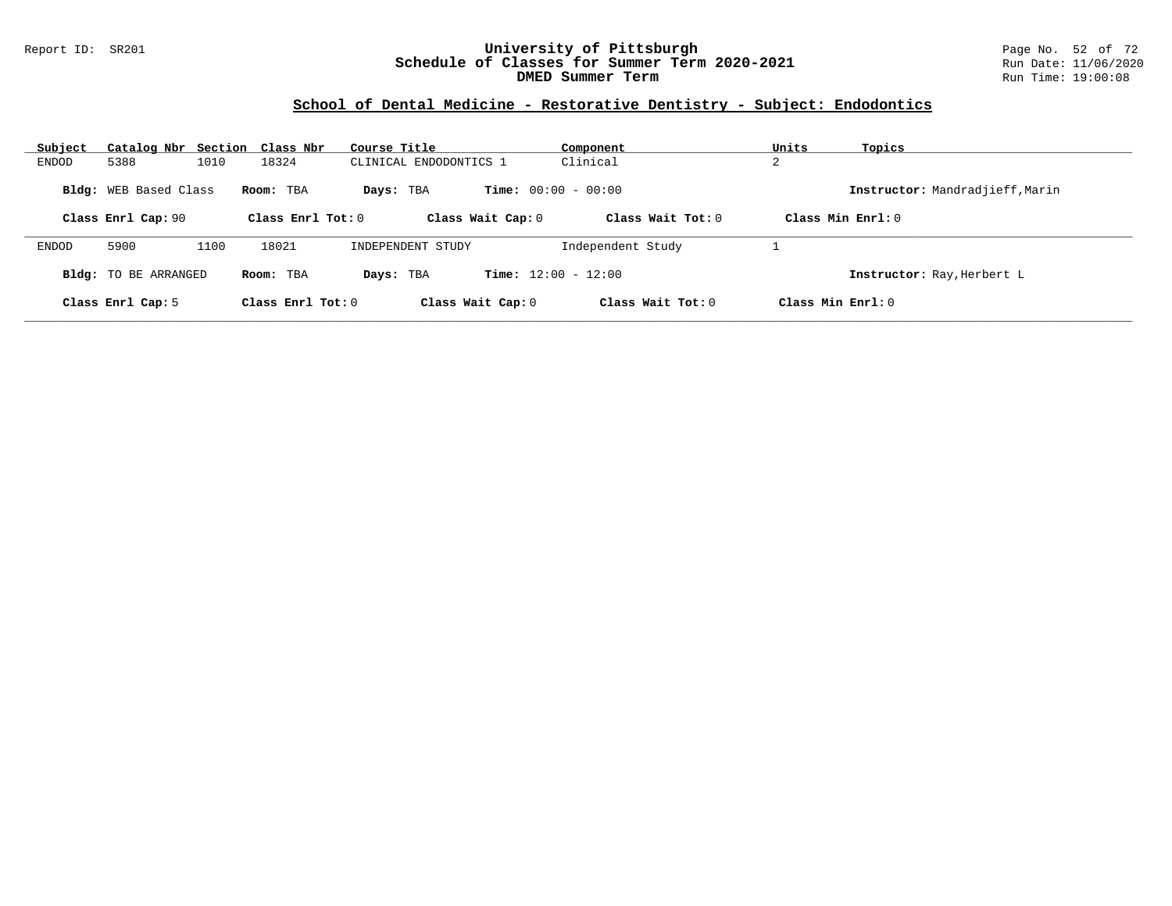### Report ID: SR201 **University of Pittsburgh** Page No. 52 of 72 **Schedule of Classes for Summer Term 2020-2021** Run Date: 11/06/2020 **DMED Summer Term Run Time: 19:00:08** Run Time: 19:00:08

# **School of Dental Medicine - Restorative Dentistry - Subject: Endodontics**

| Subject |                                                    | Catalog Nbr Section Class Nbr | Course Title                     |                                                   | Component           | Units               | Topics                          |
|---------|----------------------------------------------------|-------------------------------|----------------------------------|---------------------------------------------------|---------------------|---------------------|---------------------------------|
| ENDOD   | 5388                                               | 1010<br>18324                 | CLINICAL ENDODONTICS 1           |                                                   | Clinical            | C<br>∠              |                                 |
|         | <b>Bldg:</b> WEB Based Class<br>Class Enrl Cap: 90 | Room: TBA                     | Days: TBA<br>Class Enrl Tot: $0$ | <b>Time:</b> $00:00 - 00:00$<br>Class Wait Cap: 0 | Class Wait $Tot: 0$ | Class Min Enrl: 0   | Instructor: Mandradjieff, Marin |
| ENDOD   | 5900                                               | 18021<br>1100                 | INDEPENDENT STUDY                |                                                   | Independent Study   |                     |                                 |
|         | <b>Bldg:</b> TO BE ARRANGED                        | Room: TBA                     | Days: TBA                        | <b>Time:</b> $12:00 - 12:00$                      |                     |                     | Instructor: Ray, Herbert L      |
|         | Class Enrl Cap: 5                                  |                               | Class Enrl Tot: $0$              | Class Wait Cap: 0                                 | Class Wait Tot: $0$ | Class Min $Enrl: 0$ |                                 |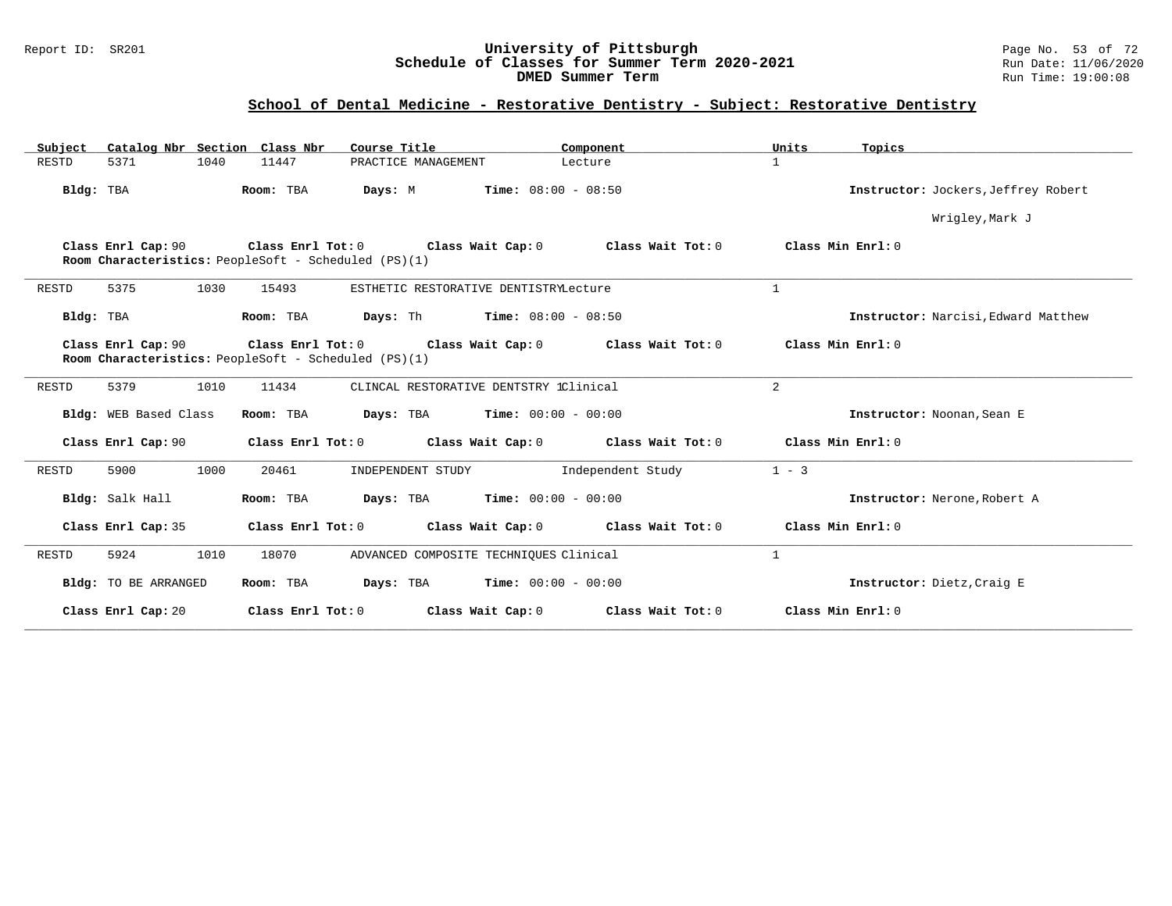### Report ID: SR201 **University of Pittsburgh** Page No. 53 of 72 **Schedule of Classes for Summer Term 2020-2021** Run Date: 11/06/2020 **DMED Summer Term Run Time: 19:00:08** Run Time: 19:00:08

# **School of Dental Medicine - Restorative Dentistry - Subject: Restorative Dentistry**

| Catalog Nbr Section Class Nbr<br>Subject | Course Title                                                                                   | Component<br>Units                  | Topics                              |
|------------------------------------------|------------------------------------------------------------------------------------------------|-------------------------------------|-------------------------------------|
| <b>RESTD</b><br>1040<br>5371             | 11447<br>PRACTICE MANAGEMENT                                                                   | $\mathbf{1}$<br>Lecture             |                                     |
| Bldg: TBA                                | Room: TBA<br><b>Time:</b> $08:00 - 08:50$<br>Days: M                                           |                                     | Instructor: Jockers, Jeffrey Robert |
|                                          |                                                                                                |                                     | Wrigley, Mark J                     |
| Class Enrl Cap: 90                       | Class Enrl Tot: 0 Class Wait Cap: 0<br>Room Characteristics: PeopleSoft - Scheduled (PS)(1)    | Class Wait Tot: 0                   | Class Min Enrl: 0                   |
| 5375<br>1030<br><b>RESTD</b>             | 15493<br>ESTHETIC RESTORATIVE DENTISTRYLecture                                                 | $\mathbf{1}$                        |                                     |
| Bldg: TBA                                | Room: TBA<br>Days: Th<br>$Time: 08:00 - 08:50$                                                 |                                     | Instructor: Narcisi, Edward Matthew |
| Class Enrl Cap: 90                       | Class Enrl Tot: 0<br>Class Wait Cap: 0<br>Room Characteristics: PeopleSoft - Scheduled (PS)(1) | Class Wait Tot: 0                   | Class Min Enrl: 0                   |
| 5379<br>1010<br>RESTD                    | 11434<br>CLINCAL RESTORATIVE DENTSTRY 1Clinical                                                | $\overline{a}$                      |                                     |
| Bldg: WEB Based Class                    | Room: TBA<br>Days: TBA<br>$Time: 00:00 - 00:00$                                                |                                     | Instructor: Noonan, Sean E          |
| Class Enrl Cap: 90                       | Class Enrl Tot: 0                                                                              | Class Wait Cap: 0 Class Wait Tot: 0 | Class Min Enrl: 0                   |
| 5900<br>1000<br><b>RESTD</b>             | 20461<br>INDEPENDENT STUDY                                                                     | $1 - 3$<br>Independent Study        |                                     |
| Bldg: Salk Hall                          | $Time: 00:00 - 00:00$<br>Room: TBA<br>Days: TBA                                                |                                     | Instructor: Nerone, Robert A        |
| Class Enrl Cap: 35                       | Class Enrl Tot: 0<br>Class Wait Cap: 0                                                         | Class Wait Tot: 0                   | Class Min Enrl: 0                   |
| 1010<br>5924<br>RESTD                    | 18070<br>ADVANCED COMPOSITE TECHNIQUES Clinical                                                | $\mathbf{1}$                        |                                     |
| Bldg: TO BE ARRANGED                     | Room: TBA<br>Days: TBA<br>$Time: 00:00 - 00:00$                                                |                                     | Instructor: Dietz, Craig E          |
| Class Enrl Cap: 20                       | Class Enrl Tot: 0<br>Class Wait Cap: 0                                                         | Class Wait Tot: 0                   | Class Min Enrl: 0                   |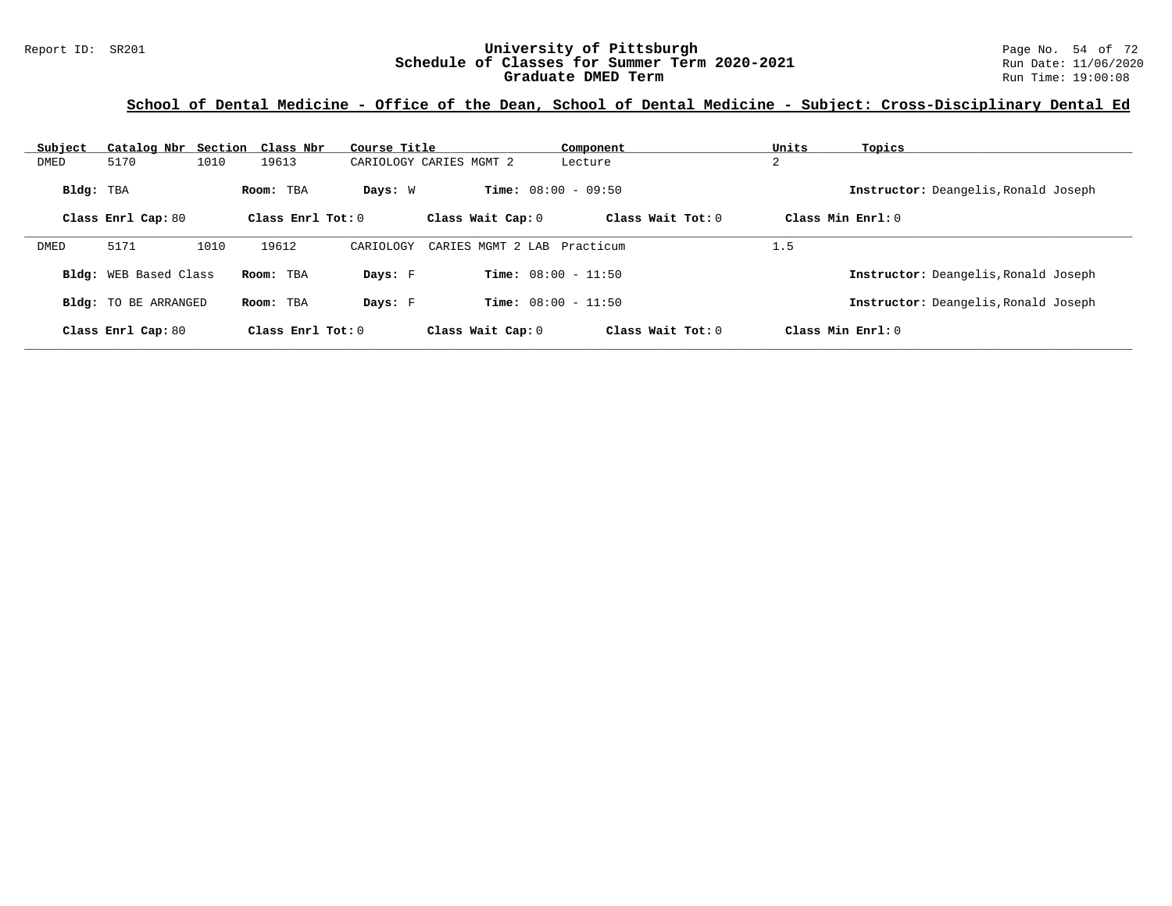#### Report ID: SR201 **1988 Mage 10: SR201 University of Pittsburgh** Page No. 54 of 72<br>**Schedule of Classes for Summer Term 2020-2021** Run Date: 11/06/2020 **Schedule of Classes for Summer Term 2020-2021** Run Date: 11/06/2020<br>Graduate DMED Term **2020-2021** Run Time: 19:00:08 **Graduate DMED Term**

### **School of Dental Medicine - Office of the Dean, School of Dental Medicine - Subject: Cross-Disciplinary Dental Ed**

| Subject   | Catalog Nbr                  |      | Section Class Nbr       | Course Title |                              | Component           | Units | Topics                               |
|-----------|------------------------------|------|-------------------------|--------------|------------------------------|---------------------|-------|--------------------------------------|
| DMED      | 5170                         | 1010 | 19613                   |              | CARIOLOGY CARIES MGMT 2      | Lecture             | 2     |                                      |
| Bldg: TBA |                              |      | Room: TBA               | Days: W      | <b>Time:</b> $08:00 - 09:50$ |                     |       | Instructor: Deangelis, Ronald Joseph |
|           | Class Enrl Cap: 80           |      | $Class$ $Enr1$ $Tot: 0$ |              | Class Wait Cap: 0            | Class Wait $Tot: 0$ |       | Class Min $Enrl: 0$                  |
| DMED      | 5171                         | 1010 | 19612                   | CARIOLOGY    | CARIES MGMT 2 LAB            | Practicum           | 1.5   |                                      |
|           | <b>Bldg:</b> WEB Based Class |      | Room: TBA               | Days: F      | <b>Time:</b> $08:00 - 11:50$ |                     |       | Instructor: Deangelis, Ronald Joseph |
|           | <b>Bldg:</b> TO BE ARRANGED  |      | Room: TBA               | Days: F      | <b>Time:</b> $08:00 - 11:50$ |                     |       | Instructor: Deangelis, Ronald Joseph |
|           | Class Enrl Cap: 80           |      | Class Enrl Tot: $0$     |              | Class Wait Cap: 0            | Class Wait $Tot: 0$ |       | Class Min $Enrl: 0$                  |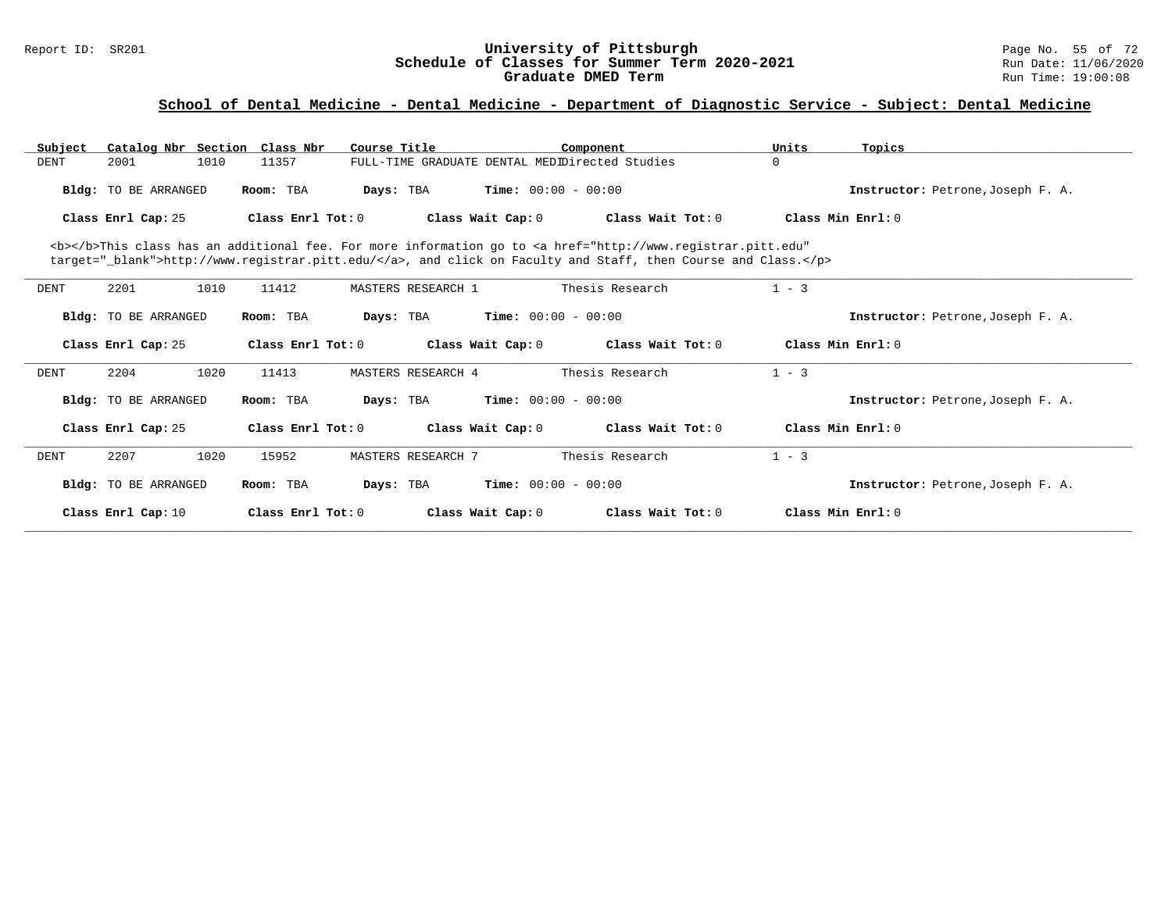### Report ID: SR201 **University of Pittsburgh University of Pittsburgh** Page No. 55 of 72<br>**Schedule of Classes for Summer Term 2020-2021** Run Date: 11/06/2020 **Schedule of Classes for Summer Term 2020-2021** Run Date: 11/06/2020 **Graduate DMED Term Run Time: 19:00:08** Run Time: 19:00:08

| Subject             | Catalog Nbr Section Class Nbr |                   | Course Title                                   | Component                                                                                                                                                                                                                          | Units               | Topics                            |
|---------------------|-------------------------------|-------------------|------------------------------------------------|------------------------------------------------------------------------------------------------------------------------------------------------------------------------------------------------------------------------------------|---------------------|-----------------------------------|
| <b>DENT</b><br>2001 | 1010                          | 11357             | FULL-TIME GRADUATE DENTAL MEDIDirected Studies |                                                                                                                                                                                                                                    | $\Omega$            |                                   |
|                     | <b>Bldg:</b> TO BE ARRANGED   | Room: TBA         | Days: TBA                                      | <b>Time:</b> $00:00 - 00:00$                                                                                                                                                                                                       |                     | Instructor: Petrone, Joseph F. A. |
| Class Enrl Cap: 25  |                               | Class Enrl Tot: 0 | Class Wait Cap: 0                              | Class Wait Tot: 0                                                                                                                                                                                                                  | Class Min Enrl: 0   |                                   |
|                     |                               |                   |                                                | <b></b> This class has an additional fee. For more information go to <a <br="" href="http://www.registrar.pitt.edu">target="_blank"&gt;http://www.registrar.pitt.edu/</a> , and click on Faculty and Staff, then Course and Class. |                     |                                   |
| 2201<br><b>DENT</b> | 1010                          | 11412             | MASTERS RESEARCH 1                             | Thesis Research                                                                                                                                                                                                                    | $1 - 3$             |                                   |
|                     | <b>Bldg:</b> TO BE ARRANGED   | Room: TBA         | Days: TBA                                      | <b>Time:</b> $00:00 - 00:00$                                                                                                                                                                                                       |                     | Instructor: Petrone, Joseph F. A. |
| Class Enrl Cap: 25  |                               | Class Enrl Tot: 0 | Class Wait Cap: 0                              | Class Wait Tot: 0                                                                                                                                                                                                                  | Class Min Ernst: 0  |                                   |
| 2204<br><b>DENT</b> | 1020                          | 11413             | MASTERS RESEARCH 4                             | Thesis Research                                                                                                                                                                                                                    | $1 - 3$             |                                   |
|                     | <b>Bldg:</b> TO BE ARRANGED   | Room: TBA         | Days: TBA                                      | <b>Time:</b> $00:00 - 00:00$                                                                                                                                                                                                       |                     | Instructor: Petrone, Joseph F. A. |
| Class Enrl Cap: 25  |                               | Class Enrl Tot: 0 | Class Wait Cap: 0                              | Class Wait Tot: 0                                                                                                                                                                                                                  | Class Min Ernst: 0  |                                   |
| 2207<br><b>DENT</b> | 1020                          | 15952             | MASTERS RESEARCH 7                             | Thesis Research                                                                                                                                                                                                                    | $1 - 3$             |                                   |
|                     | <b>Bldg:</b> TO BE ARRANGED   | Room: TBA         | Days: TBA                                      | <b>Time:</b> $00:00 - 00:00$                                                                                                                                                                                                       |                     | Instructor: Petrone, Joseph F. A. |
| Class Enrl Cap: 10  |                               | Class Enrl Tot: 0 | Class Wait Cap: 0                              | Class Wait $Tot: 0$                                                                                                                                                                                                                | Class Min $Enrl: 0$ |                                   |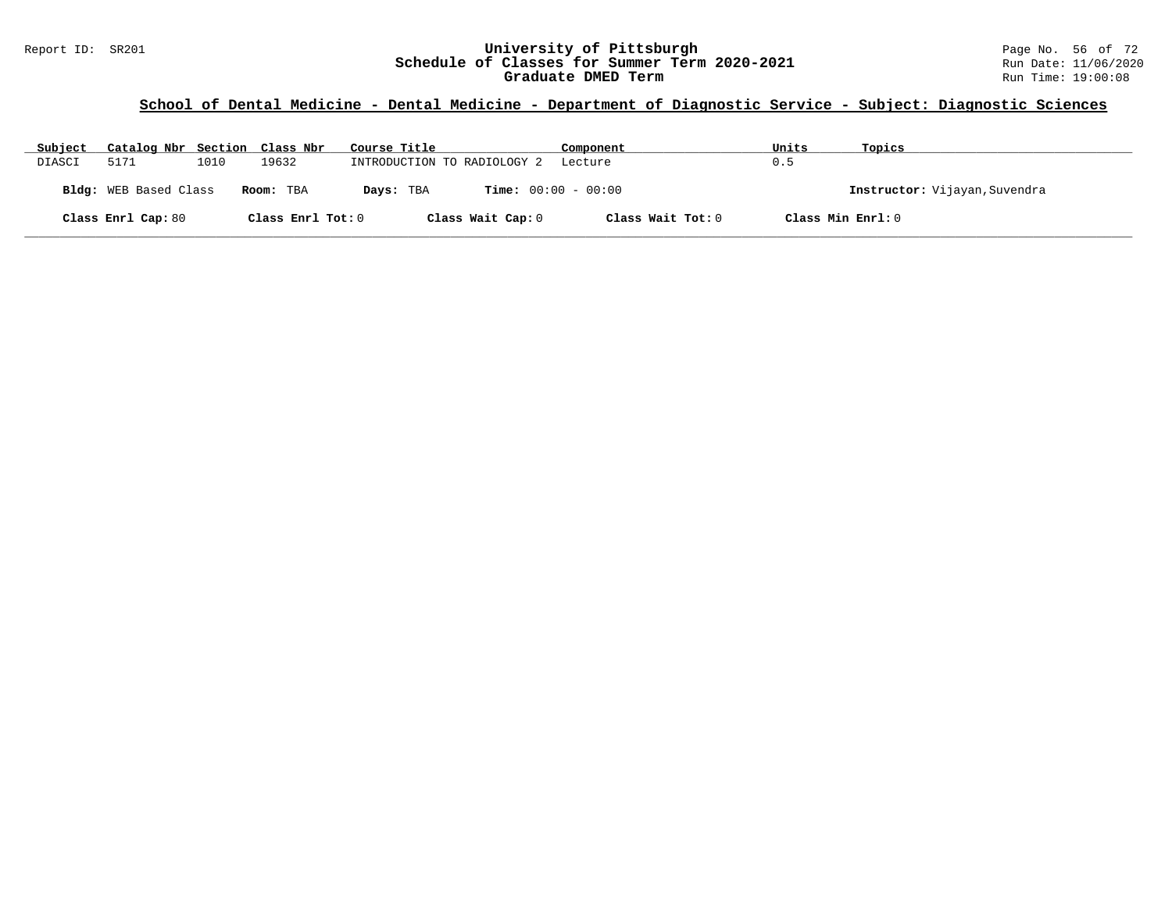### Report ID: SR201 **University of Pittsburgh University of Pittsburgh** Page No. 56 of 72<br>**Schedule of Classes for Summer Term 2020-2021** Run Date: 11/06/2020 **Schedule of Classes for Summer Term 2020-2021** Run Date: 11/06/2020 **Graduate DMED Term Run Time: 19:00:08** Run Time: 19:00:08

| Subject | Catalog Nbr Section Class Nbr |      |                   | Course Title                | Component                    | Units | Topics                        |
|---------|-------------------------------|------|-------------------|-----------------------------|------------------------------|-------|-------------------------------|
| DIASCI  | 5171                          | 1010 | 19632             | INTRODUCTION TO RADIOLOGY 2 | Lecture                      | 0.5   |                               |
|         | Bldg: WEB Based Class         |      | Room: TBA         | Days: TBA                   | <b>Time:</b> $00:00 - 00:00$ |       | Instructor: Vijayan, Suvendra |
|         | Class Enrl Cap: 80            |      | Class Enrl Tot: 0 | Class Wait Cap: 0           | Class Wait Tot: 0            |       | Class Min Enrl: 0             |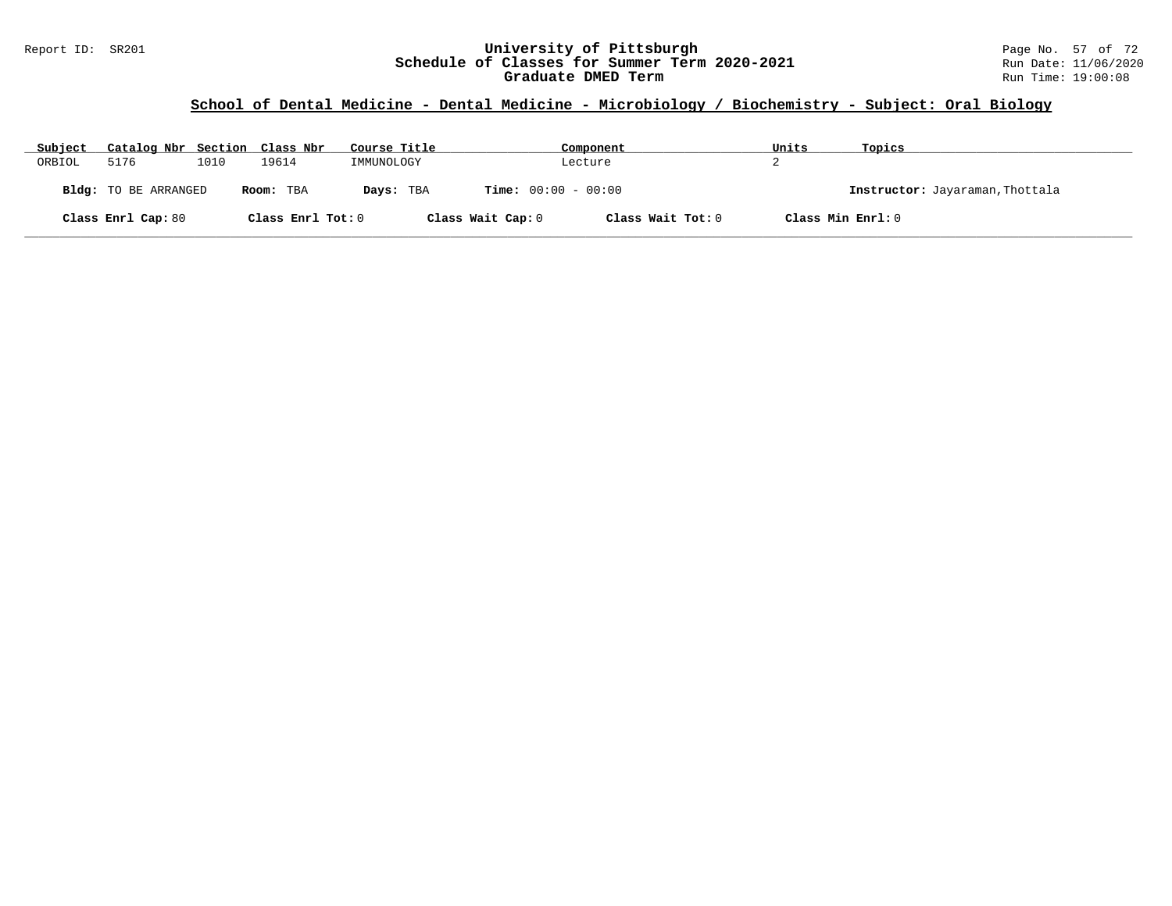### Report ID: SR201 **University of Pittsburgh** Page No. 57 of 72 **Schedule of Classes for Summer Term 2020-2021** Run Date: 11/06/2020 **Graduate DMED Term Run Time: 19:00:08** Run Time: 19:00:08

# **School of Dental Medicine - Dental Medicine - Microbiology / Biochemistry - Subject: Oral Biology**

| Subject | Catalog Nbr Section Class Nbr |      |                   | Course Title |                              | Component         | Units | Topics                          |
|---------|-------------------------------|------|-------------------|--------------|------------------------------|-------------------|-------|---------------------------------|
| ORBIOL  | 5176                          | 1010 | 19614             | IMMUNOLOGY   |                              | Lecture           |       |                                 |
|         | <b>Bldg:</b> TO BE ARRANGED   |      | Room: TBA         | Days: TBA    | <b>Time:</b> $00:00 - 00:00$ |                   |       | Instructor: Jayaraman, Thottala |
|         | Class Enrl Cap: 80            |      | Class Enrl Tot: 0 |              | Class Wait Cap: 0            | Class Wait Tot: 0 |       | Class Min Enrl: 0               |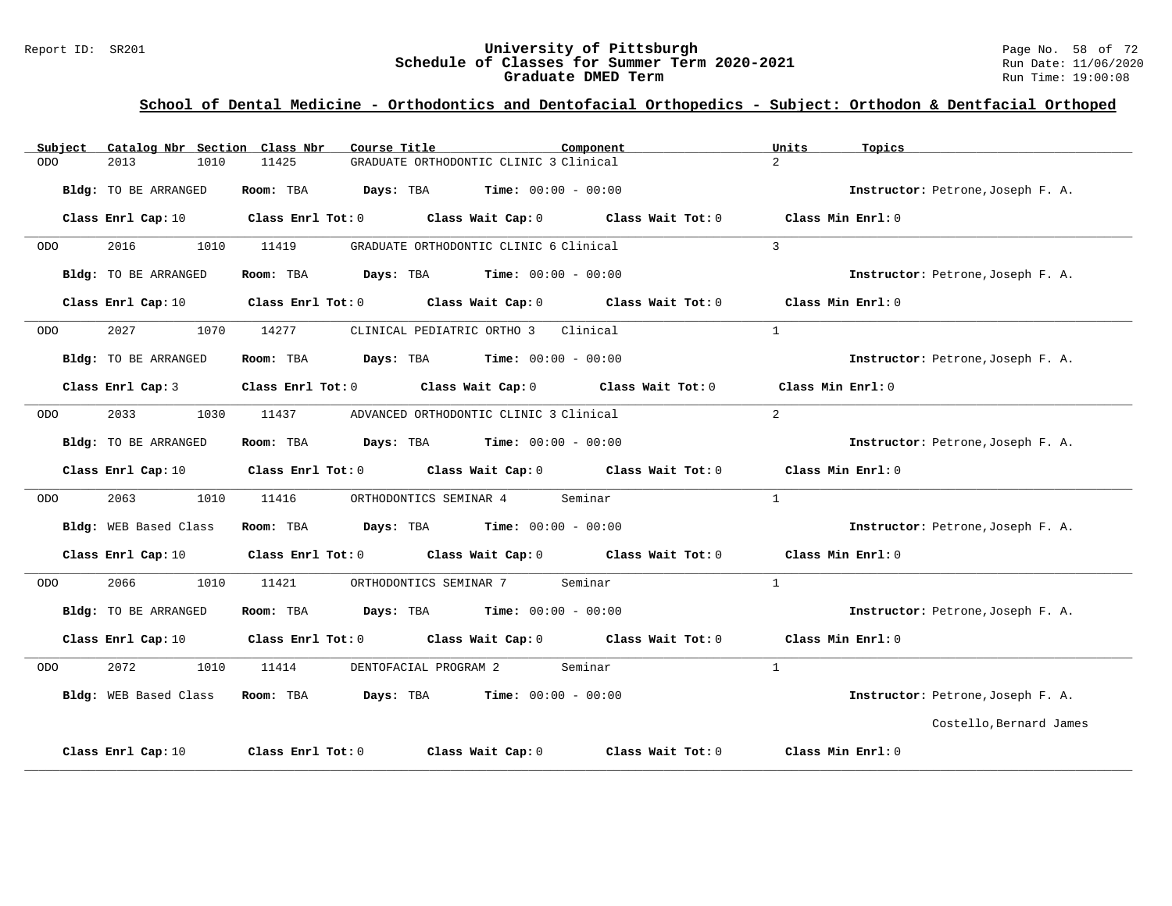### Report ID: SR201 **1988 Mage 10: SR201 University of Pittsburgh** Page No. 58 of 72<br>**Schedule of Classes for Summer Term 2020-2021** Run Date: 11/06/2020 **Schedule of Classes for Summer Term 2020-2021** Run Date: 11/06/2020 **Graduate DMED Term Run Time: 19:00:08** Run Time: 19:00:08

| Subject            | Catalog Nbr Section Class Nbr |            | Course Title                                                                                        | Component                                                                                                                      | Units<br>Topics                   |  |
|--------------------|-------------------------------|------------|-----------------------------------------------------------------------------------------------------|--------------------------------------------------------------------------------------------------------------------------------|-----------------------------------|--|
| 2013<br>ODO        | 1010                          | 11425      | GRADUATE ORTHODONTIC CLINIC 3 Clinical                                                              |                                                                                                                                | $\mathcal{L}$                     |  |
|                    | Bldg: TO BE ARRANGED          |            | Room: TBA $Days:$ TBA $Time: 00:00 - 00:00$                                                         |                                                                                                                                | Instructor: Petrone, Joseph F. A. |  |
|                    |                               |            |                                                                                                     | Class Enrl Cap: 10 $\qquad$ Class Enrl Tot: 0 $\qquad$ Class Wait Cap: 0 $\qquad$ Class Wait Tot: 0 $\qquad$ Class Min Enrl: 0 |                                   |  |
| 2016<br>ODO        |                               | 1010 11419 | GRADUATE ORTHODONTIC CLINIC 6 Clinical                                                              |                                                                                                                                | $\overline{3}$                    |  |
|                    | Bldg: TO BE ARRANGED          |            | Room: TBA $\rule{1em}{0.15mm}$ Days: TBA $\rule{1.15mm}]{0.15mm}$ Time: $0.000 - 0.0000$            |                                                                                                                                | Instructor: Petrone, Joseph F. A. |  |
|                    |                               |            |                                                                                                     | Class Enrl Cap: 10 Class Enrl Tot: 0 Class Wait Cap: 0 Class Wait Tot: 0 Class Min Enrl: 0                                     |                                   |  |
| 2027<br>ODO        |                               | 1070 14277 | CLINICAL PEDIATRIC ORTHO 3 Clinical                                                                 |                                                                                                                                | $\mathbf{1}$                      |  |
|                    | Bldg: TO BE ARRANGED          |            | Room: TBA $Days:$ TBA Time: $00:00 - 00:00$                                                         |                                                                                                                                | Instructor: Petrone, Joseph F. A. |  |
|                    | Class Enrl Cap: 3             |            | Class Enrl Tot: 0 Class Wait Cap: 0 Class Wait Tot: 0                                               |                                                                                                                                | Class Min Enrl: 0                 |  |
| 2033<br>ODO        | 1030                          |            | 11437 ADVANCED ORTHODONTIC CLINIC 3 Clinical                                                        |                                                                                                                                | $\overline{2}$                    |  |
|                    | Bldg: TO BE ARRANGED          |            | Room: TBA $Days:$ TBA $Time: 00:00 - 00:00$                                                         |                                                                                                                                | Instructor: Petrone, Joseph F. A. |  |
|                    |                               |            | Class Enrl Cap: 10 $\qquad$ Class Enrl Tot: 0 $\qquad$ Class Wait Cap: 0 $\qquad$ Class Wait Tot: 0 |                                                                                                                                | Class Min Enrl: 0                 |  |
| 2063<br>ODO        | 1010                          | 11416      | ORTHODONTICS SEMINAR 4 Seminar                                                                      |                                                                                                                                | $\mathbf{1}$                      |  |
|                    | Bldg: WEB Based Class         |            | Room: TBA $Days:$ TBA $Time: 00:00 - 00:00$                                                         |                                                                                                                                | Instructor: Petrone, Joseph F. A. |  |
|                    |                               |            | Class Enrl Cap: 10 Class Enrl Tot: 0 Class Wait Cap: 0 Class Wait Tot: 0                            |                                                                                                                                | Class Min Enri: 0                 |  |
| 2066<br>ODO        | 1010                          | 11421      | ORTHODONTICS SEMINAR 7 Seminar                                                                      |                                                                                                                                | $\mathbf{1}$                      |  |
|                    | Bldg: TO BE ARRANGED          |            | Room: TBA $Days:$ TBA $Time: 00:00 - 00:00$                                                         |                                                                                                                                | Instructor: Petrone, Joseph F. A. |  |
|                    |                               |            |                                                                                                     | Class Enrl Cap: 10 $\qquad$ Class Enrl Tot: 0 $\qquad$ Class Wait Cap: 0 $\qquad$ Class Wait Tot: 0                            | Class Min Enrl: 0                 |  |
| 2072<br><b>ODO</b> | 1010                          | 11414      | DENTOFACIAL PROGRAM 2 Seminar                                                                       |                                                                                                                                | $\mathbf{1}$                      |  |
|                    |                               |            | Bldg: WEB Based Class Room: TBA Days: TBA Time: 00:00 - 00:00                                       |                                                                                                                                | Instructor: Petrone, Joseph F. A. |  |
|                    |                               |            |                                                                                                     |                                                                                                                                | Costello, Bernard James           |  |
| Class Enrl Cap: 10 |                               |            | Class Enrl Tot: $0$ Class Wait Cap: $0$ Class Wait Tot: $0$                                         |                                                                                                                                | Class Min Enrl: 0                 |  |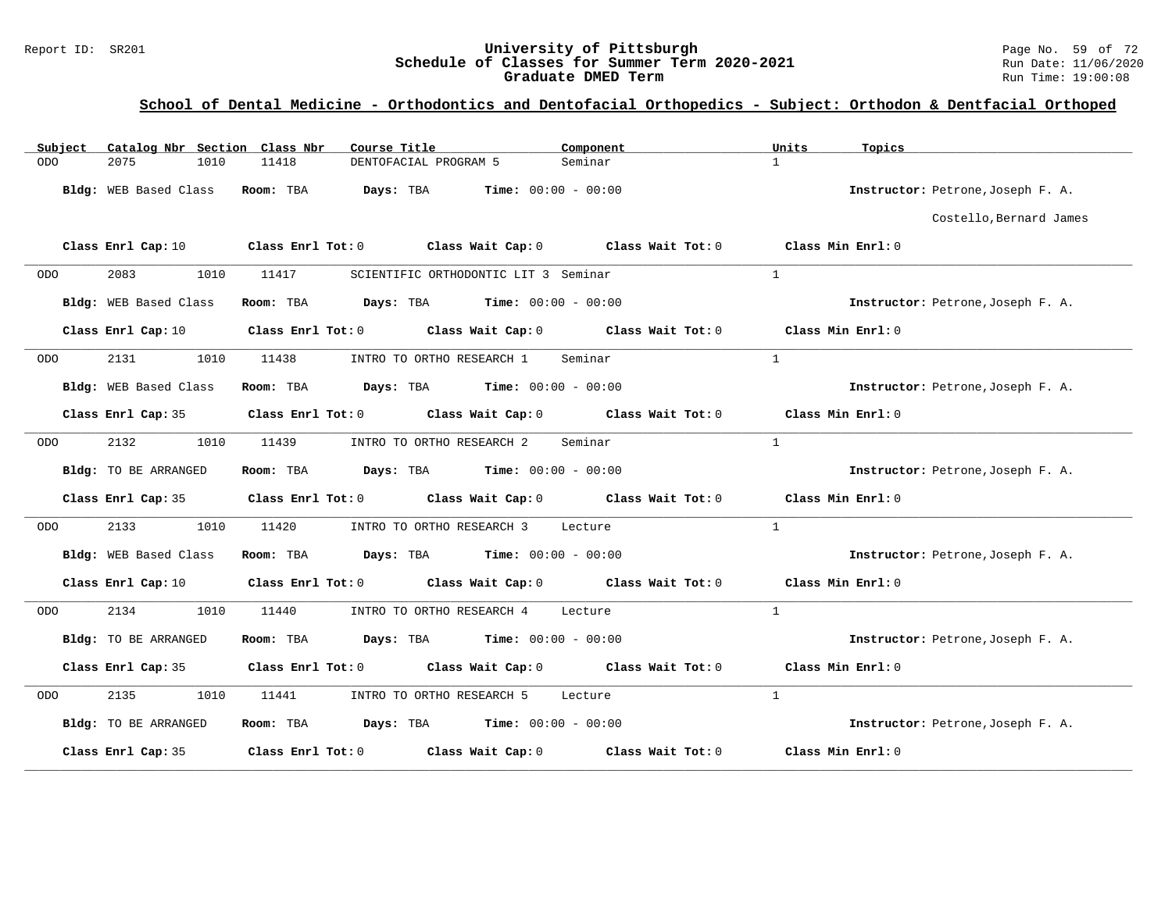#### Report ID: SR201 **University of Pittsburgh University of Pittsburgh** Page No. 59 of 72<br>**Schedule of Classes for Summer Term 2020-2021** Run Date: 11/06/2020 **Schedule of Classes for Summer Term 2020-2021** Run Date: 11/06/2020<br>Graduate DMED Term **2020-2021** Run Time: 19:00:08 **Graduate DMED Term**

| Catalog Nbr Section Class Nbr<br>Subject | Course Title                                                                                                                   | Component                    | Units<br>Topics                   |
|------------------------------------------|--------------------------------------------------------------------------------------------------------------------------------|------------------------------|-----------------------------------|
| 2075<br>1010<br><b>ODO</b>               | 11418<br>DENTOFACIAL PROGRAM 5                                                                                                 | Seminar                      | $\mathbf{1}$                      |
| Bldg: WEB Based Class                    | Room: TBA<br>Days: TBA                                                                                                         | <b>Time:</b> $00:00 - 00:00$ | Instructor: Petrone, Joseph F. A. |
|                                          |                                                                                                                                |                              | Costello, Bernard James           |
|                                          | Class Enrl Cap: 10 $\qquad$ Class Enrl Tot: 0 $\qquad$ Class Wait Cap: 0 $\qquad$ Class Wait Tot: 0 $\qquad$ Class Min Enrl: 0 |                              |                                   |
| 2083<br>1010<br>ODO                      | 11417<br>SCIENTIFIC ORTHODONTIC LIT 3 Seminar                                                                                  |                              | $\mathbf{1}$                      |
| Bldg: WEB Based Class                    | $\texttt{Days:}$ TBA $\texttt{Time:}$ 00:00 - 00:00<br>Room: TBA                                                               |                              | Instructor: Petrone, Joseph F. A. |
| Class Enrl Cap: 10                       | Class Enrl Tot: 0 Class Wait Cap: 0 Class Wait Tot: 0                                                                          |                              | Class Min Enrl: 0                 |
| 2131<br>1010<br>ODO.                     | 11438<br>INTRO TO ORTHO RESEARCH 1                                                                                             | Seminar                      | $\mathbf{1}$                      |
| Bldg: WEB Based Class                    | Room: TBA<br><b>Days:</b> TBA <b>Time:</b> $00:00 - 00:00$                                                                     |                              | Instructor: Petrone, Joseph F. A. |
|                                          | Class Enrl Cap: 35 Class Enrl Tot: 0 Class Wait Cap: 0 Class Wait Tot: 0                                                       |                              | Class Min Enrl: 0                 |
| 2132<br>1010<br>ODO                      | 11439<br>INTRO TO ORTHO RESEARCH 2                                                                                             | Seminar                      | $\mathbf{1}$                      |
| Bldg: TO BE ARRANGED                     | <b>Days:</b> TBA <b>Time:</b> $00:00 - 00:00$<br>Room: TBA                                                                     |                              | Instructor: Petrone, Joseph F. A. |
| Class Enrl Cap: 35                       | Class Enrl Tot: $0$ Class Wait Cap: $0$ Class Wait Tot: $0$                                                                    |                              | Class Min Enrl: 0                 |
| 2133<br>1010<br>ODO                      | 11420<br>INTRO TO ORTHO RESEARCH 3                                                                                             | Lecture                      | $\mathbf{1}$                      |
| Bldg: WEB Based Class                    | <b>Days:</b> TBA <b>Time:</b> $00:00 - 00:00$<br>Room: TBA                                                                     |                              | Instructor: Petrone, Joseph F. A. |
| Class Enrl Cap: 10                       | Class Enrl Tot: $0$ Class Wait Cap: $0$ Class Wait Tot: $0$                                                                    |                              | Class Min Enrl: 0                 |
| 2134<br>1010<br><b>ODO</b>               | 11440<br>INTRO TO ORTHO RESEARCH 4                                                                                             | Lecture                      | $\mathbf{1}$                      |
| Bldg: TO BE ARRANGED                     | Room: TBA<br><b>Days:</b> TBA <b>Time:</b> $00:00 - 00:00$                                                                     |                              | Instructor: Petrone, Joseph F. A. |
| Class Enrl Cap: 35                       | Class Enrl Tot: $0$ Class Wait Cap: $0$ Class Wait Tot: $0$                                                                    |                              | Class Min Enrl: 0                 |
| 2135<br>1010<br><b>ODO</b>               | 11441<br>INTRO TO ORTHO RESEARCH 5                                                                                             | Lecture                      | $\mathbf{1}$                      |
| <b>Bldg:</b> TO BE ARRANGED              | Room: TBA $Days: TBA$ Time: $00:00 - 00:00$                                                                                    |                              | Instructor: Petrone, Joseph F. A. |
| Class Enrl Cap: 35                       | Class Enrl Tot: 0 Class Wait Cap: 0                                                                                            | Class Wait Tot: 0            | Class Min Enrl: 0                 |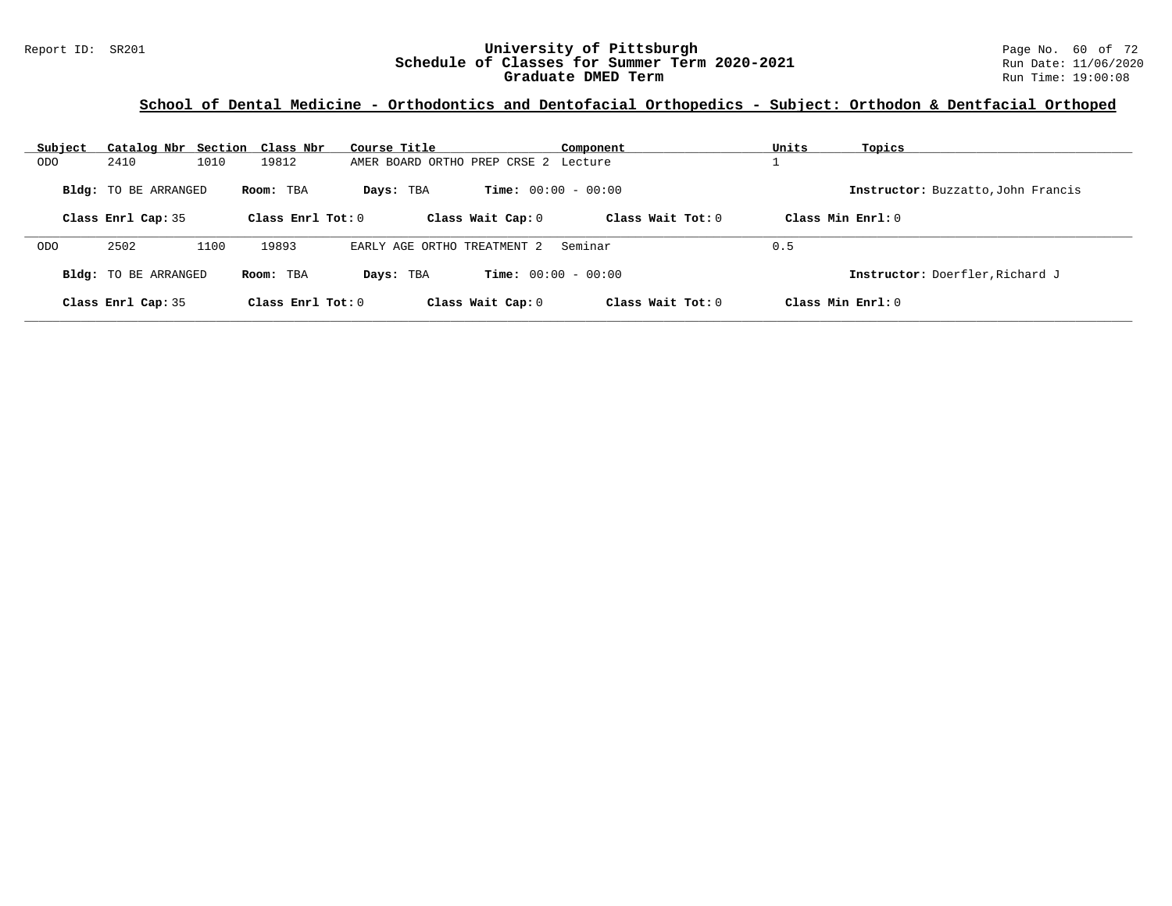### Report ID: SR201 **University of Pittsburgh University of Pittsburgh** Page No. 60 of 72<br>**Schedule of Classes for Summer Term 2020-2021** Run Date: 11/06/2020 **Schedule of Classes for Summer Term 2020-2021** Run Date: 11/06/2020 **Graduate DMED Term Run Time: 19:00:08** Run Time: 19:00:08

| Subject    | Catalog Nbr Section Class Nbr |      |                     | Course Title                         |                              | Component           | Units               | Topics                             |
|------------|-------------------------------|------|---------------------|--------------------------------------|------------------------------|---------------------|---------------------|------------------------------------|
| ODO        | 2410                          | 1010 | 19812               | AMER BOARD ORTHO PREP CRSE 2 Lecture |                              |                     |                     |                                    |
|            | <b>Bldg:</b> TO BE ARRANGED   |      | Room: TBA           | Days: TBA                            | <b>Time:</b> $00:00 - 00:00$ |                     |                     | Instructor: Buzzatto, John Francis |
|            | Class Enrl Cap: 35            |      | Class Enrl Tot: $0$ | Class Wait Cap: 0                    |                              | Class Wait $Tot: 0$ | Class Min Enrl: 0   |                                    |
| <b>ODO</b> | 2502                          | 1100 | 19893               | EARLY AGE ORTHO TREATMENT 2          |                              | Seminar             | 0.5                 |                                    |
|            | Bldg: TO BE ARRANGED          |      | Room: TBA           | Days: TBA                            | <b>Time:</b> $00:00 - 00:00$ |                     |                     | Instructor: Doerfler, Richard J    |
|            | Class Enrl Cap: 35            |      | Class Enrl Tot: 0   | Class Wait Cap: 0                    |                              | Class Wait $Tot: 0$ | Class Min $Enrl: 0$ |                                    |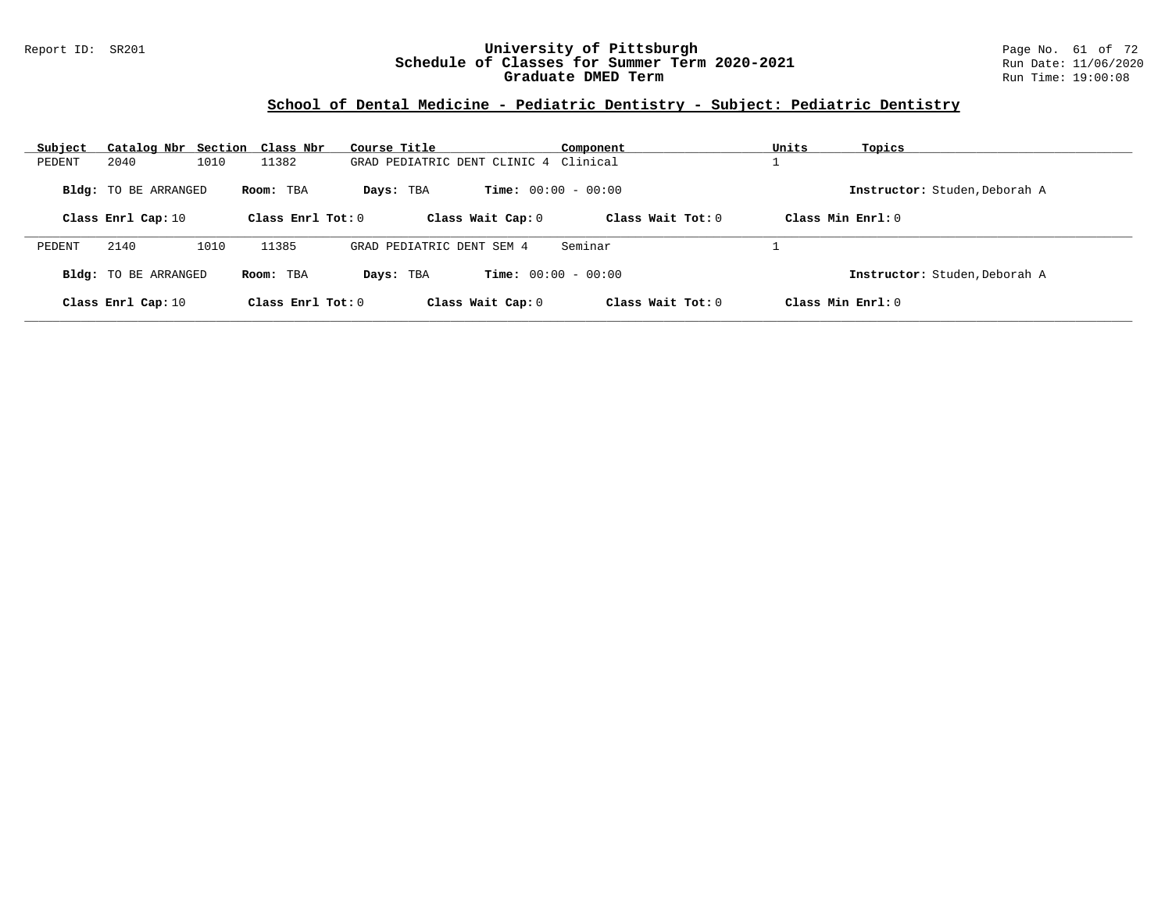### Report ID: SR201 **University of Pittsburgh** Page No. 61 of 72 **Schedule of Classes for Summer Term 2020-2021** Run Date: 11/06/2020 **Graduate DMED Term Run Time: 19:00:08** Run Time: 19:00:08

# **School of Dental Medicine - Pediatric Dentistry - Subject: Pediatric Dentistry**

| Subject |                      | Catalog Nbr Section Class Nbr | Course Title                          | Component                    | Units               | Topics                        |
|---------|----------------------|-------------------------------|---------------------------------------|------------------------------|---------------------|-------------------------------|
| PEDENT  | 2040                 | 1010<br>11382                 | GRAD PEDIATRIC DENT CLINIC 4 Clinical |                              |                     |                               |
|         | Bldg: TO BE ARRANGED | Room: TBA                     | Days: TBA                             | <b>Time:</b> $00:00 - 00:00$ |                     | Instructor: Studen, Deborah A |
|         | Class Enrl Cap: 10   | Class Enrl Tot: $0$           | Class Wait Cap: 0                     |                              | Class Wait $Tot: 0$ | Class Min Enrl: 0             |
| PEDENT  | 2140                 | 11385<br>1010                 | GRAD PEDIATRIC DENT SEM 4             | Seminar                      |                     |                               |
|         | Bldg: TO BE ARRANGED | Room: TBA                     | Days: TBA                             | <b>Time:</b> $00:00 - 00:00$ |                     | Instructor: Studen, Deborah A |
|         | Class Enrl Cap: 10   | Class Enrl Tot: $0$           | Class Wait Cap: 0                     |                              | Class Wait $Tot: 0$ | Class Min $Err1:0$            |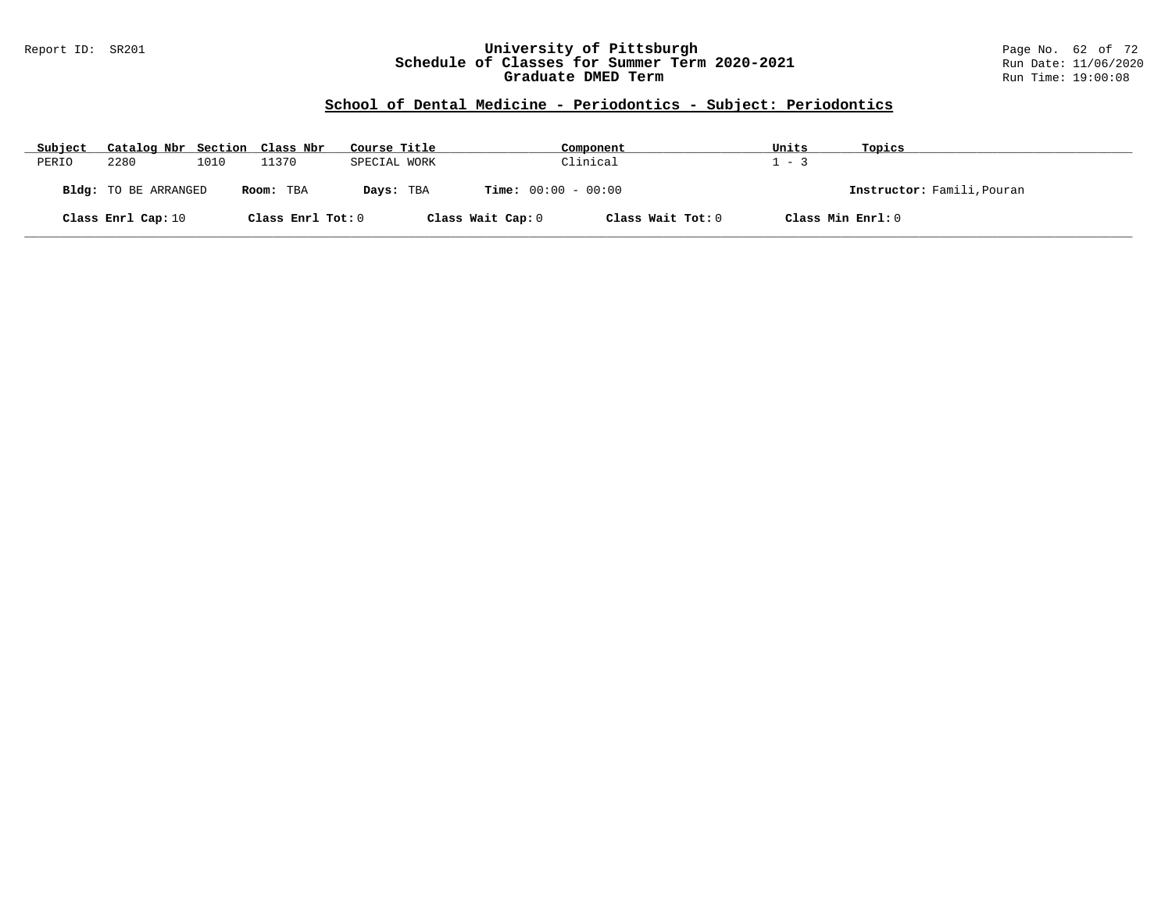### Report ID: SR201 **University of Pittsburgh** Page No. 62 of 72 **Schedule of Classes for Summer Term 2020-2021** Run Date: 11/06/2020 **Graduate DMED Term Run Time: 19:00:08** Run Time: 19:00:08

### **School of Dental Medicine - Periodontics - Subject: Periodontics**

| Subject | Catalog Nbr Section Class Nbr |      |                   | Course Title |                              | Component         | Units             | Topics                     |
|---------|-------------------------------|------|-------------------|--------------|------------------------------|-------------------|-------------------|----------------------------|
| PERIO   | 2280                          | 1010 | 11370             | SPECIAL WORK |                              | Clinical          | $1 - 3$           |                            |
|         | Bldg: TO BE ARRANGED          |      | Room: TBA         | Days: TBA    | <b>Time:</b> $00:00 - 00:00$ |                   |                   | Instructor: Famili, Pouran |
|         | Class Enrl Cap: 10            |      | Class Enrl Tot: 0 |              | Class Wait Cap: 0            | Class Wait Tot: 0 | Class Min Enrl: 0 |                            |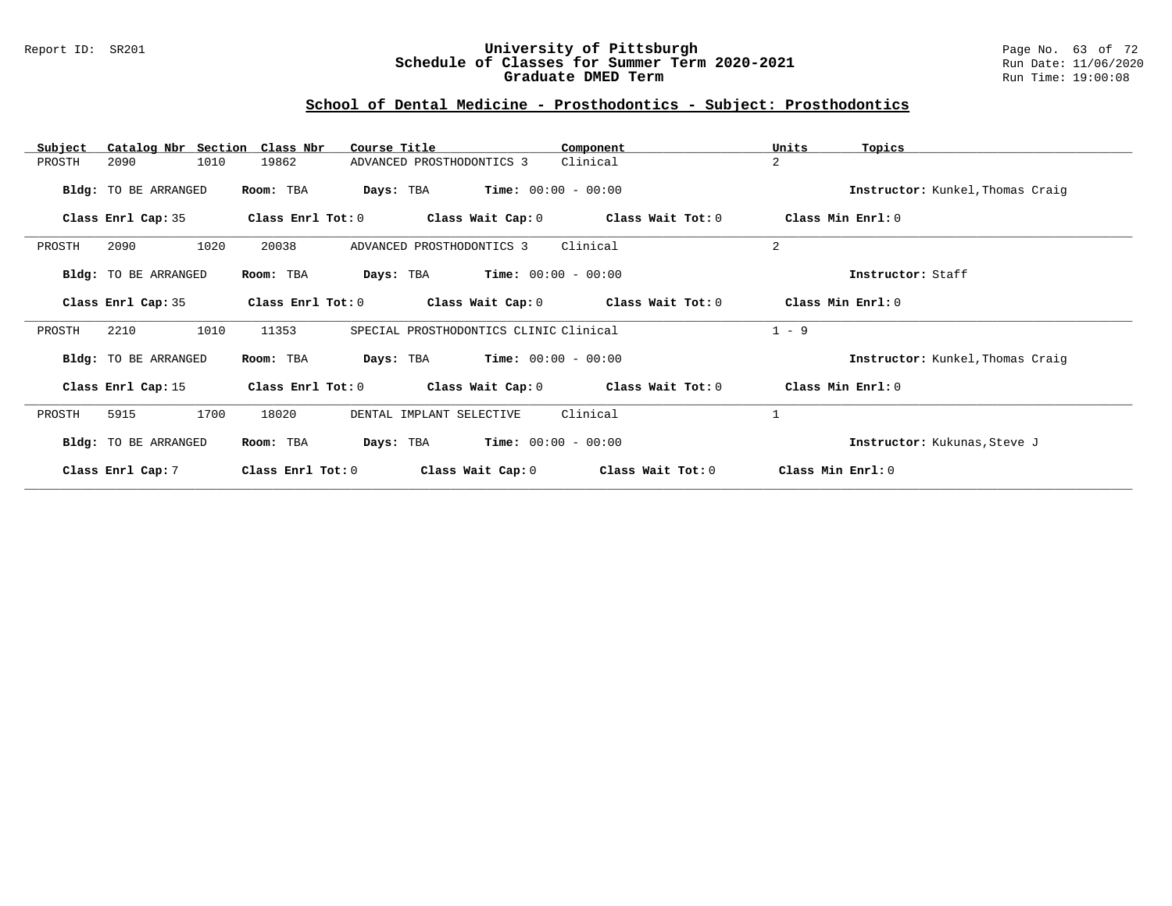### Report ID: SR201 **University of Pittsburgh** Page No. 63 of 72 **Schedule of Classes for Summer Term 2020-2021** Run Date: 11/06/2020 **Graduate DMED Term Run Time: 19:00:08** Run Time: 19:00:08

# **School of Dental Medicine - Prosthodontics - Subject: Prosthodontics**

| Catalog Nbr Section Class Nbr<br>Subject | Course Title                                    | Component                               | Units<br>Topics                  |
|------------------------------------------|-------------------------------------------------|-----------------------------------------|----------------------------------|
| 1010<br>PROSTH<br>2090                   | 19862<br>ADVANCED PROSTHODONTICS 3              | Clinical                                | $\overline{a}$                   |
| Bldg: TO BE ARRANGED                     | Room: TBA<br>Days: TBA                          | $Time: 00:00 - 00:00$                   | Instructor: Kunkel, Thomas Craig |
| Class Enrl Cap: 35                       | Class Enrl Tot: 0<br>Class Wait Cap: 0          | Class Wait Tot: 0                       | Class Min Enrl: 0                |
| 2090<br>1020<br>PROSTH                   | 20038<br>ADVANCED PROSTHODONTICS 3              | Clinical                                | 2                                |
| Bldg: TO BE ARRANGED                     | $Time: 00:00 - 00:00$<br>Room: TBA<br>Days: TBA |                                         | Instructor: Staff                |
| Class Enrl Cap: 35                       | Class Enrl Tot: 0                               | Class Wait Cap: $0$ Class Wait Tot: $0$ | Class Min Enrl: 0                |
| 1010<br>2210<br>PROSTH                   | SPECIAL PROSTHODONTICS CLINIC Clinical<br>11353 |                                         | $1 - 9$                          |
| Bldg: TO BE ARRANGED                     | $Time: 00:00 - 00:00$<br>Days: TBA<br>Room: TBA |                                         | Instructor: Kunkel, Thomas Craig |
| Class Enrl Cap: 15                       | Class Enrl Tot: 0<br>Class Wait Cap: 0          | Class Wait Tot: 0                       | Class Min Enrl: 0                |
| 1700<br>PROSTH<br>5915                   | 18020<br>DENTAL IMPLANT SELECTIVE               | Clinical                                | $\mathbf{1}$                     |
| Bldg: TO BE ARRANGED                     | Room: TBA<br>Days: TBA                          | $Time: 00:00 - 00:00$                   | Instructor: Kukunas, Steve J     |
| Class Enrl Cap: 7                        | Class Enrl Tot: 0<br>Class Wait Cap: 0          | Class Wait Tot: 0                       | Class Min Enrl: 0                |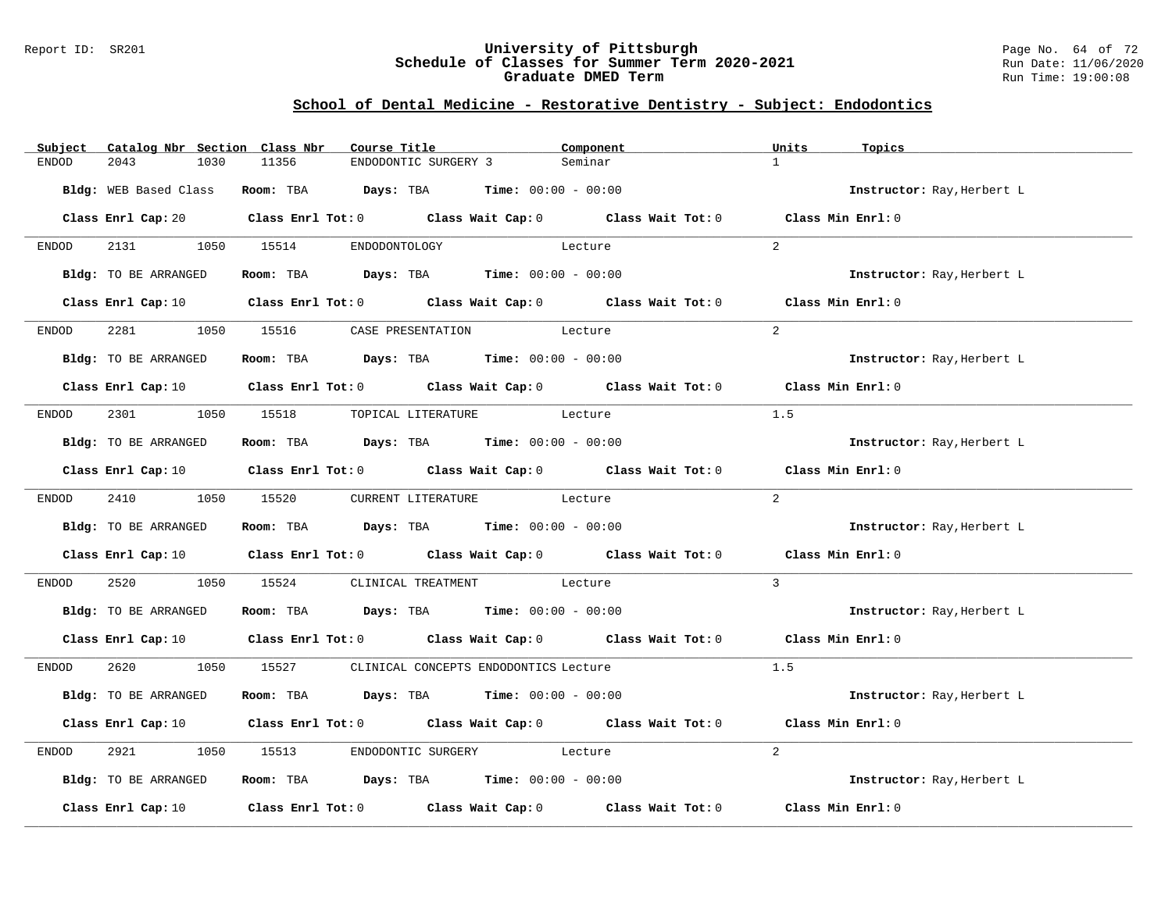#### Report ID: SR201 **University of Pittsburgh** Page No. 64 of 72 **Schedule of Classes for Summer Term 2020-2021** Run Date: 11/06/2020 **Graduate DMED Term Run Time: 19:00:08** Run Time: 19:00:08

# **School of Dental Medicine - Restorative Dentistry - Subject: Endodontics**

| Subject      | Catalog Nbr Section Class Nbr | Course Title                                                                                                                   | Component                       | Units<br>Topics            |
|--------------|-------------------------------|--------------------------------------------------------------------------------------------------------------------------------|---------------------------------|----------------------------|
| <b>ENDOD</b> | 2043<br>1030                  | 11356                                                                                                                          | ENDODONTIC SURGERY 3<br>Seminar | $\mathbf{1}$               |
|              | Bldg: WEB Based Class         | Room: TBA $Days:$ TBA $Time: 00:00 - 00:00$                                                                                    |                                 | Instructor: Ray, Herbert L |
|              |                               | Class Enrl Cap: 20 Class Enrl Tot: 0 Class Wait Cap: 0 Class Wait Tot: 0 Class Min Enrl: 0                                     |                                 |                            |
| ENDOD        |                               | 2131 1050 15514 ENDODONTOLOGY                                                                                                  | Lecture                         | $2^{1}$                    |
|              | Bldg: TO BE ARRANGED          | Room: TBA $Days:$ TBA $Time: 00:00 - 00:00$                                                                                    |                                 | Instructor: Ray, Herbert L |
|              |                               | Class Enrl Cap: 10 Class Enrl Tot: 0 Class Wait Cap: 0 Class Wait Tot: 0 Class Min Enrl: 0                                     |                                 |                            |
| ENDOD        |                               | 2281 1050 15516 CASE PRESENTATION Lecture                                                                                      |                                 | 2                          |
|              | Bldg: TO BE ARRANGED          | Room: TBA $Days:$ TBA Time: $00:00 - 00:00$                                                                                    |                                 | Instructor: Ray, Herbert L |
|              |                               | Class Enrl Cap: 10 $\qquad$ Class Enrl Tot: 0 $\qquad$ Class Wait Cap: 0 $\qquad$ Class Wait Tot: 0 $\qquad$ Class Min Enrl: 0 |                                 |                            |
| ENDOD        |                               | 2301 1050 15518 TOPICAL LITERATURE Lecture                                                                                     |                                 | 1.5                        |
|              | Bldg: TO BE ARRANGED          | Room: TBA $Days:$ TBA $Time: 00:00 - 00:00$                                                                                    |                                 | Instructor: Ray, Herbert L |
|              |                               | Class Enrl Cap: 10 $\qquad$ Class Enrl Tot: 0 $\qquad$ Class Wait Cap: 0 $\qquad$ Class Wait Tot: 0 $\qquad$ Class Min Enrl: 0 |                                 |                            |
| ENDOD        | 2410 1050 15520               |                                                                                                                                | CURRENT LITERATURE Lecture      | 2                          |
|              | Bldg: TO BE ARRANGED          | Room: TBA $Days:$ TBA $Time: 00:00 - 00:00$                                                                                    |                                 | Instructor: Ray, Herbert L |
|              |                               | Class Enrl Cap: 10 Class Enrl Tot: 0 Class Wait Cap: 0 Class Wait Tot: 0                                                       |                                 | Class Min Enrl: 0          |
| ENDOD        | 2520                          | 1050 15524 CLINICAL TREATMENT Lecture                                                                                          |                                 | $\mathbf{3}$               |
|              | Bldg: TO BE ARRANGED          | Room: TBA $Days:$ TBA $Time: 00:00 - 00:00$                                                                                    |                                 | Instructor: Ray, Herbert L |
|              |                               | Class Enrl Cap: 10 Class Enrl Tot: 0 Class Wait Cap: 0 Class Wait Tot: 0 Class Min Enrl: 0                                     |                                 |                            |
| ENDOD        |                               | 2620 1050 15527 CLINICAL CONCEPTS ENDODONTICS Lecture                                                                          |                                 | 1.5                        |
|              | Bldg: TO BE ARRANGED          | Room: TBA $Days:$ TBA $Time: 00:00 - 00:00$                                                                                    |                                 | Instructor: Ray, Herbert L |
|              |                               | Class Enrl Cap: 10 Class Enrl Tot: 0 Class Wait Cap: 0 Class Wait Tot: 0                                                       |                                 | Class Min Enrl: 0          |
| ENDOD        | 2921<br>1050                  | 15513                                                                                                                          | ENDODONTIC SURGERY Lecture      | 2                          |
|              | Bldg: TO BE ARRANGED          | Room: TBA $Days:$ TBA Time: $00:00 - 00:00$                                                                                    |                                 | Instructor: Ray, Herbert L |
|              |                               | Class Enrl Cap: 10 $\qquad$ Class Enrl Tot: 0 $\qquad$ Class Wait Cap: 0 $\qquad$ Class Wait Tot: 0                            |                                 | Class Min Enrl: 0          |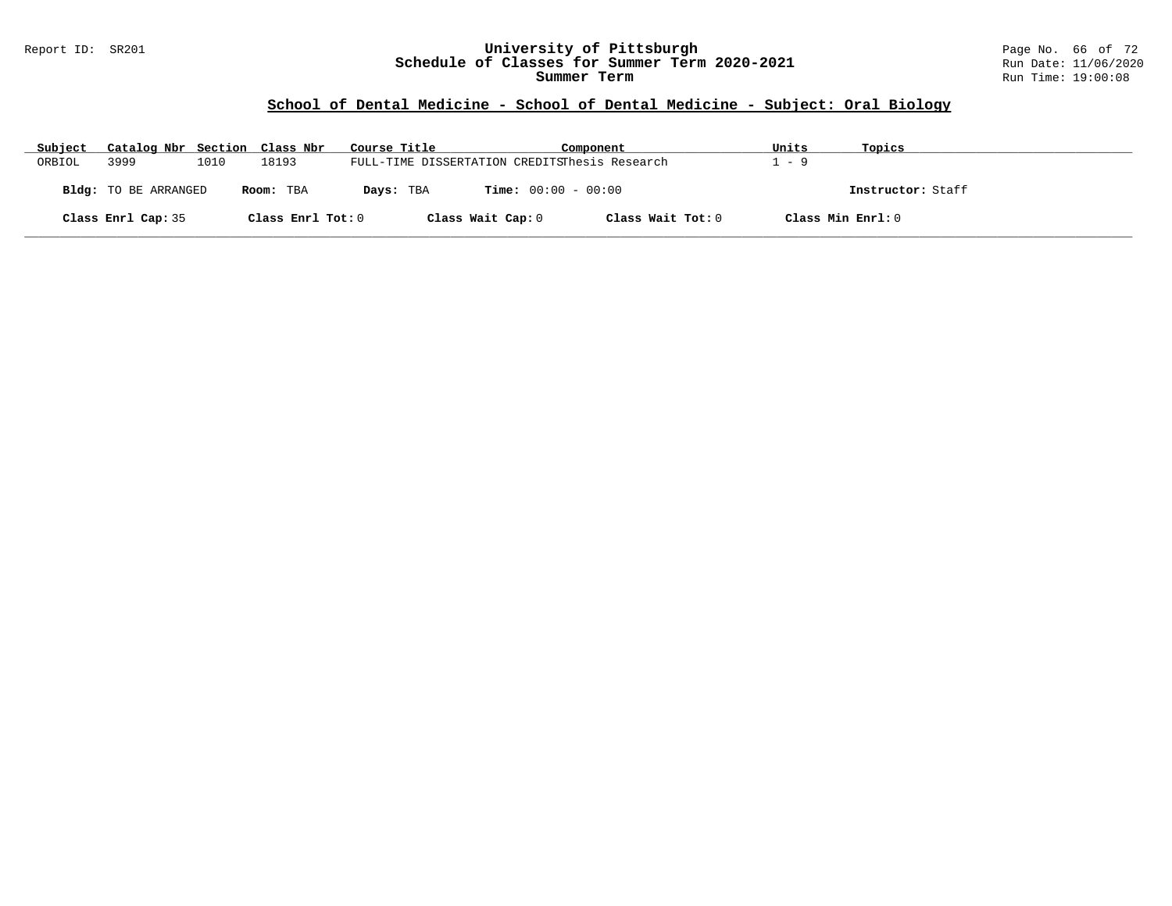#### Report ID: SR201 **University of Pittsburgh** Page No. 66 of 72 **Schedule of Classes for Summer Term 2020-2021** Run Date: 11/06/2020 **Summer Term** Run Time: 19:00:08

# **School of Dental Medicine - School of Dental Medicine - Subject: Oral Biology**

| Subject | Catalog Nbr Section Class Nbr |      |                   | Course Title | Component                                     | Units | Topics            |  |
|---------|-------------------------------|------|-------------------|--------------|-----------------------------------------------|-------|-------------------|--|
| ORBIOL  | 3999                          | 1010 | 18193             |              | FULL-TIME DISSERTATION CREDITSThesis Research | - 9   |                   |  |
|         | <b>Bldg:</b> TO BE ARRANGED   |      | Room: TBA         | Days: TBA    | <b>Time:</b> $00:00 - 00:00$                  |       | Instructor: Staff |  |
|         | Class Enrl Cap: 35            |      | Class Enrl Tot: 0 |              | Class Wait Tot: 0<br>Class Wait Cap: 0        |       | Class Min Enrl: 0 |  |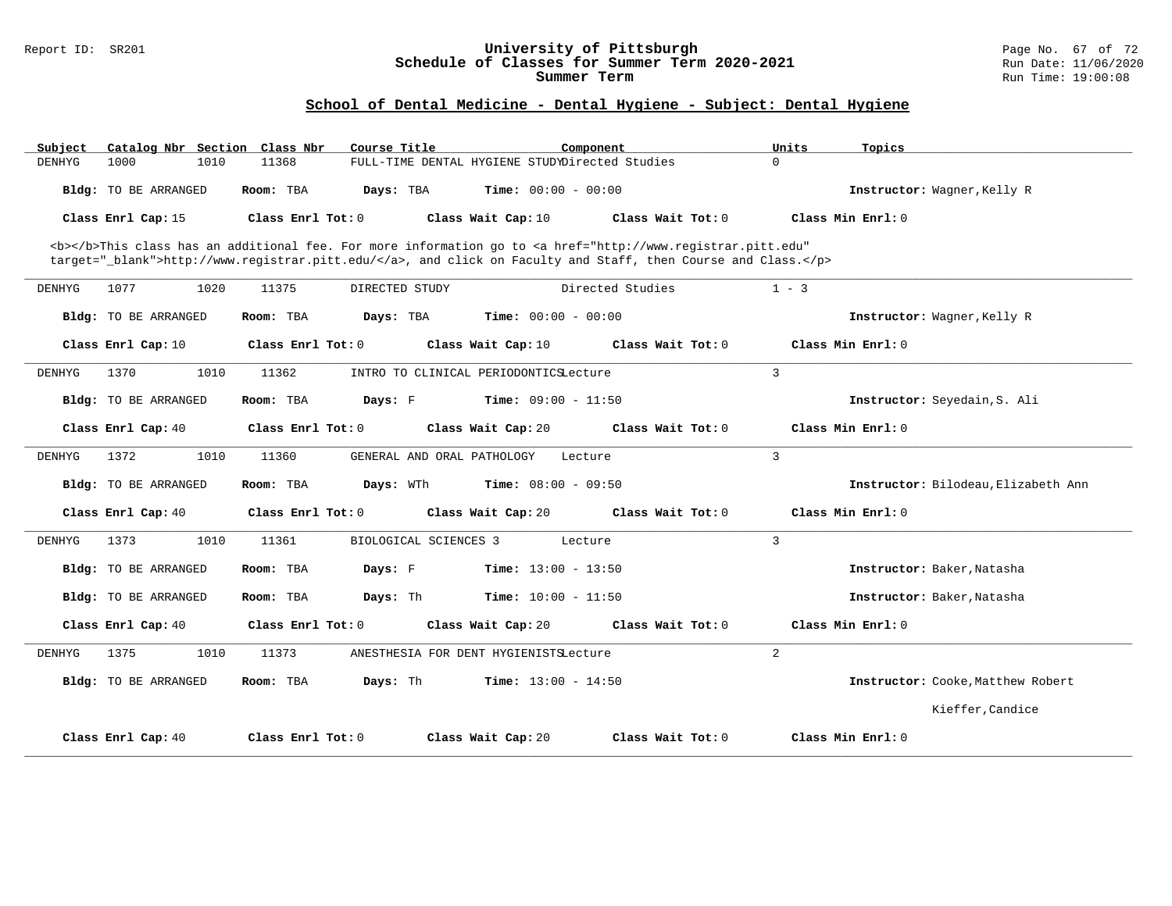#### Report ID: SR201 **University of Pittsburgh** Page No. 67 of 72 **Schedule of Classes for Summer Term 2020-2021** Run Date: 11/06/2020 **Summer Term** Run Time: 19:00:08

# **School of Dental Medicine - Dental Hygiene - Subject: Dental Hygiene**

| Subject       | Catalog Nbr Section         | Class Nbr         | Course Title               |                                                | Component                                                                                                                                      | Units    | Topics                              |
|---------------|-----------------------------|-------------------|----------------------------|------------------------------------------------|------------------------------------------------------------------------------------------------------------------------------------------------|----------|-------------------------------------|
| <b>DENHYG</b> | 1000<br>1010                | 11368             |                            | FULL-TIME DENTAL HYGIENE STUDYDirected Studies |                                                                                                                                                | $\Omega$ |                                     |
|               | Bldg: TO BE ARRANGED        | Room: TBA         | Days: TBA                  | <b>Time:</b> $00:00 - 00:00$                   |                                                                                                                                                |          | Instructor: Wagner, Kelly R         |
|               | Class Enrl Cap: 15          | Class Enrl Tot: 0 |                            | Class Wait Cap: 10                             | Class Wait Tot: 0                                                                                                                              |          | Class Min Enrl: 0                   |
|               |                             |                   |                            |                                                | <b></b> This class has an additional fee. For more information go to <a <="" href="http://www.registrar.pitt.edu" td=""><td></td><td></td></a> |          |                                     |
|               |                             |                   |                            |                                                | target="_blank">http://www.registrar.pitt.edu/, and click on Faculty and Staff, then Course and Class.                                         |          |                                     |
| DENHYG        | 1077<br>1020                | 11375             | DIRECTED STUDY             |                                                | Directed Studies                                                                                                                               | $1 - 3$  |                                     |
|               | Bldg: TO BE ARRANGED        | Room: TBA         | Days: TBA                  | <b>Time:</b> $00:00 - 00:00$                   |                                                                                                                                                |          | Instructor: Wagner, Kelly R         |
|               | Class Enrl Cap: 10          | Class Enrl Tot: 0 |                            | Class Wait Cap: 10                             | Class Wait Tot: 0                                                                                                                              |          | Class Min Enrl: 0                   |
| DENHYG        | 1370<br>1010                | 11362             |                            | INTRO TO CLINICAL PERIODONTICSLecture          |                                                                                                                                                | 3        |                                     |
|               | Bldg: TO BE ARRANGED        | Room: TBA         | Days: F                    | <b>Time:</b> $09:00 - 11:50$                   |                                                                                                                                                |          | Instructor: Seyedain, S. Ali        |
|               | Class Enrl Cap: 40          | Class Enrl Tot: 0 |                            | Class Wait Cap: 20                             | Class Wait Tot: 0                                                                                                                              |          | Class Min Enrl: 0                   |
| DENHYG        | 1010<br>1372                | 11360             | GENERAL AND ORAL PATHOLOGY |                                                | Lecture                                                                                                                                        | 3        |                                     |
|               | Bldg: TO BE ARRANGED        | Room: TBA         | Days: WTh                  | <b>Time:</b> $08:00 - 09:50$                   |                                                                                                                                                |          | Instructor: Bilodeau, Elizabeth Ann |
|               | Class Enrl Cap: 40          | Class Enrl Tot: 0 |                            | Class Wait Cap: 20                             | Class Wait Tot: 0                                                                                                                              |          | Class Min $Enr1: 0$                 |
| <b>DENHYG</b> | 1373<br>1010                | 11361             | BIOLOGICAL SCIENCES 3      |                                                | Lecture                                                                                                                                        | 3        |                                     |
|               | Bldg: TO BE ARRANGED        | Room: TBA         | Days: F                    | Time: $13:00 - 13:50$                          |                                                                                                                                                |          | Instructor: Baker, Natasha          |
|               | Bldg: TO BE ARRANGED        | Room: TBA         | Days: Th                   | <b>Time:</b> $10:00 - 11:50$                   |                                                                                                                                                |          | Instructor: Baker, Natasha          |
|               | Class Enrl Cap: 40          | Class Enrl Tot: 0 |                            | Class Wait Cap: 20                             | Class Wait Tot: 0                                                                                                                              |          | Class Min Enrl: 0                   |
| <b>DENHYG</b> | 1375<br>1010                | 11373             |                            | ANESTHESIA FOR DENT HYGIENISTSLecture          |                                                                                                                                                | 2        |                                     |
|               | <b>Bldg:</b> TO BE ARRANGED | Room: TBA         | Days: Th                   | <b>Time:</b> $13:00 - 14:50$                   |                                                                                                                                                |          | Instructor: Cooke, Matthew Robert   |
|               |                             |                   |                            |                                                |                                                                                                                                                |          | Kieffer, Candice                    |
|               | Class Enrl Cap: 40          | Class Enrl Tot: 0 |                            | Class Wait Cap: 20                             | Class Wait Tot: 0                                                                                                                              |          | Class Min Enrl: 0                   |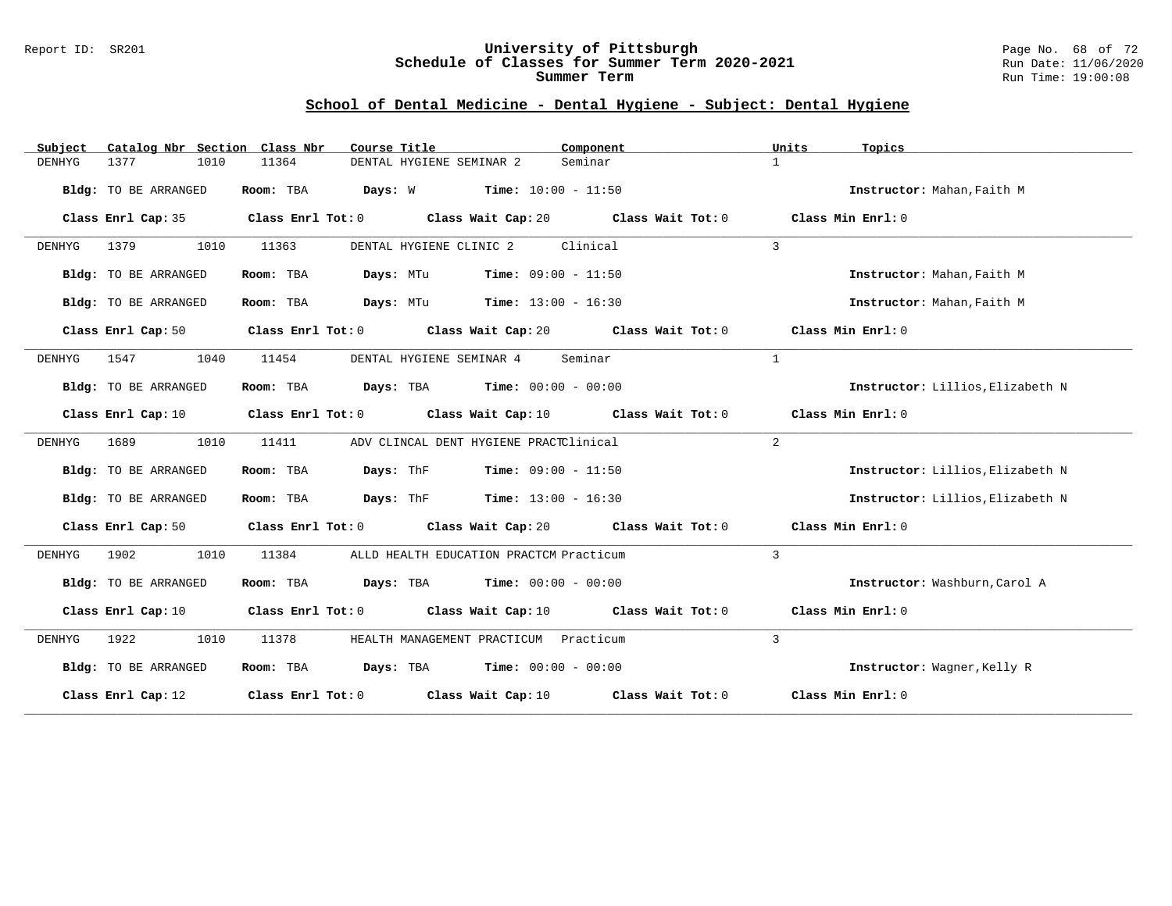#### Report ID: SR201 **University of Pittsburgh** Page No. 68 of 72 **Schedule of Classes for Summer Term 2020-2021** Run Date: 11/06/2020 **Summer Term** Run Time: 19:00:08

# **School of Dental Medicine - Dental Hygiene - Subject: Dental Hygiene**

| Subject | Catalog Nbr Section         | Class Nbr<br>Course Title | Component                                                                |                | Units<br>Topics                  |
|---------|-----------------------------|---------------------------|--------------------------------------------------------------------------|----------------|----------------------------------|
| DENHYG  | 1377<br>1010                | 11364                     | Seminar<br>DENTAL HYGIENE SEMINAR 2                                      | $\mathbf{1}$   |                                  |
|         | Bldg: TO BE ARRANGED        | Room: TBA                 | <b>Days:</b> W <b>Time:</b> $10:00 - 11:50$                              |                | Instructor: Mahan, Faith M       |
|         | Class Enrl Cap: 35          | Class Enrl Tot: 0         | Class Wait Cap: 20 Class Wait Tot: 0                                     |                | Class Min Enrl: 0                |
| DENHYG  | 1379<br>1010                | 11363                     | Clinical<br>DENTAL HYGIENE CLINIC 2                                      | $\overline{3}$ |                                  |
|         | Bldg: TO BE ARRANGED        | Room: TBA<br>Days: MTu    | $Time: 09:00 - 11:50$                                                    |                | Instructor: Mahan, Faith M       |
|         | <b>Bldg:</b> TO BE ARRANGED | Room: TBA                 | <b>Days:</b> MTu <b>Time:</b> $13:00 - 16:30$                            |                | Instructor: Mahan, Faith M       |
|         | Class Enrl Cap: 50          |                           | Class Enrl Tot: 0 Class Wait Cap: 20 Class Wait Tot: 0                   |                | Class Min Enrl: 0                |
| DENHYG  | 1547<br>1040                | 11454                     | DENTAL HYGIENE SEMINAR 4<br>Seminar                                      | $\mathbf{1}$   |                                  |
|         | Bldg: TO BE ARRANGED        | Room: TBA                 | <b>Days:</b> TBA <b>Time:</b> $00:00 - 00:00$                            |                | Instructor: Lillios, Elizabeth N |
|         | Class Enrl Cap: 10          |                           | Class Enrl Tot: $0$ Class Wait Cap: $10$ Class Wait Tot: $0$             |                | Class Min Enrl: 0                |
| DENHYG  | 1010<br>1689                | 11411                     | ADV CLINCAL DENT HYGIENE PRACTClinical                                   | $\overline{2}$ |                                  |
|         | Bldg: TO BE ARRANGED        | Days: ThF<br>Room: TBA    | $Time: 09:00 - 11:50$                                                    |                | Instructor: Lillios, Elizabeth N |
|         | Bldg: TO BE ARRANGED        | Room: TBA                 | <b>Days:</b> ThF <b>Time:</b> $13:00 - 16:30$                            |                | Instructor: Lillios, Elizabeth N |
|         | Class Enrl Cap: 50          |                           | Class Enrl Tot: 0 Class Wait Cap: 20 Class Wait Tot: 0                   |                | Class Min Enrl: 0                |
| DENHYG  | 1902<br>1010                | 11384                     | ALLD HEALTH EDUCATION PRACTCM Practicum                                  | 3              |                                  |
|         | Bldg: TO BE ARRANGED        |                           | Room: TBA $Days:$ TBA $Time: 00:00 - 00:00$                              |                | Instructor: Washburn, Carol A    |
|         | Class Enrl Cap: 10          |                           | Class Enrl Tot: 0 Class Wait Cap: 10 Class Wait Tot: 0                   |                | Class Min Enrl: 0                |
| DENHYG  | 1922<br>1010                | 11378                     | HEALTH MANAGEMENT PRACTICUM Practicum                                    | $\overline{3}$ |                                  |
|         | Bldg: TO BE ARRANGED        | Room: TBA                 | <b>Days:</b> TBA <b>Time:</b> $00:00 - 00:00$                            |                | Instructor: Wagner, Kelly R      |
|         | Class Enrl Cap: 12          |                           | Class Enrl Tot: 0 $\qquad$ Class Wait Cap: 10 $\qquad$ Class Wait Tot: 0 |                | Class Min Enrl: 0                |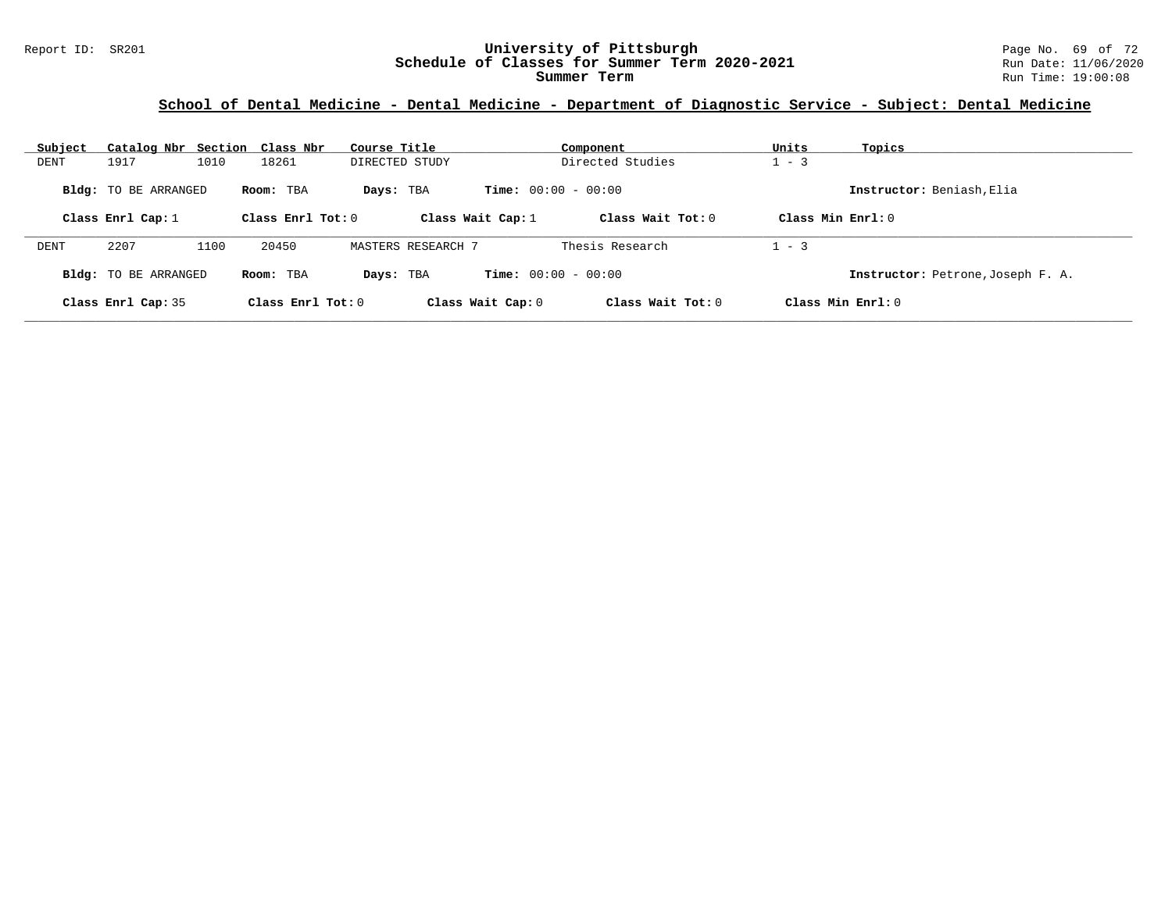# Report ID: SR201 **University of Pittsburgh University of Pittsburgh** Page No. 69 of 72<br>**Schedule of Classes for Summer Term 2020-2021** Run Date: 11/06/2020 Schedule of Classes for Summer Term 2020-2021

| Subject | Catalog Nbr Section Class Nbr |      |                                  | Course Title       |                              | Component           | Units               | Topics                            |
|---------|-------------------------------|------|----------------------------------|--------------------|------------------------------|---------------------|---------------------|-----------------------------------|
| DENT    | 1917                          | 1010 | 18261                            | DIRECTED STUDY     |                              | Directed Studies    | $1 - 3$             |                                   |
|         | <b>Bldg:</b> TO BE ARRANGED   |      | Room: TBA<br>Class Enrl Tot: $0$ | Days: TBA          | <b>Time:</b> $00:00 - 00:00$ | Class Wait Tot: $0$ | Class Min Enrl: $0$ | Instructor: Beniash, Elia         |
|         | Class Enrl Cap: $1$           |      |                                  |                    | Class Wait Cap: $1$          |                     |                     |                                   |
| DENT    | 2207                          | 1100 | 20450                            | MASTERS RESEARCH 7 |                              | Thesis Research     | $-3$                |                                   |
|         | <b>Bldg:</b> TO BE ARRANGED   |      | Room: TBA                        | Davs: TBA          | <b>Time:</b> $00:00 - 00:00$ |                     |                     | Instructor: Petrone, Joseph F. A. |
|         | Class Enrl Cap: 35            |      | Class Enrl Tot: 0                |                    | Class Wait Cap: 0            | Class Wait $Tot: 0$ |                     | Class Min Enrl: 0                 |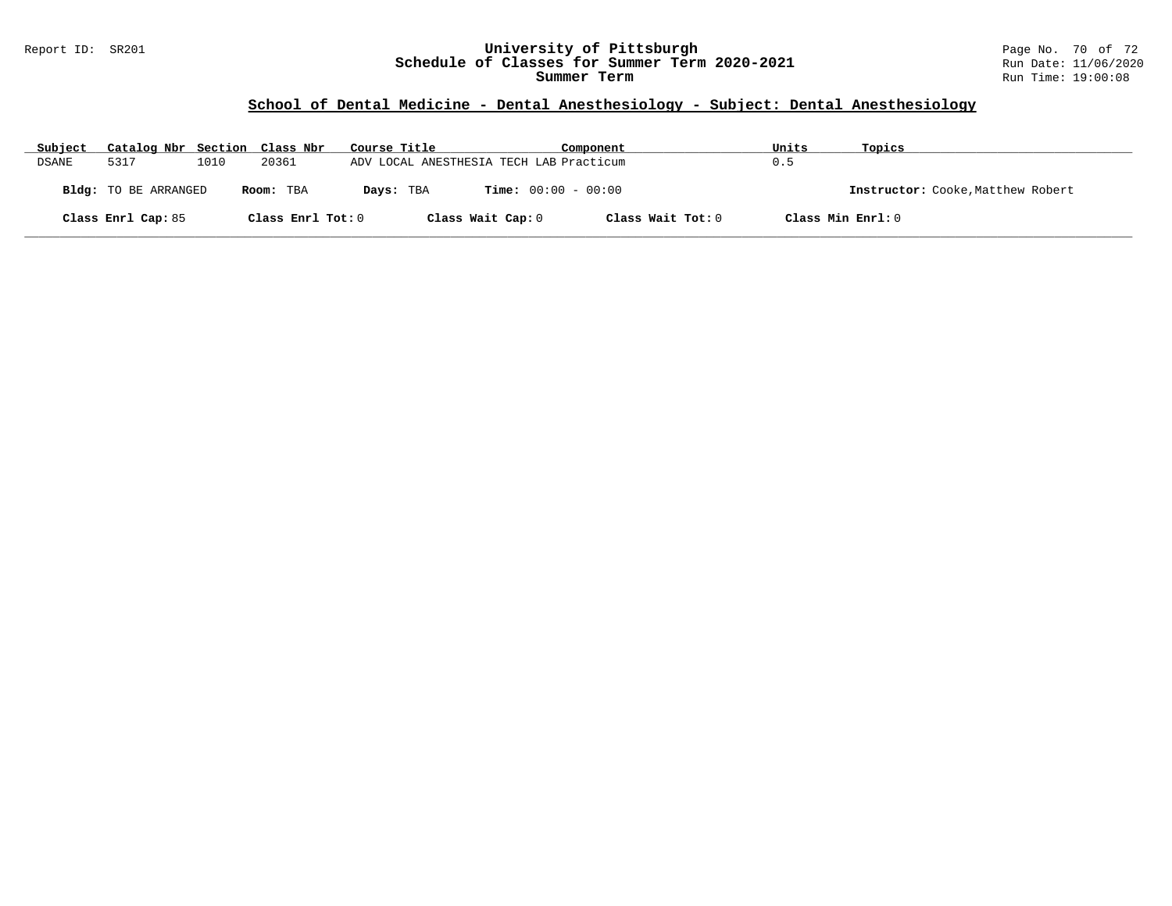#### Report ID: SR201 **University of Pittsburgh** Page No. 70 of 72 **Schedule of Classes for Summer Term 2020-2021** Run Date: 11/06/2020 **Summer Term** Run Time: 19:00:08

# **School of Dental Medicine - Dental Anesthesiology - Subject: Dental Anesthesiology**

| Subject | Catalog Nbr Section Class Nbr |      |                   | Course Title                            |                              | Component         | Units | Topics                            |
|---------|-------------------------------|------|-------------------|-----------------------------------------|------------------------------|-------------------|-------|-----------------------------------|
| DSANE   | 5317                          | 1010 | 20361             | ADV LOCAL ANESTHESIA TECH LAB Practicum |                              |                   | 0.5   |                                   |
|         | Bldg: TO BE ARRANGED          |      | Room: TBA         | Days: TBA                               | <b>Time:</b> $00:00 - 00:00$ |                   |       | Instructor: Cooke, Matthew Robert |
|         | Class Enrl Cap: 85            |      | Class Enrl Tot: 0 |                                         | Class Wait Cap: 0            | Class Wait Tot: 0 |       | Class Min Enrl: 0                 |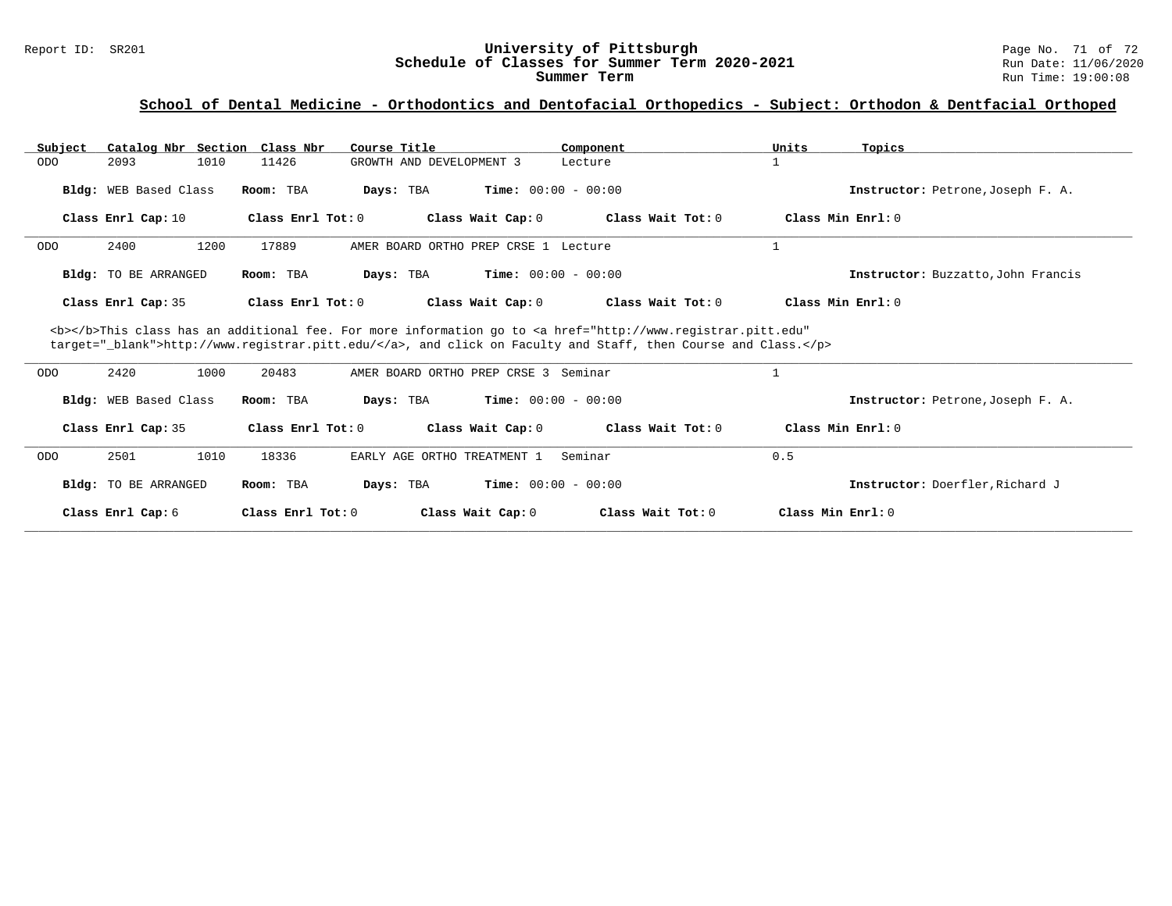# Report ID: SR201 **University of Pittsburgh University of Pittsburgh** Page No. 71 of 72<br>**Schedule of Classes for Summer Term 2020-2021** Run Date: 11/06/2020 Schedule of Classes for Summer Term 2020-2021

| Catalog Nbr Section<br>Subject | Class Nbr<br>Course Title                                                                                                                                                                                                          | Component                                | Units<br>Topics                    |  |  |  |  |  |
|--------------------------------|------------------------------------------------------------------------------------------------------------------------------------------------------------------------------------------------------------------------------------|------------------------------------------|------------------------------------|--|--|--|--|--|
| 1010<br><b>ODO</b><br>2093     | 11426<br>GROWTH AND DEVELOPMENT 3                                                                                                                                                                                                  | Lecture                                  |                                    |  |  |  |  |  |
| Bldg: WEB Based Class          | Room: TBA<br>Days: TBA                                                                                                                                                                                                             | <b>Time:</b> $00:00 - 00:00$             | Instructor: Petrone, Joseph F. A.  |  |  |  |  |  |
| Class Enrl Cap: 10             | Class Enrl Tot: 0                                                                                                                                                                                                                  | Class Wait Cap: 0<br>Class Wait Tot: 0   | Class Min Enrl: 0                  |  |  |  |  |  |
| 1200<br>2400<br><b>ODO</b>     | 17889                                                                                                                                                                                                                              | AMER BOARD ORTHO PREP CRSE 1 Lecture     |                                    |  |  |  |  |  |
| <b>Bldg:</b> TO BE ARRANGED    | Room: TBA<br>Days: TBA                                                                                                                                                                                                             | <b>Time:</b> $00:00 - 00:00$             | Instructor: Buzzatto, John Francis |  |  |  |  |  |
| Class Enrl Cap: 35             | Class Enrl Tot: 0                                                                                                                                                                                                                  | Class Wait Cap: 0<br>Class Wait Tot: 0   | Class Min Enrl: 0                  |  |  |  |  |  |
|                                | <b></b> This class has an additional fee. For more information go to <a <br="" href="http://www.registrar.pitt.edu">target="_blank"&gt;http://www.registrar.pitt.edu/</a> , and click on Faculty and Staff, then Course and Class. |                                          |                                    |  |  |  |  |  |
| 2420<br>1000<br><b>ODO</b>     | 20483                                                                                                                                                                                                                              | AMER BOARD ORTHO PREP CRSE 3 Seminar     |                                    |  |  |  |  |  |
| Bldg: WEB Based Class          | Room: TBA<br>Days: TBA                                                                                                                                                                                                             | <b>Time:</b> $00:00 - 00:00$             | Instructor: Petrone, Joseph F. A.  |  |  |  |  |  |
| Class Enrl Cap: 35             | Class Enrl Tot: 0                                                                                                                                                                                                                  | Class Wait Cap: 0<br>Class Wait Tot: 0   | Class Min Enrl: 0                  |  |  |  |  |  |
| 2501<br>1010<br><b>ODO</b>     | 18336<br>EARLY AGE ORTHO TREATMENT 1                                                                                                                                                                                               | Seminar                                  | 0.5                                |  |  |  |  |  |
| <b>Bldg:</b> TO BE ARRANGED    | Room: TBA<br>Days: TBA                                                                                                                                                                                                             | <b>Time:</b> $00:00 - 00:00$             | Instructor: Doerfler, Richard J    |  |  |  |  |  |
| Class Enrl Cap: 6              | Class Enrl Tot: 0                                                                                                                                                                                                                  | Class Wait Cap: 0<br>Class Wait Tot: $0$ | Class Min Enrl: 0                  |  |  |  |  |  |